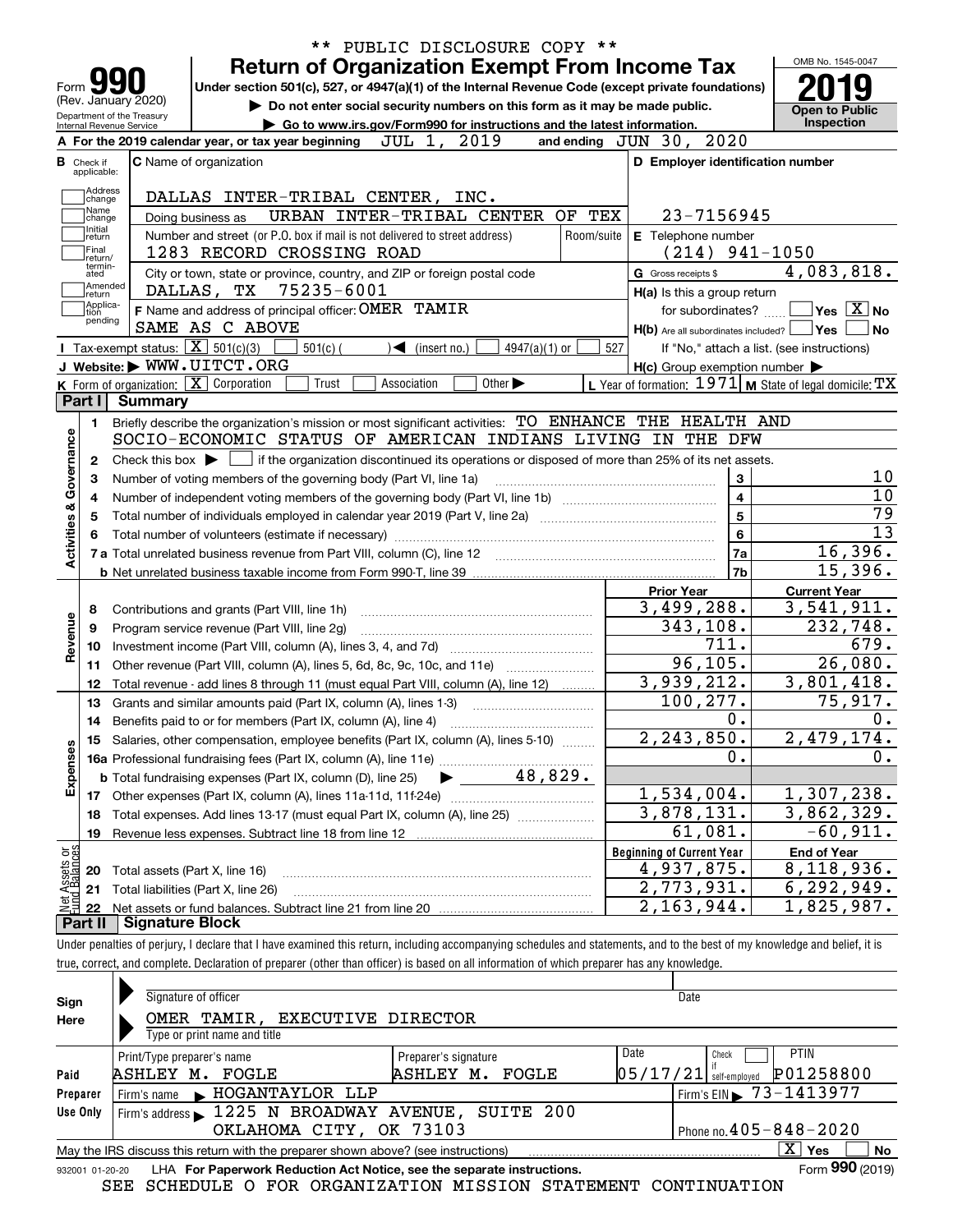|                                                |                                                   |                                                                                                                                                                      | <b>Return of Organization Exempt From Income Tax</b>                                               |             |                              |                             |                 |                      |                                       |                                                     | OMB No. 1545-0047                                                         |
|------------------------------------------------|---------------------------------------------------|----------------------------------------------------------------------------------------------------------------------------------------------------------------------|----------------------------------------------------------------------------------------------------|-------------|------------------------------|-----------------------------|-----------------|----------------------|---------------------------------------|-----------------------------------------------------|---------------------------------------------------------------------------|
| Form $\sum$<br>(Rev. January 2020)             |                                                   |                                                                                                                                                                      | Under section 501(c), 527, or 4947(a)(1) of the Internal Revenue Code (except private foundations) |             |                              |                             |                 |                      |                                       |                                                     |                                                                           |
| Department of the Treasury                     |                                                   |                                                                                                                                                                      | Do not enter social security numbers on this form as it may be made public.                        |             |                              |                             |                 |                      |                                       |                                                     | Open to Public                                                            |
| Internal Revenue Service                       |                                                   | A For the 2019 calendar year, or tax year beginning                                                                                                                  | Go to www.irs.gov/Form990 for instructions and the latest information.                             | JUL 1,      |                              | 2019                        |                 | and ending $JUN$ 30, |                                       | 2020                                                | <b>Inspection</b>                                                         |
| <b>B</b> Check if                              |                                                   | <b>C</b> Name of organization                                                                                                                                        |                                                                                                    |             |                              |                             |                 |                      |                                       | D Employer identification number                    |                                                                           |
| applicable:                                    |                                                   |                                                                                                                                                                      |                                                                                                    |             |                              |                             |                 |                      |                                       |                                                     |                                                                           |
| Address<br>change                              |                                                   | DALLAS INTER-TRIBAL CENTER, INC.                                                                                                                                     |                                                                                                    |             |                              |                             |                 |                      |                                       |                                                     |                                                                           |
| Name<br>change                                 |                                                   | Doing business as                                                                                                                                                    | URBAN INTER-TRIBAL CENTER OF TEX                                                                   |             |                              |                             |                 |                      |                                       | 23-7156945                                          |                                                                           |
| Initial<br>return                              |                                                   | Number and street (or P.O. box if mail is not delivered to street address)                                                                                           |                                                                                                    |             |                              |                             |                 | Room/suite           |                                       | E Telephone number                                  |                                                                           |
| Final<br>return/                               |                                                   | 1283 RECORD CROSSING ROAD                                                                                                                                            |                                                                                                    |             |                              |                             |                 |                      |                                       | $(214)$ 941-1050                                    |                                                                           |
| termin-<br>ated                                |                                                   | City or town, state or province, country, and ZIP or foreign postal code                                                                                             |                                                                                                    |             |                              |                             |                 |                      | G Gross receipts \$                   |                                                     | 4,083,818.                                                                |
| Amended<br> return                             |                                                   | DALLAS, TX                                                                                                                                                           | 75235-6001                                                                                         |             |                              |                             |                 |                      |                                       | H(a) Is this a group return                         |                                                                           |
| Applica-<br>ition<br>pending                   |                                                   | F Name and address of principal officer: OMER TAMIR                                                                                                                  |                                                                                                    |             |                              |                             |                 |                      |                                       | for subordinates?                                   | $\sqrt{}$ Yes $\sqrt{}$ $\overline{\rm X}$ No                             |
|                                                |                                                   | SAME AS C ABOVE                                                                                                                                                      |                                                                                                    |             |                              |                             |                 |                      |                                       | H(b) Are all subordinates included? Ves             |                                                                           |
|                                                | Tax-exempt status: $\boxed{\mathbf{X}}$ 501(c)(3) |                                                                                                                                                                      | $501(c)$ (                                                                                         |             | $\triangleleft$ (insert no.) |                             | $4947(a)(1)$ or | 527                  |                                       |                                                     | If "No," attach a list. (see instructions)                                |
|                                                |                                                   | J Website: WWW.UITCT.ORG                                                                                                                                             |                                                                                                    |             |                              |                             |                 |                      |                                       | $H(c)$ Group exemption number $\blacktriangleright$ |                                                                           |
| Part I                                         | <b>Summary</b>                                    | K Form of organization:   X Corporation                                                                                                                              | Trust                                                                                              | Association |                              | Other $\blacktriangleright$ |                 |                      |                                       |                                                     | <b>L</b> Year of formation: $1971$ <b>M</b> State of legal domicile: $TX$ |
|                                                |                                                   |                                                                                                                                                                      |                                                                                                    |             |                              |                             |                 |                      |                                       |                                                     |                                                                           |
| 1.                                             |                                                   | Briefly describe the organization's mission or most significant activities: TO ENHANCE THE HEALTH AND<br>SOCIO-ECONOMIC STATUS OF AMERICAN INDIANS LIVING IN THE DFW |                                                                                                    |             |                              |                             |                 |                      |                                       |                                                     |                                                                           |
|                                                |                                                   |                                                                                                                                                                      |                                                                                                    |             |                              |                             |                 |                      |                                       |                                                     |                                                                           |
|                                                |                                                   |                                                                                                                                                                      |                                                                                                    |             |                              |                             |                 |                      |                                       |                                                     |                                                                           |
| 2                                              |                                                   | Check this box $\blacktriangleright$ $\Box$ if the organization discontinued its operations or disposed of more than 25% of its net assets.                          |                                                                                                    |             |                              |                             |                 |                      |                                       |                                                     |                                                                           |
| З                                              |                                                   | Number of voting members of the governing body (Part VI, line 1a)                                                                                                    |                                                                                                    |             |                              |                             |                 |                      |                                       | 3                                                   |                                                                           |
| 4                                              |                                                   |                                                                                                                                                                      |                                                                                                    |             |                              |                             |                 |                      |                                       | $\overline{\mathbf{4}}$                             |                                                                           |
| 5                                              |                                                   |                                                                                                                                                                      |                                                                                                    |             |                              |                             |                 |                      |                                       | 5                                                   |                                                                           |
|                                                |                                                   |                                                                                                                                                                      |                                                                                                    |             |                              |                             |                 |                      |                                       | 6                                                   |                                                                           |
|                                                |                                                   |                                                                                                                                                                      |                                                                                                    |             |                              |                             |                 |                      |                                       | 7a                                                  | 16,396.                                                                   |
|                                                |                                                   |                                                                                                                                                                      |                                                                                                    |             |                              |                             |                 |                      |                                       | 7b                                                  | 15,396.                                                                   |
|                                                |                                                   |                                                                                                                                                                      |                                                                                                    |             |                              |                             |                 |                      | <b>Prior Year</b>                     |                                                     | <b>Current Year</b>                                                       |
| 8<br>9                                         |                                                   | Contributions and grants (Part VIII, line 1h)                                                                                                                        |                                                                                                    |             |                              |                             |                 |                      | 3,499,288.                            |                                                     | 3,541,911.                                                                |
| 10                                             |                                                   | Program service revenue (Part VIII, line 2g)                                                                                                                         |                                                                                                    |             |                              |                             |                 |                      | 343, 108.                             | 711.                                                | 232,748.<br>679.                                                          |
| 11                                             |                                                   |                                                                                                                                                                      |                                                                                                    |             |                              |                             |                 |                      |                                       | 96, 105.                                            | 26,080.                                                                   |
| 12                                             |                                                   | Other revenue (Part VIII, column (A), lines 5, 6d, 8c, 9c, 10c, and 11e)<br>Total revenue - add lines 8 through 11 (must equal Part VIII, column (A), line 12)       |                                                                                                    |             |                              |                             |                 |                      | 3,939,212.                            |                                                     | 3,801,418.                                                                |
| 13                                             |                                                   |                                                                                                                                                                      |                                                                                                    |             |                              |                             |                 |                      | 100, 277.                             |                                                     | 75,917.                                                                   |
| 14                                             |                                                   | Grants and similar amounts paid (Part IX, column (A), lines 1-3)                                                                                                     |                                                                                                    |             |                              |                             |                 |                      |                                       | 0.                                                  |                                                                           |
|                                                |                                                   | 15 Salaries, other compensation, employee benefits (Part IX, column (A), lines 5-10)                                                                                 |                                                                                                    |             |                              |                             |                 |                      | 2,243,850.                            |                                                     | 2,479,174.                                                                |
|                                                |                                                   |                                                                                                                                                                      |                                                                                                    |             |                              |                             |                 |                      |                                       | 0.                                                  |                                                                           |
|                                                |                                                   | <b>b</b> Total fundraising expenses (Part IX, column (D), line 25)                                                                                                   |                                                                                                    |             |                              |                             | 48,829.         |                      |                                       |                                                     |                                                                           |
| 17                                             |                                                   |                                                                                                                                                                      |                                                                                                    |             |                              |                             |                 |                      | 1,534,004.                            |                                                     | 1,307,238.                                                                |
| 18                                             |                                                   | Total expenses. Add lines 13-17 (must equal Part IX, column (A), line 25) [                                                                                          |                                                                                                    |             |                              |                             |                 |                      | 3,878,131.                            |                                                     | 3,862,329.                                                                |
| 19                                             |                                                   | Revenue less expenses. Subtract line 18 from line 12                                                                                                                 |                                                                                                    |             |                              |                             |                 |                      |                                       | $\overline{61}$ , 081.                              | $-60,911.$                                                                |
| Activities & Governance<br>Revenue<br>Expenses |                                                   |                                                                                                                                                                      |                                                                                                    |             |                              |                             |                 |                      | <b>Beginning of Current Year</b>      |                                                     | <b>End of Year</b>                                                        |
| 20                                             |                                                   | Total assets (Part X, line 16)                                                                                                                                       |                                                                                                    |             |                              |                             |                 |                      | 4,937,875.                            |                                                     | 8,118,936.                                                                |
| t Assets or<br>d Balances<br>21<br>혍           |                                                   | Total liabilities (Part X, line 26)                                                                                                                                  |                                                                                                    |             |                              |                             |                 |                      | 2,773,931.<br>$\overline{2,163},944.$ |                                                     | 6, 292, 949.<br>1,825,987.                                                |

true, correct, and complete. Declaration of preparer (other than officer) is based on all information of which preparer has any knowledge.

| Sign                                                                                                | Signature of officer                                                                                         |                      | Date                                    |  |  |  |  |  |  |  |  |
|-----------------------------------------------------------------------------------------------------|--------------------------------------------------------------------------------------------------------------|----------------------|-----------------------------------------|--|--|--|--|--|--|--|--|
| Here                                                                                                | OMER TAMIR, EXECUTIVE DIRECTOR                                                                               |                      |                                         |  |  |  |  |  |  |  |  |
|                                                                                                     | Type or print name and title                                                                                 |                      |                                         |  |  |  |  |  |  |  |  |
|                                                                                                     | Print/Type preparer's name                                                                                   | Preparer's signature | <b>PTIN</b><br>Date<br>Check            |  |  |  |  |  |  |  |  |
| Paid                                                                                                | ASHLEY M.<br>FOGLE                                                                                           | ASHLEY M.<br>FOGLE   | P01258800<br> 05/17/21<br>self-emploved |  |  |  |  |  |  |  |  |
| Preparer                                                                                            | Firm's name MOGANTAYLOR LLP                                                                                  |                      | Firm's EIN $\triangleright$ 73-1413977  |  |  |  |  |  |  |  |  |
| Use Only                                                                                            | Firm's address 1225 N BROADWAY AVENUE, SUITE 200                                                             |                      |                                         |  |  |  |  |  |  |  |  |
|                                                                                                     | OKLAHOMA CITY, OK 73103                                                                                      |                      | Phone no. $405 - 848 - 2020$            |  |  |  |  |  |  |  |  |
| x<br>No<br>May the IRS discuss this return with the preparer shown above? (see instructions)<br>Yes |                                                                                                              |                      |                                         |  |  |  |  |  |  |  |  |
|                                                                                                     | Form 990 (2019)<br>LHA For Paperwork Reduction Act Notice, see the separate instructions.<br>932001 01-20-20 |                      |                                         |  |  |  |  |  |  |  |  |

SEE SCHEDULE O FOR ORGANIZATION MISSION STATEMENT CONTINUATION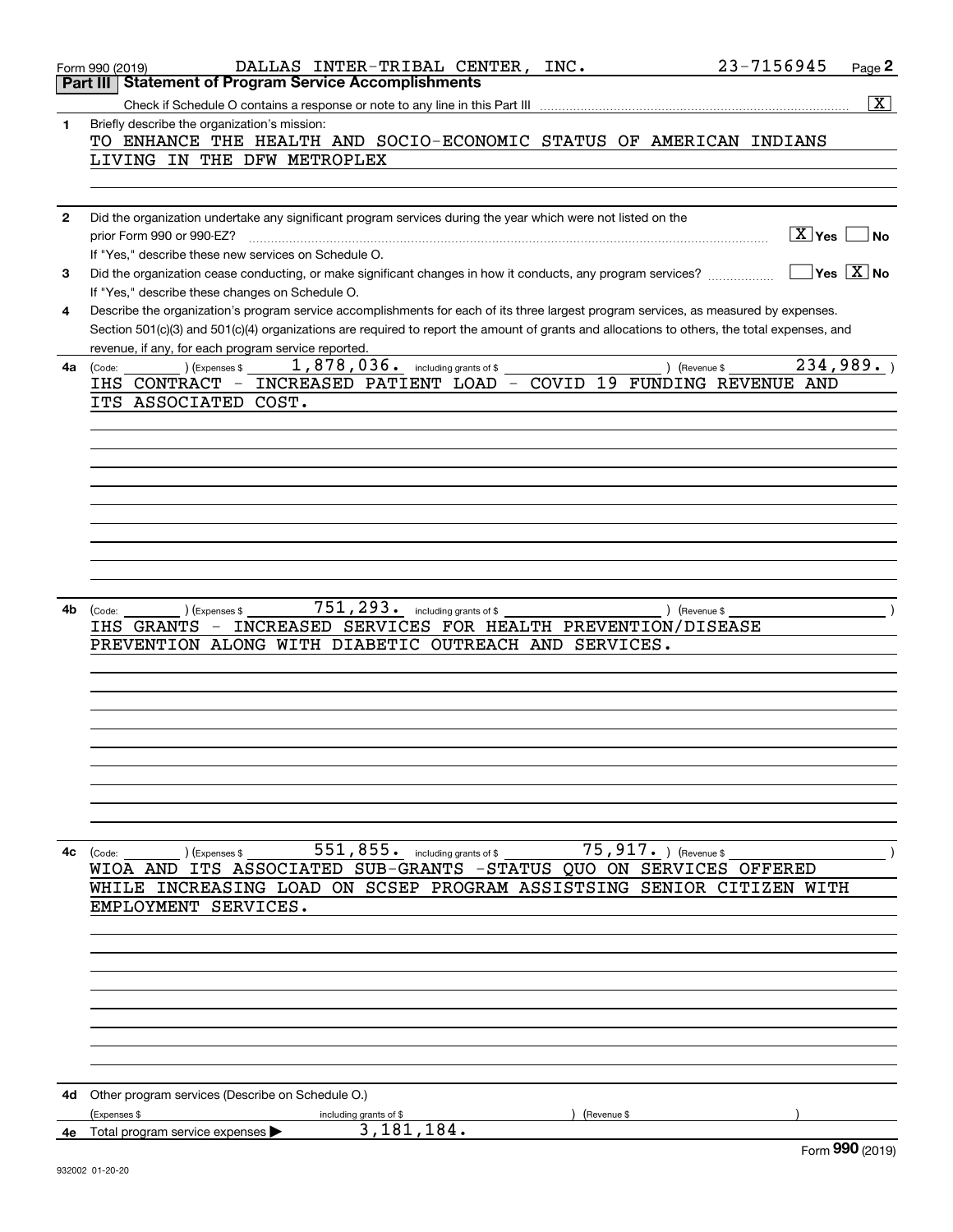|              | 23-7156945<br>DALLAS INTER-TRIBAL CENTER, INC.<br>Page 2<br>Form 990 (2019)                                                                  |
|--------------|----------------------------------------------------------------------------------------------------------------------------------------------|
|              | Part III   Statement of Program Service Accomplishments                                                                                      |
|              | $\overline{\mathbf{X}}$                                                                                                                      |
| 1            | Briefly describe the organization's mission:                                                                                                 |
|              | TO ENHANCE THE HEALTH AND SOCIO-ECONOMIC STATUS OF AMERICAN INDIANS                                                                          |
|              | LIVING IN THE DFW METROPLEX                                                                                                                  |
|              |                                                                                                                                              |
|              |                                                                                                                                              |
| $\mathbf{2}$ | Did the organization undertake any significant program services during the year which were not listed on the<br>$\sqrt{X}$ Yes<br>No.        |
|              | prior Form 990 or 990-EZ?<br>If "Yes," describe these new services on Schedule O.                                                            |
| 3            | $Yes \ \boxed{X}$ No<br>Did the organization cease conducting, or make significant changes in how it conducts, any program services?         |
|              | If "Yes," describe these changes on Schedule O.                                                                                              |
| 4            | Describe the organization's program service accomplishments for each of its three largest program services, as measured by expenses.         |
|              | Section 501(c)(3) and 501(c)(4) organizations are required to report the amount of grants and allocations to others, the total expenses, and |
|              | revenue, if any, for each program service reported.                                                                                          |
| 4a           | 1,878,036. including grants of \$<br>234,989.<br>(Expenses \$<br>) (Revenue \$<br>(Code:                                                     |
|              | IHS CONTRACT - INCREASED PATIENT LOAD - COVID 19 FUNDING REVENUE AND                                                                         |
|              | ITS ASSOCIATED COST.                                                                                                                         |
|              |                                                                                                                                              |
|              |                                                                                                                                              |
|              |                                                                                                                                              |
|              |                                                                                                                                              |
|              |                                                                                                                                              |
|              |                                                                                                                                              |
|              |                                                                                                                                              |
|              |                                                                                                                                              |
|              |                                                                                                                                              |
|              |                                                                                                                                              |
| 4b.          | 751, 293. including grants of \$<br>(Expenses \$<br>) (Revenue \$<br>(Code:<br>IHS GRANTS - INCREASED SERVICES FOR HEALTH PREVENTION/DISEASE |
|              | PREVENTION ALONG WITH DIABETIC OUTREACH AND SERVICES.                                                                                        |
|              |                                                                                                                                              |
|              |                                                                                                                                              |
|              |                                                                                                                                              |
|              |                                                                                                                                              |
|              |                                                                                                                                              |
|              |                                                                                                                                              |
|              |                                                                                                                                              |
|              |                                                                                                                                              |
|              |                                                                                                                                              |
|              |                                                                                                                                              |
|              | $551,855$ and including grants of \$<br>$75,917$ . (Revenue \$<br>4c (Code:<br>) (Expenses \$                                                |
|              | WIOA AND ITS ASSOCIATED SUB-GRANTS -STATUS QUO ON SERVICES OFFERED                                                                           |
|              | WHILE INCREASING LOAD ON SCSEP PROGRAM ASSISTSING SENIOR CITIZEN WITH                                                                        |
|              | EMPLOYMENT SERVICES.                                                                                                                         |
|              |                                                                                                                                              |
|              |                                                                                                                                              |
|              |                                                                                                                                              |
|              |                                                                                                                                              |
|              |                                                                                                                                              |
|              |                                                                                                                                              |
|              |                                                                                                                                              |
|              |                                                                                                                                              |
|              |                                                                                                                                              |
| 4d           | Other program services (Describe on Schedule O.)<br>Expenses \$                                                                              |
|              | including grants of \$<br>(Revenue \$<br>3,181,184.<br>4e Total program service expenses                                                     |
|              | <b>OOO</b>                                                                                                                                   |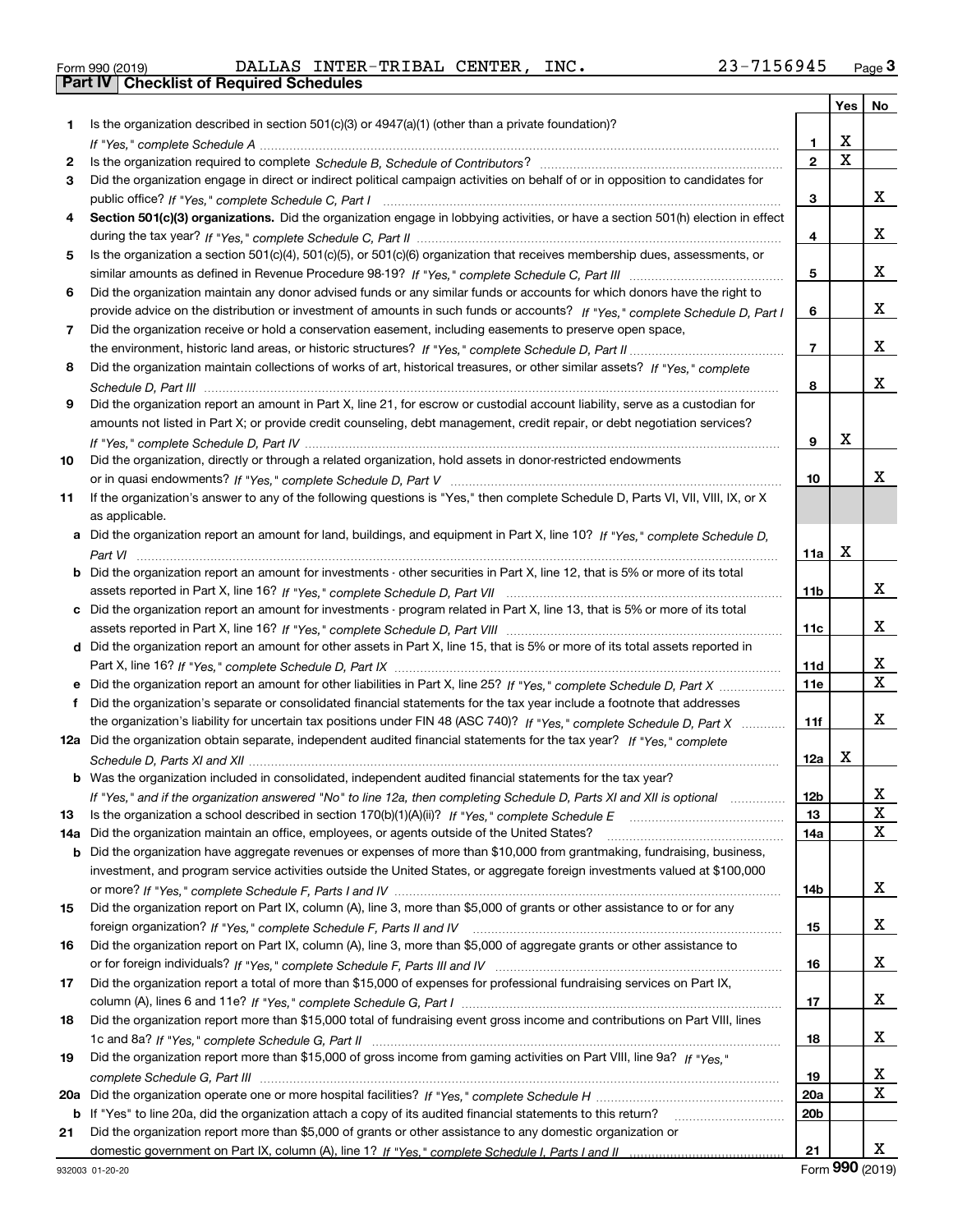| Form 990 (2019) |  |  |
|-----------------|--|--|

Form 990 (2019) DALLAS INTER-TRIBAL CENTER, INC **.** 23-7156945 <sub>Page</sub> 3<br>**Part IV | Checklist of Required Schedules** 

|     |                                                                                                                                                                                                                                                   |                 | <b>Yes</b>              | No                      |
|-----|---------------------------------------------------------------------------------------------------------------------------------------------------------------------------------------------------------------------------------------------------|-----------------|-------------------------|-------------------------|
| 1   | Is the organization described in section $501(c)(3)$ or $4947(a)(1)$ (other than a private foundation)?                                                                                                                                           |                 |                         |                         |
|     |                                                                                                                                                                                                                                                   | 1.              | х                       |                         |
| 2   |                                                                                                                                                                                                                                                   | $\mathbf 2$     | $\overline{\mathbf{x}}$ |                         |
| 3   | Did the organization engage in direct or indirect political campaign activities on behalf of or in opposition to candidates for                                                                                                                   |                 |                         |                         |
|     |                                                                                                                                                                                                                                                   | 3               |                         | x                       |
| 4   | Section 501(c)(3) organizations. Did the organization engage in lobbying activities, or have a section 501(h) election in effect                                                                                                                  |                 |                         |                         |
|     |                                                                                                                                                                                                                                                   | 4               |                         | х                       |
| 5   | Is the organization a section 501(c)(4), 501(c)(5), or 501(c)(6) organization that receives membership dues, assessments, or                                                                                                                      |                 |                         |                         |
|     |                                                                                                                                                                                                                                                   | 5               |                         | х                       |
| 6   | Did the organization maintain any donor advised funds or any similar funds or accounts for which donors have the right to                                                                                                                         |                 |                         |                         |
|     | provide advice on the distribution or investment of amounts in such funds or accounts? If "Yes," complete Schedule D, Part I                                                                                                                      | 6               |                         | х                       |
| 7   | Did the organization receive or hold a conservation easement, including easements to preserve open space,                                                                                                                                         |                 |                         |                         |
|     |                                                                                                                                                                                                                                                   | $\overline{7}$  |                         | х                       |
| 8   | Did the organization maintain collections of works of art, historical treasures, or other similar assets? If "Yes," complete                                                                                                                      |                 |                         |                         |
|     |                                                                                                                                                                                                                                                   | 8               |                         | х                       |
| 9   | Did the organization report an amount in Part X, line 21, for escrow or custodial account liability, serve as a custodian for                                                                                                                     |                 |                         |                         |
|     | amounts not listed in Part X; or provide credit counseling, debt management, credit repair, or debt negotiation services?                                                                                                                         |                 |                         |                         |
|     |                                                                                                                                                                                                                                                   | 9               | X                       |                         |
| 10  | Did the organization, directly or through a related organization, hold assets in donor-restricted endowments                                                                                                                                      |                 |                         |                         |
|     |                                                                                                                                                                                                                                                   | 10              |                         | х                       |
| 11  | If the organization's answer to any of the following questions is "Yes," then complete Schedule D, Parts VI, VII, VIII, IX, or X                                                                                                                  |                 |                         |                         |
|     | as applicable.                                                                                                                                                                                                                                    |                 |                         |                         |
|     | a Did the organization report an amount for land, buildings, and equipment in Part X, line 10? If "Yes," complete Schedule D,                                                                                                                     |                 |                         |                         |
|     |                                                                                                                                                                                                                                                   | 11a             | X                       |                         |
|     | <b>b</b> Did the organization report an amount for investments - other securities in Part X, line 12, that is 5% or more of its total                                                                                                             |                 |                         |                         |
|     |                                                                                                                                                                                                                                                   | 11b             |                         | x                       |
|     | c Did the organization report an amount for investments - program related in Part X, line 13, that is 5% or more of its total                                                                                                                     |                 |                         |                         |
|     |                                                                                                                                                                                                                                                   | 11c             |                         | х                       |
|     | d Did the organization report an amount for other assets in Part X, line 15, that is 5% or more of its total assets reported in                                                                                                                   |                 |                         | х                       |
|     |                                                                                                                                                                                                                                                   | 11d             |                         | $\overline{\mathbf{x}}$ |
|     |                                                                                                                                                                                                                                                   | <b>11e</b>      |                         |                         |
| f   | Did the organization's separate or consolidated financial statements for the tax year include a footnote that addresses                                                                                                                           | 11f             |                         | X                       |
|     | the organization's liability for uncertain tax positions under FIN 48 (ASC 740)? If "Yes," complete Schedule D, Part X<br>12a Did the organization obtain separate, independent audited financial statements for the tax year? If "Yes," complete |                 |                         |                         |
|     |                                                                                                                                                                                                                                                   | 12a             | х                       |                         |
|     | <b>b</b> Was the organization included in consolidated, independent audited financial statements for the tax year?                                                                                                                                |                 |                         |                         |
|     | If "Yes," and if the organization answered "No" to line 12a, then completing Schedule D, Parts XI and XII is optional                                                                                                                             | 12 <sub>b</sub> |                         | Y,                      |
| 13  |                                                                                                                                                                                                                                                   | 13              |                         | X                       |
| 14a | Did the organization maintain an office, employees, or agents outside of the United States?                                                                                                                                                       | 14a             |                         | $\mathbf x$             |
| b   | Did the organization have aggregate revenues or expenses of more than \$10,000 from grantmaking, fundraising, business,                                                                                                                           |                 |                         |                         |
|     | investment, and program service activities outside the United States, or aggregate foreign investments valued at \$100,000                                                                                                                        |                 |                         |                         |
|     |                                                                                                                                                                                                                                                   | 14b             |                         | x                       |
| 15  | Did the organization report on Part IX, column (A), line 3, more than \$5,000 of grants or other assistance to or for any                                                                                                                         |                 |                         |                         |
|     |                                                                                                                                                                                                                                                   | 15              |                         | x                       |
| 16  | Did the organization report on Part IX, column (A), line 3, more than \$5,000 of aggregate grants or other assistance to                                                                                                                          |                 |                         |                         |
|     |                                                                                                                                                                                                                                                   | 16              |                         | x                       |
| 17  | Did the organization report a total of more than \$15,000 of expenses for professional fundraising services on Part IX,                                                                                                                           |                 |                         |                         |
|     |                                                                                                                                                                                                                                                   | 17              |                         | x                       |
| 18  | Did the organization report more than \$15,000 total of fundraising event gross income and contributions on Part VIII, lines                                                                                                                      |                 |                         |                         |
|     |                                                                                                                                                                                                                                                   | 18              |                         | x                       |
| 19  | Did the organization report more than \$15,000 of gross income from gaming activities on Part VIII, line 9a? If "Yes."                                                                                                                            |                 |                         |                         |
|     |                                                                                                                                                                                                                                                   | 19              |                         | x                       |
| 20a |                                                                                                                                                                                                                                                   | 20a             |                         | X                       |
| b   | If "Yes" to line 20a, did the organization attach a copy of its audited financial statements to this return?                                                                                                                                      | 20 <sub>b</sub> |                         |                         |
| 21  | Did the organization report more than \$5,000 of grants or other assistance to any domestic organization or                                                                                                                                       |                 |                         |                         |
|     |                                                                                                                                                                                                                                                   | 21              |                         | x                       |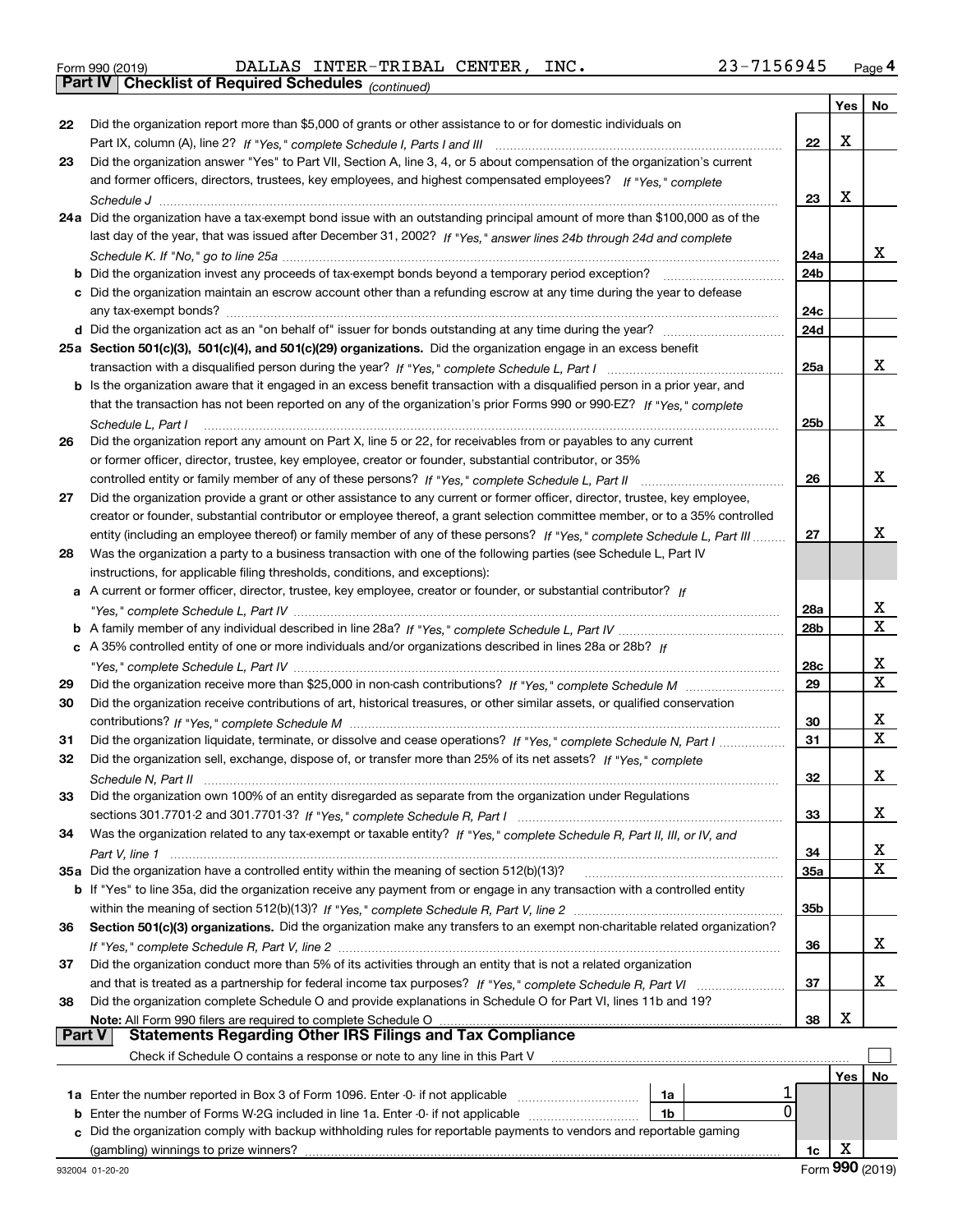|  | Form 990 (2019) |  |
|--|-----------------|--|
|  |                 |  |

*(continued)* Form 990 (2019) DALLAS INTER-TRIBAL CENTER, INC **.** 23-7156945 <sub>Page</sub> 4<br>**Part IV | Checklist of Required Schedules** <sub>(continued)</sub>

|               |                                                                                                                                                                                                                          |                 | Yes | No          |
|---------------|--------------------------------------------------------------------------------------------------------------------------------------------------------------------------------------------------------------------------|-----------------|-----|-------------|
| 22            | Did the organization report more than \$5,000 of grants or other assistance to or for domestic individuals on                                                                                                            |                 |     |             |
|               |                                                                                                                                                                                                                          | 22              | X   |             |
| 23            | Did the organization answer "Yes" to Part VII, Section A, line 3, 4, or 5 about compensation of the organization's current                                                                                               |                 |     |             |
|               | and former officers, directors, trustees, key employees, and highest compensated employees? If "Yes," complete                                                                                                           |                 |     |             |
|               |                                                                                                                                                                                                                          | 23              | X   |             |
|               | 24a Did the organization have a tax-exempt bond issue with an outstanding principal amount of more than \$100,000 as of the                                                                                              |                 |     |             |
|               | last day of the year, that was issued after December 31, 2002? If "Yes," answer lines 24b through 24d and complete                                                                                                       |                 |     |             |
|               |                                                                                                                                                                                                                          | 24a             |     | x           |
|               | <b>b</b> Did the organization invest any proceeds of tax-exempt bonds beyond a temporary period exception?                                                                                                               | 24b             |     |             |
|               | c Did the organization maintain an escrow account other than a refunding escrow at any time during the year to defease                                                                                                   |                 |     |             |
|               |                                                                                                                                                                                                                          | 24c             |     |             |
|               |                                                                                                                                                                                                                          | 24d             |     |             |
|               | 25a Section 501(c)(3), 501(c)(4), and 501(c)(29) organizations. Did the organization engage in an excess benefit                                                                                                         |                 |     |             |
|               |                                                                                                                                                                                                                          | 25a             |     | х           |
|               | <b>b</b> Is the organization aware that it engaged in an excess benefit transaction with a disqualified person in a prior year, and                                                                                      |                 |     |             |
|               | that the transaction has not been reported on any of the organization's prior Forms 990 or 990-EZ? If "Yes," complete                                                                                                    |                 |     |             |
|               | Schedule L, Part I                                                                                                                                                                                                       | 25 <sub>b</sub> |     | х           |
| 26            | Did the organization report any amount on Part X, line 5 or 22, for receivables from or payables to any current                                                                                                          |                 |     |             |
|               | or former officer, director, trustee, key employee, creator or founder, substantial contributor, or 35%                                                                                                                  |                 |     |             |
|               | controlled entity or family member of any of these persons? If "Yes," complete Schedule L, Part II                                                                                                                       | 26              |     | х           |
| 27            | Did the organization provide a grant or other assistance to any current or former officer, director, trustee, key employee,                                                                                              |                 |     |             |
|               | creator or founder, substantial contributor or employee thereof, a grant selection committee member, or to a 35% controlled                                                                                              |                 |     |             |
|               | entity (including an employee thereof) or family member of any of these persons? If "Yes," complete Schedule L, Part III                                                                                                 | 27              |     | x           |
| 28            | Was the organization a party to a business transaction with one of the following parties (see Schedule L, Part IV                                                                                                        |                 |     |             |
|               | instructions, for applicable filing thresholds, conditions, and exceptions):                                                                                                                                             |                 |     |             |
| а             | A current or former officer, director, trustee, key employee, creator or founder, or substantial contributor? If                                                                                                         |                 |     |             |
|               |                                                                                                                                                                                                                          | 28a             |     | X           |
|               |                                                                                                                                                                                                                          | 28b             |     | $\mathbf X$ |
|               | c A 35% controlled entity of one or more individuals and/or organizations described in lines 28a or 28b? If                                                                                                              |                 |     |             |
|               |                                                                                                                                                                                                                          | 28c             |     | х           |
| 29            |                                                                                                                                                                                                                          | 29              |     | $\mathbf X$ |
| 30            | Did the organization receive contributions of art, historical treasures, or other similar assets, or qualified conservation                                                                                              |                 |     |             |
|               |                                                                                                                                                                                                                          | 30              |     | х           |
| 31            | Did the organization liquidate, terminate, or dissolve and cease operations? If "Yes," complete Schedule N, Part I                                                                                                       | 31              |     | $\mathbf x$ |
| 32            | Did the organization sell, exchange, dispose of, or transfer more than 25% of its net assets? If "Yes," complete                                                                                                         |                 |     |             |
|               |                                                                                                                                                                                                                          | 32              |     | х           |
| 33            | Did the organization own 100% of an entity disregarded as separate from the organization under Regulations                                                                                                               |                 |     |             |
|               |                                                                                                                                                                                                                          | 33              |     | х           |
| 34            | Was the organization related to any tax-exempt or taxable entity? If "Yes," complete Schedule R, Part II, III, or IV, and                                                                                                |                 |     |             |
|               |                                                                                                                                                                                                                          | 34              |     | x           |
|               | 35a Did the organization have a controlled entity within the meaning of section 512(b)(13)?                                                                                                                              | 35a             |     | X           |
|               | b If "Yes" to line 35a, did the organization receive any payment from or engage in any transaction with a controlled entity                                                                                              |                 |     |             |
|               |                                                                                                                                                                                                                          | 35b             |     |             |
| 36            | Section 501(c)(3) organizations. Did the organization make any transfers to an exempt non-charitable related organization?                                                                                               |                 |     |             |
|               |                                                                                                                                                                                                                          | 36              |     | х           |
| 37            | Did the organization conduct more than 5% of its activities through an entity that is not a related organization                                                                                                         |                 |     |             |
|               |                                                                                                                                                                                                                          | 37              |     | х           |
| 38            | Did the organization complete Schedule O and provide explanations in Schedule O for Part VI, lines 11b and 19?                                                                                                           |                 |     |             |
| <b>Part V</b> | Note: All Form 990 filers are required to complete Schedule O<br>All Form 990 filers are required to complete Schedule O …………………………………………………………………………………………<br>Statements Regarding Other IRS Filings and Tax Compliance | 38              | х   |             |
|               | Check if Schedule O contains a response or note to any line in this Part V                                                                                                                                               |                 |     |             |
|               |                                                                                                                                                                                                                          |                 | Yes | No          |
|               | 1a                                                                                                                                                                                                                       |                 |     |             |
| b             | 0<br>Enter the number of Forms W-2G included in line 1a. Enter -0- if not applicable<br>1b                                                                                                                               |                 |     |             |
| C.            | Did the organization comply with backup withholding rules for reportable payments to vendors and reportable gaming                                                                                                       |                 |     |             |
|               |                                                                                                                                                                                                                          | 1c              | х   |             |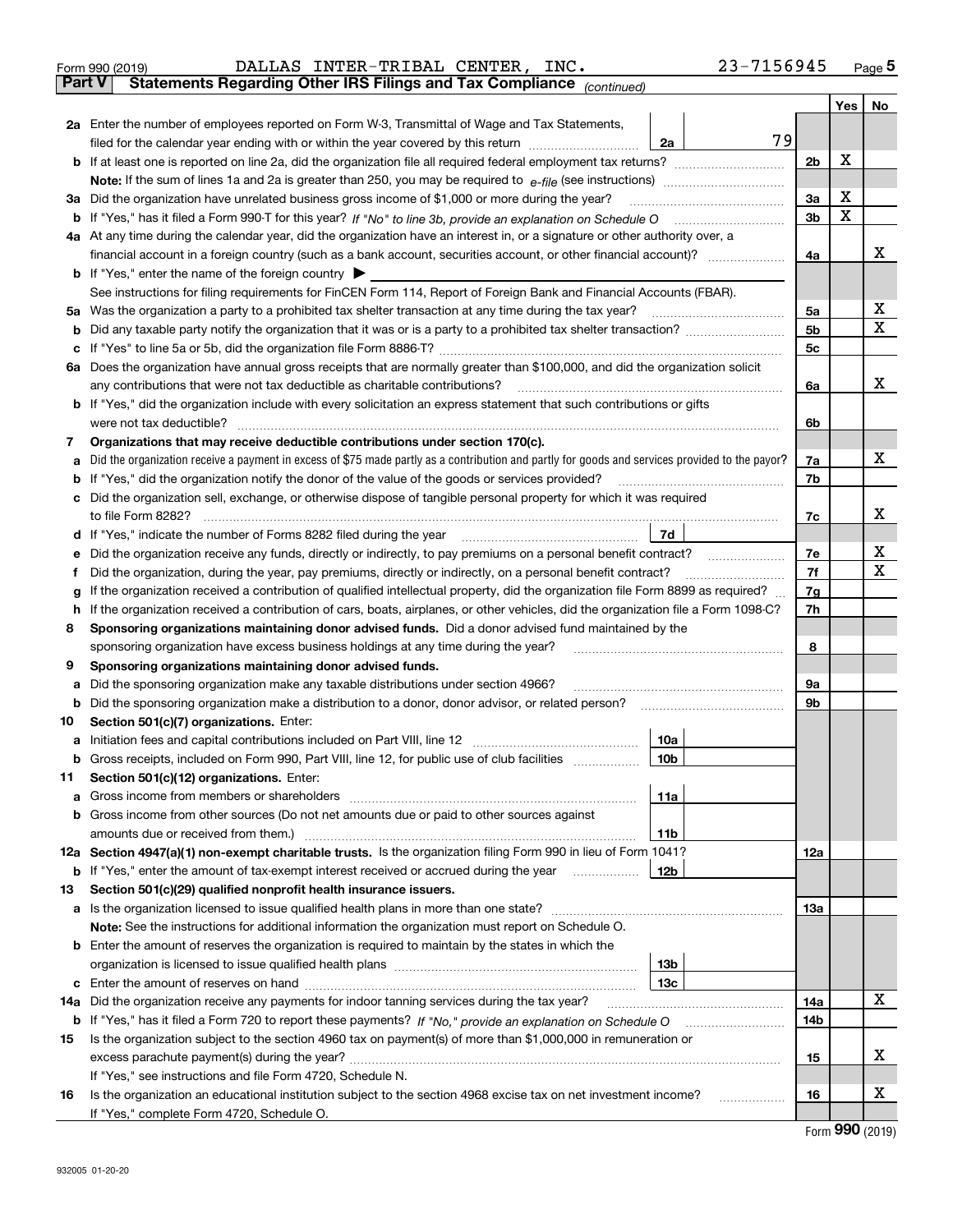| Form 990 (2019) |                                                                                                |  | DALLAS INTER-TRIBAL CENTER, INC. | 23-7156945 | Page 5 |
|-----------------|------------------------------------------------------------------------------------------------|--|----------------------------------|------------|--------|
|                 | <b>Part V</b> Statements Regarding Other IRS Filings and Tax Compliance <sub>(continued)</sub> |  |                                  |            |        |

*(continued)*

|        |                                                                                                                                                                                                                                                                        |                 |    |                | Yes | No |  |  |  |  |
|--------|------------------------------------------------------------------------------------------------------------------------------------------------------------------------------------------------------------------------------------------------------------------------|-----------------|----|----------------|-----|----|--|--|--|--|
|        | 2a Enter the number of employees reported on Form W-3, Transmittal of Wage and Tax Statements,                                                                                                                                                                         |                 |    |                |     |    |  |  |  |  |
|        | filed for the calendar year ending with or within the year covered by this return                                                                                                                                                                                      | 2a              | 79 |                |     |    |  |  |  |  |
|        |                                                                                                                                                                                                                                                                        |                 |    | 2 <sub>b</sub> | X   |    |  |  |  |  |
|        |                                                                                                                                                                                                                                                                        |                 |    | 3a             | x   |    |  |  |  |  |
| За     | Did the organization have unrelated business gross income of \$1,000 or more during the year?                                                                                                                                                                          |                 |    |                |     |    |  |  |  |  |
|        |                                                                                                                                                                                                                                                                        |                 |    |                |     |    |  |  |  |  |
|        | 4a At any time during the calendar year, did the organization have an interest in, or a signature or other authority over, a                                                                                                                                           |                 |    |                |     | x  |  |  |  |  |
|        | financial account in a foreign country (such as a bank account, securities account, or other financial account)?                                                                                                                                                       |                 |    | 4a             |     |    |  |  |  |  |
|        | <b>b</b> If "Yes," enter the name of the foreign country<br>See instructions for filing requirements for FinCEN Form 114, Report of Foreign Bank and Financial Accounts (FBAR).                                                                                        |                 |    |                |     |    |  |  |  |  |
| 5а     | Was the organization a party to a prohibited tax shelter transaction at any time during the tax year?                                                                                                                                                                  |                 |    | 5a             |     | x  |  |  |  |  |
| b      |                                                                                                                                                                                                                                                                        |                 |    | 5 <sub>b</sub> |     | x  |  |  |  |  |
|        |                                                                                                                                                                                                                                                                        |                 |    | 5c             |     |    |  |  |  |  |
|        | 6a Does the organization have annual gross receipts that are normally greater than \$100,000, and did the organization solicit                                                                                                                                         |                 |    |                |     |    |  |  |  |  |
|        | any contributions that were not tax deductible as charitable contributions?                                                                                                                                                                                            |                 |    | 6a             |     | x  |  |  |  |  |
|        | b If "Yes," did the organization include with every solicitation an express statement that such contributions or gifts                                                                                                                                                 |                 |    |                |     |    |  |  |  |  |
|        | were not tax deductible?                                                                                                                                                                                                                                               |                 |    | 6b             |     |    |  |  |  |  |
| 7      | Organizations that may receive deductible contributions under section 170(c).                                                                                                                                                                                          |                 |    |                |     |    |  |  |  |  |
| a      | Did the organization receive a payment in excess of \$75 made partly as a contribution and partly for goods and services provided to the payor?                                                                                                                        |                 |    | 7a             |     | х  |  |  |  |  |
|        | If "Yes," did the organization notify the donor of the value of the goods or services provided?                                                                                                                                                                        |                 |    | 7b             |     |    |  |  |  |  |
|        | Did the organization sell, exchange, or otherwise dispose of tangible personal property for which it was required                                                                                                                                                      |                 |    |                |     |    |  |  |  |  |
|        | to file Form 8282?                                                                                                                                                                                                                                                     |                 |    | 7c             |     | x  |  |  |  |  |
| d      | If "Yes," indicate the number of Forms 8282 filed during the year                                                                                                                                                                                                      | 7d              |    |                |     |    |  |  |  |  |
|        | Did the organization receive any funds, directly or indirectly, to pay premiums on a personal benefit contract?                                                                                                                                                        |                 |    | 7е             |     | х  |  |  |  |  |
|        | Did the organization, during the year, pay premiums, directly or indirectly, on a personal benefit contract?                                                                                                                                                           |                 |    | 7f             |     | x  |  |  |  |  |
| g      | If the organization received a contribution of qualified intellectual property, did the organization file Form 8899 as required?<br>If the organization received a contribution of cars, boats, airplanes, or other vehicles, did the organization file a Form 1098-C? |                 |    | 7g<br>7h       |     |    |  |  |  |  |
| h<br>8 | Sponsoring organizations maintaining donor advised funds. Did a donor advised fund maintained by the                                                                                                                                                                   |                 |    |                |     |    |  |  |  |  |
|        | sponsoring organization have excess business holdings at any time during the year?                                                                                                                                                                                     |                 |    | 8              |     |    |  |  |  |  |
| 9      | Sponsoring organizations maintaining donor advised funds.                                                                                                                                                                                                              |                 |    |                |     |    |  |  |  |  |
| а      | Did the sponsoring organization make any taxable distributions under section 4966?                                                                                                                                                                                     |                 |    | 9а             |     |    |  |  |  |  |
| b      | Did the sponsoring organization make a distribution to a donor, donor advisor, or related person?                                                                                                                                                                      |                 |    | <b>9b</b>      |     |    |  |  |  |  |
| 10     | Section 501(c)(7) organizations. Enter:                                                                                                                                                                                                                                |                 |    |                |     |    |  |  |  |  |
| а      |                                                                                                                                                                                                                                                                        | 10a             |    |                |     |    |  |  |  |  |
| b      | Gross receipts, included on Form 990, Part VIII, line 12, for public use of club facilities                                                                                                                                                                            | 10 <sub>b</sub> |    |                |     |    |  |  |  |  |
| 11     | Section 501(c)(12) organizations. Enter:                                                                                                                                                                                                                               |                 |    |                |     |    |  |  |  |  |
|        | Gross income from members or shareholders                                                                                                                                                                                                                              | 11a             |    |                |     |    |  |  |  |  |
|        | <b>b</b> Gross income from other sources (Do not net amounts due or paid to other sources against                                                                                                                                                                      |                 |    |                |     |    |  |  |  |  |
|        | amounts due or received from them.)                                                                                                                                                                                                                                    | 11b             |    |                |     |    |  |  |  |  |
|        | 12a Section 4947(a)(1) non-exempt charitable trusts. Is the organization filing Form 990 in lieu of Form 1041?                                                                                                                                                         | 12b             |    | 12a            |     |    |  |  |  |  |
|        | <b>b</b> If "Yes," enter the amount of tax-exempt interest received or accrued during the year                                                                                                                                                                         |                 |    |                |     |    |  |  |  |  |
| 13     | Section 501(c)(29) qualified nonprofit health insurance issuers.<br>a Is the organization licensed to issue qualified health plans in more than one state?                                                                                                             |                 |    | 13a            |     |    |  |  |  |  |
|        | Note: See the instructions for additional information the organization must report on Schedule O.                                                                                                                                                                      |                 |    |                |     |    |  |  |  |  |
|        | <b>b</b> Enter the amount of reserves the organization is required to maintain by the states in which the                                                                                                                                                              |                 |    |                |     |    |  |  |  |  |
|        |                                                                                                                                                                                                                                                                        | 13b             |    |                |     |    |  |  |  |  |
|        |                                                                                                                                                                                                                                                                        | 13с             |    |                |     |    |  |  |  |  |
|        | 14a Did the organization receive any payments for indoor tanning services during the tax year?                                                                                                                                                                         |                 |    | 14a            |     | х  |  |  |  |  |
|        | <b>b</b> If "Yes," has it filed a Form 720 to report these payments? If "No," provide an explanation on Schedule O                                                                                                                                                     |                 |    | 14b            |     |    |  |  |  |  |
| 15     | Is the organization subject to the section 4960 tax on payment(s) of more than \$1,000,000 in remuneration or                                                                                                                                                          |                 |    |                |     |    |  |  |  |  |
|        |                                                                                                                                                                                                                                                                        |                 |    | 15             |     | x  |  |  |  |  |
|        | If "Yes," see instructions and file Form 4720, Schedule N.                                                                                                                                                                                                             |                 |    |                |     |    |  |  |  |  |
| 16     | Is the organization an educational institution subject to the section 4968 excise tax on net investment income?                                                                                                                                                        |                 |    | 16             |     | х  |  |  |  |  |
|        | If "Yes," complete Form 4720, Schedule O.                                                                                                                                                                                                                              |                 |    |                |     |    |  |  |  |  |

Form (2019) **990**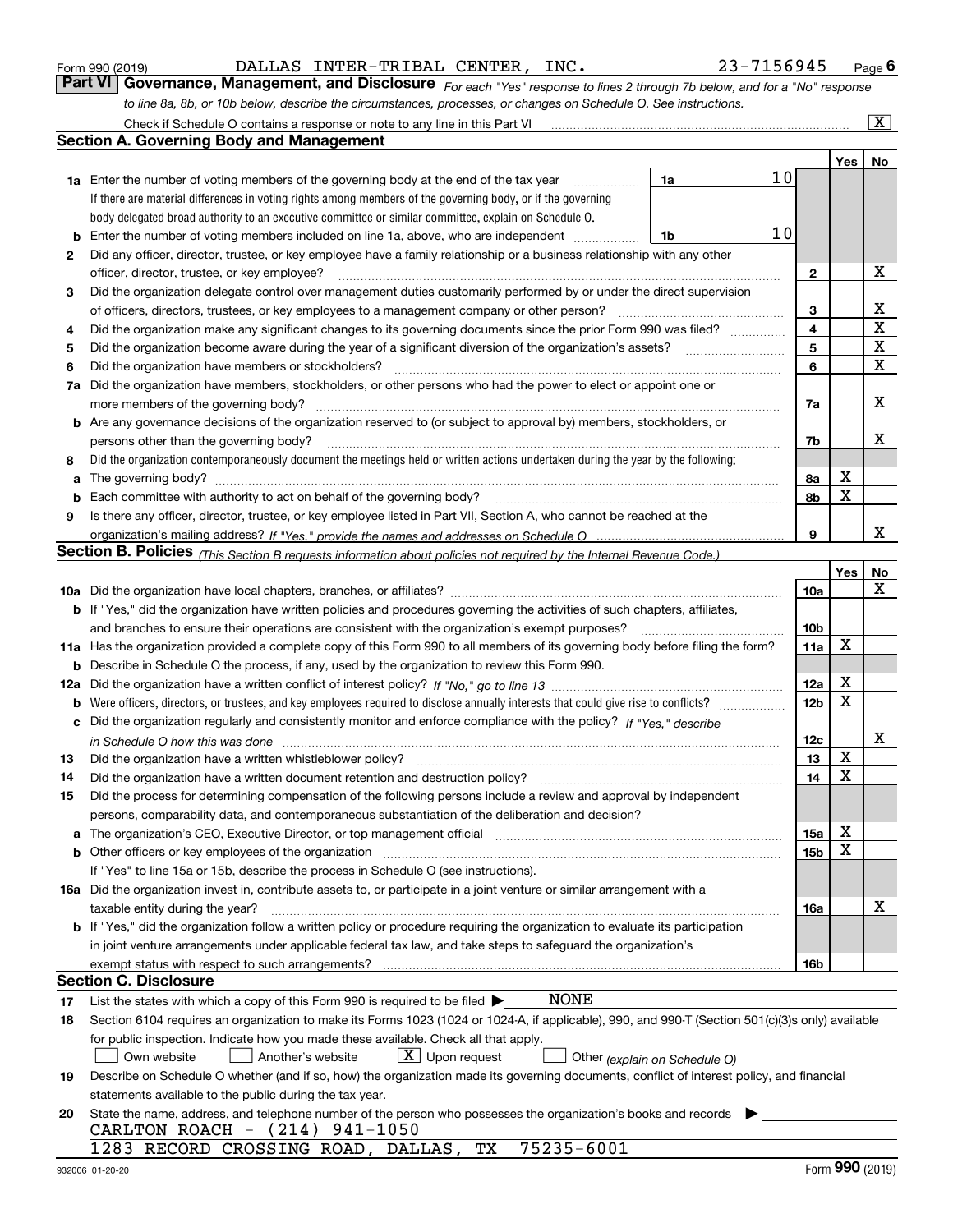| Form 990 (2019) |  |  |
|-----------------|--|--|
|                 |  |  |

| Form 990 (2019) |                                                                                                                  | DALLAS INTER-TRIBAL CENTER, INC. |  | 23-7156945                                                                                                                  | $P_{\text{aqe}}$ 6 |
|-----------------|------------------------------------------------------------------------------------------------------------------|----------------------------------|--|-----------------------------------------------------------------------------------------------------------------------------|--------------------|
|                 |                                                                                                                  |                                  |  | Part VI Governance, Management, and Disclosure For each "Yes" response to lines 2 through 7b below, and for a "No" response |                    |
|                 | to line 8a, 8b, or 10b below, describe the circumstances, processes, or changes on Schedule O. See instructions. |                                  |  |                                                                                                                             |                    |

|     | Check if Schedule O contains a response or note to any line in this Part VI                                                                                           |    |    |                 |             | $\boxed{\text{X}}$      |
|-----|-----------------------------------------------------------------------------------------------------------------------------------------------------------------------|----|----|-----------------|-------------|-------------------------|
|     | <b>Section A. Governing Body and Management</b>                                                                                                                       |    |    |                 |             |                         |
|     |                                                                                                                                                                       |    |    |                 | Yes         | No                      |
|     | <b>1a</b> Enter the number of voting members of the governing body at the end of the tax year                                                                         | 1a | 10 |                 |             |                         |
|     | If there are material differences in voting rights among members of the governing body, or if the governing                                                           |    |    |                 |             |                         |
|     | body delegated broad authority to an executive committee or similar committee, explain on Schedule O.                                                                 |    |    |                 |             |                         |
| b   | Enter the number of voting members included on line 1a, above, who are independent                                                                                    | 1b | 10 |                 |             |                         |
| 2   | Did any officer, director, trustee, or key employee have a family relationship or a business relationship with any other                                              |    |    |                 |             |                         |
|     | officer, director, trustee, or key employee?                                                                                                                          |    |    | $\mathbf{2}$    |             | X                       |
| 3   | Did the organization delegate control over management duties customarily performed by or under the direct supervision                                                 |    |    |                 |             |                         |
|     | of officers, directors, trustees, or key employees to a management company or other person?                                                                           |    |    | 3               |             | x                       |
| 4   | Did the organization make any significant changes to its governing documents since the prior Form 990 was filed?                                                      |    |    | 4               |             | $\overline{\mathbf{x}}$ |
| 5   | Did the organization become aware during the year of a significant diversion of the organization's assets?                                                            |    |    | 5               |             | X                       |
| 6   | Did the organization have members or stockholders?                                                                                                                    |    |    | 6               |             | $\mathbf x$             |
| 7a  | Did the organization have members, stockholders, or other persons who had the power to elect or appoint one or                                                        |    |    |                 |             |                         |
|     | more members of the governing body?                                                                                                                                   |    |    | 7a              |             | X                       |
| b   | Are any governance decisions of the organization reserved to (or subject to approval by) members, stockholders, or                                                    |    |    |                 |             |                         |
|     | persons other than the governing body?                                                                                                                                |    |    | 7b              |             | x                       |
| 8   | Did the organization contemporaneously document the meetings held or written actions undertaken during the year by the following:                                     |    |    |                 |             |                         |
| а   |                                                                                                                                                                       |    |    | 8а              | X           |                         |
| b   |                                                                                                                                                                       |    |    | 8b              | X           |                         |
| 9   | Is there any officer, director, trustee, or key employee listed in Part VII, Section A, who cannot be reached at the                                                  |    |    |                 |             |                         |
|     |                                                                                                                                                                       |    |    | 9               |             | x                       |
|     | Section B. Policies <sub>(This Section B requests information about policies not required by the Internal Revenue Code.)</sub>                                        |    |    |                 |             |                         |
|     |                                                                                                                                                                       |    |    |                 | Yes         | <u>No</u>               |
|     |                                                                                                                                                                       |    |    | 10a             |             | X                       |
|     | <b>b</b> If "Yes," did the organization have written policies and procedures governing the activities of such chapters, affiliates,                                   |    |    |                 |             |                         |
|     | and branches to ensure their operations are consistent with the organization's exempt purposes?                                                                       |    |    | 10 <sub>b</sub> |             |                         |
| 11a | Has the organization provided a complete copy of this Form 990 to all members of its governing body before filing the form?                                           |    |    | 11a             | $\mathbf X$ |                         |
| b   | Describe in Schedule O the process, if any, used by the organization to review this Form 990.                                                                         |    |    |                 |             |                         |
| 12a |                                                                                                                                                                       |    |    | 12a             | X           |                         |
| b   | Were officers, directors, or trustees, and key employees required to disclose annually interests that could give rise to conflicts?                                   |    |    | 12 <sub>b</sub> | X           |                         |
| с   | Did the organization regularly and consistently monitor and enforce compliance with the policy? If "Yes." describe                                                    |    |    |                 |             |                         |
|     | in Schedule O how this was done                                                                                                                                       |    |    | 12c             |             | х                       |
| 13  | Did the organization have a written whistleblower policy?                                                                                                             |    |    | 13              | X           |                         |
| 14  | Did the organization have a written document retention and destruction policy?                                                                                        |    |    | 14              | X           |                         |
| 15  | Did the process for determining compensation of the following persons include a review and approval by independent                                                    |    |    |                 |             |                         |
|     | persons, comparability data, and contemporaneous substantiation of the deliberation and decision?                                                                     |    |    |                 |             |                         |
| а   | The organization's CEO, Executive Director, or top management official manufactured content of the organization's CEO, Executive Director, or top management official |    |    | 15a             | х           |                         |
| b   | Other officers or key employees of the organization                                                                                                                   |    |    | 15b             | X           |                         |
|     | If "Yes" to line 15a or 15b, describe the process in Schedule O (see instructions).                                                                                   |    |    |                 |             |                         |
|     | 16a Did the organization invest in, contribute assets to, or participate in a joint venture or similar arrangement with a                                             |    |    |                 |             |                         |
|     | taxable entity during the year?                                                                                                                                       |    |    | 16a             |             | X                       |
|     | <b>b</b> If "Yes," did the organization follow a written policy or procedure requiring the organization to evaluate its participation                                 |    |    |                 |             |                         |
|     | in joint venture arrangements under applicable federal tax law, and take steps to safeguard the organization's                                                        |    |    |                 |             |                         |
|     | exempt status with respect to such arrangements?                                                                                                                      |    |    | 16b             |             |                         |
|     | <b>Section C. Disclosure</b>                                                                                                                                          |    |    |                 |             |                         |
| 17  | <b>NONE</b><br>List the states with which a copy of this Form 990 is required to be filed $\blacktriangleright$                                                       |    |    |                 |             |                         |
| 18  | Section 6104 requires an organization to make its Forms 1023 (1024 or 1024-A, if applicable), 990, and 990-T (Section 501(c)(3)s only) available                      |    |    |                 |             |                         |
|     | for public inspection. Indicate how you made these available. Check all that apply.                                                                                   |    |    |                 |             |                         |
|     | $X$ Upon request<br>Own website<br>Another's website<br>Other (explain on Schedule O)                                                                                 |    |    |                 |             |                         |
| 19  | Describe on Schedule O whether (and if so, how) the organization made its governing documents, conflict of interest policy, and financial                             |    |    |                 |             |                         |
|     | statements available to the public during the tax year.                                                                                                               |    |    |                 |             |                         |
| 20  | State the name, address, and telephone number of the person who possesses the organization's books and records                                                        |    |    |                 |             |                         |
|     | CARLTON ROACH - (214) 941-1050                                                                                                                                        |    |    |                 |             |                         |
|     | 75235-6001<br>1283 RECORD CROSSING ROAD, DALLAS, TX                                                                                                                   |    |    |                 |             |                         |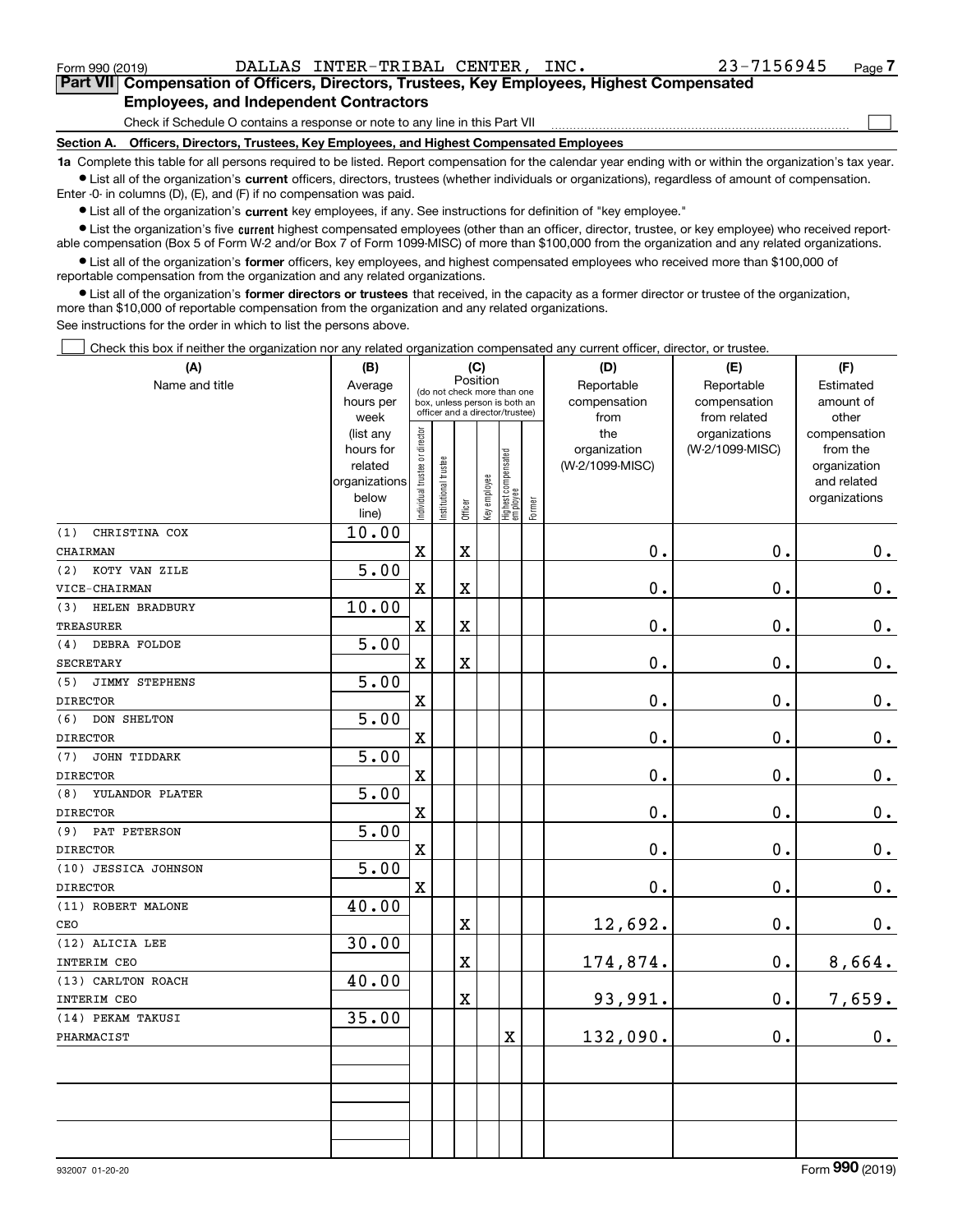### Form 990 (2019) DALLAS INTER-TRIBAL CENTER,INC. 23-7156945 Page **7Part VII Compensation of Officers, Directors, Trustees, Key Employees, Highest Compensated Employees, and Independent Contractors**

Check if Schedule O contains a response or note to any line in this Part VII

**Section A. Officers, Directors, Trustees, Key Employees, and Highest Compensated Employees**

**1a**  Complete this table for all persons required to be listed. Report compensation for the calendar year ending with or within the organization's tax year. **•** List all of the organization's current officers, directors, trustees (whether individuals or organizations), regardless of amount of compensation.

Enter -0- in columns (D), (E), and (F) if no compensation was paid.

 $\bullet$  List all of the organization's  $\,$ current key employees, if any. See instructions for definition of "key employee."

**•** List the organization's five current highest compensated employees (other than an officer, director, trustee, or key employee) who received reportable compensation (Box 5 of Form W-2 and/or Box 7 of Form 1099-MISC) of more than \$100,000 from the organization and any related organizations.

**•** List all of the organization's former officers, key employees, and highest compensated employees who received more than \$100,000 of reportable compensation from the organization and any related organizations.

**former directors or trustees**  ¥ List all of the organization's that received, in the capacity as a former director or trustee of the organization, more than \$10,000 of reportable compensation from the organization and any related organizations.

See instructions for the order in which to list the persons above.

Check this box if neither the organization nor any related organization compensated any current officer, director, or trustee.  $\mathcal{L}^{\text{max}}$ 

| (A)                    |                   | (B)<br>(C)                     |                                 | (D)                     | (E)          | (F)                               |        |                 |                 |               |
|------------------------|-------------------|--------------------------------|---------------------------------|-------------------------|--------------|-----------------------------------|--------|-----------------|-----------------|---------------|
| Name and title         | Average           |                                | (do not check more than one     | Position                |              |                                   |        | Reportable      | Reportable      | Estimated     |
|                        | hours per         |                                | box, unless person is both an   |                         |              |                                   |        | compensation    | compensation    | amount of     |
|                        | week              |                                | officer and a director/trustee) |                         |              |                                   |        | from            | from related    | other         |
|                        | (list any         |                                |                                 |                         |              |                                   |        | the             | organizations   | compensation  |
|                        | hours for         |                                |                                 |                         |              |                                   |        | organization    | (W-2/1099-MISC) | from the      |
|                        | related           |                                |                                 |                         |              |                                   |        | (W-2/1099-MISC) |                 | organization  |
|                        | organizations     |                                |                                 |                         |              |                                   |        |                 |                 | and related   |
|                        | below<br>line)    | Individual trustee or director | Institutional trustee           | Officer                 | Key employee | Highest compensated<br>  employee | Former |                 |                 | organizations |
| (1)<br>CHRISTINA COX   | 10.00             |                                |                                 |                         |              |                                   |        |                 |                 |               |
| CHAIRMAN               |                   | $\mathbf X$                    |                                 | $\mathbf x$             |              |                                   |        | $\mathbf 0$ .   | 0.              | 0.            |
| KOTY VAN ZILE<br>(2)   | $\overline{5.00}$ |                                |                                 |                         |              |                                   |        |                 |                 |               |
| VICE-CHAIRMAN          |                   | $\mathbf X$                    |                                 | X                       |              |                                   |        | $\mathbf 0$ .   | 0.              | $\mathbf 0$ . |
| HELEN BRADBURY<br>(3)  | 10.00             |                                |                                 |                         |              |                                   |        |                 |                 |               |
| <b>TREASURER</b>       |                   | $\mathbf x$                    |                                 | X                       |              |                                   |        | $\mathbf 0$ .   | $\mathbf 0$ .   | $\mathbf 0$ . |
| DEBRA FOLDOE<br>(4)    | 5.00              |                                |                                 |                         |              |                                   |        |                 |                 |               |
| SECRETARY              |                   | $\mathbf X$                    |                                 | X                       |              |                                   |        | 0.              | 0.              | $\mathbf 0$ . |
| JIMMY STEPHENS<br>(5)  | 5.00              |                                |                                 |                         |              |                                   |        |                 |                 |               |
| <b>DIRECTOR</b>        |                   | $\mathbf x$                    |                                 |                         |              |                                   |        | $\mathbf 0$ .   | $\mathbf 0$ .   | $\pmb{0}$ .   |
| (6)<br>DON SHELTON     | 5.00              |                                |                                 |                         |              |                                   |        |                 |                 |               |
| <b>DIRECTOR</b>        |                   | $\mathbf X$                    |                                 |                         |              |                                   |        | $0$ .           | 0.              | $\mathbf 0$ . |
| JOHN TIDDARK<br>(7)    | 5.00              |                                |                                 |                         |              |                                   |        |                 |                 |               |
| <b>DIRECTOR</b>        |                   | $\rm X$                        |                                 |                         |              |                                   |        | 0.              | $\mathbf 0$ .   | $0_{\cdot}$   |
| YULANDOR PLATER<br>(8) | 5.00              |                                |                                 |                         |              |                                   |        |                 |                 |               |
| <b>DIRECTOR</b>        |                   | $\mathbf X$                    |                                 |                         |              |                                   |        | $0$ .           | 0.              | 0.            |
| PAT PETERSON<br>(9)    | 5.00              |                                |                                 |                         |              |                                   |        |                 |                 |               |
| <b>DIRECTOR</b>        |                   | $\mathbf x$                    |                                 |                         |              |                                   |        | $\mathbf 0$ .   | 0.              | $\mathbf 0$ . |
| (10) JESSICA JOHNSON   | 5.00              |                                |                                 |                         |              |                                   |        |                 |                 |               |
| <b>DIRECTOR</b>        |                   | $\mathbf x$                    |                                 |                         |              |                                   |        | $\mathbf 0$ .   | 0.              | $0_{.}$       |
| (11) ROBERT MALONE     | 40.00             |                                |                                 |                         |              |                                   |        |                 |                 |               |
| CEO                    |                   |                                |                                 | X                       |              |                                   |        | 12,692.         | 0.              | $0_{.}$       |
| (12) ALICIA LEE        | 30.00             |                                |                                 |                         |              |                                   |        |                 |                 |               |
| INTERIM CEO            |                   |                                |                                 | $\overline{\textbf{X}}$ |              |                                   |        | 174,874.        | 0.              | 8,664.        |
| (13) CARLTON ROACH     | 40.00             |                                |                                 |                         |              |                                   |        |                 |                 |               |
| INTERIM CEO            |                   |                                |                                 | X                       |              |                                   |        | 93,991.         | 0.              | 7,659.        |
| (14) PEKAM TAKUSI      | 35.00             |                                |                                 |                         |              |                                   |        |                 |                 |               |
| PHARMACIST             |                   |                                |                                 |                         |              | $\overline{\mathbf{X}}$           |        | 132,090.        | 0.              | 0.            |
|                        |                   |                                |                                 |                         |              |                                   |        |                 |                 |               |
|                        |                   |                                |                                 |                         |              |                                   |        |                 |                 |               |
|                        |                   |                                |                                 |                         |              |                                   |        |                 |                 |               |
|                        |                   |                                |                                 |                         |              |                                   |        |                 |                 |               |
|                        |                   |                                |                                 |                         |              |                                   |        |                 |                 |               |
|                        |                   |                                |                                 |                         |              |                                   |        |                 |                 |               |

 $\mathcal{L}^{\text{max}}$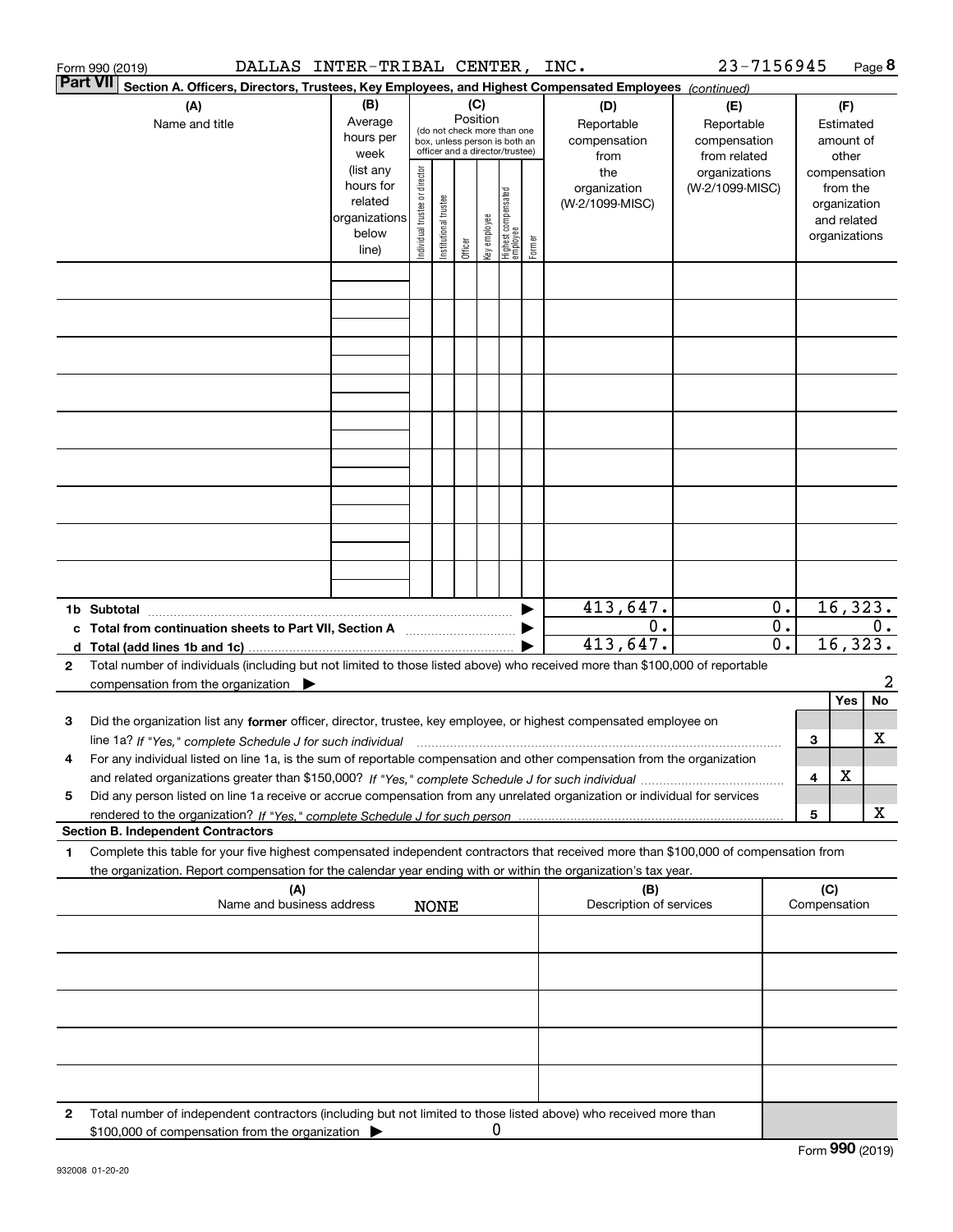|   | DALLAS INTER-TRIBAL CENTER, INC.<br>Form 990 (2019)                                                                                                                                                                                                                       |                                                         |                                                                                                                                 |                       |         |              |                                   |        |                                                  | 23-7156945                                                         |                        |                                                        |                                                          | Page 8            |
|---|---------------------------------------------------------------------------------------------------------------------------------------------------------------------------------------------------------------------------------------------------------------------------|---------------------------------------------------------|---------------------------------------------------------------------------------------------------------------------------------|-----------------------|---------|--------------|-----------------------------------|--------|--------------------------------------------------|--------------------------------------------------------------------|------------------------|--------------------------------------------------------|----------------------------------------------------------|-------------------|
|   | <b>Part VII</b><br>Section A. Officers, Directors, Trustees, Key Employees, and Highest Compensated Employees (continued)                                                                                                                                                 |                                                         |                                                                                                                                 |                       |         |              |                                   |        |                                                  |                                                                    |                        |                                                        |                                                          |                   |
|   | (A)<br>Name and title                                                                                                                                                                                                                                                     | (B)<br>Average<br>hours per<br>week                     | (C)<br>Position<br>(do not check more than one<br>box, unless person is both an<br>officer and a director/trustee)<br>(list any |                       |         |              |                                   |        | (D)<br>Reportable<br>compensation<br>from<br>the | (E)<br>Reportable<br>compensation<br>from related<br>organizations |                        | (F)<br>Estimated<br>amount of<br>other<br>compensation |                                                          |                   |
|   |                                                                                                                                                                                                                                                                           | hours for<br>related<br>organizations<br>below<br>line) | Individual trustee or director                                                                                                  | Institutional trustee | Officer | key employee | Highest compensated<br>  employee | Former | organization<br>(W-2/1099-MISC)                  | (W-2/1099-MISC)                                                    |                        |                                                        | from the<br>organization<br>and related<br>organizations |                   |
|   |                                                                                                                                                                                                                                                                           |                                                         |                                                                                                                                 |                       |         |              |                                   |        |                                                  |                                                                    |                        |                                                        |                                                          |                   |
|   |                                                                                                                                                                                                                                                                           |                                                         |                                                                                                                                 |                       |         |              |                                   |        |                                                  |                                                                    |                        |                                                        |                                                          |                   |
|   |                                                                                                                                                                                                                                                                           |                                                         |                                                                                                                                 |                       |         |              |                                   |        |                                                  |                                                                    |                        |                                                        |                                                          |                   |
|   |                                                                                                                                                                                                                                                                           |                                                         |                                                                                                                                 |                       |         |              |                                   |        |                                                  |                                                                    |                        |                                                        |                                                          |                   |
|   |                                                                                                                                                                                                                                                                           |                                                         |                                                                                                                                 |                       |         |              |                                   |        |                                                  |                                                                    |                        |                                                        |                                                          |                   |
|   |                                                                                                                                                                                                                                                                           |                                                         |                                                                                                                                 |                       |         |              |                                   |        |                                                  |                                                                    |                        |                                                        |                                                          |                   |
|   |                                                                                                                                                                                                                                                                           |                                                         |                                                                                                                                 |                       |         |              |                                   |        |                                                  |                                                                    |                        |                                                        |                                                          |                   |
|   |                                                                                                                                                                                                                                                                           |                                                         |                                                                                                                                 |                       |         |              |                                   |        |                                                  |                                                                    |                        |                                                        |                                                          |                   |
|   |                                                                                                                                                                                                                                                                           |                                                         |                                                                                                                                 |                       |         |              |                                   |        |                                                  |                                                                    |                        |                                                        |                                                          |                   |
|   |                                                                                                                                                                                                                                                                           |                                                         |                                                                                                                                 |                       |         |              |                                   |        | 413,647.                                         |                                                                    | 0.                     |                                                        |                                                          | 16,323.           |
|   | c Total from continuation sheets to Part VII, Section A [111] [120] [20]                                                                                                                                                                                                  |                                                         |                                                                                                                                 |                       |         |              |                                   |        | 0.<br>413,647.                                   |                                                                    | $\overline{0}$ .<br>0. |                                                        |                                                          | $0$ .<br>16, 323. |
| 2 | Total number of individuals (including but not limited to those listed above) who received more than \$100,000 of reportable<br>compensation from the organization $\blacktriangleright$                                                                                  |                                                         |                                                                                                                                 |                       |         |              |                                   |        |                                                  |                                                                    |                        |                                                        |                                                          | 2                 |
|   |                                                                                                                                                                                                                                                                           |                                                         |                                                                                                                                 |                       |         |              |                                   |        |                                                  |                                                                    |                        |                                                        | Yes                                                      | No.               |
| 3 | Did the organization list any former officer, director, trustee, key employee, or highest compensated employee on<br>line 1a? If "Yes," complete Schedule J for such individual manufactured contained and the line 1a? If "Yes," complete Schedule J for such individual |                                                         |                                                                                                                                 |                       |         |              |                                   |        |                                                  |                                                                    |                        | З                                                      |                                                          | х                 |
|   | For any individual listed on line 1a, is the sum of reportable compensation and other compensation from the organization                                                                                                                                                  |                                                         |                                                                                                                                 |                       |         |              |                                   |        |                                                  |                                                                    |                        | 4                                                      | х                                                        |                   |
| 5 | Did any person listed on line 1a receive or accrue compensation from any unrelated organization or individual for services                                                                                                                                                |                                                         |                                                                                                                                 |                       |         |              |                                   |        |                                                  |                                                                    |                        | 5                                                      |                                                          | x                 |
|   | <b>Section B. Independent Contractors</b>                                                                                                                                                                                                                                 |                                                         |                                                                                                                                 |                       |         |              |                                   |        |                                                  |                                                                    |                        |                                                        |                                                          |                   |
| 1 | Complete this table for your five highest compensated independent contractors that received more than \$100,000 of compensation from<br>the organization. Report compensation for the calendar year ending with or within the organization's tax year.                    |                                                         |                                                                                                                                 |                       |         |              |                                   |        |                                                  |                                                                    |                        |                                                        |                                                          |                   |
|   | (A)<br>Name and business address                                                                                                                                                                                                                                          |                                                         |                                                                                                                                 | <b>NONE</b>           |         |              |                                   |        | (B)<br>Description of services                   |                                                                    |                        | (C)                                                    | Compensation                                             |                   |
|   |                                                                                                                                                                                                                                                                           |                                                         |                                                                                                                                 |                       |         |              |                                   |        |                                                  |                                                                    |                        |                                                        |                                                          |                   |
|   |                                                                                                                                                                                                                                                                           |                                                         |                                                                                                                                 |                       |         |              |                                   |        |                                                  |                                                                    |                        |                                                        |                                                          |                   |
|   |                                                                                                                                                                                                                                                                           |                                                         |                                                                                                                                 |                       |         |              |                                   |        |                                                  |                                                                    |                        |                                                        |                                                          |                   |
|   |                                                                                                                                                                                                                                                                           |                                                         |                                                                                                                                 |                       |         |              |                                   |        |                                                  |                                                                    |                        |                                                        |                                                          |                   |
|   |                                                                                                                                                                                                                                                                           |                                                         |                                                                                                                                 |                       |         |              |                                   |        |                                                  |                                                                    |                        |                                                        |                                                          |                   |
| 2 | Total number of independent contractors (including but not limited to those listed above) who received more than<br>\$100,000 of compensation from the organization                                                                                                       |                                                         |                                                                                                                                 |                       |         | 0            |                                   |        |                                                  |                                                                    |                        |                                                        |                                                          |                   |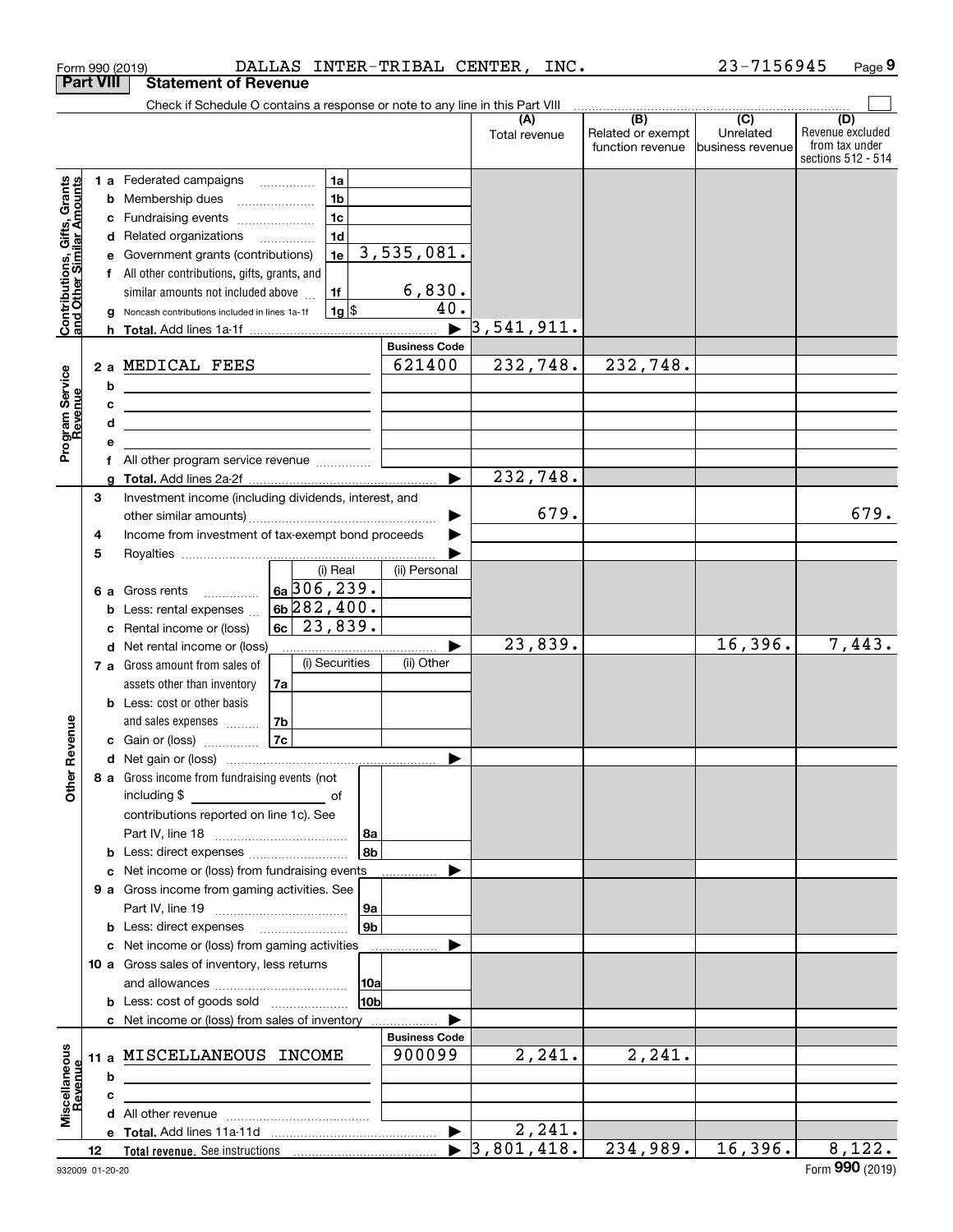|                                                           |                  | Form 990 (2019)                                                                                                      |                                      |                |                        | DALLAS INTER-TRIBAL CENTER,    | INC.                             |                                       | 23-7156945                    | Page 9                                                          |
|-----------------------------------------------------------|------------------|----------------------------------------------------------------------------------------------------------------------|--------------------------------------|----------------|------------------------|--------------------------------|----------------------------------|---------------------------------------|-------------------------------|-----------------------------------------------------------------|
|                                                           | <b>Part VIII</b> | <b>Statement of Revenue</b>                                                                                          |                                      |                |                        |                                |                                  |                                       |                               |                                                                 |
|                                                           |                  | Check if Schedule O contains a response or note to any line in this Part VIII                                        |                                      |                |                        |                                |                                  |                                       |                               |                                                                 |
|                                                           |                  |                                                                                                                      |                                      |                |                        |                                | (A)<br>Total revenue             | Related or exempt<br>function revenue | Unrelated<br>business revenue | (D)<br>Revenue excluded<br>from tax under<br>sections 512 - 514 |
|                                                           |                  | 1 a Federated campaigns                                                                                              |                                      | 1a             |                        |                                |                                  |                                       |                               |                                                                 |
| Contributions, Gifts, Grants<br>and Other Similar Amounts | b                | Membership dues                                                                                                      | $\ldots \ldots \ldots \ldots \ldots$ | 1 <sub>b</sub> |                        |                                |                                  |                                       |                               |                                                                 |
|                                                           |                  | c Fundraising events                                                                                                 |                                      | 1 <sub>c</sub> |                        |                                |                                  |                                       |                               |                                                                 |
|                                                           |                  | d Related organizations                                                                                              |                                      | 1 <sub>d</sub> |                        |                                |                                  |                                       |                               |                                                                 |
|                                                           |                  | e Government grants (contributions)                                                                                  |                                      | 1e             |                        | 3,535,081.                     |                                  |                                       |                               |                                                                 |
|                                                           |                  | f All other contributions, gifts, grants, and                                                                        |                                      |                |                        |                                |                                  |                                       |                               |                                                                 |
|                                                           |                  | similar amounts not included above                                                                                   |                                      | 1f             |                        | 6,830.                         |                                  |                                       |                               |                                                                 |
|                                                           | a                | Noncash contributions included in lines 1a-1f                                                                        |                                      | $1g$ \$        |                        | 40.                            |                                  |                                       |                               |                                                                 |
|                                                           |                  |                                                                                                                      |                                      |                |                        |                                | 3,541,911.                       |                                       |                               |                                                                 |
|                                                           |                  |                                                                                                                      |                                      |                |                        | <b>Business Code</b><br>621400 | 232,748.                         | 232,748.                              |                               |                                                                 |
|                                                           |                  | 2 a MEDICAL FEES                                                                                                     |                                      |                |                        |                                |                                  |                                       |                               |                                                                 |
|                                                           | b                | <u> 1980 - Johann Barn, mars ann an t-Amhain Aonaich an t-Aonaich an t-Aonaich ann an t-Aonaich ann an t-Aonaich</u> |                                      |                |                        |                                |                                  |                                       |                               |                                                                 |
|                                                           | c<br>d           | <u> 1989 - Johann Stein, marwolaethau a bhann an t-Amhainn an t-Amhainn an t-Amhainn an t-Amhainn an t-Amhainn a</u> |                                      |                |                        |                                |                                  |                                       |                               |                                                                 |
| Program Service<br>Revenue                                |                  | the contract of the contract of the contract of the contract of the contract of                                      |                                      |                |                        |                                |                                  |                                       |                               |                                                                 |
|                                                           |                  |                                                                                                                      |                                      |                |                        |                                |                                  |                                       |                               |                                                                 |
|                                                           |                  |                                                                                                                      |                                      |                |                        |                                | 232,748.                         |                                       |                               |                                                                 |
|                                                           | 3                | Investment income (including dividends, interest, and                                                                |                                      |                |                        |                                |                                  |                                       |                               |                                                                 |
|                                                           |                  |                                                                                                                      |                                      |                |                        |                                | 679.                             |                                       |                               | 679.                                                            |
|                                                           | 4                | Income from investment of tax-exempt bond proceeds                                                                   |                                      |                |                        |                                |                                  |                                       |                               |                                                                 |
|                                                           | 5                |                                                                                                                      |                                      |                |                        |                                |                                  |                                       |                               |                                                                 |
|                                                           |                  |                                                                                                                      |                                      | (i) Real       |                        | (ii) Personal                  |                                  |                                       |                               |                                                                 |
|                                                           |                  | 6 a Gross rents                                                                                                      |                                      | 6a 306, 239.   |                        |                                |                                  |                                       |                               |                                                                 |
|                                                           |                  | <b>b</b> Less: rental expenses                                                                                       | $6b$ 282, 400.<br>$ 6c $ 23,839.     |                |                        |                                |                                  |                                       |                               |                                                                 |
|                                                           | c                | Rental income or (loss)                                                                                              |                                      |                |                        |                                |                                  |                                       |                               |                                                                 |
|                                                           |                  | d Net rental income or (loss)                                                                                        |                                      |                |                        |                                | 23,839.                          |                                       | 16,396.                       | 7,443.                                                          |
|                                                           |                  | 7 a Gross amount from sales of                                                                                       |                                      | (i) Securities |                        | (ii) Other                     |                                  |                                       |                               |                                                                 |
|                                                           |                  | assets other than inventory                                                                                          | 7a                                   |                |                        |                                |                                  |                                       |                               |                                                                 |
|                                                           |                  | <b>b</b> Less: cost or other basis<br>and sales expenses                                                             | 7 <sub>b</sub>                       |                |                        |                                |                                  |                                       |                               |                                                                 |
| evenue                                                    |                  | c Gain or (loss)                                                                                                     | 7c                                   |                |                        |                                |                                  |                                       |                               |                                                                 |
|                                                           |                  |                                                                                                                      |                                      |                |                        |                                |                                  |                                       |                               |                                                                 |
| Œ                                                         |                  | 8 a Gross income from fundraising events (not                                                                        |                                      |                |                        |                                |                                  |                                       |                               |                                                                 |
| Other                                                     |                  |                                                                                                                      |                                      |                |                        |                                |                                  |                                       |                               |                                                                 |
|                                                           |                  | contributions reported on line 1c). See                                                                              |                                      |                |                        |                                |                                  |                                       |                               |                                                                 |
|                                                           |                  |                                                                                                                      |                                      |                | 8a                     |                                |                                  |                                       |                               |                                                                 |
|                                                           |                  | <b>b</b> Less: direct expenses <i>manually contained</i>                                                             |                                      |                | 8 <sub>b</sub>         |                                |                                  |                                       |                               |                                                                 |
|                                                           |                  | c Net income or (loss) from fundraising events                                                                       |                                      |                |                        |                                |                                  |                                       |                               |                                                                 |
|                                                           |                  | 9 a Gross income from gaming activities. See                                                                         |                                      |                |                        |                                |                                  |                                       |                               |                                                                 |
|                                                           |                  |                                                                                                                      |                                      |                | 9a                     |                                |                                  |                                       |                               |                                                                 |
|                                                           |                  | <b>b</b> Less: direct expenses                                                                                       |                                      |                | 9 <sub>b</sub>         |                                |                                  |                                       |                               |                                                                 |
|                                                           |                  | c Net income or (loss) from gaming activities                                                                        |                                      |                |                        |                                |                                  |                                       |                               |                                                                 |
|                                                           |                  | 10 a Gross sales of inventory, less returns                                                                          |                                      |                |                        |                                |                                  |                                       |                               |                                                                 |
|                                                           |                  |                                                                                                                      |                                      |                | 10a<br>10 <sub>b</sub> |                                |                                  |                                       |                               |                                                                 |
|                                                           |                  | <b>b</b> Less: cost of goods sold                                                                                    |                                      |                |                        |                                |                                  |                                       |                               |                                                                 |
|                                                           |                  | c Net income or (loss) from sales of inventory                                                                       |                                      |                |                        | <b>Business Code</b>           |                                  |                                       |                               |                                                                 |
|                                                           |                  | 11 a MISCELLANEOUS INCOME                                                                                            |                                      |                |                        | 900099                         | 2,241.                           | 2, 241.                               |                               |                                                                 |
| Miscellaneous<br>Revenue                                  | b                |                                                                                                                      |                                      |                |                        |                                |                                  |                                       |                               |                                                                 |
|                                                           | c                |                                                                                                                      |                                      |                |                        |                                |                                  |                                       |                               |                                                                 |
|                                                           |                  |                                                                                                                      |                                      |                |                        |                                |                                  |                                       |                               |                                                                 |
|                                                           |                  |                                                                                                                      |                                      |                |                        | $\blacktriangleright$          | 2, 241.                          |                                       |                               |                                                                 |
|                                                           | 12               |                                                                                                                      |                                      |                |                        |                                | $\blacktriangleright$ 3,801,418. | 234,989.                              | 16,396.                       | 8,122.                                                          |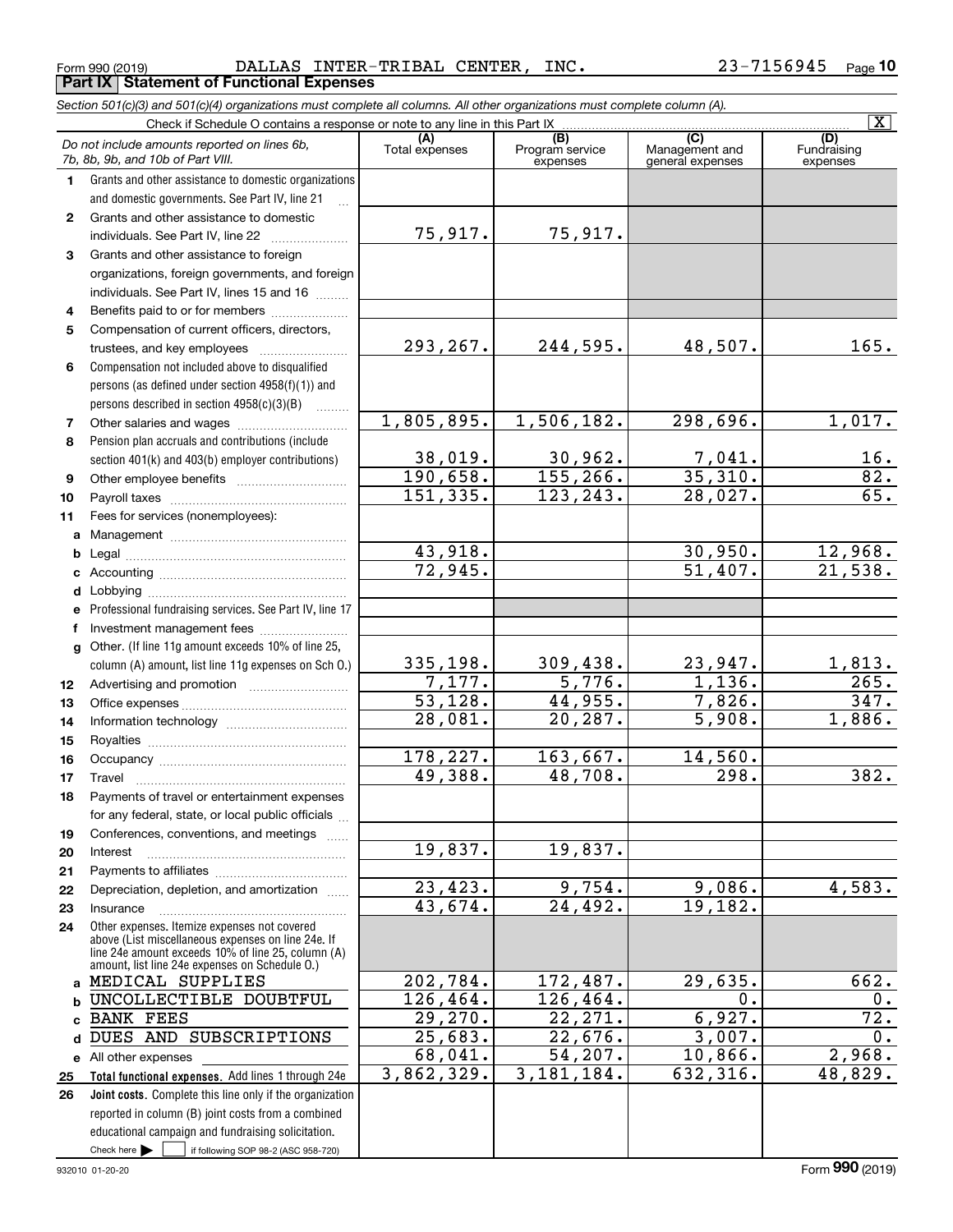Form 990 (2019) DALLAS INTER-TRIBAL CENTER,INC. 2 $\,$ 3- $\,$ 7 $\,156945$  Page **Part IX Statement of Functional Expenses**

|              | Section 501(c)(3) and 501(c)(4) organizations must complete all columns. All other organizations must complete column (A).                                                                                 |                       |                                    |                                           |                                |
|--------------|------------------------------------------------------------------------------------------------------------------------------------------------------------------------------------------------------------|-----------------------|------------------------------------|-------------------------------------------|--------------------------------|
|              | Check if Schedule O contains a response or note to any line in this Part IX                                                                                                                                |                       |                                    |                                           | $\overline{\mathbf{X}}$        |
|              | Do not include amounts reported on lines 6b,<br>7b, 8b, 9b, and 10b of Part VIII.                                                                                                                          | (A)<br>Total expenses | (B)<br>Program service<br>expenses | (C)<br>Management and<br>general expenses | (D)<br>Fundraising<br>expenses |
| 1            | Grants and other assistance to domestic organizations                                                                                                                                                      |                       |                                    |                                           |                                |
|              | and domestic governments. See Part IV, line 21                                                                                                                                                             |                       |                                    |                                           |                                |
| $\mathbf{2}$ | Grants and other assistance to domestic                                                                                                                                                                    |                       |                                    |                                           |                                |
|              | individuals. See Part IV, line 22                                                                                                                                                                          | 75,917.               | 75,917.                            |                                           |                                |
| 3            | Grants and other assistance to foreign                                                                                                                                                                     |                       |                                    |                                           |                                |
|              | organizations, foreign governments, and foreign                                                                                                                                                            |                       |                                    |                                           |                                |
|              | individuals. See Part IV, lines 15 and 16                                                                                                                                                                  |                       |                                    |                                           |                                |
| 4            | Benefits paid to or for members                                                                                                                                                                            |                       |                                    |                                           |                                |
| 5            | Compensation of current officers, directors,                                                                                                                                                               |                       |                                    |                                           |                                |
|              | trustees, and key employees                                                                                                                                                                                | 293,267.              | 244,595.                           | 48,507.                                   | 165.                           |
| 6            | Compensation not included above to disqualified                                                                                                                                                            |                       |                                    |                                           |                                |
|              | persons (as defined under section 4958(f)(1)) and                                                                                                                                                          |                       |                                    |                                           |                                |
|              | persons described in section $4958(c)(3)(B)$                                                                                                                                                               |                       |                                    |                                           |                                |
| 7            |                                                                                                                                                                                                            | 1,805,895.            | 1,506,182.                         | 298,696.                                  | 1,017.                         |
| 8            | Pension plan accruals and contributions (include                                                                                                                                                           |                       |                                    |                                           |                                |
|              | section 401(k) and 403(b) employer contributions)                                                                                                                                                          | 38,019.               | 30,962.                            | $\frac{7,041}{35,310}$ .                  | $\frac{16}{82}$ .              |
| 9            |                                                                                                                                                                                                            | 190,658.              | 155, 266.                          |                                           |                                |
| 10           |                                                                                                                                                                                                            | 151, 335.             | 123, 243.                          | 28,027.                                   | $\overline{65}$ .              |
| 11           | Fees for services (nonemployees):                                                                                                                                                                          |                       |                                    |                                           |                                |
| a            |                                                                                                                                                                                                            |                       |                                    |                                           |                                |
| b            |                                                                                                                                                                                                            | 43,918.               |                                    | 30,950.                                   | 12,968.                        |
| c            |                                                                                                                                                                                                            | 72,945.               |                                    | 51,407.                                   | 21,538.                        |
| d            |                                                                                                                                                                                                            |                       |                                    |                                           |                                |
| е            | Professional fundraising services. See Part IV, line 17                                                                                                                                                    |                       |                                    |                                           |                                |
| f            | Investment management fees                                                                                                                                                                                 |                       |                                    |                                           |                                |
| g            | Other. (If line 11g amount exceeds 10% of line 25,                                                                                                                                                         |                       |                                    |                                           |                                |
|              | column (A) amount, list line 11g expenses on Sch O.)                                                                                                                                                       | 335,198.              | 309,438.                           | 23,947.                                   | 1,813.                         |
| 12           |                                                                                                                                                                                                            | 7,177.                | 5,776.                             | 1,136.                                    | 265.                           |
| 13           |                                                                                                                                                                                                            | 53,128.               | 44,955.                            | 7,826.                                    | 347.                           |
| 14           |                                                                                                                                                                                                            | 28,081.               | 20, 287.                           | $\overline{5,908}$ .                      | 1,886.                         |
| 15           |                                                                                                                                                                                                            |                       |                                    |                                           |                                |
| 16           |                                                                                                                                                                                                            | 178,227.              | 163,667.                           | 14,560.                                   |                                |
| 17           |                                                                                                                                                                                                            | 49,388.               | 48,708.                            | 298.                                      | 382.                           |
| 18           | Payments of travel or entertainment expenses                                                                                                                                                               |                       |                                    |                                           |                                |
|              | for any federal, state, or local public officials                                                                                                                                                          |                       |                                    |                                           |                                |
| 19           | Conferences, conventions, and meetings                                                                                                                                                                     |                       |                                    |                                           |                                |
| 20           | Interest                                                                                                                                                                                                   | 19,837.               | 19,837.                            |                                           |                                |
| 21           |                                                                                                                                                                                                            |                       |                                    |                                           |                                |
| 22           | Depreciation, depletion, and amortization                                                                                                                                                                  | 23,423.               | 9,754.                             | 9,086.                                    | 4,583.                         |
| 23           | Insurance                                                                                                                                                                                                  | 43,674.               | 24,492.                            | 19,182.                                   |                                |
| 24           | Other expenses. Itemize expenses not covered<br>above (List miscellaneous expenses on line 24e. If<br>line 24e amount exceeds 10% of line 25, column (A)<br>amount, list line 24e expenses on Schedule 0.) |                       |                                    |                                           |                                |
|              | a MEDICAL SUPPLIES                                                                                                                                                                                         | 202,784.              | 172,487.                           | 29,635.                                   | 662.                           |
| b            | UNCOLLECTIBLE DOUBTFUL                                                                                                                                                                                     | 126, 464.             | 126,464.                           | 0.                                        | 0.                             |
| c            | <b>BANK FEES</b>                                                                                                                                                                                           | 29,270.               | 22, 271.                           | 6,927.                                    | 72.                            |
| d            | DUES AND SUBSCRIPTIONS                                                                                                                                                                                     | 25,683.               | 22,676.                            | 3,007.                                    | 0.                             |
|              | e All other expenses                                                                                                                                                                                       | 68,041.               | $\overline{54,207}$ .              | 10,866.                                   | 2,968.                         |
| 25           | Total functional expenses. Add lines 1 through 24e                                                                                                                                                         | 3,862,329.            | 3, 181, 184.                       | 632, 316.                                 | 48,829.                        |
| 26           | Joint costs. Complete this line only if the organization                                                                                                                                                   |                       |                                    |                                           |                                |
|              | reported in column (B) joint costs from a combined                                                                                                                                                         |                       |                                    |                                           |                                |
|              | educational campaign and fundraising solicitation.                                                                                                                                                         |                       |                                    |                                           |                                |
|              | Check here $\blacktriangleright$<br>if following SOP 98-2 (ASC 958-720)                                                                                                                                    |                       |                                    |                                           |                                |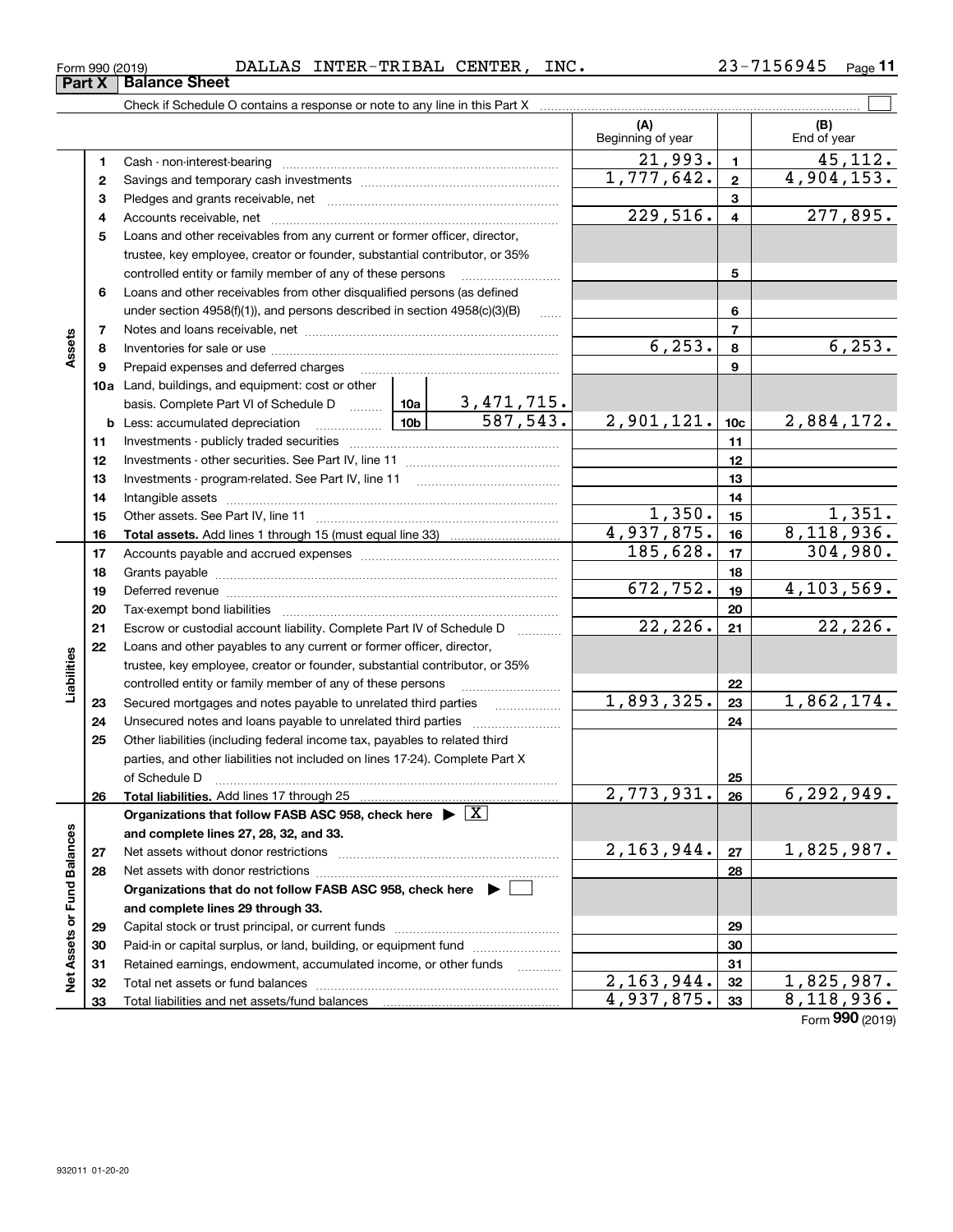| 56945.<br>. .<br>DALLAS<br>INC.<br>INTER-TRIBAL<br><b>CENTER</b><br>Form 990 (2019) | $P$ age |
|-------------------------------------------------------------------------------------|---------|
|-------------------------------------------------------------------------------------|---------|

|                             |    | Check if Schedule O contains a response or note to any line in this Part X                                                                                                                                                     |                 |                               |                          |                         |                    |
|-----------------------------|----|--------------------------------------------------------------------------------------------------------------------------------------------------------------------------------------------------------------------------------|-----------------|-------------------------------|--------------------------|-------------------------|--------------------|
|                             |    |                                                                                                                                                                                                                                |                 |                               | (A)<br>Beginning of year |                         | (B)<br>End of year |
|                             | 1. |                                                                                                                                                                                                                                |                 |                               | $\overline{21,993}$ .    | $\mathbf{1}$            | 45,112.            |
|                             | 2  |                                                                                                                                                                                                                                |                 |                               | $\overline{1,777,642}$ . | $\mathbf{2}$            | 4,904,153.         |
|                             | з  |                                                                                                                                                                                                                                |                 |                               |                          | 3                       |                    |
|                             | 4  |                                                                                                                                                                                                                                |                 |                               | 229,516.                 | $\overline{\mathbf{4}}$ | 277,895.           |
|                             | 5  | Loans and other receivables from any current or former officer, director,                                                                                                                                                      |                 |                               |                          |                         |                    |
|                             |    | trustee, key employee, creator or founder, substantial contributor, or 35%                                                                                                                                                     |                 |                               |                          |                         |                    |
|                             |    | controlled entity or family member of any of these persons                                                                                                                                                                     |                 |                               |                          | 5                       |                    |
|                             | 6  | Loans and other receivables from other disqualified persons (as defined                                                                                                                                                        |                 |                               |                          |                         |                    |
|                             |    | under section $4958(f)(1)$ , and persons described in section $4958(c)(3)(B)$                                                                                                                                                  |                 | 6                             |                          |                         |                    |
|                             | 7  |                                                                                                                                                                                                                                |                 |                               | $\overline{7}$           |                         |                    |
| Assets                      | 8  |                                                                                                                                                                                                                                |                 |                               | 6, 253.                  | 8                       | 6, 253.            |
|                             | 9  | Prepaid expenses and deferred charges                                                                                                                                                                                          |                 |                               | 9                        |                         |                    |
|                             |    | 10a Land, buildings, and equipment: cost or other                                                                                                                                                                              |                 |                               |                          |                         |                    |
|                             |    | basis. Complete Part VI of Schedule D  10a                                                                                                                                                                                     | 10 <sub>b</sub> | $\frac{3,471,715.}{587,543.}$ |                          |                         |                    |
|                             |    | <b>b</b> Less: accumulated depreciation<br>. 1                                                                                                                                                                                 | 2,901,121.      | 10 <sub>c</sub>               | 2,884,172.               |                         |                    |
|                             | 11 |                                                                                                                                                                                                                                |                 |                               | 11                       |                         |                    |
|                             | 12 |                                                                                                                                                                                                                                |                 |                               | 12                       |                         |                    |
|                             | 13 |                                                                                                                                                                                                                                |                 | 13                            |                          |                         |                    |
|                             | 14 |                                                                                                                                                                                                                                |                 | 14                            |                          |                         |                    |
|                             | 15 |                                                                                                                                                                                                                                | 1,350.          | 15                            | 1,351.                   |                         |                    |
|                             | 16 |                                                                                                                                                                                                                                |                 |                               | 4,937,875.               | 16                      | 8,118,936.         |
|                             | 17 |                                                                                                                                                                                                                                | 185,628.        | 17                            | 304,980.                 |                         |                    |
|                             | 18 |                                                                                                                                                                                                                                |                 | 18                            |                          |                         |                    |
|                             | 19 | Deferred revenue manual contracts and contracts are contracted and contract and contract are contracted and contract are contracted and contract are contracted and contract are contracted and contract are contracted and co |                 |                               | 672,752.                 | 19                      | 4, 103, 569.       |
|                             | 20 |                                                                                                                                                                                                                                |                 |                               |                          | 20                      |                    |
|                             | 21 | Escrow or custodial account liability. Complete Part IV of Schedule D                                                                                                                                                          |                 |                               | 22,226.                  | 21                      | 22, 226.           |
|                             | 22 | Loans and other payables to any current or former officer, director,                                                                                                                                                           |                 |                               |                          |                         |                    |
| Liabilities                 |    | trustee, key employee, creator or founder, substantial contributor, or 35%                                                                                                                                                     |                 |                               |                          |                         |                    |
|                             |    | controlled entity or family member of any of these persons                                                                                                                                                                     |                 |                               |                          | 22                      |                    |
|                             | 23 | Secured mortgages and notes payable to unrelated third parties                                                                                                                                                                 |                 |                               | 1,893,325.               | 23                      | 1,862,174.         |
|                             | 24 | Unsecured notes and loans payable to unrelated third parties                                                                                                                                                                   |                 |                               |                          | 24                      |                    |
|                             | 25 | Other liabilities (including federal income tax, payables to related third                                                                                                                                                     |                 |                               |                          |                         |                    |
|                             |    | parties, and other liabilities not included on lines 17-24). Complete Part X                                                                                                                                                   |                 |                               |                          |                         |                    |
|                             |    | of Schedule D                                                                                                                                                                                                                  |                 |                               |                          | 25                      |                    |
|                             | 26 | Total liabilities. Add lines 17 through 25                                                                                                                                                                                     |                 |                               | 2,773,931.               | 26                      | 6,292,949.         |
|                             |    | Organizations that follow FASB ASC 958, check here $\triangleright \lfloor X \rfloor$                                                                                                                                          |                 |                               |                          |                         |                    |
|                             |    | and complete lines 27, 28, 32, and 33.                                                                                                                                                                                         |                 |                               | 2, 163, 944.             |                         |                    |
|                             | 27 |                                                                                                                                                                                                                                |                 |                               |                          | 27                      | 1,825,987.         |
|                             | 28 |                                                                                                                                                                                                                                |                 | 28                            |                          |                         |                    |
|                             |    | Organizations that do not follow FASB ASC 958, check here $\blacktriangleright$                                                                                                                                                |                 |                               |                          |                         |                    |
|                             |    | and complete lines 29 through 33.                                                                                                                                                                                              |                 |                               |                          |                         |                    |
|                             | 29 |                                                                                                                                                                                                                                |                 |                               |                          | 29                      |                    |
|                             | 30 | Paid-in or capital surplus, or land, building, or equipment fund                                                                                                                                                               |                 |                               |                          | 30                      |                    |
| Net Assets or Fund Balances | 31 | Retained earnings, endowment, accumulated income, or other funds                                                                                                                                                               |                 |                               | $\overline{2,163,944}$ . | 31<br>32                | 1,825,987.         |
|                             | 32 |                                                                                                                                                                                                                                |                 |                               | 4,937,875.               | 33                      | 8,118,936.         |
|                             | 33 |                                                                                                                                                                                                                                |                 |                               |                          |                         |                    |

Form (2019) **990**

# **Part X Balance Sheet**

| Form 990 (2019 |  |
|----------------|--|
|                |  |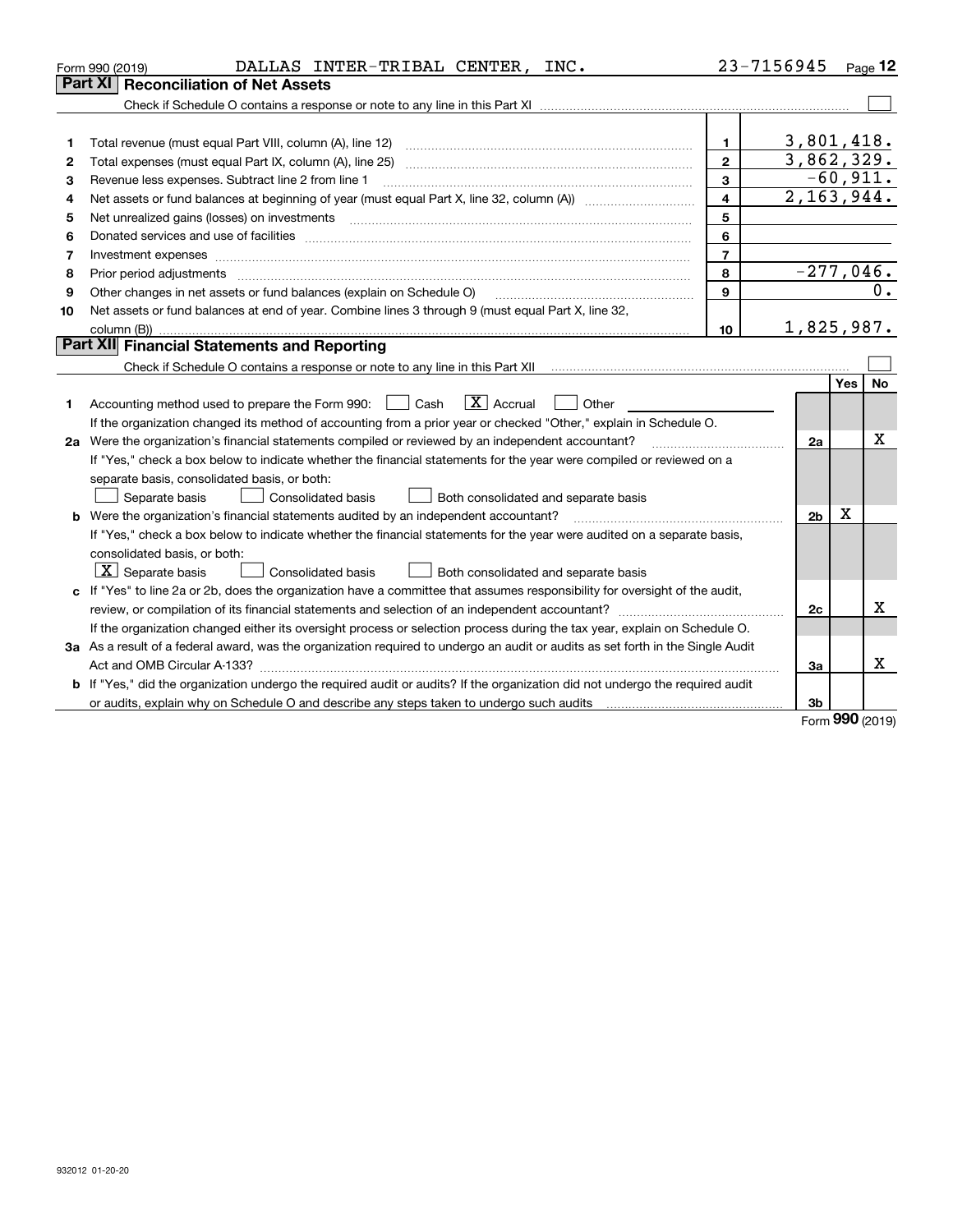|    | DALLAS INTER-TRIBAL CENTER, INC.<br>Form 990 (2019)                                                                                                                                                                            |                         | 23-7156945     |             | Page $12$  |
|----|--------------------------------------------------------------------------------------------------------------------------------------------------------------------------------------------------------------------------------|-------------------------|----------------|-------------|------------|
|    | Part XI<br><b>Reconciliation of Net Assets</b>                                                                                                                                                                                 |                         |                |             |            |
|    |                                                                                                                                                                                                                                |                         |                |             |            |
|    |                                                                                                                                                                                                                                |                         |                |             |            |
| 1  |                                                                                                                                                                                                                                | 1                       | 3,801,418.     |             |            |
| 2  |                                                                                                                                                                                                                                | $\mathbf{2}$            | 3,862,329.     |             |            |
| з  | Revenue less expenses. Subtract line 2 from line 1                                                                                                                                                                             | 3                       |                |             | $-60,911.$ |
| 4  |                                                                                                                                                                                                                                | $\overline{\mathbf{4}}$ | 2, 163, 944.   |             |            |
| 5  | Net unrealized gains (losses) on investments [11] matter contracts and the state of the state of the state of the state of the state of the state of the state of the state of the state of the state of the state of the stat | 5                       |                |             |            |
| 6  |                                                                                                                                                                                                                                | 6                       |                |             |            |
| 7  | Investment expenses www.communication.com/www.communication.com/www.communication.com/www.com                                                                                                                                  | $\overline{7}$          |                |             |            |
| 8  | Prior period adjustments material contents and content of the content of the content of the content of the content of the content of the content of the content of the content of the content of the content of the content of | 8                       | $-277,046.$    |             |            |
| 9  | Other changes in net assets or fund balances (explain on Schedule O)                                                                                                                                                           | 9                       |                |             | 0.         |
| 10 | Net assets or fund balances at end of year. Combine lines 3 through 9 (must equal Part X, line 32,                                                                                                                             |                         |                |             |            |
|    |                                                                                                                                                                                                                                | 10                      | 1,825,987.     |             |            |
|    | Part XII Financial Statements and Reporting                                                                                                                                                                                    |                         |                |             |            |
|    |                                                                                                                                                                                                                                |                         |                |             |            |
|    |                                                                                                                                                                                                                                |                         |                | Yes         | No         |
| 1  | $\boxed{\mathbf{X}}$ Accrual<br>Accounting method used to prepare the Form 990: [139] Cash<br>Other                                                                                                                            |                         |                |             |            |
|    | If the organization changed its method of accounting from a prior year or checked "Other," explain in Schedule O.                                                                                                              |                         |                |             |            |
|    | 2a Were the organization's financial statements compiled or reviewed by an independent accountant?                                                                                                                             |                         | 2a             |             | Χ          |
|    | If "Yes," check a box below to indicate whether the financial statements for the year were compiled or reviewed on a                                                                                                           |                         |                |             |            |
|    | separate basis, consolidated basis, or both:                                                                                                                                                                                   |                         |                |             |            |
|    | Separate basis<br>Consolidated basis<br>Both consolidated and separate basis                                                                                                                                                   |                         |                |             |            |
|    | b Were the organization's financial statements audited by an independent accountant?                                                                                                                                           |                         | 2 <sub>b</sub> | $\mathbf X$ |            |
|    | If "Yes," check a box below to indicate whether the financial statements for the year were audited on a separate basis,                                                                                                        |                         |                |             |            |
|    | consolidated basis, or both:                                                                                                                                                                                                   |                         |                |             |            |
|    | $ \mathbf{X} $ Separate basis<br>Consolidated basis<br>Both consolidated and separate basis                                                                                                                                    |                         |                |             |            |
|    | c If "Yes" to line 2a or 2b, does the organization have a committee that assumes responsibility for oversight of the audit,                                                                                                    |                         |                |             |            |
|    |                                                                                                                                                                                                                                |                         | 2c             |             | x          |
|    | If the organization changed either its oversight process or selection process during the tax year, explain on Schedule O.                                                                                                      |                         |                |             |            |
|    | 3a As a result of a federal award, was the organization required to undergo an audit or audits as set forth in the Single Audit                                                                                                |                         |                |             |            |
|    |                                                                                                                                                                                                                                |                         | 3a             |             | x          |
|    | <b>b</b> If "Yes," did the organization undergo the required audit or audits? If the organization did not undergo the required audit                                                                                           |                         |                |             |            |
|    |                                                                                                                                                                                                                                |                         | 3b             |             |            |

Form (2019) **990**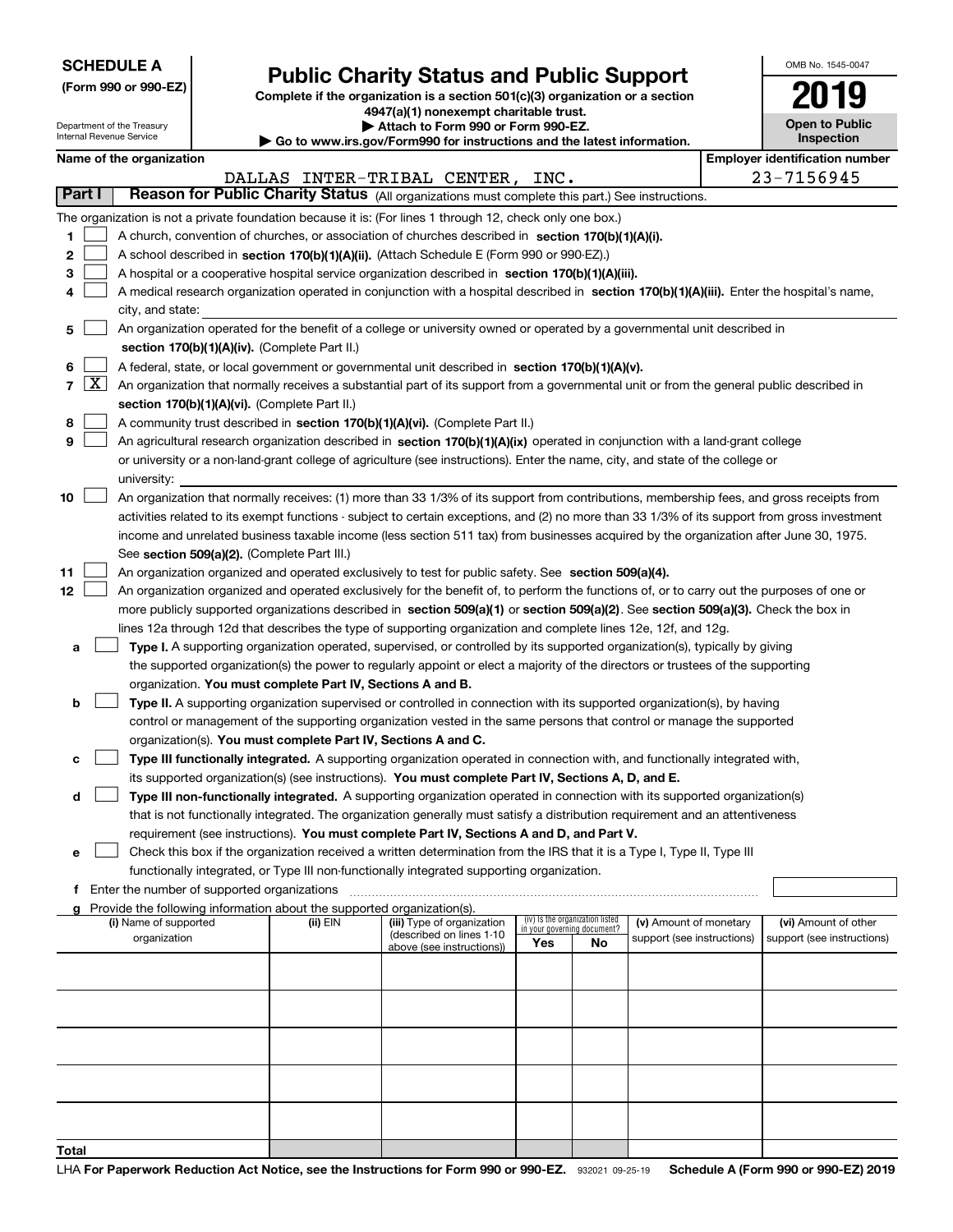|  | <b>SCHEDULE A</b> |
|--|-------------------|
|--|-------------------|

**(Form 990 or 990-EZ)**

# **Public Charity Status and Public Support**

**Complete if the organization is a section 501(c)(3) organization or a section 4947(a)(1) nonexempt charitable trust. | Attach to Form 990 or Form 990-EZ.** 

|  | o www.irs.gov/Form990 for instructions and the latest information |  |
|--|-------------------------------------------------------------------|--|

| OMB No. 1545-0047                   |
|-------------------------------------|
| 2019                                |
| <b>Open to Public</b><br>Insnection |

٦

|                |                     | Department of the Treasury<br>Internal Revenue Service |                                             |                                                                                                                                     | ▶ Attach to Form 990 or Form 990-EZ.<br>Go to www.irs.gov/Form990 for instructions and the latest information.                                |                                                                |    |                            |  | <b>Open to Public</b><br><b>Inspection</b> |  |
|----------------|---------------------|--------------------------------------------------------|---------------------------------------------|-------------------------------------------------------------------------------------------------------------------------------------|-----------------------------------------------------------------------------------------------------------------------------------------------|----------------------------------------------------------------|----|----------------------------|--|--------------------------------------------|--|
|                |                     | Name of the organization                               |                                             |                                                                                                                                     |                                                                                                                                               | <b>Employer identification number</b>                          |    |                            |  |                                            |  |
|                |                     |                                                        |                                             |                                                                                                                                     |                                                                                                                                               |                                                                |    |                            |  | 23-7156945                                 |  |
|                | Part I              |                                                        |                                             | DALLAS INTER-TRIBAL CENTER, INC.<br>Reason for Public Charity Status (All organizations must complete this part.) See instructions. |                                                                                                                                               |                                                                |    |                            |  |                                            |  |
|                |                     |                                                        |                                             |                                                                                                                                     |                                                                                                                                               |                                                                |    |                            |  |                                            |  |
|                |                     |                                                        |                                             |                                                                                                                                     | The organization is not a private foundation because it is: (For lines 1 through 12, check only one box.)                                     |                                                                |    |                            |  |                                            |  |
| 1              |                     |                                                        |                                             |                                                                                                                                     | A church, convention of churches, or association of churches described in section 170(b)(1)(A)(i).                                            |                                                                |    |                            |  |                                            |  |
| 2              |                     |                                                        |                                             |                                                                                                                                     | A school described in section 170(b)(1)(A)(ii). (Attach Schedule E (Form 990 or 990-EZ).)                                                     |                                                                |    |                            |  |                                            |  |
| з              |                     |                                                        |                                             |                                                                                                                                     | A hospital or a cooperative hospital service organization described in section 170(b)(1)(A)(iii).                                             |                                                                |    |                            |  |                                            |  |
| 4              |                     |                                                        |                                             |                                                                                                                                     | A medical research organization operated in conjunction with a hospital described in section 170(b)(1)(A)(iii). Enter the hospital's name,    |                                                                |    |                            |  |                                            |  |
|                |                     | city, and state:                                       |                                             |                                                                                                                                     |                                                                                                                                               |                                                                |    |                            |  |                                            |  |
| 5              |                     |                                                        |                                             |                                                                                                                                     | An organization operated for the benefit of a college or university owned or operated by a governmental unit described in                     |                                                                |    |                            |  |                                            |  |
|                |                     | section 170(b)(1)(A)(iv). (Complete Part II.)          |                                             |                                                                                                                                     |                                                                                                                                               |                                                                |    |                            |  |                                            |  |
| 6              |                     |                                                        |                                             |                                                                                                                                     | A federal, state, or local government or governmental unit described in section 170(b)(1)(A)(v).                                              |                                                                |    |                            |  |                                            |  |
| $\overline{7}$ | $\lfloor x \rfloor$ |                                                        |                                             |                                                                                                                                     | An organization that normally receives a substantial part of its support from a governmental unit or from the general public described in     |                                                                |    |                            |  |                                            |  |
|                |                     |                                                        |                                             | section 170(b)(1)(A)(vi). (Complete Part II.)                                                                                       |                                                                                                                                               |                                                                |    |                            |  |                                            |  |
| 8              |                     |                                                        |                                             |                                                                                                                                     | A community trust described in section 170(b)(1)(A)(vi). (Complete Part II.)                                                                  |                                                                |    |                            |  |                                            |  |
| 9              |                     |                                                        |                                             |                                                                                                                                     | An agricultural research organization described in section 170(b)(1)(A)(ix) operated in conjunction with a land-grant college                 |                                                                |    |                            |  |                                            |  |
|                |                     |                                                        |                                             |                                                                                                                                     | or university or a non-land-grant college of agriculture (see instructions). Enter the name, city, and state of the college or                |                                                                |    |                            |  |                                            |  |
|                |                     | university:                                            |                                             |                                                                                                                                     |                                                                                                                                               |                                                                |    |                            |  |                                            |  |
| 10             |                     |                                                        |                                             |                                                                                                                                     | An organization that normally receives: (1) more than 33 1/3% of its support from contributions, membership fees, and gross receipts from     |                                                                |    |                            |  |                                            |  |
|                |                     |                                                        |                                             |                                                                                                                                     | activities related to its exempt functions - subject to certain exceptions, and (2) no more than 33 1/3% of its support from gross investment |                                                                |    |                            |  |                                            |  |
|                |                     |                                                        |                                             |                                                                                                                                     | income and unrelated business taxable income (less section 511 tax) from businesses acquired by the organization after June 30, 1975.         |                                                                |    |                            |  |                                            |  |
|                |                     |                                                        |                                             | See section 509(a)(2). (Complete Part III.)                                                                                         |                                                                                                                                               |                                                                |    |                            |  |                                            |  |
| 11             |                     |                                                        |                                             |                                                                                                                                     | An organization organized and operated exclusively to test for public safety. See section 509(a)(4).                                          |                                                                |    |                            |  |                                            |  |
| 12             |                     |                                                        |                                             |                                                                                                                                     | An organization organized and operated exclusively for the benefit of, to perform the functions of, or to carry out the purposes of one or    |                                                                |    |                            |  |                                            |  |
|                |                     |                                                        |                                             |                                                                                                                                     | more publicly supported organizations described in section 509(a)(1) or section 509(a)(2). See section 509(a)(3). Check the box in            |                                                                |    |                            |  |                                            |  |
|                |                     |                                                        |                                             |                                                                                                                                     | lines 12a through 12d that describes the type of supporting organization and complete lines 12e, 12f, and 12g.                                |                                                                |    |                            |  |                                            |  |
| а              |                     |                                                        |                                             |                                                                                                                                     | Type I. A supporting organization operated, supervised, or controlled by its supported organization(s), typically by giving                   |                                                                |    |                            |  |                                            |  |
|                |                     |                                                        |                                             |                                                                                                                                     | the supported organization(s) the power to regularly appoint or elect a majority of the directors or trustees of the supporting               |                                                                |    |                            |  |                                            |  |
|                |                     |                                                        |                                             | organization. You must complete Part IV, Sections A and B.                                                                          |                                                                                                                                               |                                                                |    |                            |  |                                            |  |
| b              |                     |                                                        |                                             |                                                                                                                                     | Type II. A supporting organization supervised or controlled in connection with its supported organization(s), by having                       |                                                                |    |                            |  |                                            |  |
|                |                     |                                                        |                                             |                                                                                                                                     | control or management of the supporting organization vested in the same persons that control or manage the supported                          |                                                                |    |                            |  |                                            |  |
|                |                     |                                                        |                                             | organization(s). You must complete Part IV, Sections A and C.                                                                       |                                                                                                                                               |                                                                |    |                            |  |                                            |  |
| с              |                     |                                                        |                                             |                                                                                                                                     | Type III functionally integrated. A supporting organization operated in connection with, and functionally integrated with,                    |                                                                |    |                            |  |                                            |  |
|                |                     |                                                        |                                             |                                                                                                                                     | its supported organization(s) (see instructions). You must complete Part IV, Sections A, D, and E.                                            |                                                                |    |                            |  |                                            |  |
| d              |                     |                                                        |                                             |                                                                                                                                     | Type III non-functionally integrated. A supporting organization operated in connection with its supported organization(s)                     |                                                                |    |                            |  |                                            |  |
|                |                     |                                                        |                                             |                                                                                                                                     | that is not functionally integrated. The organization generally must satisfy a distribution requirement and an attentiveness                  |                                                                |    |                            |  |                                            |  |
|                |                     |                                                        |                                             |                                                                                                                                     | requirement (see instructions). You must complete Part IV, Sections A and D, and Part V.                                                      |                                                                |    |                            |  |                                            |  |
| е              |                     |                                                        |                                             |                                                                                                                                     | Check this box if the organization received a written determination from the IRS that it is a Type I, Type II, Type III                       |                                                                |    |                            |  |                                            |  |
|                |                     |                                                        |                                             |                                                                                                                                     | functionally integrated, or Type III non-functionally integrated supporting organization.                                                     |                                                                |    |                            |  |                                            |  |
|                |                     |                                                        | Enter the number of supported organizations |                                                                                                                                     |                                                                                                                                               |                                                                |    |                            |  |                                            |  |
|                |                     |                                                        |                                             | Provide the following information about the supported organization(s).                                                              |                                                                                                                                               |                                                                |    |                            |  |                                            |  |
|                |                     | (i) Name of supported                                  |                                             | (ii) EIN                                                                                                                            | (iii) Type of organization                                                                                                                    | (iv) Is the organization listed<br>in your governing document? |    | (v) Amount of monetary     |  | (vi) Amount of other                       |  |
|                |                     | organization                                           |                                             |                                                                                                                                     | (described on lines 1-10<br>above (see instructions))                                                                                         | Yes                                                            | No | support (see instructions) |  | support (see instructions)                 |  |
|                |                     |                                                        |                                             |                                                                                                                                     |                                                                                                                                               |                                                                |    |                            |  |                                            |  |
|                |                     |                                                        |                                             |                                                                                                                                     |                                                                                                                                               |                                                                |    |                            |  |                                            |  |
|                |                     |                                                        |                                             |                                                                                                                                     |                                                                                                                                               |                                                                |    |                            |  |                                            |  |
|                |                     |                                                        |                                             |                                                                                                                                     |                                                                                                                                               |                                                                |    |                            |  |                                            |  |
|                |                     |                                                        |                                             |                                                                                                                                     |                                                                                                                                               |                                                                |    |                            |  |                                            |  |
|                |                     |                                                        |                                             |                                                                                                                                     |                                                                                                                                               |                                                                |    |                            |  |                                            |  |
|                |                     |                                                        |                                             |                                                                                                                                     |                                                                                                                                               |                                                                |    |                            |  |                                            |  |
|                |                     |                                                        |                                             |                                                                                                                                     |                                                                                                                                               |                                                                |    |                            |  |                                            |  |
|                |                     |                                                        |                                             |                                                                                                                                     |                                                                                                                                               |                                                                |    |                            |  |                                            |  |
|                |                     |                                                        |                                             |                                                                                                                                     |                                                                                                                                               |                                                                |    |                            |  |                                            |  |
|                |                     |                                                        |                                             |                                                                                                                                     |                                                                                                                                               |                                                                |    |                            |  |                                            |  |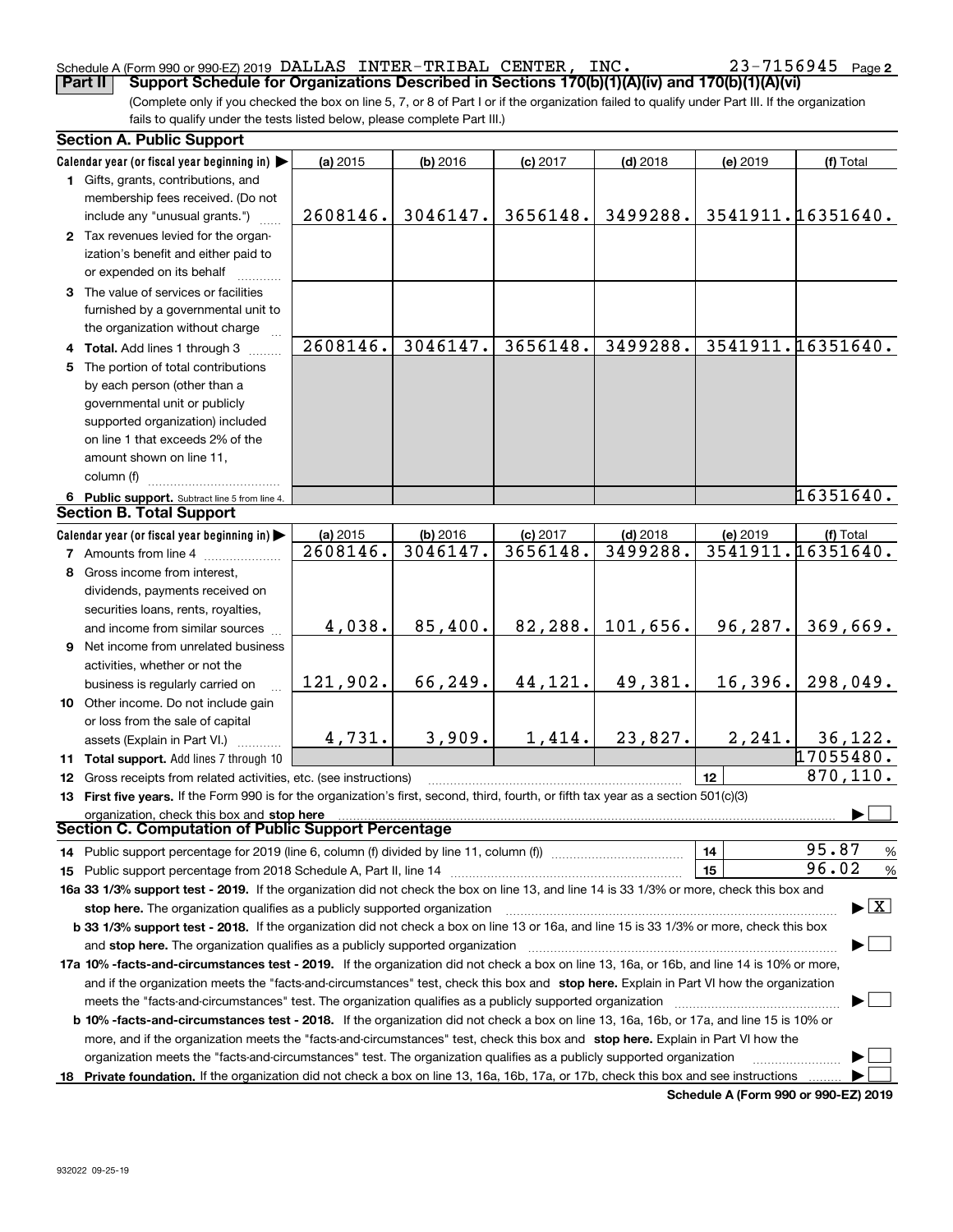#### Schedule A (Form 990 or 990-EZ) 2019 Page DALLAS INTER-TRIBAL CENTER, INC. 23-7156945**Part II Support Schedule for Organizations Described in Sections 170(b)(1)(A)(iv) and 170(b)(1)(A)(vi)**

(Complete only if you checked the box on line 5, 7, or 8 of Part I or if the organization failed to qualify under Part III. If the organization fails to qualify under the tests listed below, please complete Part III.)

| <b>Section A. Public Support</b>                                                                                                                                                                                       |          |            |            |            |          |                                          |
|------------------------------------------------------------------------------------------------------------------------------------------------------------------------------------------------------------------------|----------|------------|------------|------------|----------|------------------------------------------|
| Calendar year (or fiscal year beginning in)                                                                                                                                                                            | (a) 2015 | $(b)$ 2016 | $(c)$ 2017 | $(d)$ 2018 | (e) 2019 | (f) Total                                |
| 1 Gifts, grants, contributions, and                                                                                                                                                                                    |          |            |            |            |          |                                          |
| membership fees received. (Do not                                                                                                                                                                                      |          |            |            |            |          |                                          |
| include any "unusual grants.")                                                                                                                                                                                         | 2608146. | 3046147.   | 3656148.   | 3499288.   |          | 3541911.16351640.                        |
| 2 Tax revenues levied for the organ-                                                                                                                                                                                   |          |            |            |            |          |                                          |
| ization's benefit and either paid to                                                                                                                                                                                   |          |            |            |            |          |                                          |
| or expended on its behalf                                                                                                                                                                                              |          |            |            |            |          |                                          |
| 3 The value of services or facilities                                                                                                                                                                                  |          |            |            |            |          |                                          |
| furnished by a governmental unit to                                                                                                                                                                                    |          |            |            |            |          |                                          |
| the organization without charge                                                                                                                                                                                        |          |            |            |            |          |                                          |
| 4 Total. Add lines 1 through 3                                                                                                                                                                                         | 2608146. | 3046147.   | 3656148.   | 3499288.   |          | 3541911.16351640.                        |
| 5 The portion of total contributions                                                                                                                                                                                   |          |            |            |            |          |                                          |
| by each person (other than a                                                                                                                                                                                           |          |            |            |            |          |                                          |
| governmental unit or publicly                                                                                                                                                                                          |          |            |            |            |          |                                          |
| supported organization) included                                                                                                                                                                                       |          |            |            |            |          |                                          |
| on line 1 that exceeds 2% of the                                                                                                                                                                                       |          |            |            |            |          |                                          |
| amount shown on line 11,                                                                                                                                                                                               |          |            |            |            |          |                                          |
| column (f)                                                                                                                                                                                                             |          |            |            |            |          |                                          |
| 6 Public support. Subtract line 5 from line 4.                                                                                                                                                                         |          |            |            |            |          | 16351640.                                |
| <b>Section B. Total Support</b>                                                                                                                                                                                        |          |            |            |            |          |                                          |
| Calendar year (or fiscal year beginning in)                                                                                                                                                                            | (a) 2015 | (b) 2016   | $(c)$ 2017 | $(d)$ 2018 | (e) 2019 | (f) Total                                |
| <b>7</b> Amounts from line 4                                                                                                                                                                                           | 2608146. | 3046147.   | 3656148.   | 3499288.   |          | 3541911.16351640.                        |
| 8 Gross income from interest,                                                                                                                                                                                          |          |            |            |            |          |                                          |
| dividends, payments received on                                                                                                                                                                                        |          |            |            |            |          |                                          |
| securities loans, rents, royalties,                                                                                                                                                                                    |          |            |            |            |          |                                          |
| and income from similar sources                                                                                                                                                                                        | 4,038.   | 85,400.    | 82,288.    | 101,656.   | 96,287.  | 369,669.                                 |
| 9 Net income from unrelated business                                                                                                                                                                                   |          |            |            |            |          |                                          |
| activities, whether or not the                                                                                                                                                                                         |          |            |            |            |          |                                          |
| business is regularly carried on                                                                                                                                                                                       | 121,902. | 66,249.    | 44,121.    | 49,381.    | 16,396.  | 298,049.                                 |
| 10 Other income. Do not include gain                                                                                                                                                                                   |          |            |            |            |          |                                          |
| or loss from the sale of capital                                                                                                                                                                                       |          |            |            |            |          |                                          |
| assets (Explain in Part VI.)                                                                                                                                                                                           | 4,731.   | 3,909.     | 1,414.     | 23,827.    | 2, 241.  | 36, 122.                                 |
| 11 Total support. Add lines 7 through 10                                                                                                                                                                               |          |            |            |            |          | 17055480.                                |
| 12 Gross receipts from related activities, etc. (see instructions)                                                                                                                                                     |          |            |            |            | 12       | 870,110.                                 |
| 13 First five years. If the Form 990 is for the organization's first, second, third, fourth, or fifth tax year as a section 501(c)(3)                                                                                  |          |            |            |            |          |                                          |
| organization, check this box and stop here                                                                                                                                                                             |          |            |            |            |          |                                          |
| Section C. Computation of Public Support Percentage                                                                                                                                                                    |          |            |            |            |          |                                          |
| 14 Public support percentage for 2019 (line 6, column (f) divided by line 11, column (f) <i>manumanomeron</i>                                                                                                          |          |            |            |            | 14       | 95.87<br>%                               |
|                                                                                                                                                                                                                        |          |            |            |            | 15       | 96.02<br>%                               |
| 16a 33 1/3% support test - 2019. If the organization did not check the box on line 13, and line 14 is 33 1/3% or more, check this box and                                                                              |          |            |            |            |          |                                          |
|                                                                                                                                                                                                                        |          |            |            |            |          | $\blacktriangleright$ $\boxed{\text{X}}$ |
| stop here. The organization qualifies as a publicly supported organization<br>b 33 1/3% support test - 2018. If the organization did not check a box on line 13 or 16a, and line 15 is 33 1/3% or more, check this box |          |            |            |            |          |                                          |
| and stop here. The organization qualifies as a publicly supported organization                                                                                                                                         |          |            |            |            |          |                                          |
| 17a 10% -facts-and-circumstances test - 2019. If the organization did not check a box on line 13, 16a, or 16b, and line 14 is 10% or more,                                                                             |          |            |            |            |          |                                          |
|                                                                                                                                                                                                                        |          |            |            |            |          |                                          |
| and if the organization meets the "facts-and-circumstances" test, check this box and stop here. Explain in Part VI how the organization                                                                                |          |            |            |            |          |                                          |
| meets the "facts-and-circumstances" test. The organization qualifies as a publicly supported organization                                                                                                              |          |            |            |            |          |                                          |
| <b>b 10% -facts-and-circumstances test - 2018.</b> If the organization did not check a box on line 13, 16a, 16b, or 17a, and line 15 is 10% or                                                                         |          |            |            |            |          |                                          |
| more, and if the organization meets the "facts-and-circumstances" test, check this box and stop here. Explain in Part VI how the                                                                                       |          |            |            |            |          |                                          |
| organization meets the "facts-and-circumstances" test. The organization qualifies as a publicly supported organization                                                                                                 |          |            |            |            |          |                                          |
| 18 Private foundation. If the organization did not check a box on line 13, 16a, 16b, 17a, or 17b, check this box and see instructions                                                                                  |          |            |            |            |          |                                          |

**Schedule A (Form 990 or 990-EZ) 2019**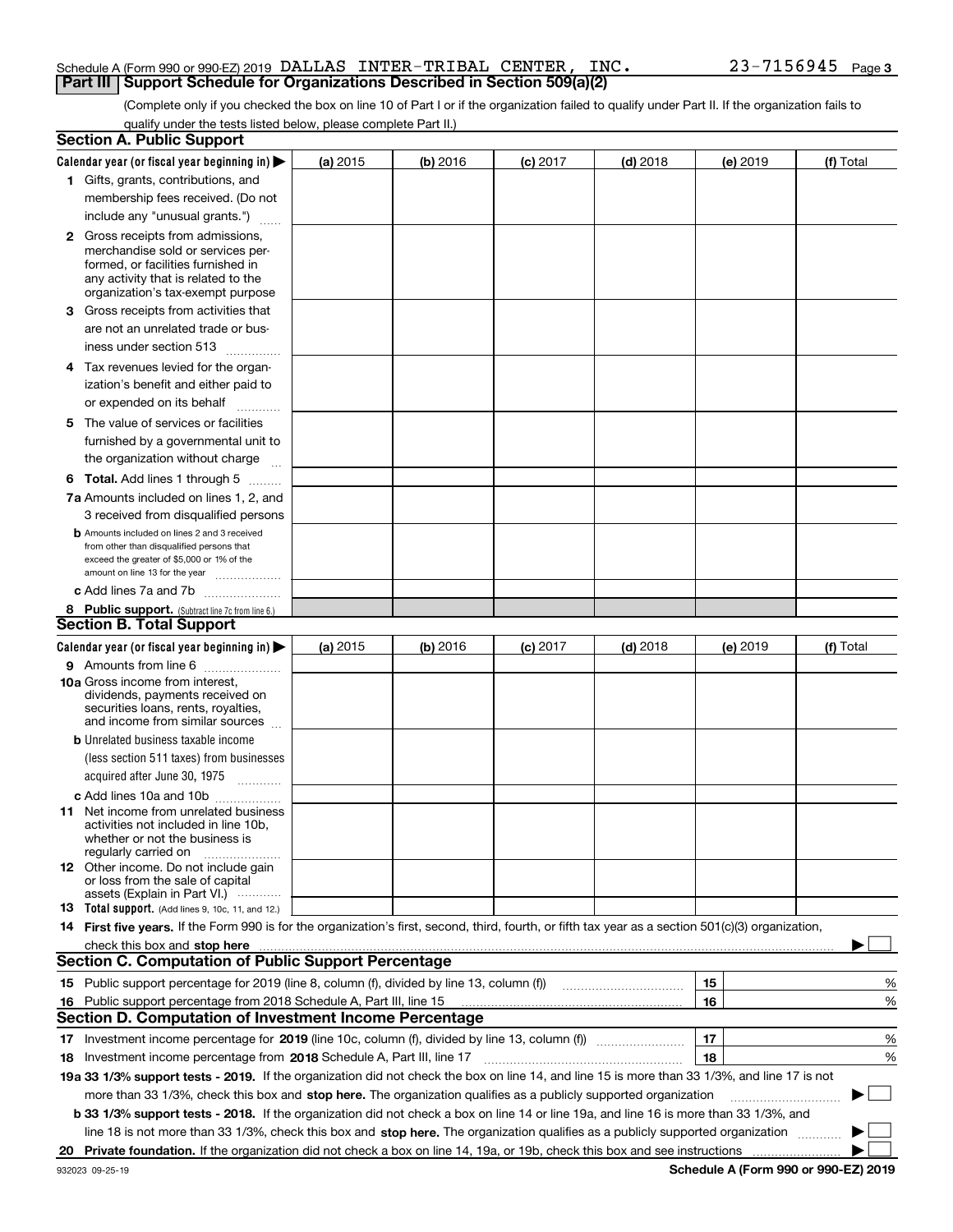#### Schedule A (Form 990 or 990-EZ) 2019 Page DALLAS INTER-TRIBAL CENTER, INC. 23-7156945**Part III Support Schedule for Organizations Described in Section 509(a)(2)**

(Complete only if you checked the box on line 10 of Part I or if the organization failed to qualify under Part II. If the organization fails to qualify under the tests listed below, please complete Part II.)

|    | <b>Section A. Public Support</b>                                                                                                                                                                                                                                                             |          |          |            |            |          |           |
|----|----------------------------------------------------------------------------------------------------------------------------------------------------------------------------------------------------------------------------------------------------------------------------------------------|----------|----------|------------|------------|----------|-----------|
|    | Calendar year (or fiscal year beginning in) $\blacktriangleright$                                                                                                                                                                                                                            | (a) 2015 | (b) 2016 | $(c)$ 2017 | $(d)$ 2018 | (e) 2019 | (f) Total |
|    | 1 Gifts, grants, contributions, and                                                                                                                                                                                                                                                          |          |          |            |            |          |           |
|    | membership fees received. (Do not                                                                                                                                                                                                                                                            |          |          |            |            |          |           |
|    | include any "unusual grants.")                                                                                                                                                                                                                                                               |          |          |            |            |          |           |
|    | <b>2</b> Gross receipts from admissions,                                                                                                                                                                                                                                                     |          |          |            |            |          |           |
|    | merchandise sold or services per-                                                                                                                                                                                                                                                            |          |          |            |            |          |           |
|    | formed, or facilities furnished in                                                                                                                                                                                                                                                           |          |          |            |            |          |           |
|    | any activity that is related to the<br>organization's tax-exempt purpose                                                                                                                                                                                                                     |          |          |            |            |          |           |
|    | 3 Gross receipts from activities that                                                                                                                                                                                                                                                        |          |          |            |            |          |           |
|    | are not an unrelated trade or bus-                                                                                                                                                                                                                                                           |          |          |            |            |          |           |
|    | iness under section 513                                                                                                                                                                                                                                                                      |          |          |            |            |          |           |
|    |                                                                                                                                                                                                                                                                                              |          |          |            |            |          |           |
|    | 4 Tax revenues levied for the organ-                                                                                                                                                                                                                                                         |          |          |            |            |          |           |
|    | ization's benefit and either paid to                                                                                                                                                                                                                                                         |          |          |            |            |          |           |
|    | or expended on its behalf<br>.                                                                                                                                                                                                                                                               |          |          |            |            |          |           |
|    | 5 The value of services or facilities                                                                                                                                                                                                                                                        |          |          |            |            |          |           |
|    | furnished by a governmental unit to                                                                                                                                                                                                                                                          |          |          |            |            |          |           |
|    | the organization without charge                                                                                                                                                                                                                                                              |          |          |            |            |          |           |
|    | <b>6 Total.</b> Add lines 1 through 5                                                                                                                                                                                                                                                        |          |          |            |            |          |           |
|    | 7a Amounts included on lines 1, 2, and                                                                                                                                                                                                                                                       |          |          |            |            |          |           |
|    | 3 received from disqualified persons                                                                                                                                                                                                                                                         |          |          |            |            |          |           |
|    | <b>b</b> Amounts included on lines 2 and 3 received                                                                                                                                                                                                                                          |          |          |            |            |          |           |
|    | from other than disqualified persons that<br>exceed the greater of \$5,000 or 1% of the                                                                                                                                                                                                      |          |          |            |            |          |           |
|    | amount on line 13 for the year                                                                                                                                                                                                                                                               |          |          |            |            |          |           |
|    | c Add lines 7a and 7b                                                                                                                                                                                                                                                                        |          |          |            |            |          |           |
|    | 8 Public support. (Subtract line 7c from line 6.)                                                                                                                                                                                                                                            |          |          |            |            |          |           |
|    | <b>Section B. Total Support</b>                                                                                                                                                                                                                                                              |          |          |            |            |          |           |
|    | Calendar year (or fiscal year beginning in)                                                                                                                                                                                                                                                  | (a) 2015 | (b) 2016 | $(c)$ 2017 | $(d)$ 2018 | (e) 2019 | (f) Total |
|    | 9 Amounts from line 6                                                                                                                                                                                                                                                                        |          |          |            |            |          |           |
|    | 10a Gross income from interest,                                                                                                                                                                                                                                                              |          |          |            |            |          |           |
|    | dividends, payments received on                                                                                                                                                                                                                                                              |          |          |            |            |          |           |
|    | securities loans, rents, royalties,<br>and income from similar sources                                                                                                                                                                                                                       |          |          |            |            |          |           |
|    | <b>b</b> Unrelated business taxable income                                                                                                                                                                                                                                                   |          |          |            |            |          |           |
|    | (less section 511 taxes) from businesses                                                                                                                                                                                                                                                     |          |          |            |            |          |           |
|    | acquired after June 30, 1975                                                                                                                                                                                                                                                                 |          |          |            |            |          |           |
|    | c Add lines 10a and 10b                                                                                                                                                                                                                                                                      |          |          |            |            |          |           |
|    | 11 Net income from unrelated business                                                                                                                                                                                                                                                        |          |          |            |            |          |           |
|    | activities not included in line 10b,                                                                                                                                                                                                                                                         |          |          |            |            |          |           |
|    | whether or not the business is<br>regularly carried on                                                                                                                                                                                                                                       |          |          |            |            |          |           |
|    | <b>12</b> Other income. Do not include gain                                                                                                                                                                                                                                                  |          |          |            |            |          |           |
|    | or loss from the sale of capital                                                                                                                                                                                                                                                             |          |          |            |            |          |           |
|    | assets (Explain in Part VI.)                                                                                                                                                                                                                                                                 |          |          |            |            |          |           |
|    | 13 Total support. (Add lines 9, 10c, 11, and 12.)                                                                                                                                                                                                                                            |          |          |            |            |          |           |
|    | 14 First five years. If the Form 990 is for the organization's first, second, third, fourth, or fifth tax year as a section 501(c)(3) organization,                                                                                                                                          |          |          |            |            |          |           |
|    | check this box and stop here measurements and contain the state of the state of the state of the state of the state of the state of the state of the state of the state of the state of the state of the state of the state of<br><b>Section C. Computation of Public Support Percentage</b> |          |          |            |            |          |           |
|    |                                                                                                                                                                                                                                                                                              |          |          |            |            |          |           |
|    | 15 Public support percentage for 2019 (line 8, column (f), divided by line 13, column (f))                                                                                                                                                                                                   |          |          |            |            | 15       | %         |
|    | 16 Public support percentage from 2018 Schedule A, Part III, line 15<br><b>Section D. Computation of Investment Income Percentage</b>                                                                                                                                                        |          |          |            |            | 16       | %         |
|    |                                                                                                                                                                                                                                                                                              |          |          |            |            |          |           |
|    | 17 Investment income percentage for 2019 (line 10c, column (f), divided by line 13, column (f))                                                                                                                                                                                              |          |          |            |            | 17       | %         |
|    | <b>18</b> Investment income percentage from <b>2018</b> Schedule A, Part III, line 17                                                                                                                                                                                                        |          |          |            |            | 18       | %         |
|    | 19a 33 1/3% support tests - 2019. If the organization did not check the box on line 14, and line 15 is more than 33 1/3%, and line 17 is not                                                                                                                                                 |          |          |            |            |          |           |
|    | more than 33 1/3%, check this box and stop here. The organization qualifies as a publicly supported organization                                                                                                                                                                             |          |          |            |            |          | $\sim$    |
|    | b 33 1/3% support tests - 2018. If the organization did not check a box on line 14 or line 19a, and line 16 is more than 33 1/3%, and                                                                                                                                                        |          |          |            |            |          |           |
|    | line 18 is not more than 33 1/3%, check this box and stop here. The organization qualifies as a publicly supported organization                                                                                                                                                              |          |          |            |            |          |           |
| 20 |                                                                                                                                                                                                                                                                                              |          |          |            |            |          |           |

**Schedule A (Form 990 or 990-EZ) 2019**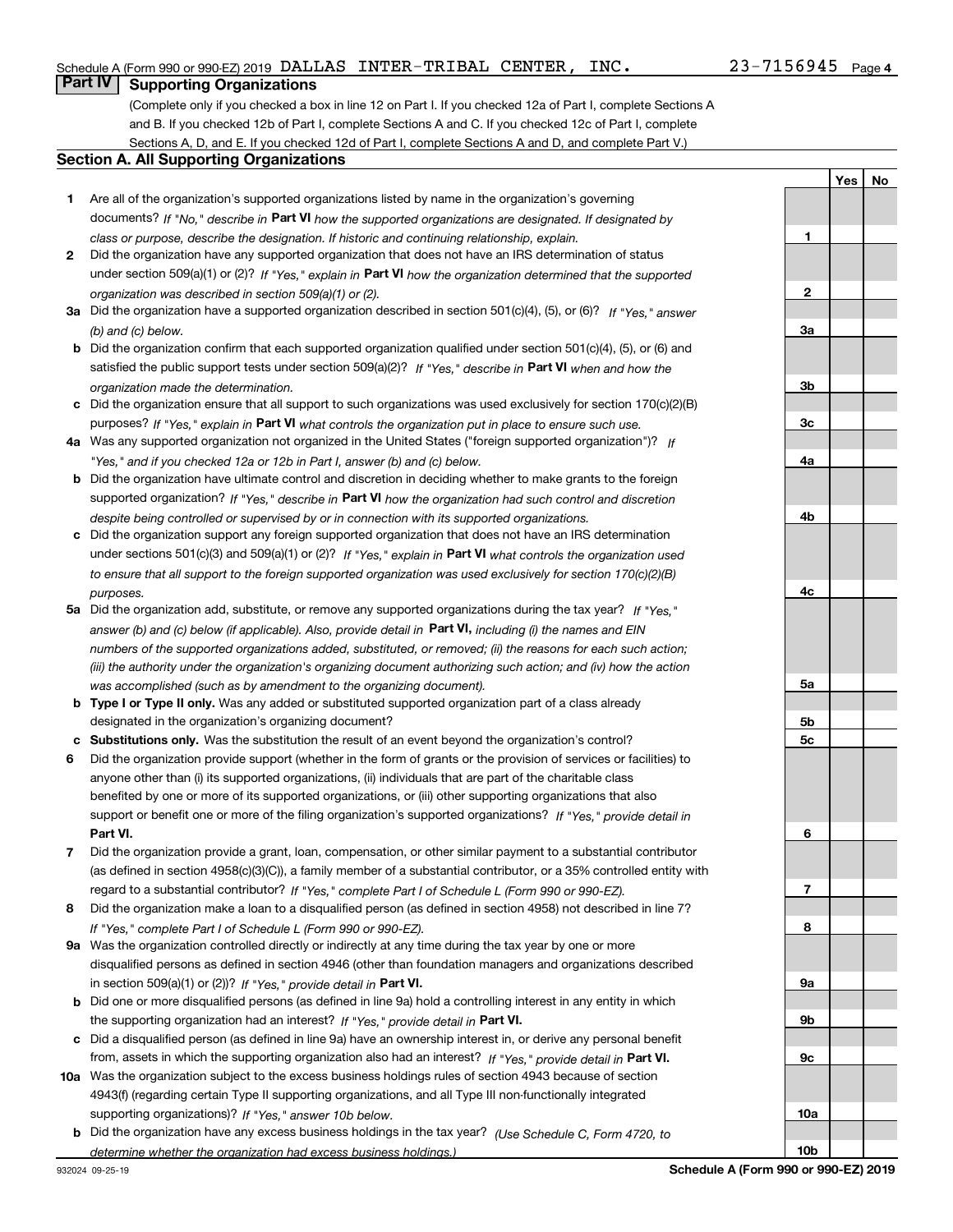**1**

**2**

**3a**

**YesNo**

# **Part IV Supporting Organizations**

(Complete only if you checked a box in line 12 on Part I. If you checked 12a of Part I, complete Sections A and B. If you checked 12b of Part I, complete Sections A and C. If you checked 12c of Part I, complete Sections A, D, and E. If you checked 12d of Part I, complete Sections A and D, and complete Part V.)

#### **Section A. All Supporting Organizations**

- **1** Are all of the organization's supported organizations listed by name in the organization's governing documents? If "No," describe in **Part VI** how the supported organizations are designated. If designated by *class or purpose, describe the designation. If historic and continuing relationship, explain.*
- **2** Did the organization have any supported organization that does not have an IRS determination of status under section 509(a)(1) or (2)? If "Yes," explain in Part VI how the organization determined that the supported *organization was described in section 509(a)(1) or (2).*
- **3a** Did the organization have a supported organization described in section 501(c)(4), (5), or (6)? If "Yes," answer *(b) and (c) below.*
- **b** Did the organization confirm that each supported organization qualified under section 501(c)(4), (5), or (6) and satisfied the public support tests under section 509(a)(2)? If "Yes," describe in **Part VI** when and how the *organization made the determination.*
- **c**Did the organization ensure that all support to such organizations was used exclusively for section 170(c)(2)(B) purposes? If "Yes," explain in **Part VI** what controls the organization put in place to ensure such use.
- **4a***If* Was any supported organization not organized in the United States ("foreign supported organization")? *"Yes," and if you checked 12a or 12b in Part I, answer (b) and (c) below.*
- **b** Did the organization have ultimate control and discretion in deciding whether to make grants to the foreign supported organization? If "Yes," describe in **Part VI** how the organization had such control and discretion *despite being controlled or supervised by or in connection with its supported organizations.*
- **c** Did the organization support any foreign supported organization that does not have an IRS determination under sections 501(c)(3) and 509(a)(1) or (2)? If "Yes," explain in **Part VI** what controls the organization used *to ensure that all support to the foreign supported organization was used exclusively for section 170(c)(2)(B) purposes.*
- **5a***If "Yes,"* Did the organization add, substitute, or remove any supported organizations during the tax year? answer (b) and (c) below (if applicable). Also, provide detail in **Part VI,** including (i) the names and EIN *numbers of the supported organizations added, substituted, or removed; (ii) the reasons for each such action; (iii) the authority under the organization's organizing document authorizing such action; and (iv) how the action was accomplished (such as by amendment to the organizing document).*
- **b** Type I or Type II only. Was any added or substituted supported organization part of a class already designated in the organization's organizing document?
- **cSubstitutions only.**  Was the substitution the result of an event beyond the organization's control?
- **6** Did the organization provide support (whether in the form of grants or the provision of services or facilities) to **Part VI.** *If "Yes," provide detail in* support or benefit one or more of the filing organization's supported organizations? anyone other than (i) its supported organizations, (ii) individuals that are part of the charitable class benefited by one or more of its supported organizations, or (iii) other supporting organizations that also
- **7**Did the organization provide a grant, loan, compensation, or other similar payment to a substantial contributor *If "Yes," complete Part I of Schedule L (Form 990 or 990-EZ).* regard to a substantial contributor? (as defined in section 4958(c)(3)(C)), a family member of a substantial contributor, or a 35% controlled entity with
- **8** Did the organization make a loan to a disqualified person (as defined in section 4958) not described in line 7? *If "Yes," complete Part I of Schedule L (Form 990 or 990-EZ).*
- **9a** Was the organization controlled directly or indirectly at any time during the tax year by one or more in section 509(a)(1) or (2))? If "Yes," *provide detail in* <code>Part VI.</code> disqualified persons as defined in section 4946 (other than foundation managers and organizations described
- **b** Did one or more disqualified persons (as defined in line 9a) hold a controlling interest in any entity in which the supporting organization had an interest? If "Yes," provide detail in P**art VI**.
- **c**Did a disqualified person (as defined in line 9a) have an ownership interest in, or derive any personal benefit from, assets in which the supporting organization also had an interest? If "Yes," provide detail in P**art VI.**
- **10a** Was the organization subject to the excess business holdings rules of section 4943 because of section supporting organizations)? If "Yes," answer 10b below. 4943(f) (regarding certain Type II supporting organizations, and all Type III non-functionally integrated
- **b** Did the organization have any excess business holdings in the tax year? (Use Schedule C, Form 4720, to *determine whether the organization had excess business holdings.)*

**10b**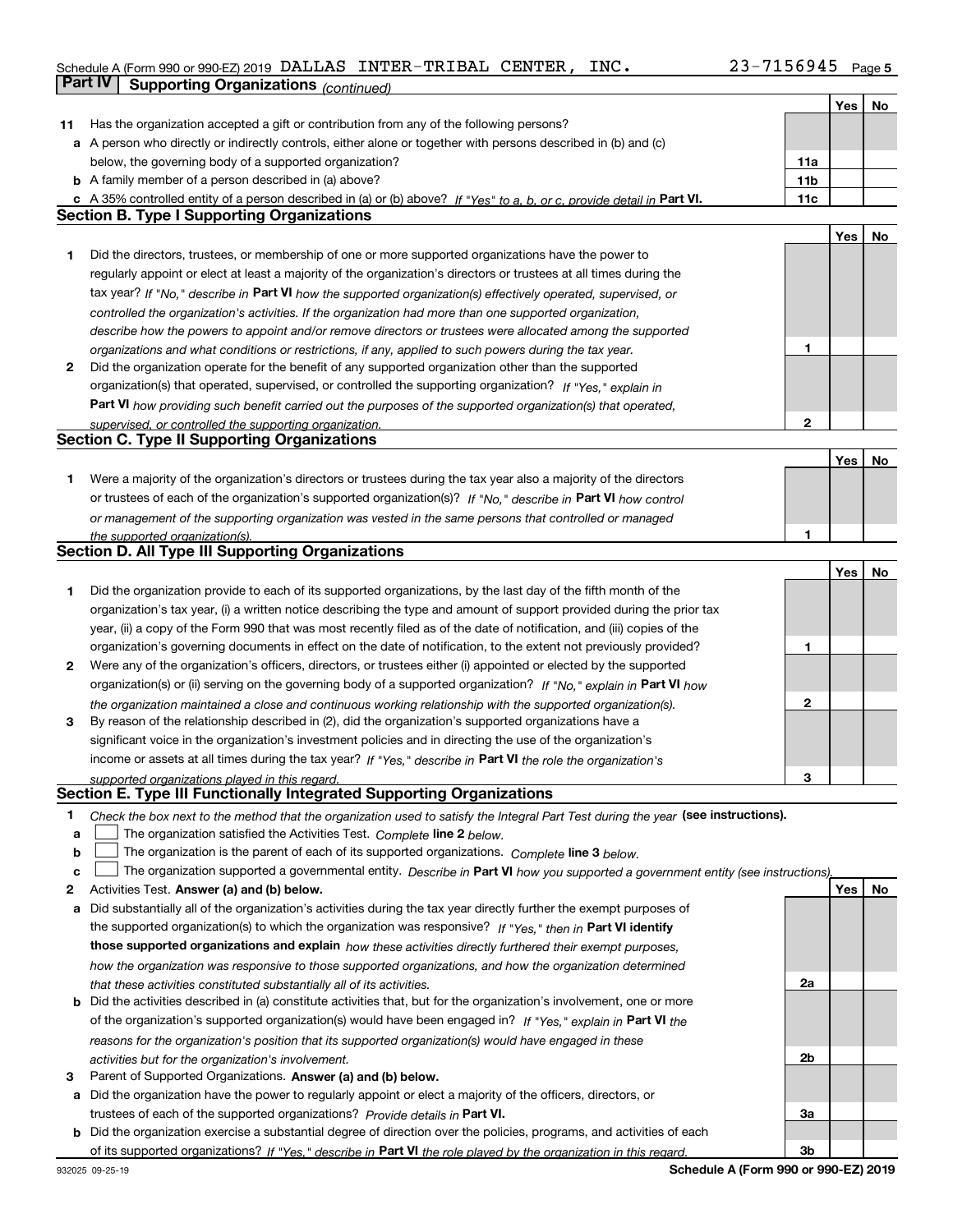### Schedule A (Form 990 or 990-EZ) 2019 Page DALLAS INTER-TRIBAL CENTER, INC. 23-7156945

|     | <b>Part IV</b><br><b>Supporting Organizations (continued)</b>                                                                     |                 |     |    |
|-----|-----------------------------------------------------------------------------------------------------------------------------------|-----------------|-----|----|
|     |                                                                                                                                   |                 | Yes | No |
| 11. | Has the organization accepted a gift or contribution from any of the following persons?                                           |                 |     |    |
|     | a A person who directly or indirectly controls, either alone or together with persons described in (b) and (c)                    |                 |     |    |
|     | below, the governing body of a supported organization?                                                                            | 11a             |     |    |
|     | <b>b</b> A family member of a person described in (a) above?                                                                      | 11 <sub>b</sub> |     |    |
|     | c A 35% controlled entity of a person described in (a) or (b) above? If "Yes" to a, b, or c, provide detail in Part VI.           | 11c             |     |    |
|     | <b>Section B. Type I Supporting Organizations</b>                                                                                 |                 |     |    |
|     |                                                                                                                                   |                 | Yes | No |
| 1   | Did the directors, trustees, or membership of one or more supported organizations have the power to                               |                 |     |    |
|     | regularly appoint or elect at least a majority of the organization's directors or trustees at all times during the                |                 |     |    |
|     | tax year? If "No," describe in Part VI how the supported organization(s) effectively operated, supervised, or                     |                 |     |    |
|     | controlled the organization's activities. If the organization had more than one supported organization,                           |                 |     |    |
|     | describe how the powers to appoint and/or remove directors or trustees were allocated among the supported                         |                 |     |    |
|     | organizations and what conditions or restrictions, if any, applied to such powers during the tax year.                            | 1               |     |    |
| 2   | Did the organization operate for the benefit of any supported organization other than the supported                               |                 |     |    |
|     | organization(s) that operated, supervised, or controlled the supporting organization? If "Yes," explain in                        |                 |     |    |
|     | <b>Part VI</b> how providing such benefit carried out the purposes of the supported organization(s) that operated,                |                 |     |    |
|     | supervised, or controlled the supporting organization.                                                                            | $\mathbf{2}$    |     |    |
|     | <b>Section C. Type II Supporting Organizations</b>                                                                                |                 |     |    |
|     |                                                                                                                                   |                 | Yes | No |
| 1.  | Were a majority of the organization's directors or trustees during the tax year also a majority of the directors                  |                 |     |    |
|     | or trustees of each of the organization's supported organization(s)? If "No." describe in Part VI how control                     |                 |     |    |
|     | or management of the supporting organization was vested in the same persons that controlled or managed                            |                 |     |    |
|     | the supported organization(s).                                                                                                    | 1               |     |    |
|     | <b>Section D. All Type III Supporting Organizations</b>                                                                           |                 |     |    |
|     |                                                                                                                                   |                 | Yes | No |
| 1   | Did the organization provide to each of its supported organizations, by the last day of the fifth month of the                    |                 |     |    |
|     | organization's tax year, (i) a written notice describing the type and amount of support provided during the prior tax             |                 |     |    |
|     | year, (ii) a copy of the Form 990 that was most recently filed as of the date of notification, and (iii) copies of the            |                 |     |    |
|     | organization's governing documents in effect on the date of notification, to the extent not previously provided?                  | 1               |     |    |
| 2   | Were any of the organization's officers, directors, or trustees either (i) appointed or elected by the supported                  |                 |     |    |
|     | organization(s) or (ii) serving on the governing body of a supported organization? If "No," explain in Part VI how                |                 |     |    |
|     | the organization maintained a close and continuous working relationship with the supported organization(s).                       | $\mathbf{2}$    |     |    |
| з   | By reason of the relationship described in (2), did the organization's supported organizations have a                             |                 |     |    |
|     | significant voice in the organization's investment policies and in directing the use of the organization's                        |                 |     |    |
|     | income or assets at all times during the tax year? If "Yes," describe in Part VI the role the organization's                      |                 |     |    |
|     | supported organizations played in this regard.                                                                                    | 3               |     |    |
|     | Section E. Type III Functionally Integrated Supporting Organizations                                                              |                 |     |    |
| 1   | Check the box next to the method that the organization used to satisfy the Integral Part Test during the year (see instructions). |                 |     |    |
| a   | The organization satisfied the Activities Test. Complete line 2 below.                                                            |                 |     |    |
| b   | The organization is the parent of each of its supported organizations. Complete line 3 below.                                     |                 |     |    |
| c   | The organization supported a governmental entity. Describe in Part VI how you supported a government entity (see instructions),   |                 |     |    |
| 2   | Activities Test. Answer (a) and (b) below.                                                                                        |                 | Yes | No |
| a   | Did substantially all of the organization's activities during the tax year directly further the exempt purposes of                |                 |     |    |
|     | the supported organization(s) to which the organization was responsive? If "Yes." then in Part VI identify                        |                 |     |    |
|     | those supported organizations and explain how these activities directly furthered their exempt purposes,                          |                 |     |    |
|     | how the organization was responsive to those supported organizations, and how the organization determined                         |                 |     |    |
|     | that these activities constituted substantially all of its activities.                                                            | 2a              |     |    |
|     | <b>b</b> Did the activities described in (a) constitute activities that, but for the organization's involvement, one or more      |                 |     |    |
|     | of the organization's supported organization(s) would have been engaged in? If "Yes," explain in Part VI the                      |                 |     |    |
|     | reasons for the organization's position that its supported organization(s) would have engaged in these                            |                 |     |    |
|     | activities but for the organization's involvement.                                                                                | 2b              |     |    |
| з   | Parent of Supported Organizations. Answer (a) and (b) below.                                                                      |                 |     |    |
|     | a Did the organization have the power to regularly appoint or elect a majority of the officers, directors, or                     |                 |     |    |
|     | trustees of each of the supported organizations? Provide details in Part VI.                                                      | За              |     |    |
|     | <b>b</b> Did the organization exercise a substantial degree of direction over the policies, programs, and activities of each      |                 |     |    |
|     | of its supported organizations? If "Yes." describe in Part VI the role played by the organization in this regard.                 | 3b              |     |    |

**Schedule A (Form 990 or 990-EZ) 2019**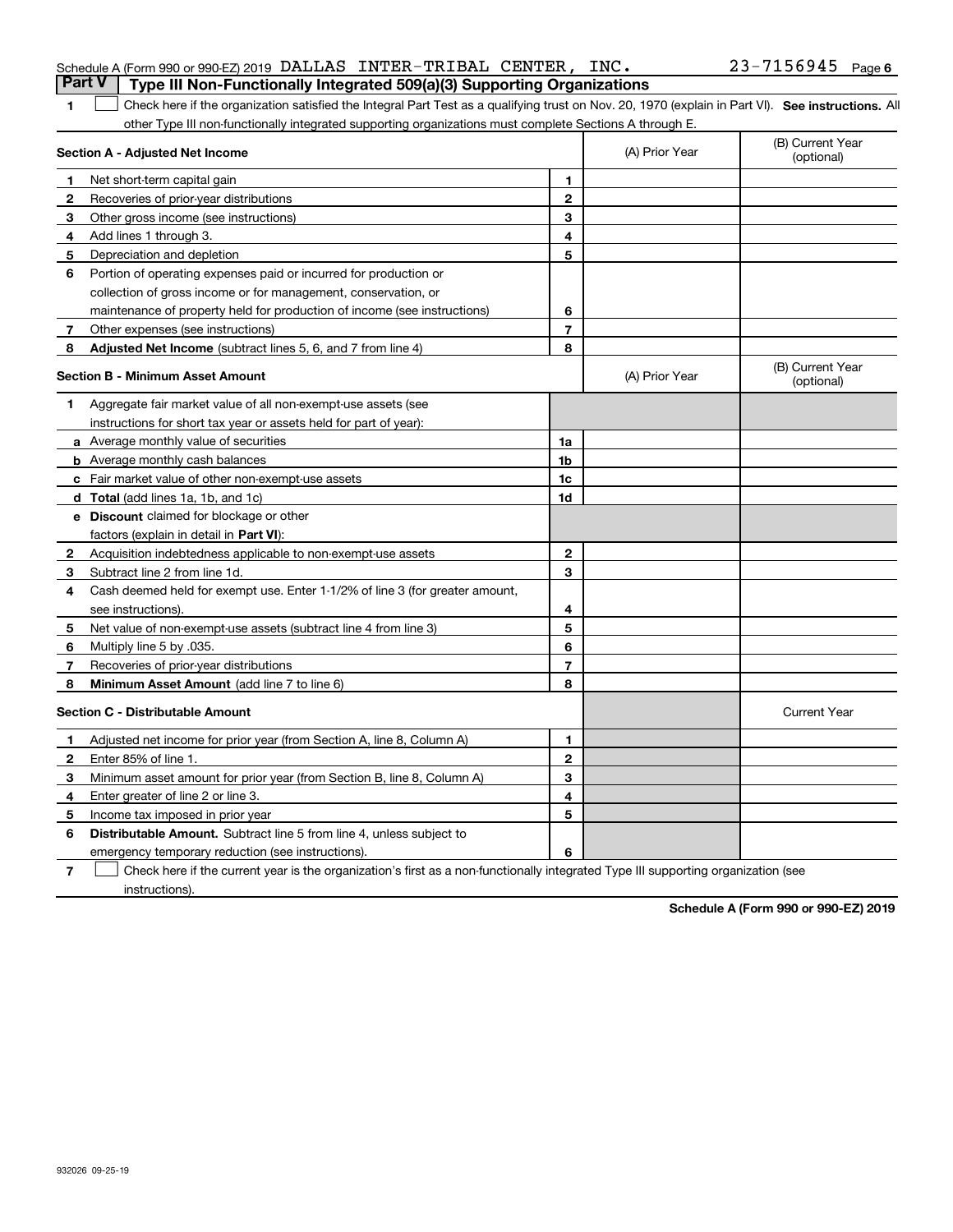| <b>Part V</b> | Type III Non-Functionally Integrated 509(a)(3) Supporting Organizations                                                                            |                |                                |                                |
|---------------|----------------------------------------------------------------------------------------------------------------------------------------------------|----------------|--------------------------------|--------------------------------|
| 1             | Check here if the organization satisfied the Integral Part Test as a qualifying trust on Nov. 20, 1970 (explain in Part VI). See instructions. All |                |                                |                                |
|               | other Type III non-functionally integrated supporting organizations must complete Sections A through E.                                            |                |                                |                                |
|               | Section A - Adjusted Net Income                                                                                                                    | (A) Prior Year | (B) Current Year<br>(optional) |                                |
| 1             | Net short-term capital gain                                                                                                                        | 1              |                                |                                |
| $\mathbf{2}$  | Recoveries of prior-year distributions                                                                                                             | $\overline{2}$ |                                |                                |
| 3             | Other gross income (see instructions)                                                                                                              | 3              |                                |                                |
| 4             | Add lines 1 through 3.                                                                                                                             | 4              |                                |                                |
| 5             | Depreciation and depletion                                                                                                                         | 5              |                                |                                |
| 6             | Portion of operating expenses paid or incurred for production or                                                                                   |                |                                |                                |
|               | collection of gross income or for management, conservation, or                                                                                     |                |                                |                                |
|               | maintenance of property held for production of income (see instructions)                                                                           | 6              |                                |                                |
| 7             | Other expenses (see instructions)                                                                                                                  | $\overline{7}$ |                                |                                |
| 8             | Adjusted Net Income (subtract lines 5, 6, and 7 from line 4)                                                                                       | 8              |                                |                                |
|               | <b>Section B - Minimum Asset Amount</b>                                                                                                            |                | (A) Prior Year                 | (B) Current Year<br>(optional) |
| 1             | Aggregate fair market value of all non-exempt-use assets (see                                                                                      |                |                                |                                |
|               | instructions for short tax year or assets held for part of year):                                                                                  |                |                                |                                |
|               | <b>a</b> Average monthly value of securities                                                                                                       | 1a             |                                |                                |
|               | <b>b</b> Average monthly cash balances                                                                                                             | 1b             |                                |                                |
|               | c Fair market value of other non-exempt-use assets                                                                                                 | 1c             |                                |                                |
|               | d Total (add lines 1a, 1b, and 1c)                                                                                                                 | 1d             |                                |                                |
|               | e Discount claimed for blockage or other                                                                                                           |                |                                |                                |
|               | factors (explain in detail in <b>Part VI</b> ):                                                                                                    |                |                                |                                |
| $\mathbf{2}$  | Acquisition indebtedness applicable to non-exempt-use assets                                                                                       | $\mathbf{2}$   |                                |                                |
| 3             | Subtract line 2 from line 1d.                                                                                                                      | 3              |                                |                                |
| 4             | Cash deemed held for exempt use. Enter 1-1/2% of line 3 (for greater amount,                                                                       |                |                                |                                |
|               | see instructions).                                                                                                                                 | 4              |                                |                                |
| 5             | Net value of non-exempt-use assets (subtract line 4 from line 3)                                                                                   | 5              |                                |                                |
| 6             | Multiply line 5 by .035.                                                                                                                           | 6              |                                |                                |
| 7             | Recoveries of prior-year distributions                                                                                                             | $\overline{7}$ |                                |                                |
| 8             | Minimum Asset Amount (add line 7 to line 6)                                                                                                        | 8              |                                |                                |
|               | <b>Section C - Distributable Amount</b>                                                                                                            |                |                                | <b>Current Year</b>            |
| 1             | Adjusted net income for prior year (from Section A, line 8, Column A)                                                                              | 1              |                                |                                |
| 2             | Enter 85% of line 1.                                                                                                                               | $\overline{2}$ |                                |                                |
| з             | Minimum asset amount for prior year (from Section B, line 8, Column A)                                                                             | 3              |                                |                                |
| 4             | Enter greater of line 2 or line 3.                                                                                                                 | 4              |                                |                                |
| 5             | Income tax imposed in prior year                                                                                                                   | 5              |                                |                                |
| 6             | <b>Distributable Amount.</b> Subtract line 5 from line 4, unless subject to                                                                        |                |                                |                                |
|               | emergency temporary reduction (see instructions).                                                                                                  | 6              |                                |                                |

Schedule A (Form 990 or 990-EZ) 2019 Page DALLAS INTER-TRIBAL CENTER, INC. 23-7156945

**7**Check here if the current year is the organization's first as a non-functionally integrated Type III supporting organization (see instructions).

**Schedule A (Form 990 or 990-EZ) 2019**

**6**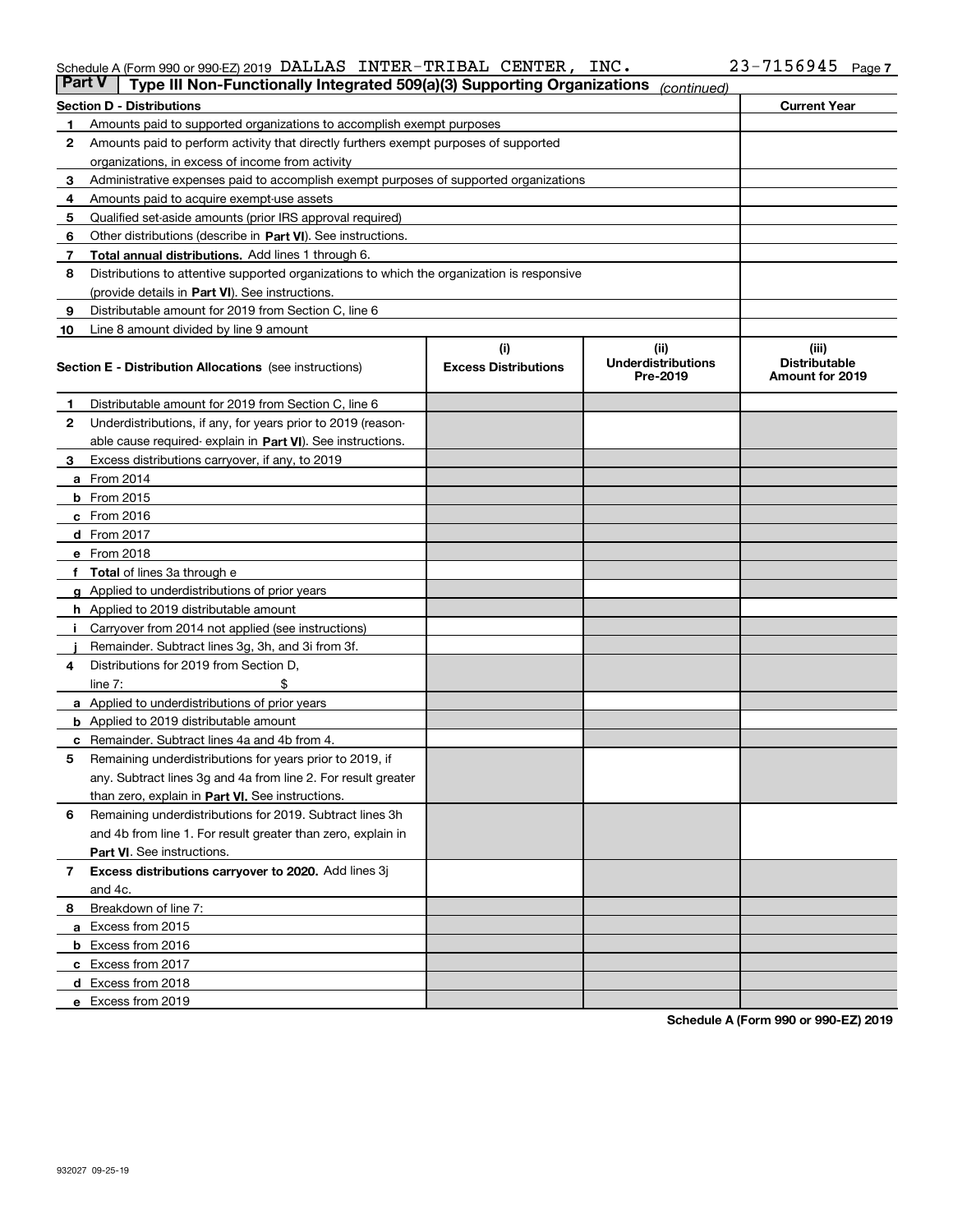### Schedule A (Form 990 or 990-EZ) 2019 Page DALLAS INTER-TRIBAL CENTER, INC. 23-7156945

| Part V | Type III Non-Functionally Integrated 509(a)(3) Supporting Organizations                    |                             | (continued)                           |                                         |
|--------|--------------------------------------------------------------------------------------------|-----------------------------|---------------------------------------|-----------------------------------------|
|        | <b>Section D - Distributions</b>                                                           |                             |                                       | <b>Current Year</b>                     |
| 1      | Amounts paid to supported organizations to accomplish exempt purposes                      |                             |                                       |                                         |
| 2      | Amounts paid to perform activity that directly furthers exempt purposes of supported       |                             |                                       |                                         |
|        | organizations, in excess of income from activity                                           |                             |                                       |                                         |
| з      | Administrative expenses paid to accomplish exempt purposes of supported organizations      |                             |                                       |                                         |
| 4      | Amounts paid to acquire exempt-use assets                                                  |                             |                                       |                                         |
| 5      | Qualified set-aside amounts (prior IRS approval required)                                  |                             |                                       |                                         |
| 6      | Other distributions (describe in Part VI). See instructions.                               |                             |                                       |                                         |
| 7      | <b>Total annual distributions.</b> Add lines 1 through 6.                                  |                             |                                       |                                         |
| 8      | Distributions to attentive supported organizations to which the organization is responsive |                             |                                       |                                         |
|        | (provide details in Part VI). See instructions.                                            |                             |                                       |                                         |
| 9      | Distributable amount for 2019 from Section C, line 6                                       |                             |                                       |                                         |
| 10     | Line 8 amount divided by line 9 amount                                                     |                             |                                       |                                         |
|        |                                                                                            | (i)                         | (iii)                                 | (iii)                                   |
|        | <b>Section E - Distribution Allocations</b> (see instructions)                             | <b>Excess Distributions</b> | <b>Underdistributions</b><br>Pre-2019 | <b>Distributable</b><br>Amount for 2019 |
| 1      | Distributable amount for 2019 from Section C, line 6                                       |                             |                                       |                                         |
| 2      | Underdistributions, if any, for years prior to 2019 (reason-                               |                             |                                       |                                         |
|        | able cause required- explain in Part VI). See instructions.                                |                             |                                       |                                         |
| з      | Excess distributions carryover, if any, to 2019                                            |                             |                                       |                                         |
|        | <b>a</b> From 2014                                                                         |                             |                                       |                                         |
|        | <b>b</b> From 2015                                                                         |                             |                                       |                                         |
|        | $c$ From 2016                                                                              |                             |                                       |                                         |
|        | d From 2017                                                                                |                             |                                       |                                         |
|        | e From 2018                                                                                |                             |                                       |                                         |
|        | Total of lines 3a through e                                                                |                             |                                       |                                         |
|        | <b>g</b> Applied to underdistributions of prior years                                      |                             |                                       |                                         |
|        | <b>h</b> Applied to 2019 distributable amount                                              |                             |                                       |                                         |
|        | Carryover from 2014 not applied (see instructions)                                         |                             |                                       |                                         |
|        | Remainder. Subtract lines 3g, 3h, and 3i from 3f.                                          |                             |                                       |                                         |
| 4      | Distributions for 2019 from Section D,                                                     |                             |                                       |                                         |
|        | line $7:$                                                                                  |                             |                                       |                                         |
|        | <b>a</b> Applied to underdistributions of prior years                                      |                             |                                       |                                         |
|        | <b>b</b> Applied to 2019 distributable amount                                              |                             |                                       |                                         |
| с      | Remainder. Subtract lines 4a and 4b from 4.                                                |                             |                                       |                                         |
| 5      | Remaining underdistributions for years prior to 2019, if                                   |                             |                                       |                                         |
|        | any. Subtract lines 3g and 4a from line 2. For result greater                              |                             |                                       |                                         |
|        | than zero, explain in Part VI. See instructions.                                           |                             |                                       |                                         |
| 6      | Remaining underdistributions for 2019. Subtract lines 3h                                   |                             |                                       |                                         |
|        | and 4b from line 1. For result greater than zero, explain in                               |                             |                                       |                                         |
|        | Part VI. See instructions.                                                                 |                             |                                       |                                         |
| 7      | Excess distributions carryover to 2020. Add lines 3j                                       |                             |                                       |                                         |
|        | and 4c.                                                                                    |                             |                                       |                                         |
| 8      | Breakdown of line 7:                                                                       |                             |                                       |                                         |
|        | a Excess from 2015                                                                         |                             |                                       |                                         |
|        | <b>b</b> Excess from 2016                                                                  |                             |                                       |                                         |
|        | c Excess from 2017                                                                         |                             |                                       |                                         |
|        | d Excess from 2018                                                                         |                             |                                       |                                         |
|        |                                                                                            |                             |                                       |                                         |
|        | e Excess from 2019                                                                         |                             |                                       |                                         |

**Schedule A (Form 990 or 990-EZ) 2019**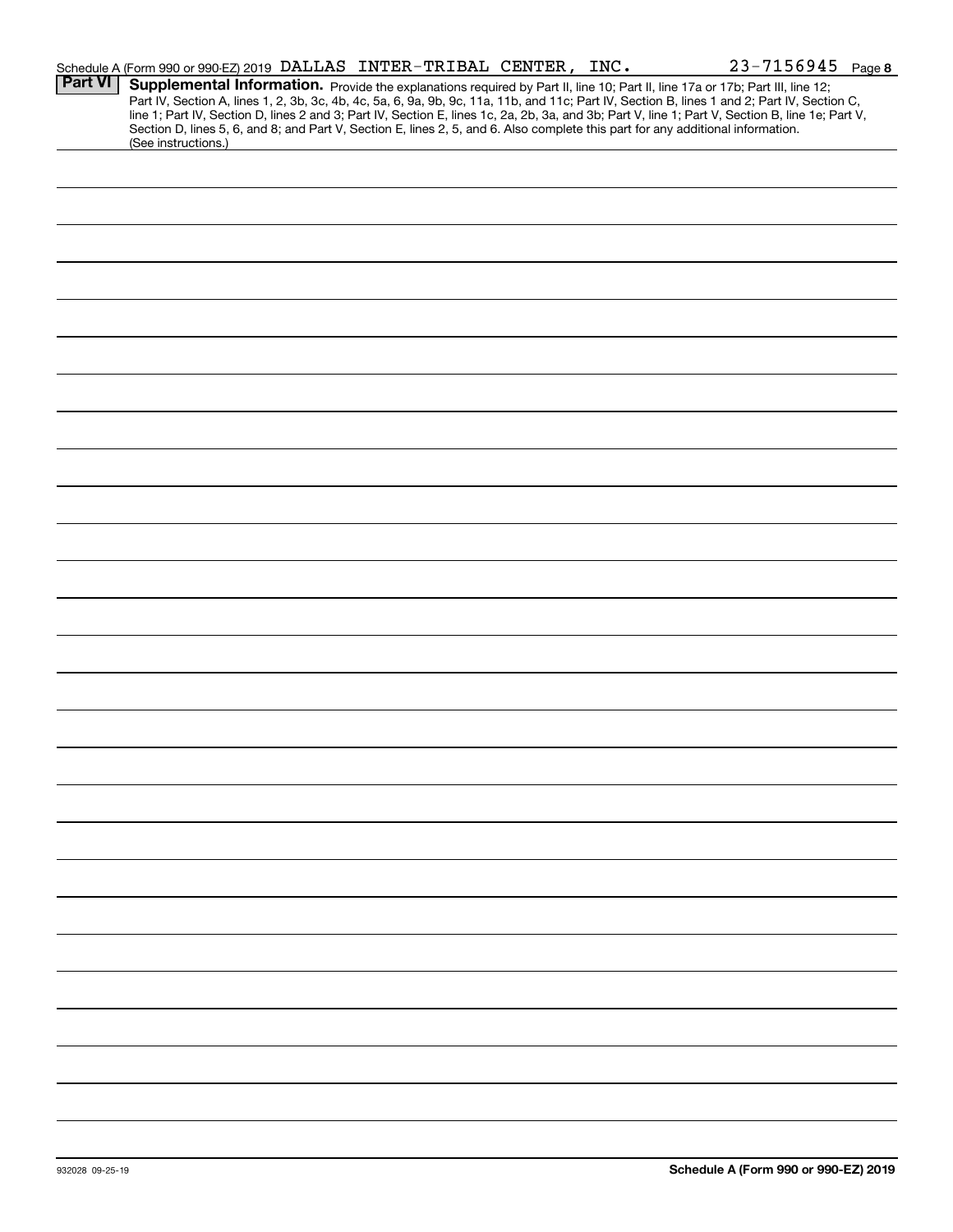|                | $23 - 7156945$ Page 8<br>Schedule A (Form 990 or 990-EZ) 2019 DALLAS INTER-TRIBAL CENTER, INC.                                                                                                                                                                                                                                                                                                                                                                                                                                                                                              |
|----------------|---------------------------------------------------------------------------------------------------------------------------------------------------------------------------------------------------------------------------------------------------------------------------------------------------------------------------------------------------------------------------------------------------------------------------------------------------------------------------------------------------------------------------------------------------------------------------------------------|
| <b>Part VI</b> | Supplemental Information. Provide the explanations required by Part II, line 10; Part II, line 17a or 17b; Part III, line 12;<br>Part IV, Section A, lines 1, 2, 3b, 3c, 4b, 4c, 5a, 6, 9a, 9b, 9c, 11a, 11b, and 11c; Part IV, Section B, lines 1 and 2; Part IV, Section C,<br>line 1; Part IV, Section D, lines 2 and 3; Part IV, Section E, lines 1c, 2a, 2b, 3a, and 3b; Part V, line 1; Part V, Section B, line 1e; Part V,<br>Section D, lines 5, 6, and 8; and Part V, Section E, lines 2, 5, and 6. Also complete this part for any additional information.<br>(See instructions.) |
|                |                                                                                                                                                                                                                                                                                                                                                                                                                                                                                                                                                                                             |
|                |                                                                                                                                                                                                                                                                                                                                                                                                                                                                                                                                                                                             |
|                |                                                                                                                                                                                                                                                                                                                                                                                                                                                                                                                                                                                             |
|                |                                                                                                                                                                                                                                                                                                                                                                                                                                                                                                                                                                                             |
|                |                                                                                                                                                                                                                                                                                                                                                                                                                                                                                                                                                                                             |
|                |                                                                                                                                                                                                                                                                                                                                                                                                                                                                                                                                                                                             |
|                |                                                                                                                                                                                                                                                                                                                                                                                                                                                                                                                                                                                             |
|                |                                                                                                                                                                                                                                                                                                                                                                                                                                                                                                                                                                                             |
|                |                                                                                                                                                                                                                                                                                                                                                                                                                                                                                                                                                                                             |
|                |                                                                                                                                                                                                                                                                                                                                                                                                                                                                                                                                                                                             |
|                |                                                                                                                                                                                                                                                                                                                                                                                                                                                                                                                                                                                             |
|                |                                                                                                                                                                                                                                                                                                                                                                                                                                                                                                                                                                                             |
|                |                                                                                                                                                                                                                                                                                                                                                                                                                                                                                                                                                                                             |
|                |                                                                                                                                                                                                                                                                                                                                                                                                                                                                                                                                                                                             |
|                |                                                                                                                                                                                                                                                                                                                                                                                                                                                                                                                                                                                             |
|                |                                                                                                                                                                                                                                                                                                                                                                                                                                                                                                                                                                                             |
|                |                                                                                                                                                                                                                                                                                                                                                                                                                                                                                                                                                                                             |
|                |                                                                                                                                                                                                                                                                                                                                                                                                                                                                                                                                                                                             |
|                |                                                                                                                                                                                                                                                                                                                                                                                                                                                                                                                                                                                             |
|                |                                                                                                                                                                                                                                                                                                                                                                                                                                                                                                                                                                                             |
|                |                                                                                                                                                                                                                                                                                                                                                                                                                                                                                                                                                                                             |
|                |                                                                                                                                                                                                                                                                                                                                                                                                                                                                                                                                                                                             |
|                |                                                                                                                                                                                                                                                                                                                                                                                                                                                                                                                                                                                             |
|                |                                                                                                                                                                                                                                                                                                                                                                                                                                                                                                                                                                                             |
|                |                                                                                                                                                                                                                                                                                                                                                                                                                                                                                                                                                                                             |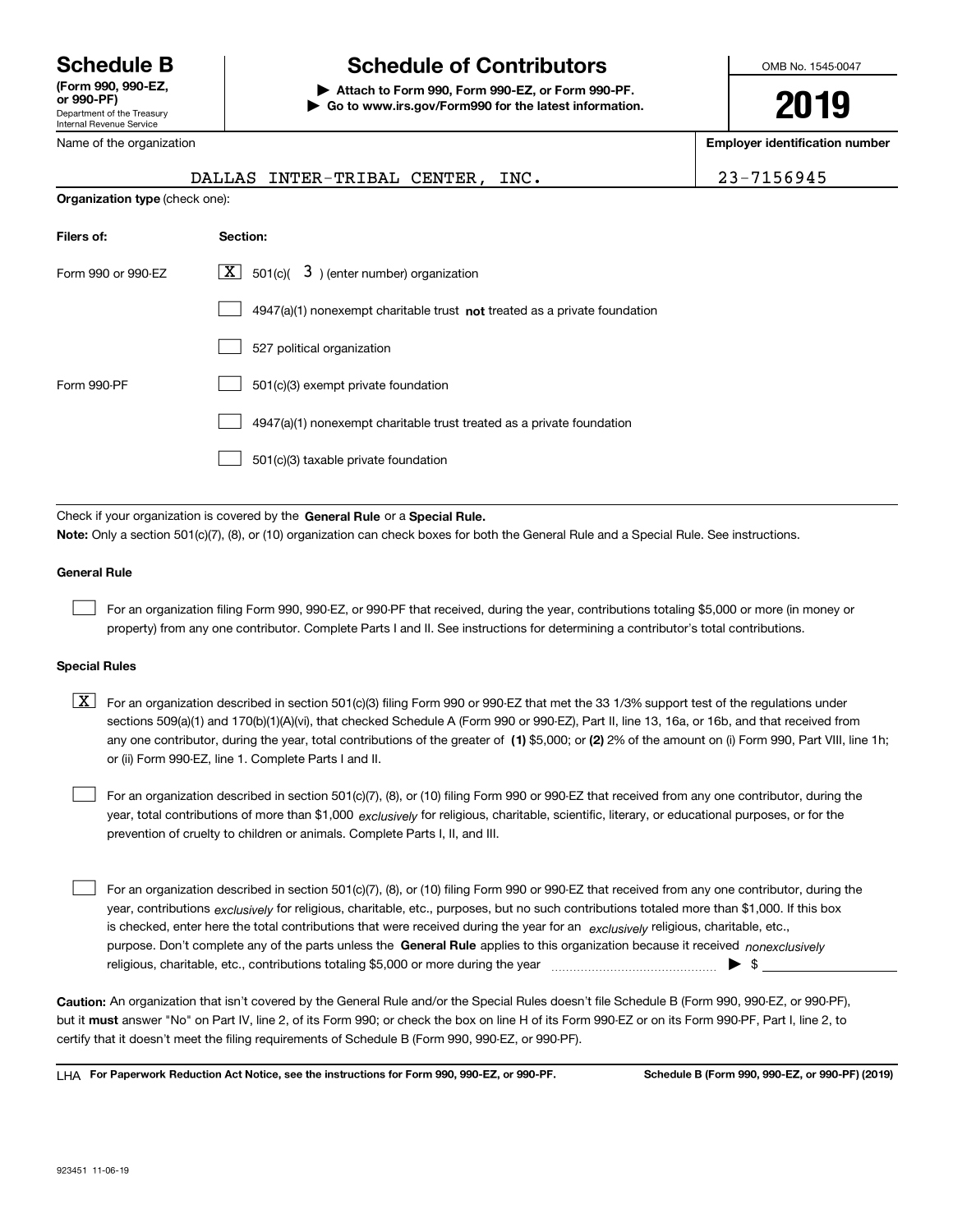Department of the Treasury Internal Revenue Service **(Form 990, 990-EZ, or 990-PF)** Name of the organization

# **Schedule B Schedule of Contributors**

**| Attach to Form 990, Form 990-EZ, or Form 990-PF. | Go to www.irs.gov/Form990 for the latest information.** OMB No. 1545-0047

**2019**

**Employer identification number**

|                                       | DALLAS INTER-TRIBAL CENTER, INC.                                                                                                          | 23-7156945 |
|---------------------------------------|-------------------------------------------------------------------------------------------------------------------------------------------|------------|
| <b>Organization type (check one):</b> |                                                                                                                                           |            |
| Filers of:                            | Section:                                                                                                                                  |            |
| Form 990 or 990-EZ                    | $\lfloor x \rfloor$ 501(c)( 3) (enter number) organization                                                                                |            |
|                                       | $4947(a)(1)$ nonexempt charitable trust not treated as a private foundation                                                               |            |
|                                       | 527 political organization                                                                                                                |            |
| Form 990-PF                           | 501(c)(3) exempt private foundation                                                                                                       |            |
|                                       | 4947(a)(1) nonexempt charitable trust treated as a private foundation                                                                     |            |
|                                       | 501(c)(3) taxable private foundation                                                                                                      |            |
|                                       |                                                                                                                                           |            |
|                                       | Check if your organization is covered by the General Rule or a Special Rule.                                                              |            |
|                                       | Note: Only a section 501(c)(7), (8), or (10) organization can check boxes for both the General Rule and a Special Rule. See instructions. |            |

#### **General Rule**

 $\mathcal{L}^{\text{max}}$ 

For an organization filing Form 990, 990-EZ, or 990-PF that received, during the year, contributions totaling \$5,000 or more (in money or property) from any one contributor. Complete Parts I and II. See instructions for determining a contributor's total contributions.

#### **Special Rules**

any one contributor, during the year, total contributions of the greater of  $\,$  (1) \$5,000; or **(2)** 2% of the amount on (i) Form 990, Part VIII, line 1h;  $\boxed{\textbf{X}}$  For an organization described in section 501(c)(3) filing Form 990 or 990-EZ that met the 33 1/3% support test of the regulations under sections 509(a)(1) and 170(b)(1)(A)(vi), that checked Schedule A (Form 990 or 990-EZ), Part II, line 13, 16a, or 16b, and that received from or (ii) Form 990-EZ, line 1. Complete Parts I and II.

year, total contributions of more than \$1,000 *exclusively* for religious, charitable, scientific, literary, or educational purposes, or for the For an organization described in section 501(c)(7), (8), or (10) filing Form 990 or 990-EZ that received from any one contributor, during the prevention of cruelty to children or animals. Complete Parts I, II, and III.  $\mathcal{L}^{\text{max}}$ 

purpose. Don't complete any of the parts unless the **General Rule** applies to this organization because it received *nonexclusively* year, contributions <sub>exclusively</sub> for religious, charitable, etc., purposes, but no such contributions totaled more than \$1,000. If this box is checked, enter here the total contributions that were received during the year for an  $\;$ exclusively religious, charitable, etc., For an organization described in section 501(c)(7), (8), or (10) filing Form 990 or 990-EZ that received from any one contributor, during the religious, charitable, etc., contributions totaling \$5,000 or more during the year  $\Box$ — $\Box$  =  $\Box$  $\mathcal{L}^{\text{max}}$ 

**Caution:**  An organization that isn't covered by the General Rule and/or the Special Rules doesn't file Schedule B (Form 990, 990-EZ, or 990-PF),  **must** but it answer "No" on Part IV, line 2, of its Form 990; or check the box on line H of its Form 990-EZ or on its Form 990-PF, Part I, line 2, to certify that it doesn't meet the filing requirements of Schedule B (Form 990, 990-EZ, or 990-PF).

**For Paperwork Reduction Act Notice, see the instructions for Form 990, 990-EZ, or 990-PF. Schedule B (Form 990, 990-EZ, or 990-PF) (2019)** LHA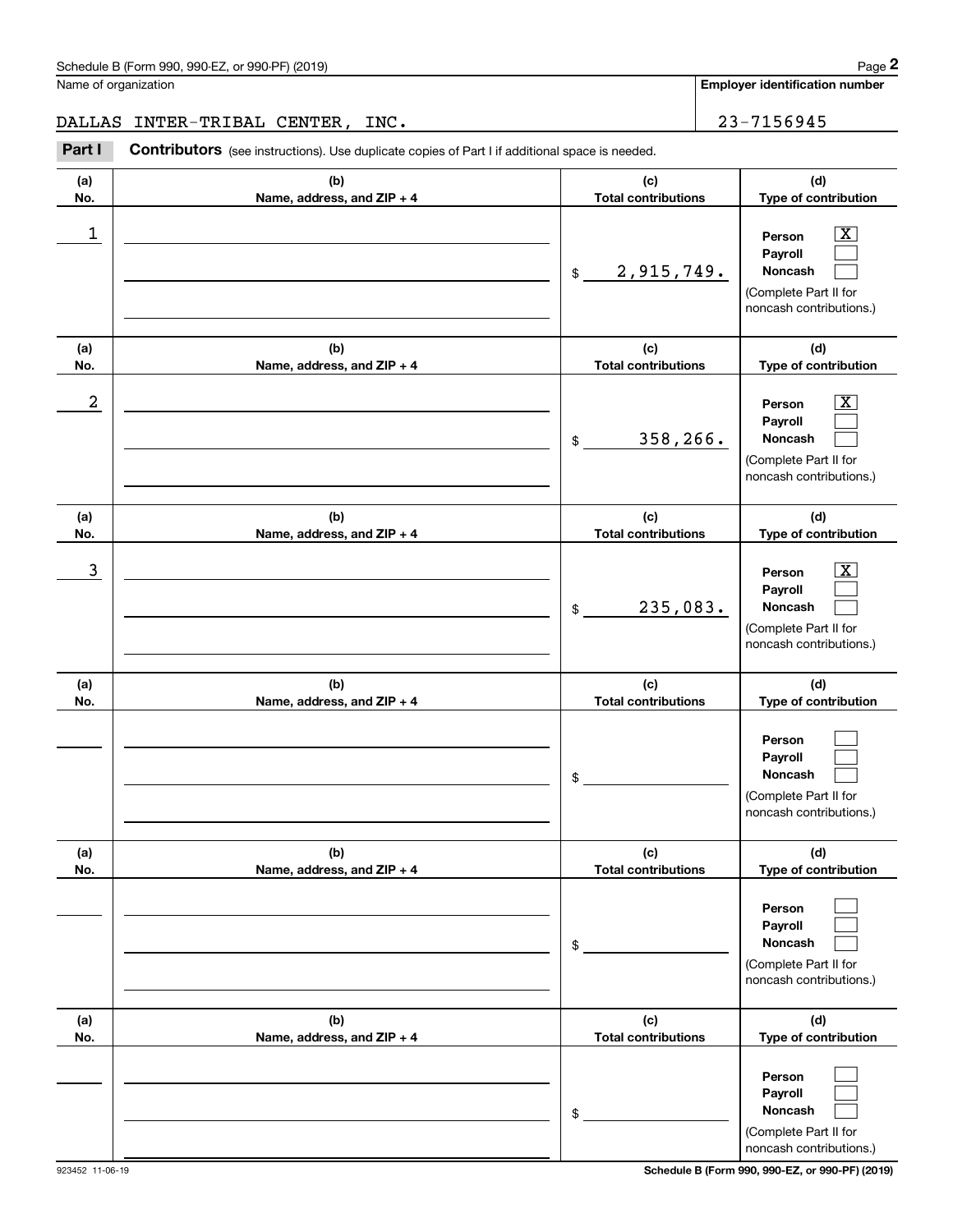**Employer identification number**

## DALLAS INTER-TRIBAL CENTER, INC. 23-7156945

(schedule B (Form 990, 990-EZ, or 990-PF) (2019)<br> **23-7156945**<br> **23-7156945**<br> **23-7156945**<br> **23-7156945**<br> **23-7156945** 

| (a)<br>No. | (b)<br>Name, address, and ZIP + 4 | (c)<br><b>Total contributions</b> | (d)<br>Type of contribution                                                                                 |
|------------|-----------------------------------|-----------------------------------|-------------------------------------------------------------------------------------------------------------|
| 1          |                                   | 2,915,749.<br>\$                  | $\overline{\text{X}}$<br>Person<br>Payroll<br>Noncash<br>(Complete Part II for<br>noncash contributions.)   |
| (a)<br>No. | (b)<br>Name, address, and ZIP + 4 | (c)<br><b>Total contributions</b> | (d)<br>Type of contribution                                                                                 |
| 2          |                                   | 358,266.<br>\$                    | $\overline{\text{X}}$<br>Person<br>Payroll<br>Noncash<br>(Complete Part II for<br>noncash contributions.)   |
| (a)<br>No. | (b)<br>Name, address, and ZIP + 4 | (c)<br><b>Total contributions</b> | (d)<br>Type of contribution                                                                                 |
| 3          |                                   | 235,083.<br>\$                    | $\overline{\texttt{X}}$<br>Person<br>Payroll<br>Noncash<br>(Complete Part II for<br>noncash contributions.) |
| (a)<br>No. | (b)<br>Name, address, and ZIP + 4 | (c)<br><b>Total contributions</b> | (d)<br>Type of contribution                                                                                 |
|            |                                   | \$                                | Person<br>Payroll<br>Noncash<br>(Complete Part II for<br>noncash contributions.)                            |
| (a)<br>No. | (b)<br>Name, address, and ZIP + 4 | (c)<br><b>Total contributions</b> | (d)<br>Type of contribution                                                                                 |
|            |                                   | \$                                | Person<br>Payroll<br>Noncash<br>(Complete Part II for<br>noncash contributions.)                            |
| (a)<br>No. | (b)<br>Name, address, and ZIP + 4 | (c)<br><b>Total contributions</b> | (d)<br>Type of contribution                                                                                 |
|            |                                   | \$                                | Person<br>Payroll<br>Noncash<br>(Complete Part II for<br>noncash contributions.)                            |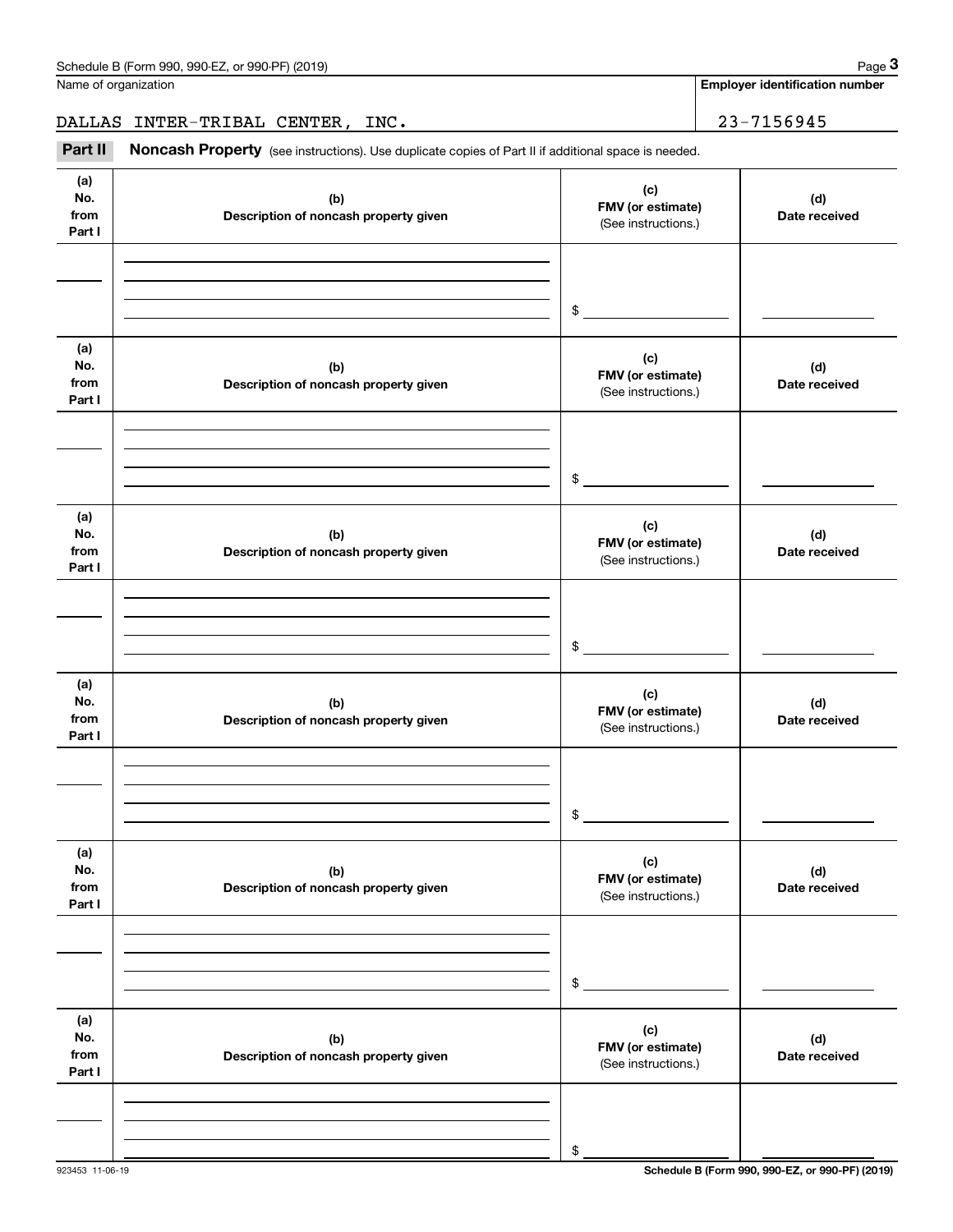**Employer identification number**

DALLAS INTER-TRIBAL CENTER, INC. 23-7156945

(see instructions). Use duplicate copies of Part II if additional space is needed.<br> **29-7156945**<br> **Part II Moncash Property** (see instructions). Use duplicate copies of Part II if additional space is needed.

| (a)<br>No.<br>from<br>Part I | (b)<br>Description of noncash property given | (c)<br>FMV (or estimate)<br>(See instructions.) | (d)<br>Date received |
|------------------------------|----------------------------------------------|-------------------------------------------------|----------------------|
|                              |                                              |                                                 |                      |
|                              |                                              | $$\tilde{\phantom{a}}$$                         |                      |
| (a)<br>No.<br>from<br>Part I | (b)<br>Description of noncash property given | (c)<br>FMV (or estimate)<br>(See instructions.) | (d)<br>Date received |
|                              |                                              |                                                 |                      |
|                              |                                              | $$\tilde{\phantom{a}}$$                         |                      |
| (a)<br>No.<br>from<br>Part I | (b)<br>Description of noncash property given | (c)<br>FMV (or estimate)<br>(See instructions.) | (d)<br>Date received |
|                              |                                              |                                                 |                      |
|                              |                                              | \$                                              |                      |
| (a)<br>No.<br>from<br>Part I | (b)<br>Description of noncash property given | (c)<br>FMV (or estimate)<br>(See instructions.) | (d)<br>Date received |
|                              |                                              |                                                 |                      |
|                              |                                              | \$                                              |                      |
| (a)<br>No.<br>from<br>Part I | (b)<br>Description of noncash property given | (c)<br>FMV (or estimate)<br>(See instructions.) | (d)<br>Date received |
|                              |                                              |                                                 |                      |
|                              |                                              | \$                                              |                      |
| (a)<br>No.<br>from<br>Part I | (b)<br>Description of noncash property given | (c)<br>FMV (or estimate)<br>(See instructions.) | (d)<br>Date received |
|                              |                                              |                                                 |                      |
|                              |                                              | \$                                              |                      |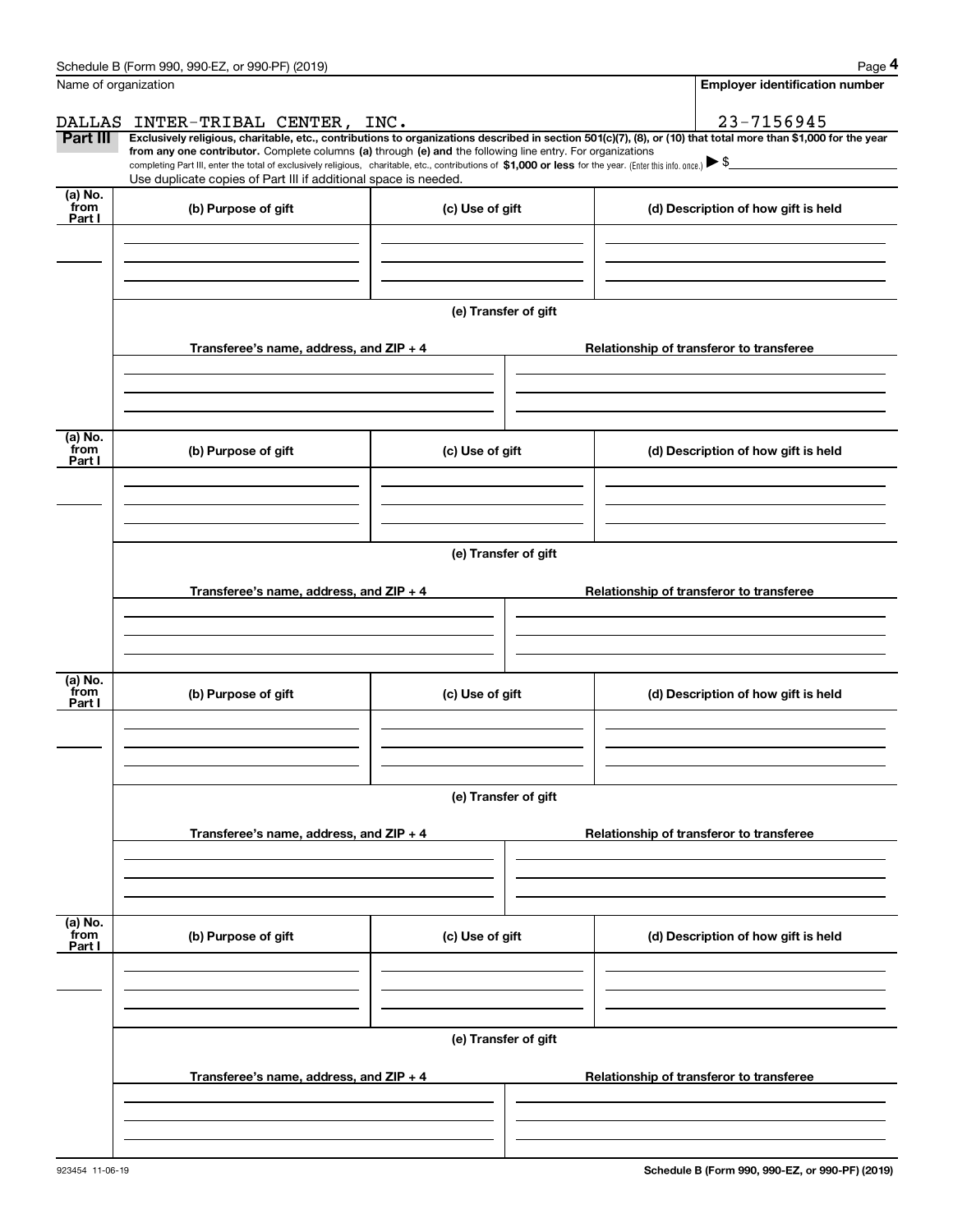|                           | Schedule B (Form 990, 990-EZ, or 990-PF) (2019)                                                                                                              |                      | Page 4                                                                                                                                                         |  |  |  |  |
|---------------------------|--------------------------------------------------------------------------------------------------------------------------------------------------------------|----------------------|----------------------------------------------------------------------------------------------------------------------------------------------------------------|--|--|--|--|
| Name of organization      |                                                                                                                                                              |                      | <b>Employer identification number</b>                                                                                                                          |  |  |  |  |
|                           | DALLAS INTER-TRIBAL CENTER, INC.                                                                                                                             |                      | 23-7156945                                                                                                                                                     |  |  |  |  |
| Part III                  | from any one contributor. Complete columns (a) through (e) and the following line entry. For organizations                                                   |                      | Exclusively religious, charitable, etc., contributions to organizations described in section 501(c)(7), (8), or (10) that total more than \$1,000 for the year |  |  |  |  |
|                           | completing Part III, enter the total of exclusively religious, charitable, etc., contributions of \$1,000 or less for the year. (Enter this info. once.) \\$ |                      |                                                                                                                                                                |  |  |  |  |
| (a) No.                   | Use duplicate copies of Part III if additional space is needed.                                                                                              |                      |                                                                                                                                                                |  |  |  |  |
| from<br>Part I            | (b) Purpose of gift                                                                                                                                          | (c) Use of gift      | (d) Description of how gift is held                                                                                                                            |  |  |  |  |
|                           |                                                                                                                                                              |                      |                                                                                                                                                                |  |  |  |  |
|                           |                                                                                                                                                              |                      |                                                                                                                                                                |  |  |  |  |
|                           |                                                                                                                                                              |                      |                                                                                                                                                                |  |  |  |  |
|                           |                                                                                                                                                              | (e) Transfer of gift |                                                                                                                                                                |  |  |  |  |
|                           |                                                                                                                                                              |                      |                                                                                                                                                                |  |  |  |  |
|                           | Transferee's name, address, and ZIP + 4                                                                                                                      |                      | Relationship of transferor to transferee                                                                                                                       |  |  |  |  |
|                           |                                                                                                                                                              |                      |                                                                                                                                                                |  |  |  |  |
|                           |                                                                                                                                                              |                      |                                                                                                                                                                |  |  |  |  |
|                           |                                                                                                                                                              |                      |                                                                                                                                                                |  |  |  |  |
| (a) No.<br>from<br>Part I | (b) Purpose of gift                                                                                                                                          | (c) Use of gift      | (d) Description of how gift is held                                                                                                                            |  |  |  |  |
|                           |                                                                                                                                                              |                      |                                                                                                                                                                |  |  |  |  |
|                           |                                                                                                                                                              |                      |                                                                                                                                                                |  |  |  |  |
|                           |                                                                                                                                                              |                      |                                                                                                                                                                |  |  |  |  |
|                           | (e) Transfer of gift                                                                                                                                         |                      |                                                                                                                                                                |  |  |  |  |
|                           |                                                                                                                                                              |                      |                                                                                                                                                                |  |  |  |  |
|                           | Transferee's name, address, and ZIP + 4                                                                                                                      |                      | Relationship of transferor to transferee                                                                                                                       |  |  |  |  |
|                           |                                                                                                                                                              |                      |                                                                                                                                                                |  |  |  |  |
|                           |                                                                                                                                                              |                      |                                                                                                                                                                |  |  |  |  |
| (a) No.                   |                                                                                                                                                              |                      |                                                                                                                                                                |  |  |  |  |
| from<br>Part I            | (b) Purpose of gift                                                                                                                                          | (c) Use of gift      | (d) Description of how gift is held                                                                                                                            |  |  |  |  |
|                           |                                                                                                                                                              |                      |                                                                                                                                                                |  |  |  |  |
|                           |                                                                                                                                                              |                      |                                                                                                                                                                |  |  |  |  |
|                           |                                                                                                                                                              |                      |                                                                                                                                                                |  |  |  |  |
|                           |                                                                                                                                                              | (e) Transfer of gift |                                                                                                                                                                |  |  |  |  |
|                           | Transferee's name, address, and $ZIP + 4$                                                                                                                    |                      | Relationship of transferor to transferee                                                                                                                       |  |  |  |  |
|                           |                                                                                                                                                              |                      |                                                                                                                                                                |  |  |  |  |
|                           |                                                                                                                                                              |                      |                                                                                                                                                                |  |  |  |  |
|                           |                                                                                                                                                              |                      |                                                                                                                                                                |  |  |  |  |
| (a) No.<br>from           | (b) Purpose of gift                                                                                                                                          | (c) Use of gift      | (d) Description of how gift is held                                                                                                                            |  |  |  |  |
| Part I                    |                                                                                                                                                              |                      |                                                                                                                                                                |  |  |  |  |
|                           |                                                                                                                                                              |                      |                                                                                                                                                                |  |  |  |  |
|                           |                                                                                                                                                              |                      |                                                                                                                                                                |  |  |  |  |
|                           |                                                                                                                                                              |                      |                                                                                                                                                                |  |  |  |  |
|                           |                                                                                                                                                              | (e) Transfer of gift |                                                                                                                                                                |  |  |  |  |
|                           | Transferee's name, address, and $ZIP + 4$                                                                                                                    |                      | Relationship of transferor to transferee                                                                                                                       |  |  |  |  |
|                           |                                                                                                                                                              |                      |                                                                                                                                                                |  |  |  |  |
|                           |                                                                                                                                                              |                      |                                                                                                                                                                |  |  |  |  |
|                           |                                                                                                                                                              |                      |                                                                                                                                                                |  |  |  |  |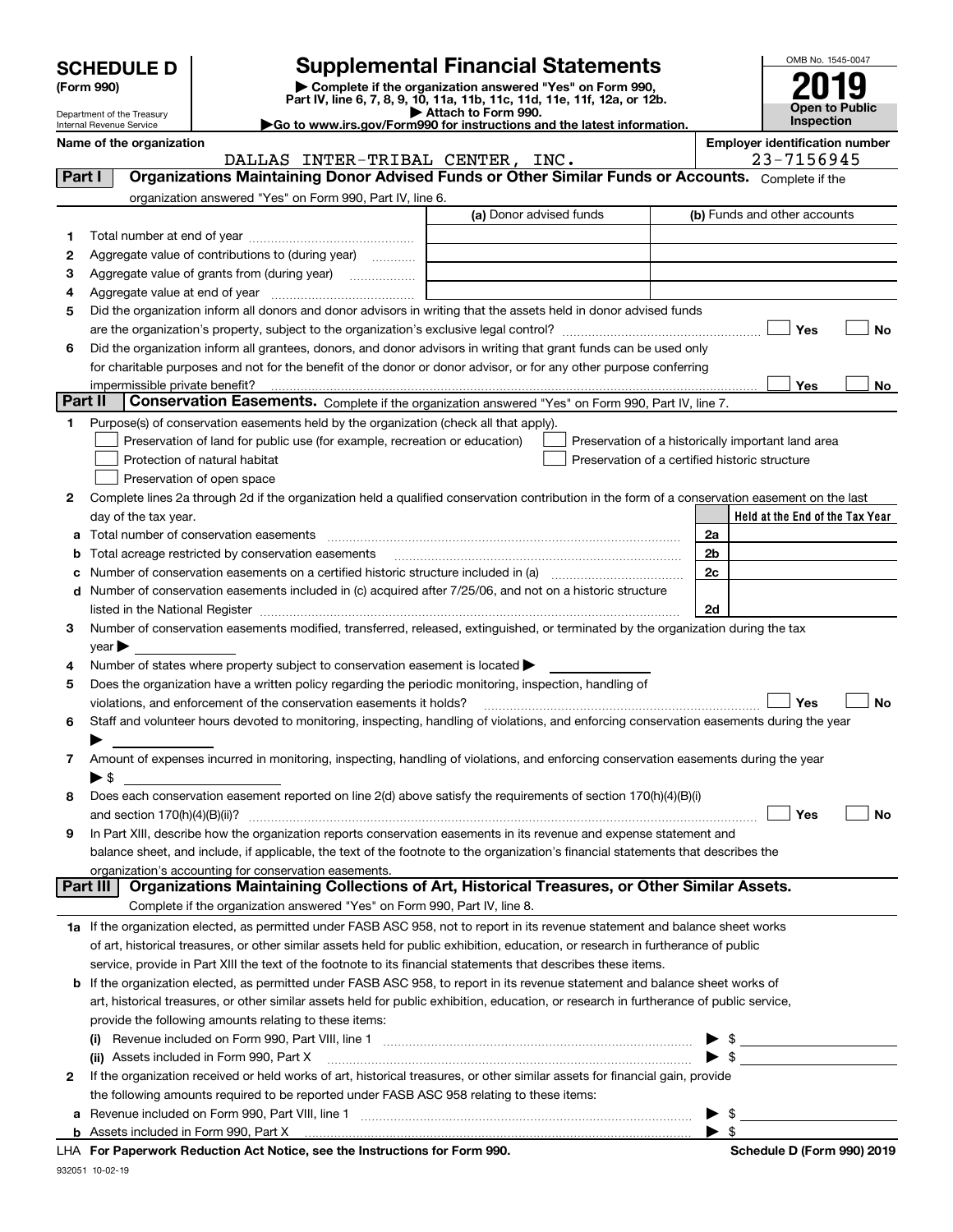| <b>SCHEDULE D</b> |  |
|-------------------|--|
|-------------------|--|

| (Form 990) |  |
|------------|--|
|------------|--|

# **SCHEDULE D Supplemental Financial Statements**

**(Form 990)** (**Form 990,**<br>Part IV, line 6, 7, 8, 9, 10, 11a, 11b, 11c, 11d, 11e, 11f, 12a, or 12b.<br>Department of the Treasury **and Exercise Connect Connect Connect Connect Connect Connect Connect Connect Connect** 



Department of the Treasury Internal Revenue Service

| Attach to Form 990.                                                                          |
|----------------------------------------------------------------------------------------------|
| $\blacktriangleright$ Go to www.irs.gov/Form990 for instructions and the latest information. |

|          | Name of the organization<br>DALLAS INTER-TRIBAL CENTER, INC.                                                                                                                                                                  |                         |  | <b>Employer identification number</b><br>23-7156945 |
|----------|-------------------------------------------------------------------------------------------------------------------------------------------------------------------------------------------------------------------------------|-------------------------|--|-----------------------------------------------------|
| Part I   | Organizations Maintaining Donor Advised Funds or Other Similar Funds or Accounts. Complete if the                                                                                                                             |                         |  |                                                     |
|          | organization answered "Yes" on Form 990, Part IV, line 6.                                                                                                                                                                     |                         |  |                                                     |
|          |                                                                                                                                                                                                                               | (a) Donor advised funds |  | (b) Funds and other accounts                        |
| 1        |                                                                                                                                                                                                                               |                         |  |                                                     |
| 2        | Aggregate value of contributions to (during year)                                                                                                                                                                             |                         |  |                                                     |
| з        | Aggregate value of grants from (during year)                                                                                                                                                                                  |                         |  |                                                     |
| 4        |                                                                                                                                                                                                                               |                         |  |                                                     |
| 5        | Did the organization inform all donors and donor advisors in writing that the assets held in donor advised funds                                                                                                              |                         |  |                                                     |
|          |                                                                                                                                                                                                                               |                         |  | Yes<br>No                                           |
| 6        | Did the organization inform all grantees, donors, and donor advisors in writing that grant funds can be used only                                                                                                             |                         |  |                                                     |
|          | for charitable purposes and not for the benefit of the donor or donor advisor, or for any other purpose conferring                                                                                                            |                         |  |                                                     |
|          | impermissible private benefit?                                                                                                                                                                                                |                         |  | Yes<br>No                                           |
| Part II  | Conservation Easements. Complete if the organization answered "Yes" on Form 990, Part IV, line 7.                                                                                                                             |                         |  |                                                     |
| 1        | Purpose(s) of conservation easements held by the organization (check all that apply).                                                                                                                                         |                         |  |                                                     |
|          | Preservation of land for public use (for example, recreation or education)                                                                                                                                                    |                         |  | Preservation of a historically important land area  |
|          | Protection of natural habitat                                                                                                                                                                                                 |                         |  | Preservation of a certified historic structure      |
|          | Preservation of open space                                                                                                                                                                                                    |                         |  |                                                     |
| 2        | Complete lines 2a through 2d if the organization held a qualified conservation contribution in the form of a conservation easement on the last                                                                                |                         |  |                                                     |
|          | day of the tax year.                                                                                                                                                                                                          |                         |  | Held at the End of the Tax Year                     |
| а        |                                                                                                                                                                                                                               |                         |  | 2a                                                  |
| b        | Total acreage restricted by conservation easements                                                                                                                                                                            |                         |  | 2b                                                  |
| с        |                                                                                                                                                                                                                               |                         |  | 2c                                                  |
| d        | Number of conservation easements included in (c) acquired after 7/25/06, and not on a historic structure                                                                                                                      |                         |  |                                                     |
|          | listed in the National Register [11, 1200] [12] The National Register [11, 1200] [12] The National Register [11, 1200] [12] The National Register [11, 1200] [12] The National Register [11, 1200] [12] The National Register |                         |  | 2d                                                  |
| З.       | Number of conservation easements modified, transferred, released, extinguished, or terminated by the organization during the tax                                                                                              |                         |  |                                                     |
|          | $year \blacktriangleright$                                                                                                                                                                                                    |                         |  |                                                     |
| 4        | Number of states where property subject to conservation easement is located >                                                                                                                                                 |                         |  |                                                     |
| 5        | Does the organization have a written policy regarding the periodic monitoring, inspection, handling of                                                                                                                        |                         |  |                                                     |
|          | violations, and enforcement of the conservation easements it holds?                                                                                                                                                           |                         |  | Yes<br><b>No</b>                                    |
| 6        | Staff and volunteer hours devoted to monitoring, inspecting, handling of violations, and enforcing conservation easements during the year                                                                                     |                         |  |                                                     |
|          |                                                                                                                                                                                                                               |                         |  |                                                     |
| 7        | Amount of expenses incurred in monitoring, inspecting, handling of violations, and enforcing conservation easements during the year                                                                                           |                         |  |                                                     |
|          | $\blacktriangleright$ \$                                                                                                                                                                                                      |                         |  |                                                     |
| 8        | Does each conservation easement reported on line 2(d) above satisfy the requirements of section 170(h)(4)(B)(i)                                                                                                               |                         |  |                                                     |
|          |                                                                                                                                                                                                                               |                         |  | Yes<br>No                                           |
|          | In Part XIII, describe how the organization reports conservation easements in its revenue and expense statement and                                                                                                           |                         |  |                                                     |
|          | balance sheet, and include, if applicable, the text of the footnote to the organization's financial statements that describes the                                                                                             |                         |  |                                                     |
| Part III | organization's accounting for conservation easements.<br>Organizations Maintaining Collections of Art, Historical Treasures, or Other Similar Assets.                                                                         |                         |  |                                                     |
|          | Complete if the organization answered "Yes" on Form 990, Part IV, line 8.                                                                                                                                                     |                         |  |                                                     |
|          | 1a If the organization elected, as permitted under FASB ASC 958, not to report in its revenue statement and balance sheet works                                                                                               |                         |  |                                                     |
|          | of art, historical treasures, or other similar assets held for public exhibition, education, or research in furtherance of public                                                                                             |                         |  |                                                     |
|          | service, provide in Part XIII the text of the footnote to its financial statements that describes these items.                                                                                                                |                         |  |                                                     |
| b        | If the organization elected, as permitted under FASB ASC 958, to report in its revenue statement and balance sheet works of                                                                                                   |                         |  |                                                     |
|          | art, historical treasures, or other similar assets held for public exhibition, education, or research in furtherance of public service,                                                                                       |                         |  |                                                     |
|          | provide the following amounts relating to these items:                                                                                                                                                                        |                         |  |                                                     |
|          |                                                                                                                                                                                                                               |                         |  | \$                                                  |
|          | (ii) Assets included in Form 990, Part X                                                                                                                                                                                      |                         |  | $\blacktriangleright$ \$                            |
| 2        | If the organization received or held works of art, historical treasures, or other similar assets for financial gain, provide                                                                                                  |                         |  |                                                     |
|          | the following amounts required to be reported under FASB ASC 958 relating to these items:                                                                                                                                     |                         |  |                                                     |
| а        |                                                                                                                                                                                                                               |                         |  | \$                                                  |
|          | <b>b</b> Assets included in Form 990, Part X                                                                                                                                                                                  |                         |  | $\blacktriangleright$ s                             |
|          | LHA For Paperwork Reduction Act Notice, see the Instructions for Form 990.                                                                                                                                                    |                         |  | Schedule D (Form 990) 2019                          |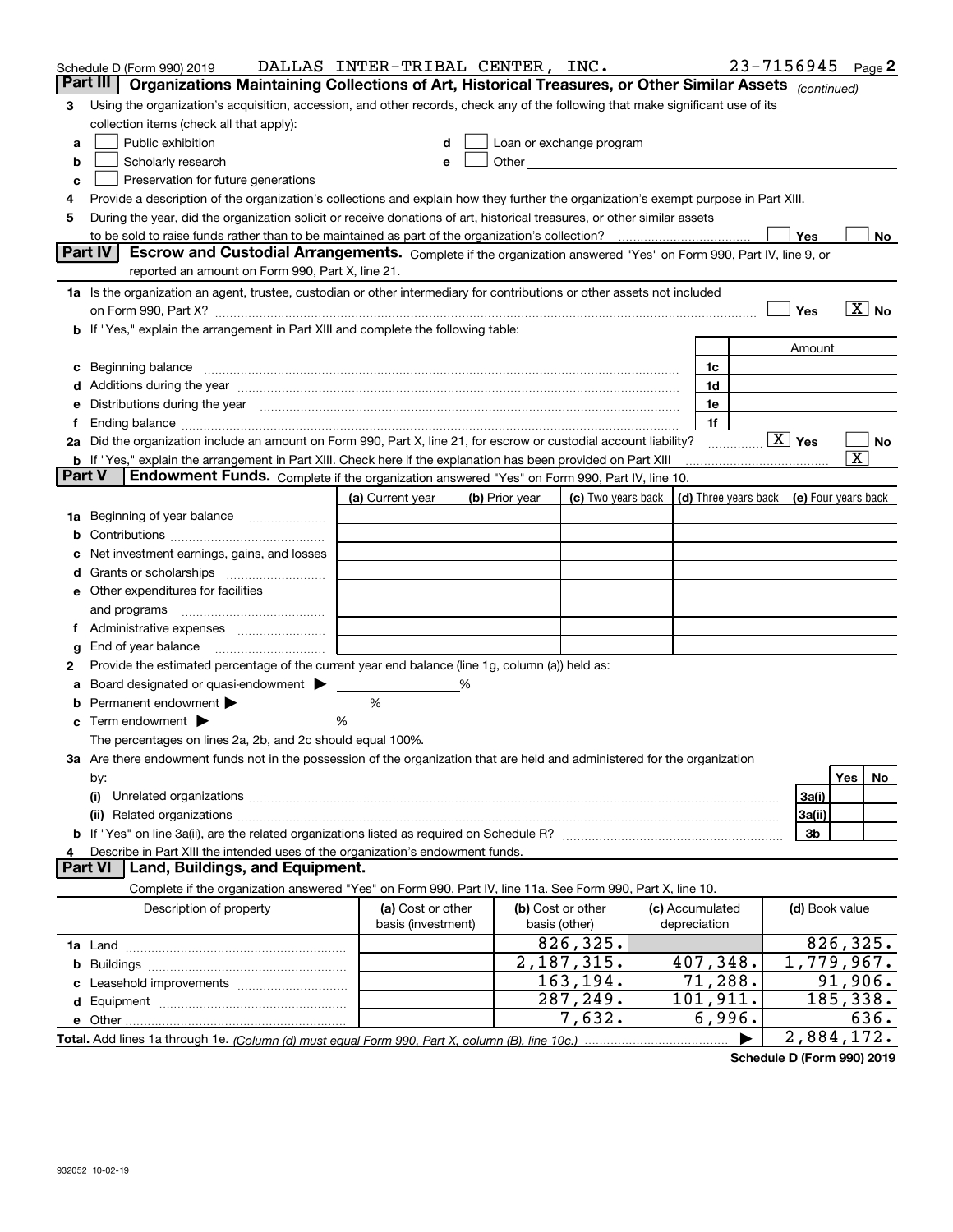|               | Schedule D (Form 990) 2019                                                                                                                                                                                                     | DALLAS INTER-TRIBAL CENTER, INC. |   |                |                            |                      |   | 23-7156945             | Page 2                               |
|---------------|--------------------------------------------------------------------------------------------------------------------------------------------------------------------------------------------------------------------------------|----------------------------------|---|----------------|----------------------------|----------------------|---|------------------------|--------------------------------------|
|               | Part III<br>Organizations Maintaining Collections of Art, Historical Treasures, or Other Similar Assets (continued)                                                                                                            |                                  |   |                |                            |                      |   |                        |                                      |
| 3             | Using the organization's acquisition, accession, and other records, check any of the following that make significant use of its                                                                                                |                                  |   |                |                            |                      |   |                        |                                      |
|               | collection items (check all that apply):                                                                                                                                                                                       |                                  |   |                |                            |                      |   |                        |                                      |
| a             | Public exhibition                                                                                                                                                                                                              |                                  |   |                | Loan or exchange program   |                      |   |                        |                                      |
| b             | Scholarly research                                                                                                                                                                                                             | e                                |   |                | Other <u>Communication</u> |                      |   |                        |                                      |
| с             | Preservation for future generations                                                                                                                                                                                            |                                  |   |                |                            |                      |   |                        |                                      |
|               | Provide a description of the organization's collections and explain how they further the organization's exempt purpose in Part XIII.                                                                                           |                                  |   |                |                            |                      |   |                        |                                      |
| 5             | During the year, did the organization solicit or receive donations of art, historical treasures, or other similar assets                                                                                                       |                                  |   |                |                            |                      |   |                        |                                      |
|               | to be sold to raise funds rather than to be maintained as part of the organization's collection?                                                                                                                               |                                  |   |                |                            |                      |   | Yes                    | No                                   |
|               | <b>Part IV</b><br>Escrow and Custodial Arrangements. Complete if the organization answered "Yes" on Form 990, Part IV, line 9, or                                                                                              |                                  |   |                |                            |                      |   |                        |                                      |
|               | reported an amount on Form 990, Part X, line 21.                                                                                                                                                                               |                                  |   |                |                            |                      |   |                        |                                      |
|               | 1a Is the organization an agent, trustee, custodian or other intermediary for contributions or other assets not included                                                                                                       |                                  |   |                |                            |                      |   |                        |                                      |
|               | on Form 990, Part X? [11] matter contracts and contracts and contracts are contracted as a form 990, Part X?                                                                                                                   |                                  |   |                |                            |                      |   | Yes                    | $\boxed{\text{X}}$ No                |
|               | b If "Yes," explain the arrangement in Part XIII and complete the following table:                                                                                                                                             |                                  |   |                |                            |                      |   |                        |                                      |
|               |                                                                                                                                                                                                                                |                                  |   |                |                            |                      |   | Amount                 |                                      |
|               |                                                                                                                                                                                                                                |                                  |   |                |                            | 1c                   |   |                        |                                      |
|               | d Additions during the year manufactured and an account of a distribution of Additions during the year manufactured and account of Additions during the year manufactured and account of the state of Additional Additional Ad |                                  |   |                |                            | 1d                   |   |                        |                                      |
|               | e Distributions during the year manufactured and continuum and contact the year manufactured and contact the year manufactured and contact the year manufactured and contact the year manufactured and contact the year manufa |                                  |   |                |                            | 1e                   |   |                        |                                      |
|               | 2a Did the organization include an amount on Form 990, Part X, line 21, for escrow or custodial account liability?                                                                                                             |                                  |   |                |                            | 1f                   |   | $\boxed{\text{X}}$ Yes | No                                   |
|               | <b>b</b> If "Yes," explain the arrangement in Part XIII. Check here if the explanation has been provided on Part XIII                                                                                                          |                                  |   |                |                            |                      | . |                        | $\overline{\textnormal{\textbf{x}}}$ |
| <b>Part V</b> | Endowment Funds. Complete if the organization answered "Yes" on Form 990, Part IV, line 10.                                                                                                                                    |                                  |   |                |                            |                      |   |                        |                                      |
|               |                                                                                                                                                                                                                                | (a) Current year                 |   | (b) Prior year | (c) Two years back         | (d) Three years back |   |                        | (e) Four years back                  |
| 1a            | Beginning of year balance                                                                                                                                                                                                      |                                  |   |                |                            |                      |   |                        |                                      |
|               |                                                                                                                                                                                                                                |                                  |   |                |                            |                      |   |                        |                                      |
|               | Net investment earnings, gains, and losses                                                                                                                                                                                     |                                  |   |                |                            |                      |   |                        |                                      |
|               |                                                                                                                                                                                                                                |                                  |   |                |                            |                      |   |                        |                                      |
|               | e Other expenditures for facilities                                                                                                                                                                                            |                                  |   |                |                            |                      |   |                        |                                      |
|               | and programs                                                                                                                                                                                                                   |                                  |   |                |                            |                      |   |                        |                                      |
| Ť.            |                                                                                                                                                                                                                                |                                  |   |                |                            |                      |   |                        |                                      |
| g             |                                                                                                                                                                                                                                |                                  |   |                |                            |                      |   |                        |                                      |
| 2             | Provide the estimated percentage of the current year end balance (line 1g, column (a)) held as:                                                                                                                                |                                  |   |                |                            |                      |   |                        |                                      |
|               | Board designated or quasi-endowment                                                                                                                                                                                            |                                  | % |                |                            |                      |   |                        |                                      |
|               | Permanent endowment > 1                                                                                                                                                                                                        | %                                |   |                |                            |                      |   |                        |                                      |
|               | Term endowment $\blacktriangleright$                                                                                                                                                                                           | %                                |   |                |                            |                      |   |                        |                                      |
|               | The percentages on lines 2a, 2b, and 2c should equal 100%.                                                                                                                                                                     |                                  |   |                |                            |                      |   |                        |                                      |
|               | 3a Are there endowment funds not in the possession of the organization that are held and administered for the organization                                                                                                     |                                  |   |                |                            |                      |   |                        |                                      |
|               | by:                                                                                                                                                                                                                            |                                  |   |                |                            |                      |   |                        | Yes<br>No.                           |
|               | (i)                                                                                                                                                                                                                            |                                  |   |                |                            |                      |   | 3a(i)                  |                                      |
|               |                                                                                                                                                                                                                                |                                  |   |                |                            |                      |   | 3a(ii)                 |                                      |
|               |                                                                                                                                                                                                                                |                                  |   |                |                            |                      |   | 3b                     |                                      |
| 4             | Describe in Part XIII the intended uses of the organization's endowment funds.                                                                                                                                                 |                                  |   |                |                            |                      |   |                        |                                      |
|               | Land, Buildings, and Equipment.<br><b>Part VI</b>                                                                                                                                                                              |                                  |   |                |                            |                      |   |                        |                                      |
|               | Complete if the organization answered "Yes" on Form 990, Part IV, line 11a. See Form 990, Part X, line 10.                                                                                                                     |                                  |   |                |                            |                      |   |                        |                                      |
|               | Description of property                                                                                                                                                                                                        | (a) Cost or other                |   |                | (b) Cost or other          | (c) Accumulated      |   | (d) Book value         |                                      |
|               |                                                                                                                                                                                                                                | basis (investment)               |   |                | basis (other)              | depreciation         |   |                        |                                      |
|               |                                                                                                                                                                                                                                |                                  |   |                | 826,325.                   |                      |   |                        | 826, 325.                            |
|               |                                                                                                                                                                                                                                |                                  |   |                | 2,187,315.                 | 407,348.             |   |                        | 1,779,967.                           |
|               |                                                                                                                                                                                                                                |                                  |   |                | 163,194.                   | 71,288.              |   |                        | 91,906.                              |
|               |                                                                                                                                                                                                                                |                                  |   |                | 287,249.                   | 101,911.             |   |                        | 185,338.                             |
|               |                                                                                                                                                                                                                                |                                  |   |                | 7,632.                     | 6,996.               |   |                        | 636.                                 |
|               | Total. Add lines 1a through 1e. (Column (d) must equal Form 990. Part X, column (B), line 10c.)                                                                                                                                |                                  |   |                |                            |                      |   |                        | 2,884,172.                           |

**Schedule D (Form 990) 2019**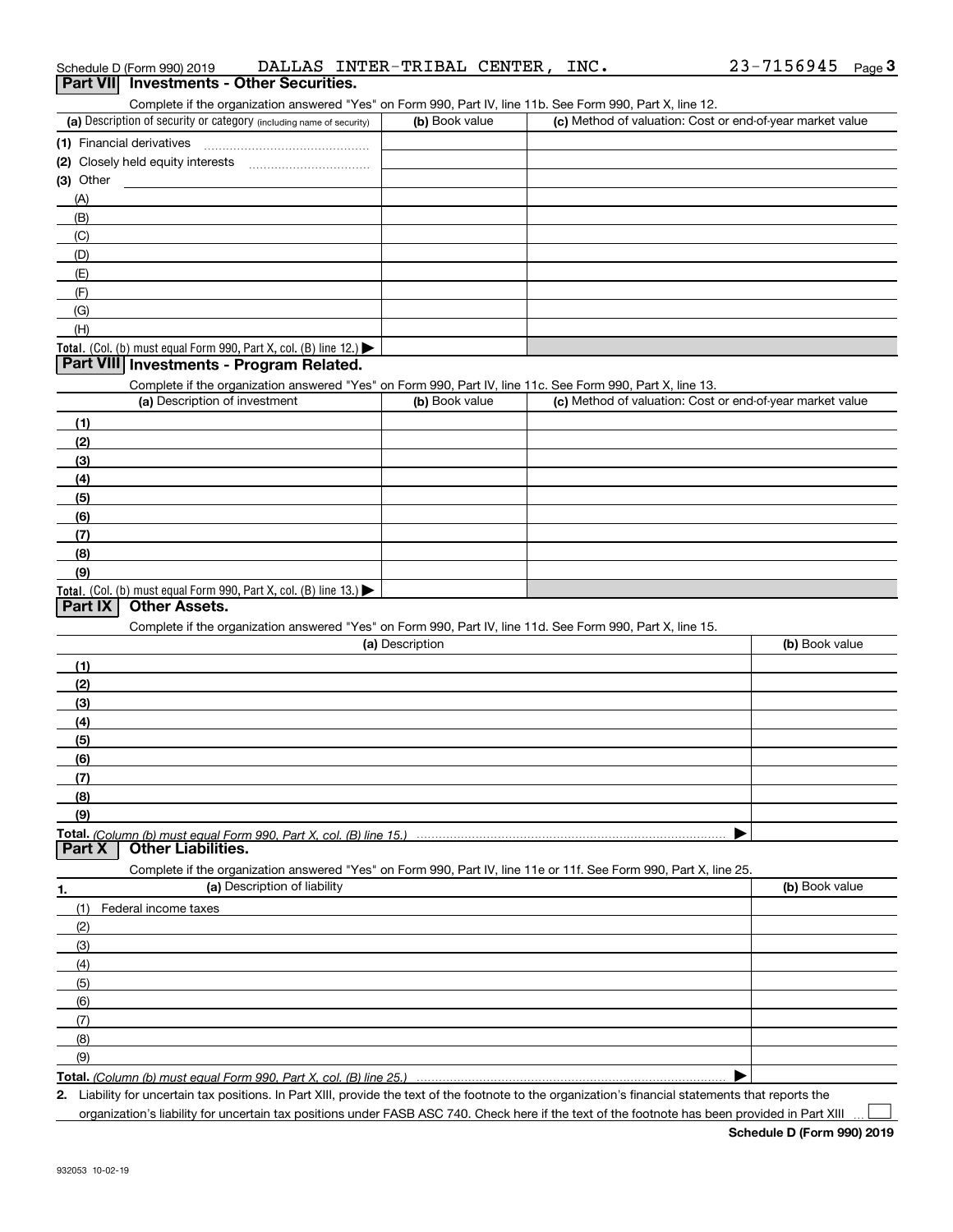|                | Schedule D (Form 990) 2019                                                                                        |                              | DALLAS INTER-TRIBAL CENTER, |  | INC. |                                                           | 23-7156945 |                | Page $3$ |
|----------------|-------------------------------------------------------------------------------------------------------------------|------------------------------|-----------------------------|--|------|-----------------------------------------------------------|------------|----------------|----------|
|                | Part VII Investments - Other Securities.                                                                          |                              |                             |  |      |                                                           |            |                |          |
|                | Complete if the organization answered "Yes" on Form 990, Part IV, line 11b. See Form 990, Part X, line 12.        |                              |                             |  |      |                                                           |            |                |          |
|                | (a) Description of security or category (including name of security)                                              |                              | (b) Book value              |  |      | (c) Method of valuation: Cost or end-of-year market value |            |                |          |
|                | (1) Financial derivatives                                                                                         |                              |                             |  |      |                                                           |            |                |          |
|                |                                                                                                                   |                              |                             |  |      |                                                           |            |                |          |
| $(3)$ Other    |                                                                                                                   |                              |                             |  |      |                                                           |            |                |          |
| (A)            |                                                                                                                   |                              |                             |  |      |                                                           |            |                |          |
| (B)            |                                                                                                                   |                              |                             |  |      |                                                           |            |                |          |
| (C)            |                                                                                                                   |                              |                             |  |      |                                                           |            |                |          |
| (D)            |                                                                                                                   |                              |                             |  |      |                                                           |            |                |          |
| (E)            |                                                                                                                   |                              |                             |  |      |                                                           |            |                |          |
| (F)            |                                                                                                                   |                              |                             |  |      |                                                           |            |                |          |
| (G)            |                                                                                                                   |                              |                             |  |      |                                                           |            |                |          |
| (H)            |                                                                                                                   |                              |                             |  |      |                                                           |            |                |          |
|                | Total. (Col. (b) must equal Form 990, Part X, col. (B) line 12.)                                                  |                              |                             |  |      |                                                           |            |                |          |
|                | Part VIII Investments - Program Related.                                                                          |                              |                             |  |      |                                                           |            |                |          |
|                | Complete if the organization answered "Yes" on Form 990, Part IV, line 11c. See Form 990, Part X, line 13.        |                              |                             |  |      |                                                           |            |                |          |
|                | (a) Description of investment                                                                                     |                              | (b) Book value              |  |      | (c) Method of valuation: Cost or end-of-year market value |            |                |          |
| (1)            |                                                                                                                   |                              |                             |  |      |                                                           |            |                |          |
| (2)            |                                                                                                                   |                              |                             |  |      |                                                           |            |                |          |
| (3)            |                                                                                                                   |                              |                             |  |      |                                                           |            |                |          |
| (4)            |                                                                                                                   |                              |                             |  |      |                                                           |            |                |          |
| (5)            |                                                                                                                   |                              |                             |  |      |                                                           |            |                |          |
| (6)            |                                                                                                                   |                              |                             |  |      |                                                           |            |                |          |
| (7)            |                                                                                                                   |                              |                             |  |      |                                                           |            |                |          |
| (8)            |                                                                                                                   |                              |                             |  |      |                                                           |            |                |          |
| (9)            |                                                                                                                   |                              |                             |  |      |                                                           |            |                |          |
|                | Total. (Col. (b) must equal Form 990, Part X, col. (B) line 13.)                                                  |                              |                             |  |      |                                                           |            |                |          |
| <b>Part IX</b> | <b>Other Assets.</b>                                                                                              |                              |                             |  |      |                                                           |            |                |          |
|                | Complete if the organization answered "Yes" on Form 990, Part IV, line 11d. See Form 990, Part X, line 15.        |                              |                             |  |      |                                                           |            |                |          |
|                |                                                                                                                   |                              | (a) Description             |  |      |                                                           |            | (b) Book value |          |
| (1)            |                                                                                                                   |                              |                             |  |      |                                                           |            |                |          |
| (2)            |                                                                                                                   |                              |                             |  |      |                                                           |            |                |          |
| (3)            |                                                                                                                   |                              |                             |  |      |                                                           |            |                |          |
| (4)            |                                                                                                                   |                              |                             |  |      |                                                           |            |                |          |
| (5)            |                                                                                                                   |                              |                             |  |      |                                                           |            |                |          |
| (6)            |                                                                                                                   |                              |                             |  |      |                                                           |            |                |          |
| (7)            |                                                                                                                   |                              |                             |  |      |                                                           |            |                |          |
| (8)            |                                                                                                                   |                              |                             |  |      |                                                           |            |                |          |
| (9)            |                                                                                                                   |                              |                             |  |      |                                                           |            |                |          |
|                | Total. (Column (b) must equal Form 990. Part X, col. (B) line 15.)                                                |                              |                             |  |      |                                                           |            |                |          |
| Part X         | <b>Other Liabilities.</b>                                                                                         |                              |                             |  |      |                                                           |            |                |          |
|                | Complete if the organization answered "Yes" on Form 990, Part IV, line 11e or 11f. See Form 990, Part X, line 25. |                              |                             |  |      |                                                           |            |                |          |
| 1.             |                                                                                                                   | (a) Description of liability |                             |  |      |                                                           |            | (b) Book value |          |
| (1)            | Federal income taxes                                                                                              |                              |                             |  |      |                                                           |            |                |          |
| (2)            |                                                                                                                   |                              |                             |  |      |                                                           |            |                |          |
| (3)            |                                                                                                                   |                              |                             |  |      |                                                           |            |                |          |
| (4)            |                                                                                                                   |                              |                             |  |      |                                                           |            |                |          |
| (5)            |                                                                                                                   |                              |                             |  |      |                                                           |            |                |          |
| (6)            |                                                                                                                   |                              |                             |  |      |                                                           |            |                |          |
| (7)            |                                                                                                                   |                              |                             |  |      |                                                           |            |                |          |
| (8)            |                                                                                                                   |                              |                             |  |      |                                                           |            |                |          |
| (9)            |                                                                                                                   |                              |                             |  |      |                                                           |            |                |          |
|                | Total. (Column (b) must equal Form 990, Part X, col. (B) line 25.)                                                |                              |                             |  |      |                                                           |            |                |          |
|                |                                                                                                                   |                              |                             |  |      |                                                           |            |                |          |

**2.** Liability for uncertain tax positions. In Part XIII, provide the text of the footnote to the organization's financial statements that reports the organization's liability for uncertain tax positions under FASB ASC 740. Check here if the text of the footnote has been provided in Part XIII

 $\mathcal{L}^{\text{max}}$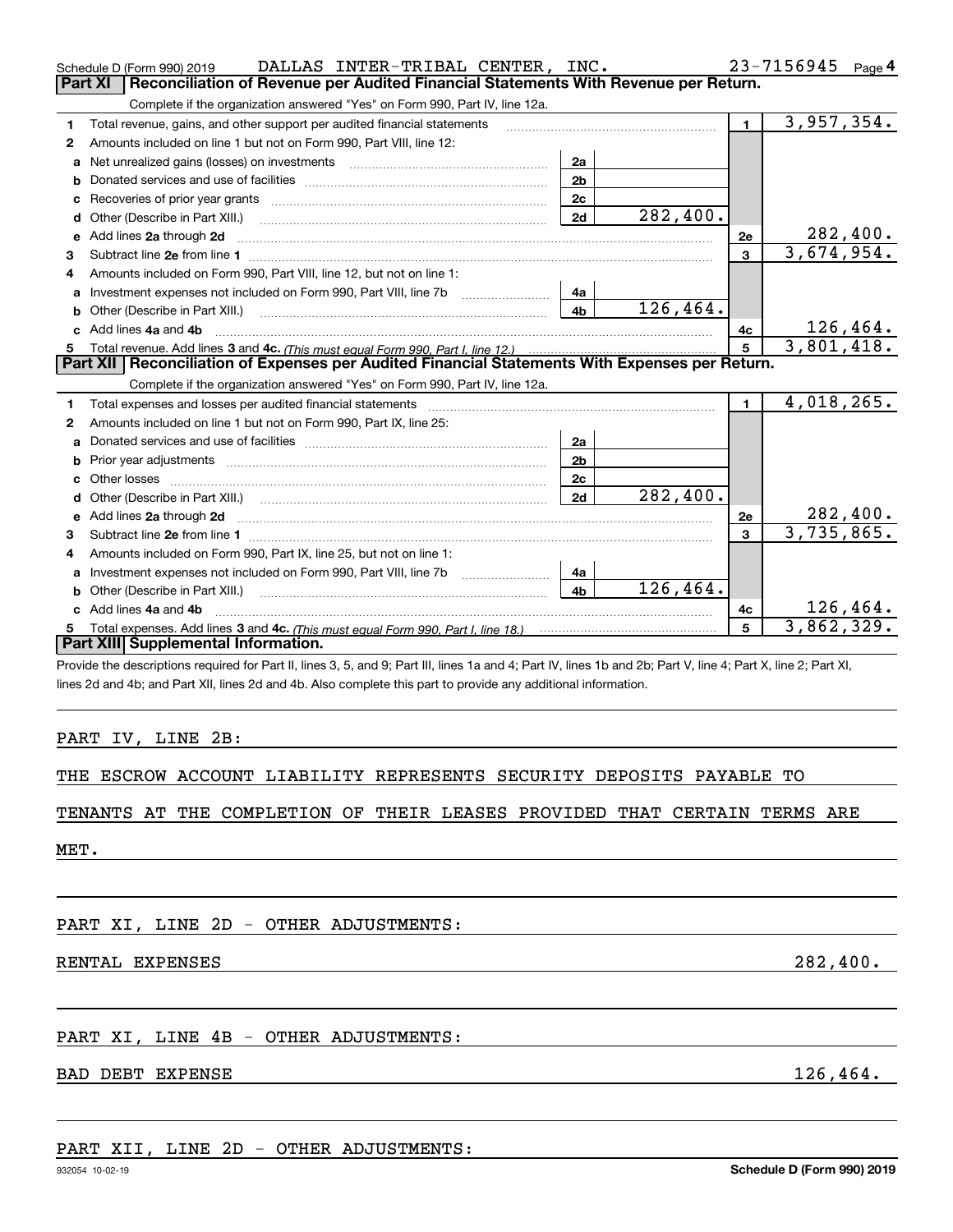|    | DALLAS INTER-TRIBAL CENTER, INC.<br>Schedule D (Form 990) 2019                                                                                                                                                                      |                |           |                | 23-7156945<br>Page 4 |
|----|-------------------------------------------------------------------------------------------------------------------------------------------------------------------------------------------------------------------------------------|----------------|-----------|----------------|----------------------|
|    | Reconciliation of Revenue per Audited Financial Statements With Revenue per Return.<br><b>Part XI</b>                                                                                                                               |                |           |                |                      |
|    | Complete if the organization answered "Yes" on Form 990, Part IV, line 12a.                                                                                                                                                         |                |           |                |                      |
| 1  | Total revenue, gains, and other support per audited financial statements                                                                                                                                                            |                |           | $\blacksquare$ | 3,957,354.           |
| 2  | Amounts included on line 1 but not on Form 990, Part VIII, line 12:                                                                                                                                                                 |                |           |                |                      |
| a  | Net unrealized gains (losses) on investments [11] matter contracts and the unrealized gains (losses) on investments                                                                                                                 | 2a             |           |                |                      |
| b  |                                                                                                                                                                                                                                     | 2 <sub>b</sub> |           |                |                      |
| c  |                                                                                                                                                                                                                                     | 2c             |           |                |                      |
| d  | Other (Describe in Part XIII.)                                                                                                                                                                                                      | 2d             | 282,400.  |                |                      |
|    | e Add lines 2a through 2d                                                                                                                                                                                                           |                |           | 2e             | 282,400.             |
| 3  |                                                                                                                                                                                                                                     |                |           | 3              | 3,674,954.           |
|    | Amounts included on Form 990, Part VIII, line 12, but not on line 1:                                                                                                                                                                |                |           |                |                      |
| a  | Investment expenses not included on Form 990, Part VIII, line 7b [11, 111, 111, 111]                                                                                                                                                | 4a             |           |                |                      |
| b  | Other (Describe in Part XIII.)                                                                                                                                                                                                      | 4b             | 126,464.  |                |                      |
| c. | Add lines 4a and 4b                                                                                                                                                                                                                 |                |           | 4c             | 126,464.             |
| 5  |                                                                                                                                                                                                                                     |                |           | 5              | 3,801,418.           |
|    | Part XII   Reconciliation of Expenses per Audited Financial Statements With Expenses per Return.                                                                                                                                    |                |           |                |                      |
|    | Complete if the organization answered "Yes" on Form 990, Part IV, line 12a.                                                                                                                                                         |                |           |                |                      |
| 1  | Total expenses and losses per audited financial statements [11] [12] contain an intervention and the statements [13] [13] and the statements [13] [13] and the statements [13] and the statements and the statements and the s      |                |           | $\mathbf{1}$   | 4,018,265.           |
| 2  | Amounts included on line 1 but not on Form 990, Part IX, line 25:                                                                                                                                                                   |                |           |                |                      |
|    |                                                                                                                                                                                                                                     | 2a             |           |                |                      |
| b  |                                                                                                                                                                                                                                     | 2b             |           |                |                      |
| c  |                                                                                                                                                                                                                                     | 2c             |           |                |                      |
| d  |                                                                                                                                                                                                                                     | 2d             | 282,400.  |                |                      |
| е  | Add lines 2a through 2d <b>contained a contained a contained a contained a</b> contained a contact the state of the state of the state of the state of the state of the state of the state of the state of the state of the state o |                |           | 2e             | 282,400.             |
| 3  |                                                                                                                                                                                                                                     |                |           | 3              | 3,735,865.           |
| 4  | Amounts included on Form 990, Part IX, line 25, but not on line 1:                                                                                                                                                                  |                |           |                |                      |
| a  |                                                                                                                                                                                                                                     | 4a             |           |                |                      |
| b  |                                                                                                                                                                                                                                     | 4 <sub>h</sub> | 126, 464. |                |                      |
|    | c Add lines 4a and 4b                                                                                                                                                                                                               |                |           | 4c             | 126,464.             |
| 5  |                                                                                                                                                                                                                                     |                |           | 5              | 3,862,329.           |
|    | <b>Part XIII Supplemental Information.</b>                                                                                                                                                                                          |                |           |                |                      |
|    | Provide the descriptions required for Part II, lines 3, 5, and 9; Part III, lines 1a and 4; Part IV, lines 1b and 2b; Part V, line 4; Part X, line 2; Part XI,                                                                      |                |           |                |                      |
|    | lines 2d and 4b; and Part XII, lines 2d and 4b. Also complete this part to provide any additional information.                                                                                                                      |                |           |                |                      |

### PART IV, LINE 2B:

|  |  |  |  | THE ESCROW ACCOUNT LIABILITY REPRESENTS SECURITY DEPOSITS PAYABLE TO |  |  |  |  |
|--|--|--|--|----------------------------------------------------------------------|--|--|--|--|
|--|--|--|--|----------------------------------------------------------------------|--|--|--|--|

## TENANTS AT THE COMPLETION OF THEIR LEASES PROVIDED THAT CERTAIN TERMS ARE

MET.

PART XI, LINE 2D - OTHER ADJUSTMENTS:

RENTAL EXPENSES 282,400.

## PART XI, LINE 4B - OTHER ADJUSTMENTS:

## BAD DEBT EXPENSE 2008 and the set of the set of the set of the set of the set of the set of the set of the set of the set of the set of the set of the set of the set of the set of the set of the set of the set of the set o

## PART XII, LINE 2D - OTHER ADJUSTMENTS: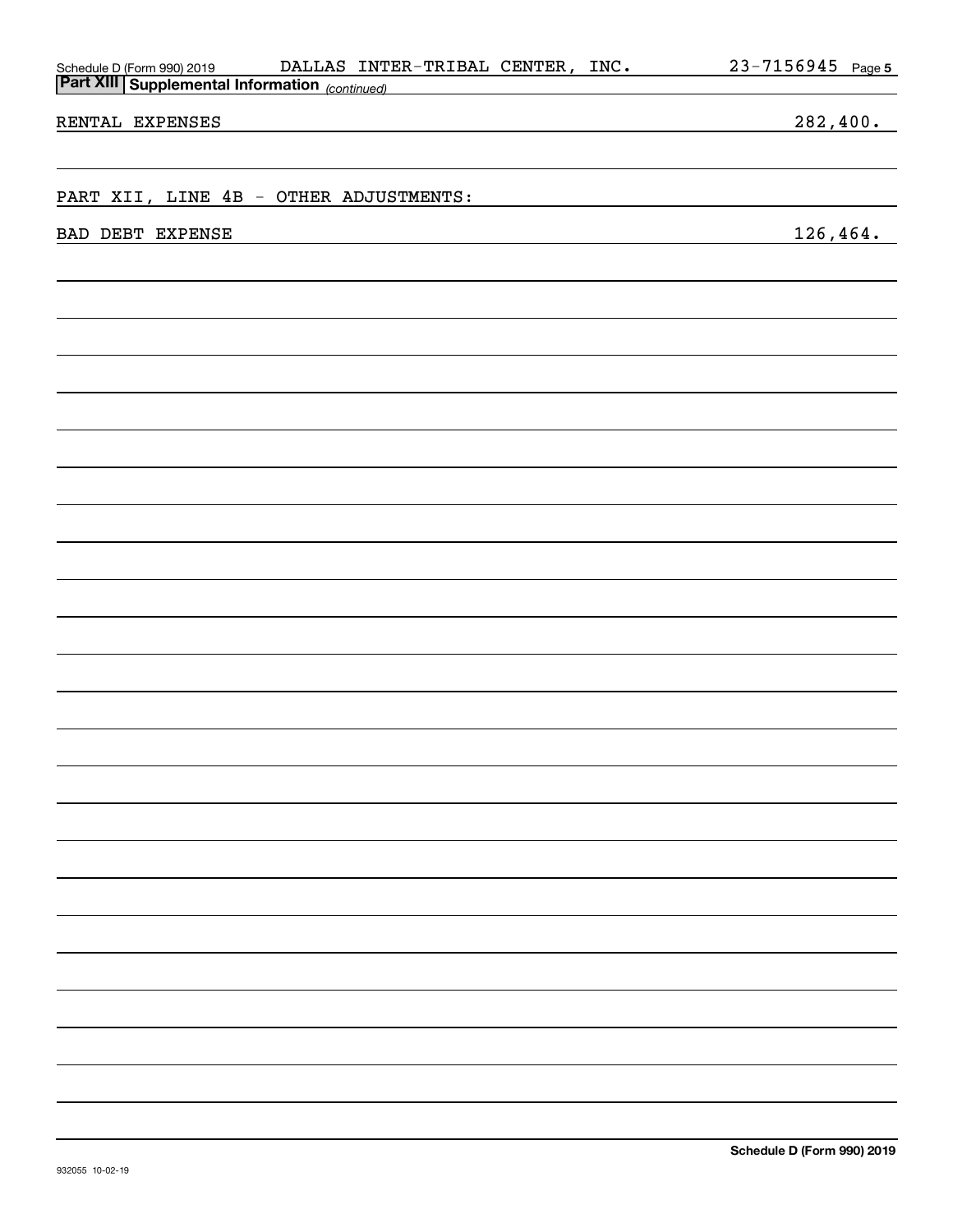| <b>Fare Am Supplemental Importation</b> (continued) |                            |
|-----------------------------------------------------|----------------------------|
| RENTAL EXPENSES                                     | 282,400.                   |
|                                                     |                            |
| PART XII, LINE 4B - OTHER ADJUSTMENTS:              |                            |
| BAD DEBT EXPENSE                                    | 126, 464.                  |
|                                                     |                            |
|                                                     |                            |
|                                                     |                            |
|                                                     |                            |
|                                                     |                            |
|                                                     |                            |
|                                                     |                            |
|                                                     |                            |
|                                                     |                            |
|                                                     |                            |
|                                                     |                            |
|                                                     |                            |
|                                                     |                            |
|                                                     |                            |
|                                                     |                            |
|                                                     |                            |
|                                                     |                            |
|                                                     |                            |
|                                                     |                            |
|                                                     |                            |
|                                                     |                            |
|                                                     |                            |
|                                                     |                            |
|                                                     |                            |
|                                                     | Schedule D (Form 990) 2019 |
| 932055 10-02-19                                     |                            |

Schedule D (Form 990) 2019 DALLAS INTER-TRIBAL CENTER, INC 。 Z 3-7 I 5 6 9 4 5 Page

DALLAS INTER-TRIBAL CENTER, INC.

**Part XIII Supplemental Information** 

**5**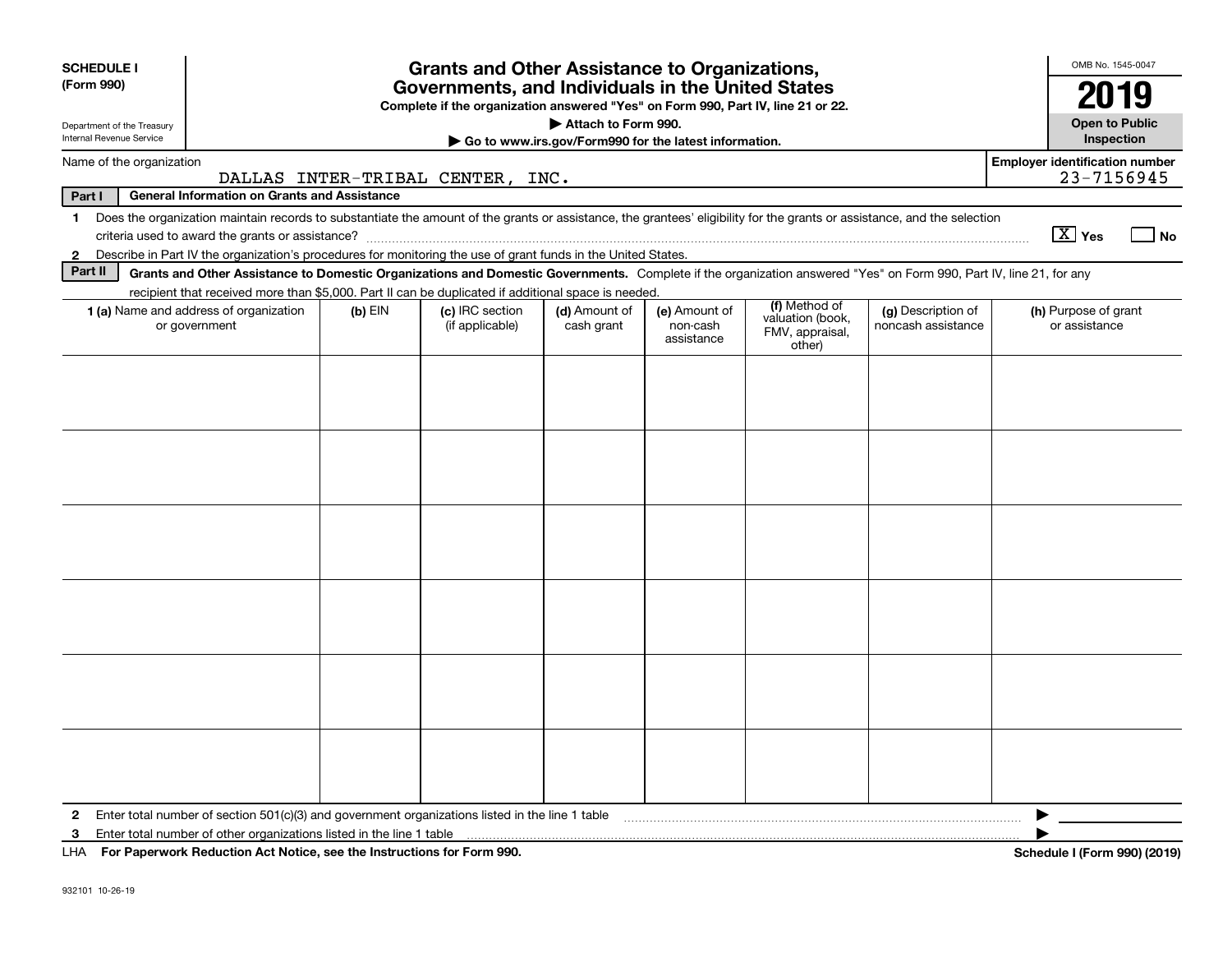| <b>SCHEDULE I</b>                                                          |                                                                                                                                                                          |           | <b>Grants and Other Assistance to Organizations,</b>                                                                                  |                                                       |                                         |                                                                |                                          | OMB No. 1545-0047                                   |
|----------------------------------------------------------------------------|--------------------------------------------------------------------------------------------------------------------------------------------------------------------------|-----------|---------------------------------------------------------------------------------------------------------------------------------------|-------------------------------------------------------|-----------------------------------------|----------------------------------------------------------------|------------------------------------------|-----------------------------------------------------|
| (Form 990)                                                                 |                                                                                                                                                                          |           | Governments, and Individuals in the United States<br>Complete if the organization answered "Yes" on Form 990, Part IV, line 21 or 22. |                                                       |                                         |                                                                |                                          | 2019                                                |
| Department of the Treasury<br>Internal Revenue Service                     |                                                                                                                                                                          |           |                                                                                                                                       | Attach to Form 990.                                   |                                         |                                                                |                                          | <b>Open to Public</b>                               |
|                                                                            |                                                                                                                                                                          |           |                                                                                                                                       | Go to www.irs.gov/Form990 for the latest information. |                                         |                                                                |                                          | <b>Inspection</b>                                   |
| Name of the organization                                                   |                                                                                                                                                                          |           | DALLAS INTER-TRIBAL CENTER, INC.                                                                                                      |                                                       |                                         |                                                                |                                          | <b>Employer identification number</b><br>23-7156945 |
| Part I                                                                     | <b>General Information on Grants and Assistance</b>                                                                                                                      |           |                                                                                                                                       |                                                       |                                         |                                                                |                                          |                                                     |
| $\mathbf{1}$                                                               | Does the organization maintain records to substantiate the amount of the grants or assistance, the grantees' eligibility for the grants or assistance, and the selection |           |                                                                                                                                       |                                                       |                                         |                                                                |                                          | $\boxed{\text{X}}$ Yes<br>l No                      |
| $\mathbf{2}$                                                               | Describe in Part IV the organization's procedures for monitoring the use of grant funds in the United States.                                                            |           |                                                                                                                                       |                                                       |                                         |                                                                |                                          |                                                     |
| Part II                                                                    | Grants and Other Assistance to Domestic Organizations and Domestic Governments. Complete if the organization answered "Yes" on Form 990, Part IV, line 21, for any       |           |                                                                                                                                       |                                                       |                                         |                                                                |                                          |                                                     |
|                                                                            | recipient that received more than \$5,000. Part II can be duplicated if additional space is needed.                                                                      |           |                                                                                                                                       |                                                       |                                         |                                                                |                                          |                                                     |
|                                                                            | 1 (a) Name and address of organization<br>or government                                                                                                                  | $(b)$ EIN | (c) IRC section<br>(if applicable)                                                                                                    | (d) Amount of<br>cash grant                           | (e) Amount of<br>non-cash<br>assistance | (f) Method of<br>valuation (book,<br>FMV, appraisal,<br>other) | (g) Description of<br>noncash assistance | (h) Purpose of grant<br>or assistance               |
|                                                                            |                                                                                                                                                                          |           |                                                                                                                                       |                                                       |                                         |                                                                |                                          |                                                     |
|                                                                            |                                                                                                                                                                          |           |                                                                                                                                       |                                                       |                                         |                                                                |                                          |                                                     |
|                                                                            |                                                                                                                                                                          |           |                                                                                                                                       |                                                       |                                         |                                                                |                                          |                                                     |
|                                                                            |                                                                                                                                                                          |           |                                                                                                                                       |                                                       |                                         |                                                                |                                          |                                                     |
|                                                                            |                                                                                                                                                                          |           |                                                                                                                                       |                                                       |                                         |                                                                |                                          |                                                     |
| $\mathbf{2}$                                                               | Enter total number of section 501(c)(3) and government organizations listed in the line 1 table                                                                          |           |                                                                                                                                       |                                                       |                                         |                                                                |                                          |                                                     |
| 3                                                                          | Enter total number of other organizations listed in the line 1 table                                                                                                     |           |                                                                                                                                       |                                                       |                                         |                                                                |                                          |                                                     |
| LHA For Paperwork Reduction Act Notice, see the Instructions for Form 990. |                                                                                                                                                                          |           |                                                                                                                                       |                                                       |                                         |                                                                |                                          | Schedule I (Form 990) (2019)                        |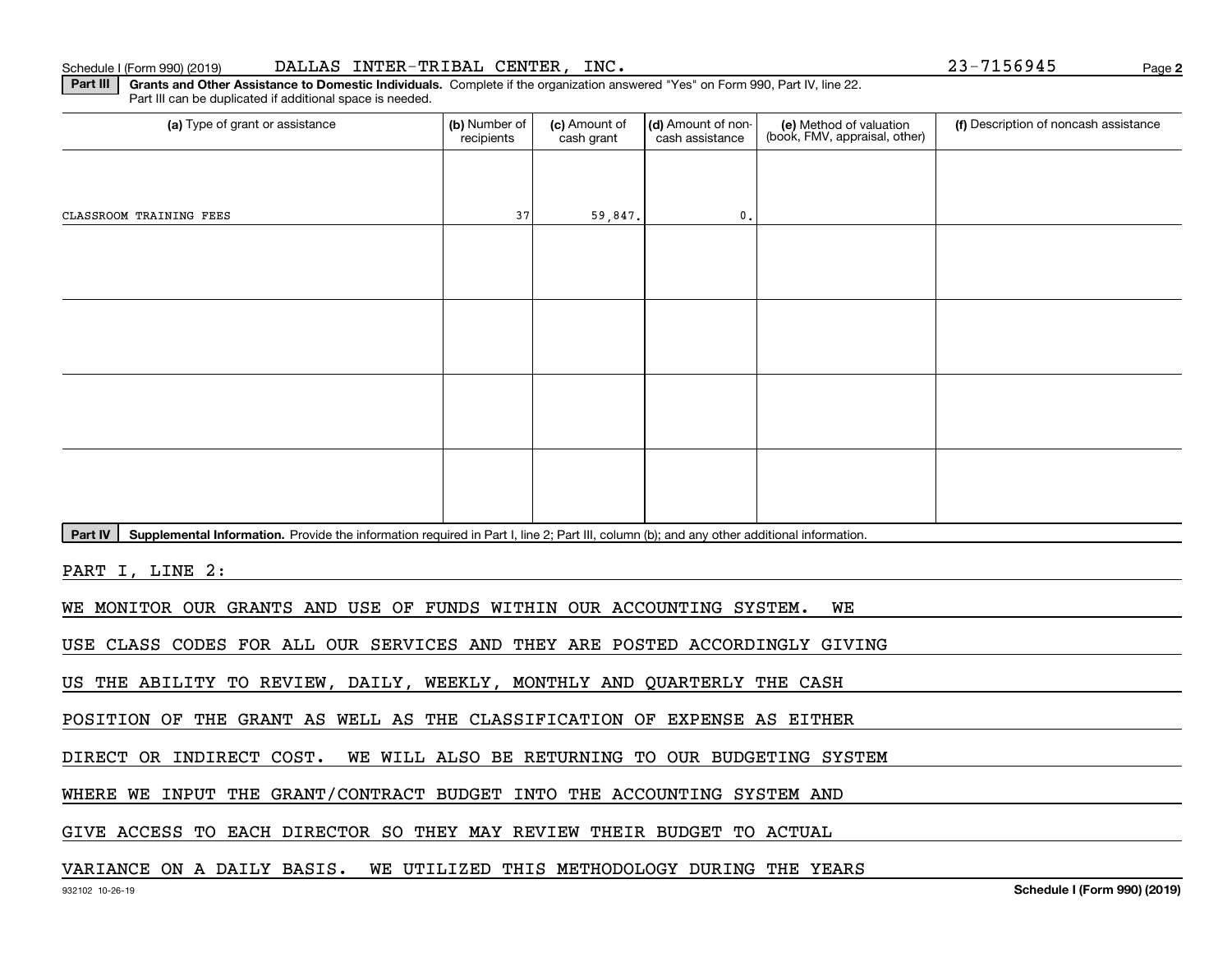Part III can be duplicated if additional space is needed.

(a) Type of grant or assistance **Audity Commet Audio Commet Commet Commet Commet Commet Commet Commet Commet Comme** (e) Method of valuation (book, FMV, appraisal, other) recipients(c) Amount of cash grant (d) Amount of noncash assistance **(f)** Description of noncash assistance CLASSROOM TRAINING FEES 37 59,847. 0.

Part IV | Supplemental Information. Provide the information required in Part I, line 2; Part III, column (b); and any other additional information.

**Part III | Grants and Other Assistance to Domestic Individuals. Complete if the organization answered "Yes" on Form 990, Part IV, line 22.** 

PART I, LINE 2:

WE MONITOR OUR GRANTS AND USE OF FUNDS WITHIN OUR ACCOUNTING SYSTEM. WE

USE CLASS CODES FOR ALL OUR SERVICES AND THEY ARE POSTED ACCORDINGLY GIVING

US THE ABILITY TO REVIEW, DAILY, WEEKLY, MONTHLY AND QUARTERLY THE CASH

POSITION OF THE GRANT AS WELL AS THE CLASSIFICATION OF EXPENSE AS EITHER

DIRECT OR INDIRECT COST. WE WILL ALSO BE RETURNING TO OUR BUDGETING SYSTEM

WHERE WE INPUT THE GRANT/CONTRACT BUDGET INTO THE ACCOUNTING SYSTEM AND

GIVE ACCESS TO EACH DIRECTOR SO THEY MAY REVIEW THEIR BUDGET TO ACTUAL

# VARIANCE ON A DAILY BASIS. WE UTILIZED THIS METHODOLOGY DURING THE YEARS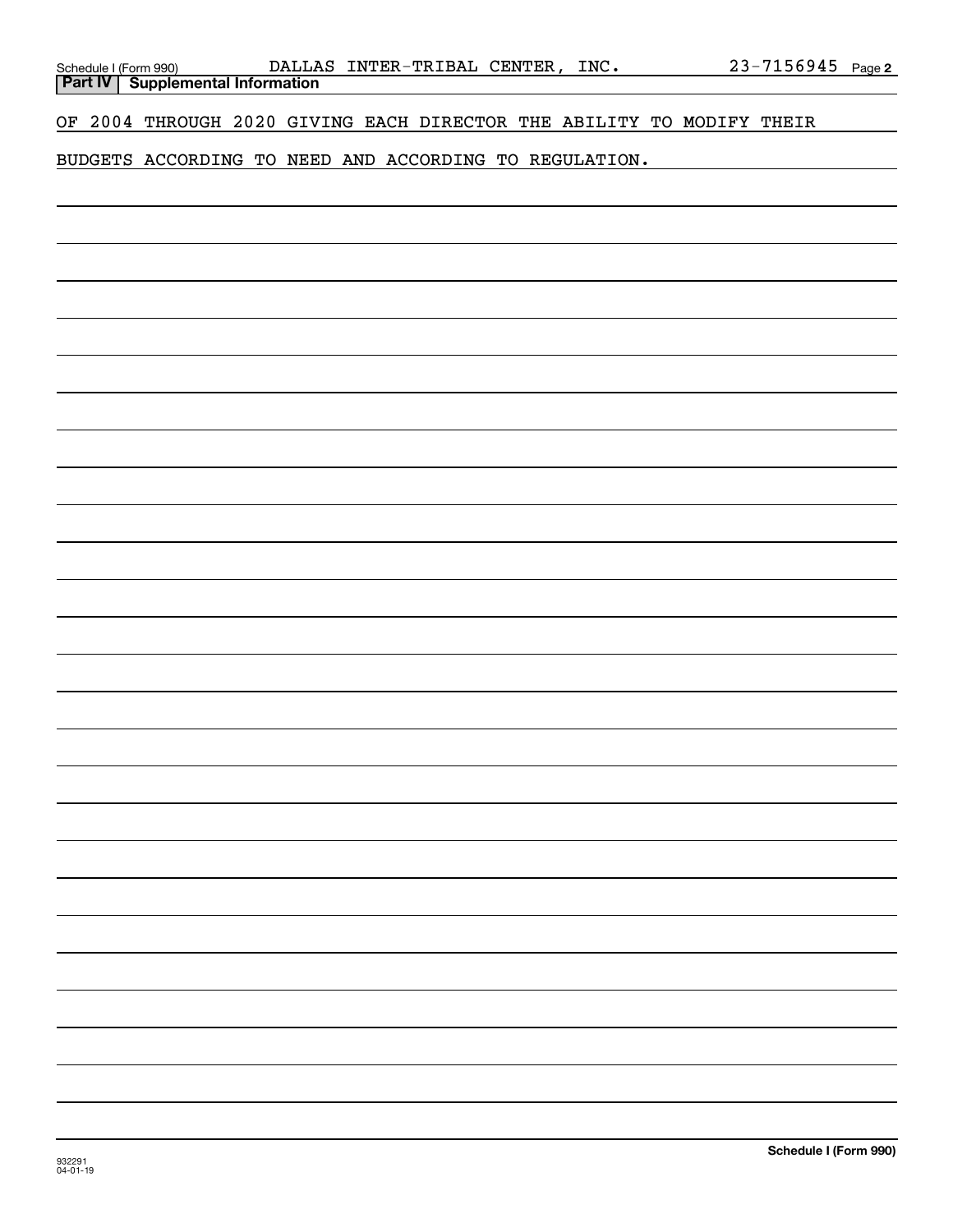| Schedule I (Form 990) |                                           | DALLA |
|-----------------------|-------------------------------------------|-------|
|                       | <b>Part IV   Supplemental Information</b> |       |

OF 2004 THROUGH 2020 GIVING EACH DIRECTOR THE ABILITY TO MODIFY THEIR

BUDGETS ACCORDING TO NEED AND ACCORDING TO REGULATION.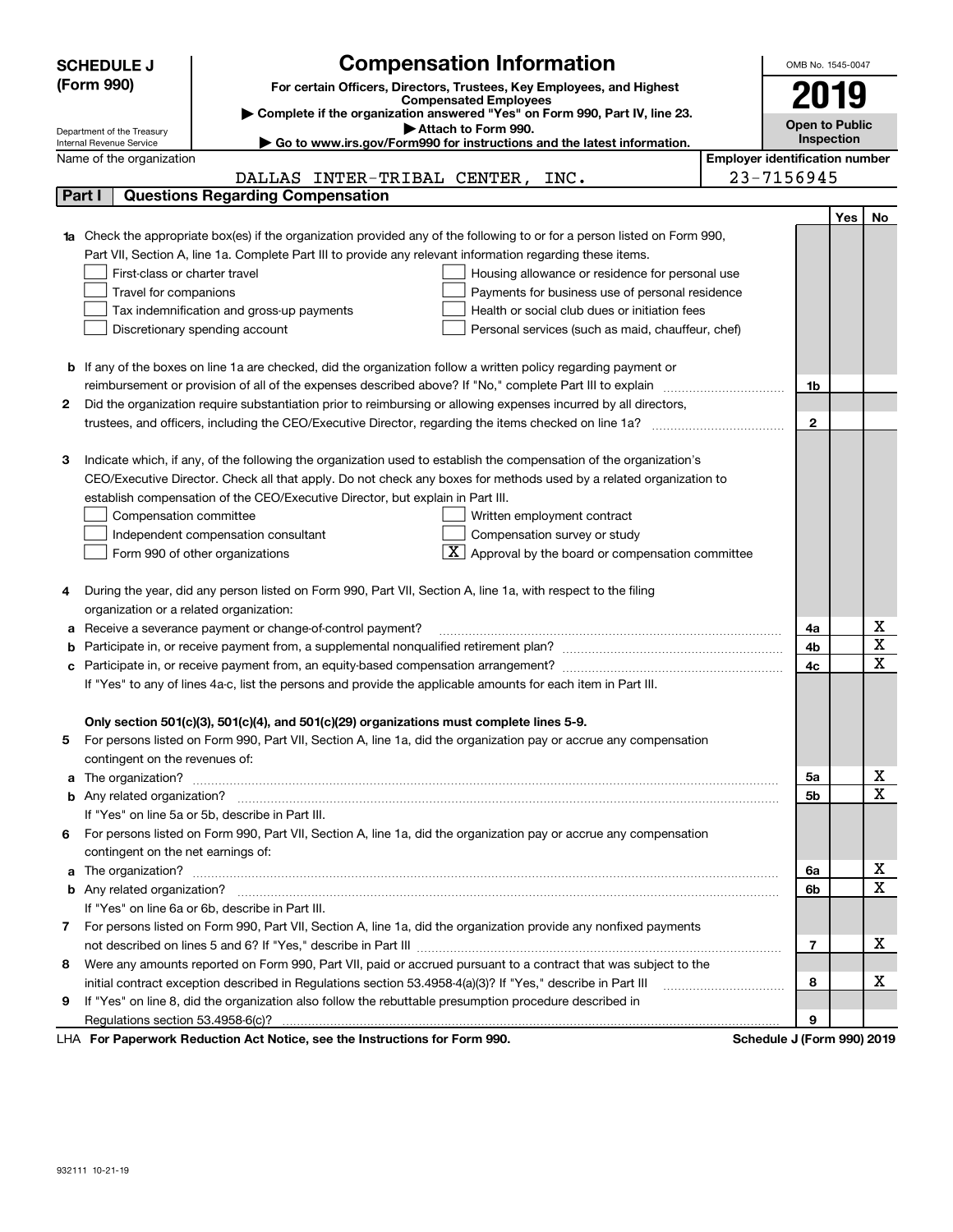|    | <b>Compensation Information</b><br><b>SCHEDULE J</b>                                                                                                                                                          | OMB No. 1545-0047     |     |             |
|----|---------------------------------------------------------------------------------------------------------------------------------------------------------------------------------------------------------------|-----------------------|-----|-------------|
|    | (Form 990)<br>For certain Officers, Directors, Trustees, Key Employees, and Highest                                                                                                                           |                       |     |             |
|    | <b>Compensated Employees</b>                                                                                                                                                                                  | 2019                  |     |             |
|    | Complete if the organization answered "Yes" on Form 990, Part IV, line 23.<br>Attach to Form 990.                                                                                                             | <b>Open to Public</b> |     |             |
|    | Department of the Treasury<br>► Go to www.irs.gov/Form990 for instructions and the latest information.<br>Internal Revenue Service                                                                            | Inspection            |     |             |
|    | <b>Employer identification number</b><br>Name of the organization                                                                                                                                             |                       |     |             |
|    | 23-7156945<br>DALLAS INTER-TRIBAL CENTER, INC.                                                                                                                                                                |                       |     |             |
|    | <b>Questions Regarding Compensation</b><br>Part I                                                                                                                                                             |                       |     |             |
|    |                                                                                                                                                                                                               |                       | Yes | No          |
|    | Check the appropriate box(es) if the organization provided any of the following to or for a person listed on Form 990,                                                                                        |                       |     |             |
|    | Part VII, Section A, line 1a. Complete Part III to provide any relevant information regarding these items.                                                                                                    |                       |     |             |
|    | First-class or charter travel<br>Housing allowance or residence for personal use                                                                                                                              |                       |     |             |
|    | Travel for companions<br>Payments for business use of personal residence                                                                                                                                      |                       |     |             |
|    | Health or social club dues or initiation fees<br>Tax indemnification and gross-up payments                                                                                                                    |                       |     |             |
|    | Discretionary spending account<br>Personal services (such as maid, chauffeur, chef)                                                                                                                           |                       |     |             |
|    |                                                                                                                                                                                                               |                       |     |             |
| b  | If any of the boxes on line 1a are checked, did the organization follow a written policy regarding payment or                                                                                                 |                       |     |             |
|    |                                                                                                                                                                                                               | 1b                    |     |             |
| 2  | Did the organization require substantiation prior to reimbursing or allowing expenses incurred by all directors,                                                                                              |                       |     |             |
|    |                                                                                                                                                                                                               | $\mathbf{2}$          |     |             |
|    |                                                                                                                                                                                                               |                       |     |             |
| з  | Indicate which, if any, of the following the organization used to establish the compensation of the organization's                                                                                            |                       |     |             |
|    | CEO/Executive Director. Check all that apply. Do not check any boxes for methods used by a related organization to                                                                                            |                       |     |             |
|    | establish compensation of the CEO/Executive Director, but explain in Part III.                                                                                                                                |                       |     |             |
|    | Compensation committee<br>Written employment contract                                                                                                                                                         |                       |     |             |
|    | Compensation survey or study<br>Independent compensation consultant                                                                                                                                           |                       |     |             |
|    | $\boxed{\textbf{X}}$ Approval by the board or compensation committee<br>Form 990 of other organizations                                                                                                       |                       |     |             |
|    |                                                                                                                                                                                                               |                       |     |             |
| 4  | During the year, did any person listed on Form 990, Part VII, Section A, line 1a, with respect to the filing                                                                                                  |                       |     |             |
|    | organization or a related organization:                                                                                                                                                                       |                       |     |             |
| а  | Receive a severance payment or change-of-control payment?                                                                                                                                                     | 4a                    |     | х<br>X      |
| b  |                                                                                                                                                                                                               | 4b                    |     | х           |
|    |                                                                                                                                                                                                               | 4c                    |     |             |
|    | If "Yes" to any of lines 4a-c, list the persons and provide the applicable amounts for each item in Part III.                                                                                                 |                       |     |             |
|    |                                                                                                                                                                                                               |                       |     |             |
|    | Only section 501(c)(3), 501(c)(4), and 501(c)(29) organizations must complete lines 5-9.<br>For persons listed on Form 990, Part VII, Section A, line 1a, did the organization pay or accrue any compensation |                       |     |             |
| 5  | contingent on the revenues of:                                                                                                                                                                                |                       |     |             |
| a  |                                                                                                                                                                                                               | 5а                    |     | х           |
|    |                                                                                                                                                                                                               | 5b                    |     | х           |
|    | If "Yes" on line 5a or 5b, describe in Part III.                                                                                                                                                              |                       |     |             |
|    | 6 For persons listed on Form 990, Part VII, Section A, line 1a, did the organization pay or accrue any compensation                                                                                           |                       |     |             |
|    | contingent on the net earnings of:                                                                                                                                                                            |                       |     |             |
| a  |                                                                                                                                                                                                               | 6a                    |     | X           |
|    |                                                                                                                                                                                                               | 6b                    |     | $\mathbf X$ |
|    | If "Yes" on line 6a or 6b, describe in Part III.                                                                                                                                                              |                       |     |             |
| 7. | For persons listed on Form 990, Part VII, Section A, line 1a, did the organization provide any nonfixed payments                                                                                              |                       |     |             |
|    |                                                                                                                                                                                                               | 7                     |     | x           |
| 8  | Were any amounts reported on Form 990, Part VII, paid or accrued pursuant to a contract that was subject to the                                                                                               |                       |     |             |
|    | initial contract exception described in Regulations section 53.4958-4(a)(3)? If "Yes," describe in Part III                                                                                                   | 8                     |     | x           |
| 9  | If "Yes" on line 8, did the organization also follow the rebuttable presumption procedure described in                                                                                                        |                       |     |             |
|    |                                                                                                                                                                                                               | 9                     |     |             |
|    |                                                                                                                                                                                                               |                       |     |             |

LHA For Paperwork Reduction Act Notice, see the Instructions for Form 990. Schedule J (Form 990) 2019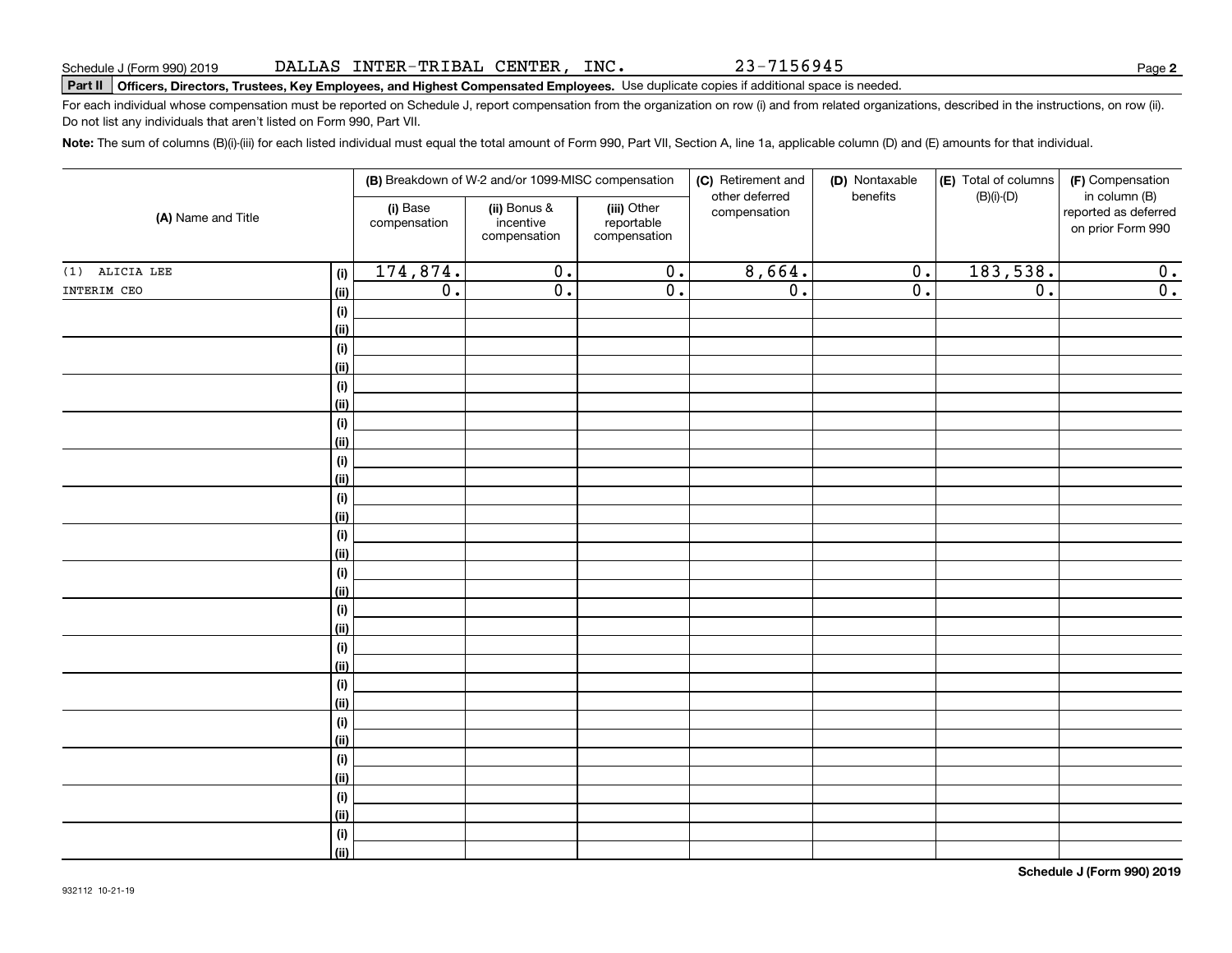#### DALLAS INTER-TRIBAL CENTER, INC.

# **Part II Officers, Directors, Trustees, Key Employees, and Highest Compensated Employees.**  Schedule J (Form 990) 2019 Page Use duplicate copies if additional space is needed.

For each individual whose compensation must be reported on Schedule J, report compensation from the organization on row (i) and from related organizations, described in the instructions, on row (ii). Do not list any individuals that aren't listed on Form 990, Part VII.

**Note:**  The sum of columns (B)(i)-(iii) for each listed individual must equal the total amount of Form 990, Part VII, Section A, line 1a, applicable column (D) and (E) amounts for that individual.

| (A) Name and Title |                           |                          | (B) Breakdown of W-2 and/or 1099-MISC compensation |                                           | (C) Retirement and             | (D) Nontaxable   | (E) Total of columns | (F) Compensation                                           |
|--------------------|---------------------------|--------------------------|----------------------------------------------------|-------------------------------------------|--------------------------------|------------------|----------------------|------------------------------------------------------------|
|                    |                           | (i) Base<br>compensation | (ii) Bonus &<br>incentive<br>compensation          | (iii) Other<br>reportable<br>compensation | other deferred<br>compensation | benefits         | $(B)(i)-(D)$         | in column (B)<br>reported as deferred<br>on prior Form 990 |
| (1) ALICIA LEE     | (i)                       | 174,874.                 | $\overline{0}$ .                                   | $\overline{0}$ .                          | 8,664.                         | 0.               | 183,538.             | 0.                                                         |
| INTERIM CEO        | <u>(ii)</u>               | $\overline{0}$ .         | $\overline{0}$ .                                   | $\overline{0}$ .                          | $\overline{0}$ .               | $\overline{0}$ . | $\overline{0}$ .     | $\overline{\mathbf{0}}$ .                                  |
|                    | (i)                       |                          |                                                    |                                           |                                |                  |                      |                                                            |
|                    | <u>(ii)</u>               |                          |                                                    |                                           |                                |                  |                      |                                                            |
|                    | (i)                       |                          |                                                    |                                           |                                |                  |                      |                                                            |
|                    | <u>(ii)</u>               |                          |                                                    |                                           |                                |                  |                      |                                                            |
|                    | (i)                       |                          |                                                    |                                           |                                |                  |                      |                                                            |
|                    | <u>(ii)</u>               |                          |                                                    |                                           |                                |                  |                      |                                                            |
|                    | (i)                       |                          |                                                    |                                           |                                |                  |                      |                                                            |
|                    | (ii)                      |                          |                                                    |                                           |                                |                  |                      |                                                            |
|                    | (i)                       |                          |                                                    |                                           |                                |                  |                      |                                                            |
|                    | (ii)                      |                          |                                                    |                                           |                                |                  |                      |                                                            |
|                    | (i)                       |                          |                                                    |                                           |                                |                  |                      |                                                            |
|                    | (ii)                      |                          |                                                    |                                           |                                |                  |                      |                                                            |
|                    | (i)                       |                          |                                                    |                                           |                                |                  |                      |                                                            |
|                    | (ii)                      |                          |                                                    |                                           |                                |                  |                      |                                                            |
|                    | (i)                       |                          |                                                    |                                           |                                |                  |                      |                                                            |
|                    | (ii)                      |                          |                                                    |                                           |                                |                  |                      |                                                            |
|                    | (i)                       |                          |                                                    |                                           |                                |                  |                      |                                                            |
|                    | (ii)                      |                          |                                                    |                                           |                                |                  |                      |                                                            |
|                    | (i)                       |                          |                                                    |                                           |                                |                  |                      |                                                            |
|                    | <u>(ii)</u>               |                          |                                                    |                                           |                                |                  |                      |                                                            |
|                    | (i)                       |                          |                                                    |                                           |                                |                  |                      |                                                            |
|                    | <u>(ii)</u>               |                          |                                                    |                                           |                                |                  |                      |                                                            |
|                    | (i)<br>(ii)               |                          |                                                    |                                           |                                |                  |                      |                                                            |
|                    |                           |                          |                                                    |                                           |                                |                  |                      |                                                            |
|                    | $(\sf{i})$<br><u>(ii)</u> |                          |                                                    |                                           |                                |                  |                      |                                                            |
|                    | (i)                       |                          |                                                    |                                           |                                |                  |                      |                                                            |
|                    | <u>(ii)</u>               |                          |                                                    |                                           |                                |                  |                      |                                                            |
|                    | (i)                       |                          |                                                    |                                           |                                |                  |                      |                                                            |
|                    | (ii)                      |                          |                                                    |                                           |                                |                  |                      |                                                            |
|                    |                           |                          |                                                    |                                           |                                |                  |                      |                                                            |

**Schedule J (Form 990) 2019**

23-7156945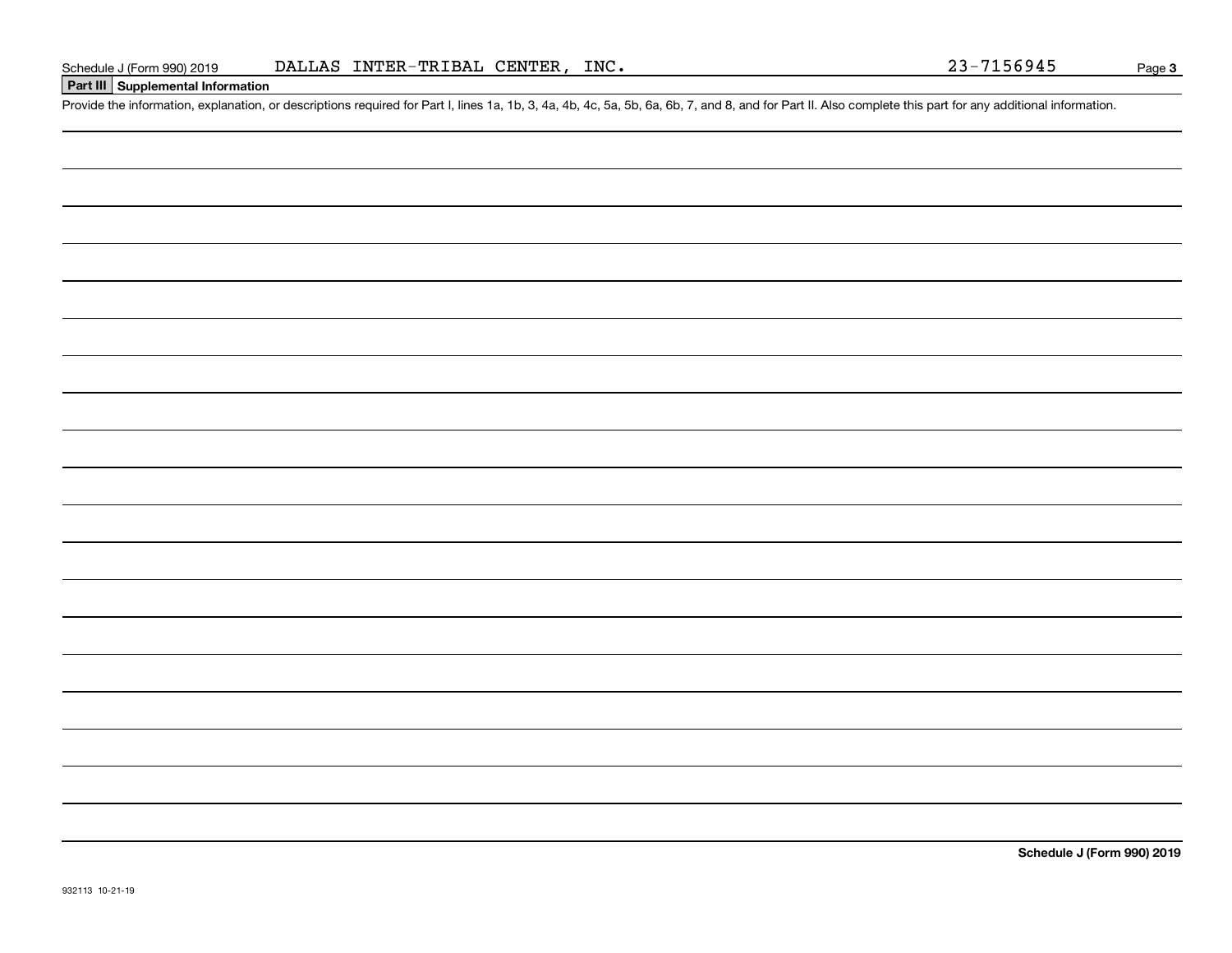# **Part III Supplemental Information**

Schedule J (Form 990) 2019 DALLAS INTER-TRIBAL CENTER, INC.<br>Part III Supplemental Information<br>Provide the information, explanation, or descriptions required for Part I, lines 1a, 1b, 3, 4a, 4b, 4c, 5a, 5b, 6a, 6b, 7, and 8

**Schedule J (Form 990) 2019**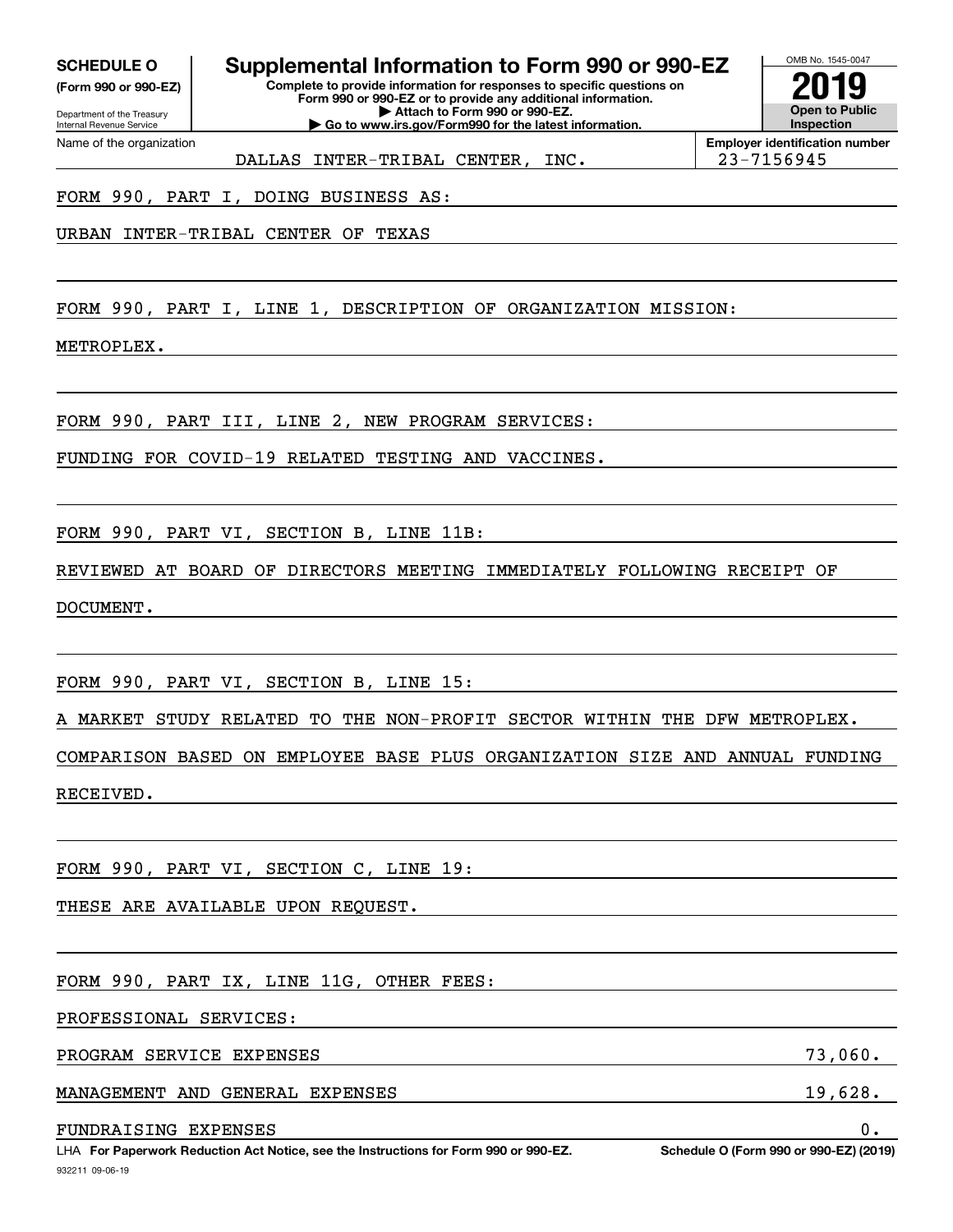**(Form 990 or 990-EZ)**

Department of the Treasury Internal Revenue Service Name of the organization

**SCHEDULE O Supplemental Information to Form 990 or 990-EZ**

**Complete to provide information for responses to specific questions on Form 990 or 990-EZ or to provide any additional information. | Attach to Form 990 or 990-EZ. | Go to www.irs.gov/Form990 for the latest information.**



**Employer identification number** DALLAS INTER-TRIBAL CENTER, INC. | 23-7156945

FORM 990, PART I, DOING BUSINESS AS:

URBAN INTER-TRIBAL CENTER OF TEXAS

FORM 990, PART I, LINE 1, DESCRIPTION OF ORGANIZATION MISSION:

METROPLEX.

FORM 990, PART III, LINE 2, NEW PROGRAM SERVICES:

FUNDING FOR COVID-19 RELATED TESTING AND VACCINES.

FORM 990, PART VI, SECTION B, LINE 11B:

REVIEWED AT BOARD OF DIRECTORS MEETING IMMEDIATELY FOLLOWING RECEIPT OF DOCUMENT.

FORM 990, PART VI, SECTION B, LINE 15:

A MARKET STUDY RELATED TO THE NON-PROFIT SECTOR WITHIN THE DFW METROPLEX.

COMPARISON BASED ON EMPLOYEE BASE PLUS ORGANIZATION SIZE AND ANNUAL FUNDING RECEIVED.

FORM 990, PART VI, SECTION C, LINE 19:

THESE ARE AVAILABLE UPON REQUEST.

FORM 990, PART IX, LINE 11G, OTHER FEES:

PROFESSIONAL SERVICES:

PROGRAM SERVICE EXPENSES 73,060.

MANAGEMENT AND GENERAL EXPENSES 19,628.

FUNDRAISING EXPENSES 0.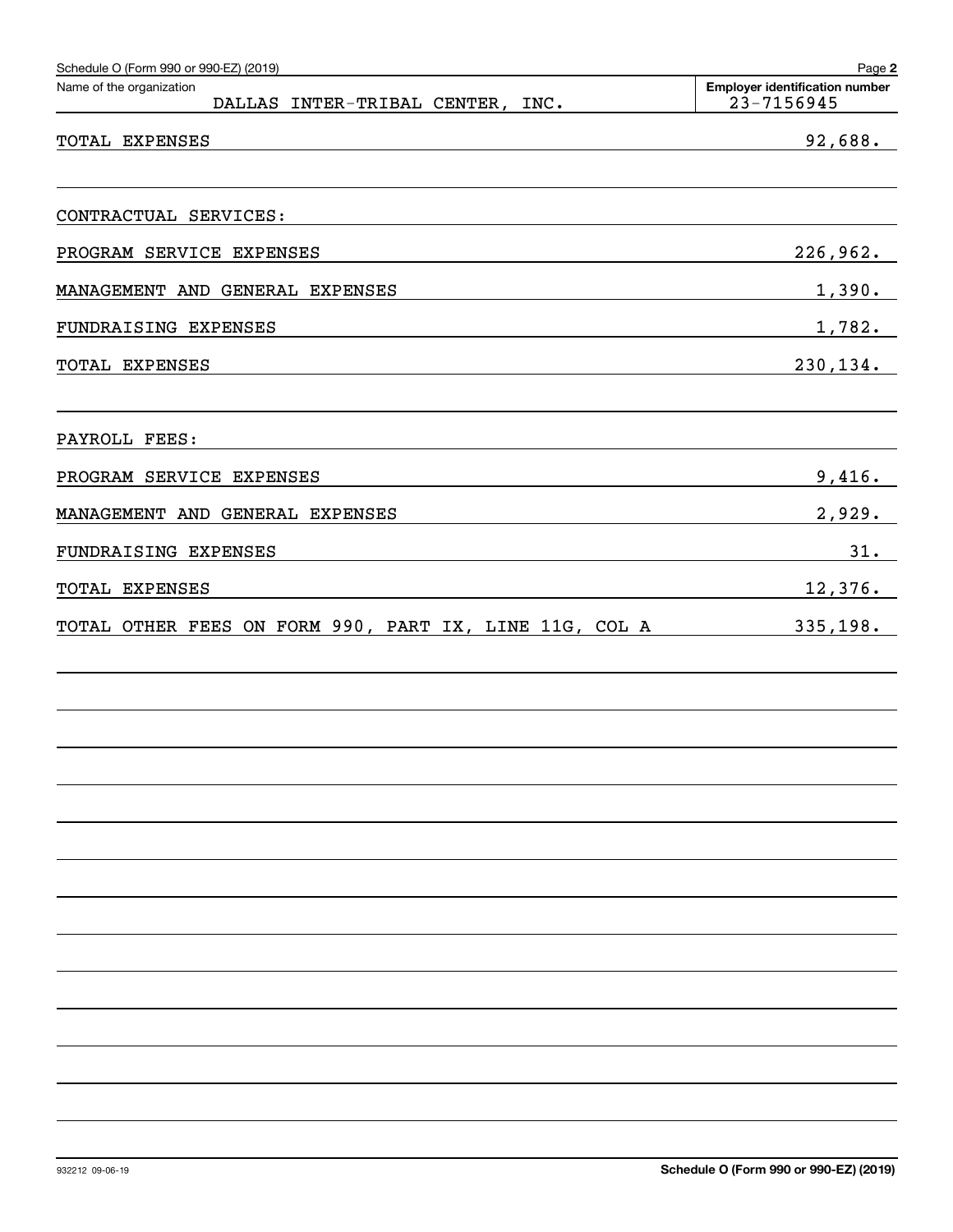| Schedule O (Form 990 or 990-EZ) (2019)<br>Name of the organization | Page 2<br><b>Employer identification number</b> |
|--------------------------------------------------------------------|-------------------------------------------------|
| DALLAS INTER-TRIBAL CENTER, INC.                                   | 23-7156945                                      |
| TOTAL EXPENSES                                                     | 92,688.                                         |
| CONTRACTUAL SERVICES:                                              |                                                 |
| PROGRAM SERVICE EXPENSES                                           | 226,962.                                        |
| MANAGEMENT AND GENERAL EXPENSES                                    | 1,390.                                          |
| FUNDRAISING EXPENSES                                               | 1,782.                                          |
| TOTAL EXPENSES                                                     | 230, 134.                                       |
| PAYROLL FEES:                                                      |                                                 |
| PROGRAM SERVICE EXPENSES                                           | 9,416.                                          |
| MANAGEMENT AND GENERAL EXPENSES                                    | 2,929.                                          |
| FUNDRAISING EXPENSES                                               | 31.                                             |
| TOTAL EXPENSES                                                     | 12,376.                                         |
| TOTAL OTHER FEES ON FORM 990, PART IX, LINE 11G, COL A             | 335,198.                                        |
|                                                                    |                                                 |
|                                                                    |                                                 |
|                                                                    |                                                 |
|                                                                    |                                                 |
|                                                                    |                                                 |
|                                                                    |                                                 |
|                                                                    |                                                 |
|                                                                    |                                                 |
|                                                                    |                                                 |
|                                                                    |                                                 |
|                                                                    |                                                 |
|                                                                    |                                                 |
|                                                                    |                                                 |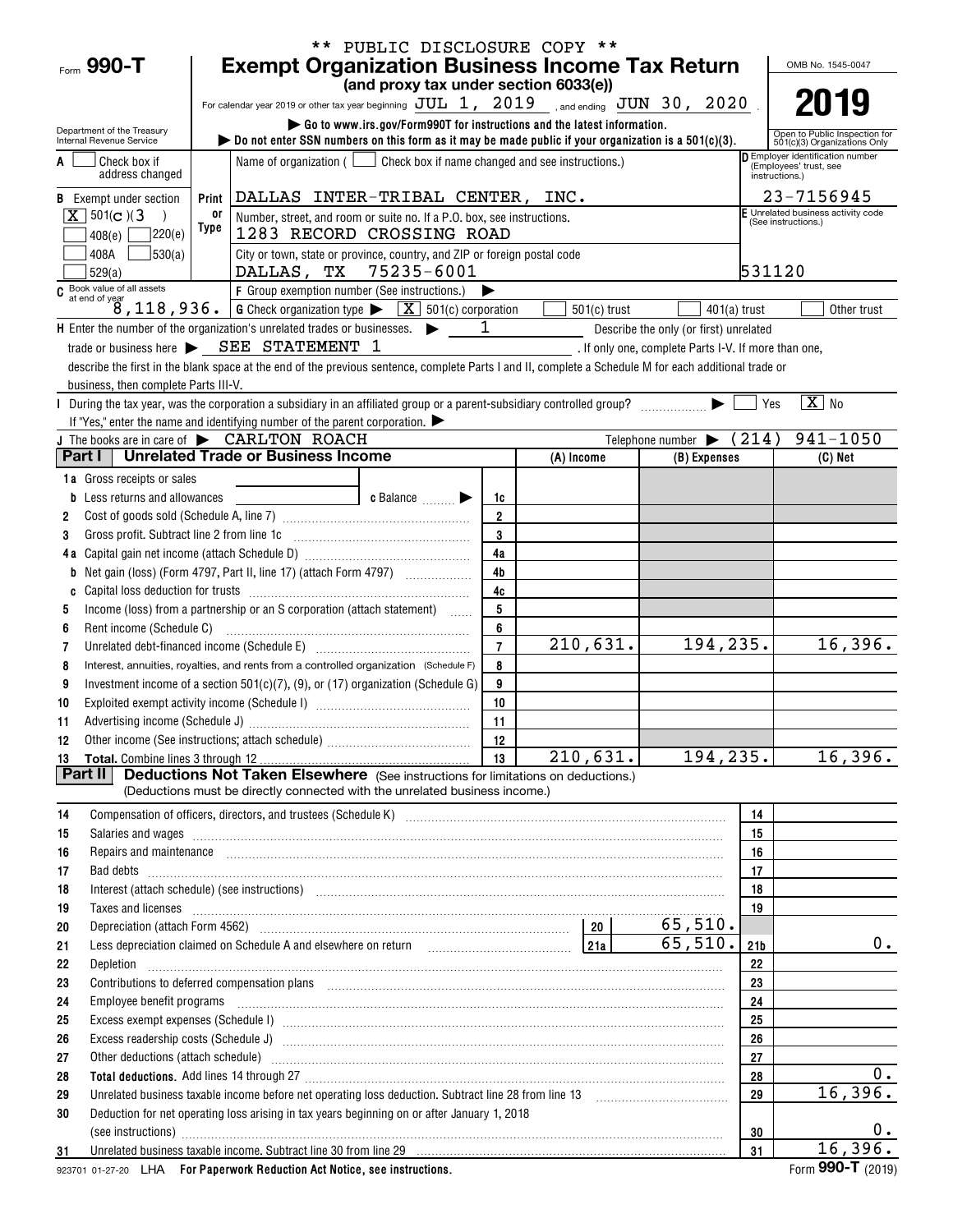|                                                        |                                                                                                                                                                                                                                | ** PUBLIC DISCLOSURE COPY **                                            |                     |                |                                                      |                       |                                                               |
|--------------------------------------------------------|--------------------------------------------------------------------------------------------------------------------------------------------------------------------------------------------------------------------------------|-------------------------------------------------------------------------|---------------------|----------------|------------------------------------------------------|-----------------------|---------------------------------------------------------------|
| Form 990-T                                             | <b>Exempt Organization Business Income Tax Return</b>                                                                                                                                                                          |                                                                         |                     |                |                                                      |                       | OMB No. 1545-0047                                             |
|                                                        |                                                                                                                                                                                                                                | (and proxy tax under section 6033(e))                                   |                     |                |                                                      |                       |                                                               |
|                                                        | For calendar year 2019 or other tax year beginning JUL 1, 2019 , and ending JUN 30, 2020                                                                                                                                       |                                                                         |                     |                |                                                      |                       |                                                               |
| Department of the Treasury<br>Internal Revenue Service | bo not enter SSN numbers on this form as it may be made public if your organization is a $501(c)(3)$ .                                                                                                                         | Go to www.irs.gov/Form990T for instructions and the latest information. |                     |                |                                                      |                       | Open to Public Inspection for<br>501(c)(3) Organizations Only |
| Check box if                                           | Name of organization ( $\Box$ Check box if name changed and see instructions.)                                                                                                                                                 |                                                                         |                     |                |                                                      |                       | Employer identification number                                |
| address changed                                        |                                                                                                                                                                                                                                |                                                                         |                     |                |                                                      |                       | (Employees' trust, see<br>instructions.)                      |
| <b>B</b> Exempt under section                          | Print DALLAS INTER-TRIBAL CENTER, INC.                                                                                                                                                                                         |                                                                         |                     |                |                                                      |                       | 23-7156945                                                    |
| $X \mid 501(c)$ (3)                                    | 0ľ<br>Number, street, and room or suite no. If a P.O. box, see instructions.                                                                                                                                                   |                                                                         |                     |                |                                                      |                       | E Unrelated business activity code<br>(See instructions.)     |
| 7220(e)<br>408(e)                                      | Type<br>1283 RECORD CROSSING ROAD                                                                                                                                                                                              |                                                                         |                     |                |                                                      |                       |                                                               |
| 530(a)<br>408A                                         | City or town, state or province, country, and ZIP or foreign postal code                                                                                                                                                       |                                                                         |                     |                |                                                      |                       |                                                               |
| 529(a)<br>C Book value of all assets                   | DALLAS, TX 75235-6001                                                                                                                                                                                                          |                                                                         |                     |                |                                                      | 531120                |                                                               |
|                                                        | F Group exemption number (See instructions.)<br>at end of year<br>8, 118, 936. G Check organization type $\triangleright$ $\boxed{X}$ 501(c) corporation                                                                       |                                                                         |                     |                |                                                      |                       |                                                               |
|                                                        | H Enter the number of the organization's unrelated trades or businesses.                                                                                                                                                       |                                                                         | 1                   | $501(c)$ trust | Describe the only (or first) unrelated               | $401(a)$ trust        | Other trust                                                   |
|                                                        | trade or business here > SEE STATEMENT 1                                                                                                                                                                                       |                                                                         |                     |                | . If only one, complete Parts I-V. If more than one, |                       |                                                               |
|                                                        | describe the first in the blank space at the end of the previous sentence, complete Parts I and II, complete a Schedule M for each additional trade or                                                                         |                                                                         |                     |                |                                                      |                       |                                                               |
| business, then complete Parts III-V.                   |                                                                                                                                                                                                                                |                                                                         |                     |                |                                                      |                       |                                                               |
|                                                        | During the tax year, was the corporation a subsidiary in an affiliated group or a parent-subsidiary controlled group?                                                                                                          |                                                                         |                     |                |                                                      | Yes                   | $\boxed{\text{X}}$ No                                         |
|                                                        | If "Yes," enter the name and identifying number of the parent corporation.                                                                                                                                                     |                                                                         |                     |                |                                                      |                       |                                                               |
|                                                        | J The books are in care of $\blacktriangleright$ CARLTON ROACH                                                                                                                                                                 |                                                                         |                     |                | Telephone number $\blacktriangleright$ (214)         |                       | $941 - 1050$                                                  |
| Part I                                                 | <b>Unrelated Trade or Business Income</b>                                                                                                                                                                                      |                                                                         |                     | (A) Income     | (B) Expenses                                         |                       | $(C)$ Net                                                     |
| 1a Gross receipts or sales                             |                                                                                                                                                                                                                                |                                                                         |                     |                |                                                      |                       |                                                               |
| Less returns and allowances                            |                                                                                                                                                                                                                                | c Balance                                                               | 1c                  |                |                                                      |                       |                                                               |
| 2                                                      |                                                                                                                                                                                                                                |                                                                         | $\overline{2}$<br>3 |                |                                                      |                       |                                                               |
| Gross profit. Subtract line 2 from line 1c<br>3        |                                                                                                                                                                                                                                |                                                                         | 4a                  |                |                                                      |                       |                                                               |
| 4a<br>b                                                |                                                                                                                                                                                                                                |                                                                         | 4 <sub>b</sub>      |                |                                                      |                       |                                                               |
| C                                                      |                                                                                                                                                                                                                                |                                                                         | 4c                  |                |                                                      |                       |                                                               |
| 5                                                      | Income (loss) from a partnership or an S corporation (attach statement)                                                                                                                                                        |                                                                         | 5                   |                |                                                      |                       |                                                               |
| Rent income (Schedule C)<br>6                          |                                                                                                                                                                                                                                |                                                                         | 6                   |                |                                                      |                       |                                                               |
| 7                                                      | Unrelated debt-financed income (Schedule E) [11] [2010] [2010] [2010] [2010] [2010] [2010] [2010] [2010] [2010                                                                                                                 |                                                                         | $\overline{7}$      | 210,631.       | 194, 235.                                            |                       | 16,396.                                                       |
| 8                                                      | Interest, annuities, royalties, and rents from a controlled organization (Schedule F)                                                                                                                                          |                                                                         | 8                   |                |                                                      |                       |                                                               |
| 9                                                      | Investment income of a section 501(c)(7), (9), or (17) organization (Schedule G)                                                                                                                                               |                                                                         | 9                   |                |                                                      |                       |                                                               |
| 10                                                     |                                                                                                                                                                                                                                |                                                                         | 10                  |                |                                                      |                       |                                                               |
| 11                                                     |                                                                                                                                                                                                                                |                                                                         | 11                  |                |                                                      |                       |                                                               |
|                                                        |                                                                                                                                                                                                                                |                                                                         | 13                  | 210,631.       | 194, 235.                                            |                       | 16,396.                                                       |
| 13<br>Part II                                          | <b>Deductions Not Taken Elsewhere</b> (See instructions for limitations on deductions.)                                                                                                                                        |                                                                         |                     |                |                                                      |                       |                                                               |
|                                                        | (Deductions must be directly connected with the unrelated business income.)                                                                                                                                                    |                                                                         |                     |                |                                                      |                       |                                                               |
| 14                                                     |                                                                                                                                                                                                                                |                                                                         |                     |                |                                                      | 14                    |                                                               |
| 15                                                     | Salaries and wages information continuous contracts and wages in the salaries and wages incommutation of the salarities and wages in the salarities and wages in the salarities of the salarities of the salarities of the sal |                                                                         |                     |                |                                                      | 15                    |                                                               |
| 16                                                     | Repairs and maintenance <i>[1] [1] [1] [1] [1] [1] [1] [1] [1] [1]</i> [1] <b>[1]</b> [1] <b>[1]</b> [1] <b>[1] [1] [1] [1] [1] [1] [1] [1] [1] [1] [1] [1] [1] [1] [1] [1] [1] [1] [1] [1] [1] [1]</b>                        |                                                                         |                     |                |                                                      | 16                    |                                                               |
| 17<br>Bad debts                                        |                                                                                                                                                                                                                                |                                                                         |                     |                |                                                      | 17                    |                                                               |
| 18                                                     | Interest (attach schedule) (see instructions) www.assex.com/www.assex.com/www.assex.com/www.assex.com/www.assex.com/www.assex.com/www.assex.com/www.assex.com/www.assex.com/www.assex.com/www.assex.com/www.assex.com/www.asse |                                                                         |                     |                |                                                      | 18                    |                                                               |
| 19<br>Taxes and licenses                               |                                                                                                                                                                                                                                |                                                                         |                     |                |                                                      | 19                    |                                                               |
| 20                                                     |                                                                                                                                                                                                                                |                                                                         |                     |                | 65,510.<br>65,510.                                   |                       | $0$ .                                                         |
| 21                                                     | Less depreciation claimed on Schedule A and elsewhere on return [1] [11] [11] [21a]                                                                                                                                            |                                                                         |                     |                |                                                      | 21 <sub>b</sub><br>22 |                                                               |
| 22<br>Depletion<br>23                                  | Contributions to deferred compensation plans [11] manufactured contributions to deferred compensation plans [11] manufactured compensation plans [11] manufactured compensation plans [11] manufactured contributions to defer |                                                                         |                     |                |                                                      | 23                    |                                                               |
| 24                                                     | Employee benefit programs in the continuum contract of the contract of the contract of the contract of the contract of the contract of the contract of the contract of the contract of the contract of the contract of the con |                                                                         |                     |                |                                                      | 24                    |                                                               |
| 25                                                     |                                                                                                                                                                                                                                |                                                                         |                     |                |                                                      | 25                    |                                                               |
| 26                                                     |                                                                                                                                                                                                                                |                                                                         |                     |                |                                                      | 26                    |                                                               |
| 27                                                     | Other deductions (attach schedule) manufactured and contract and contract and contract and contract and contract and contract and contract and contract and contract and contract and contract and contract and contract and c |                                                                         |                     |                |                                                      | 27                    |                                                               |
| 28                                                     |                                                                                                                                                                                                                                |                                                                         |                     |                |                                                      | 28                    | $0$ .                                                         |
| 29                                                     | Unrelated business taxable income before net operating loss deduction. Subtract line 28 from line 13                                                                                                                           |                                                                         |                     |                |                                                      | 29                    | 16,396.                                                       |
| 30                                                     | Deduction for net operating loss arising in tax years beginning on or after January 1, 2018                                                                                                                                    |                                                                         |                     |                |                                                      |                       |                                                               |
|                                                        | (see instructions) www.communications.com/inductions/inductions/inductions/inductions/inductions/inductions/inductions/inductions/inductions/inductions/inductions/inductions/inductions/inductions/inductions/inductions/indu |                                                                         |                     |                |                                                      | 30                    | $0$ .                                                         |
| 31                                                     | Unrelated business taxable income. Subtract line 30 from line 29 [11] www.communically.communically.communically                                                                                                               |                                                                         |                     |                |                                                      | 31                    | 16,396.<br>$\overline{1}$                                     |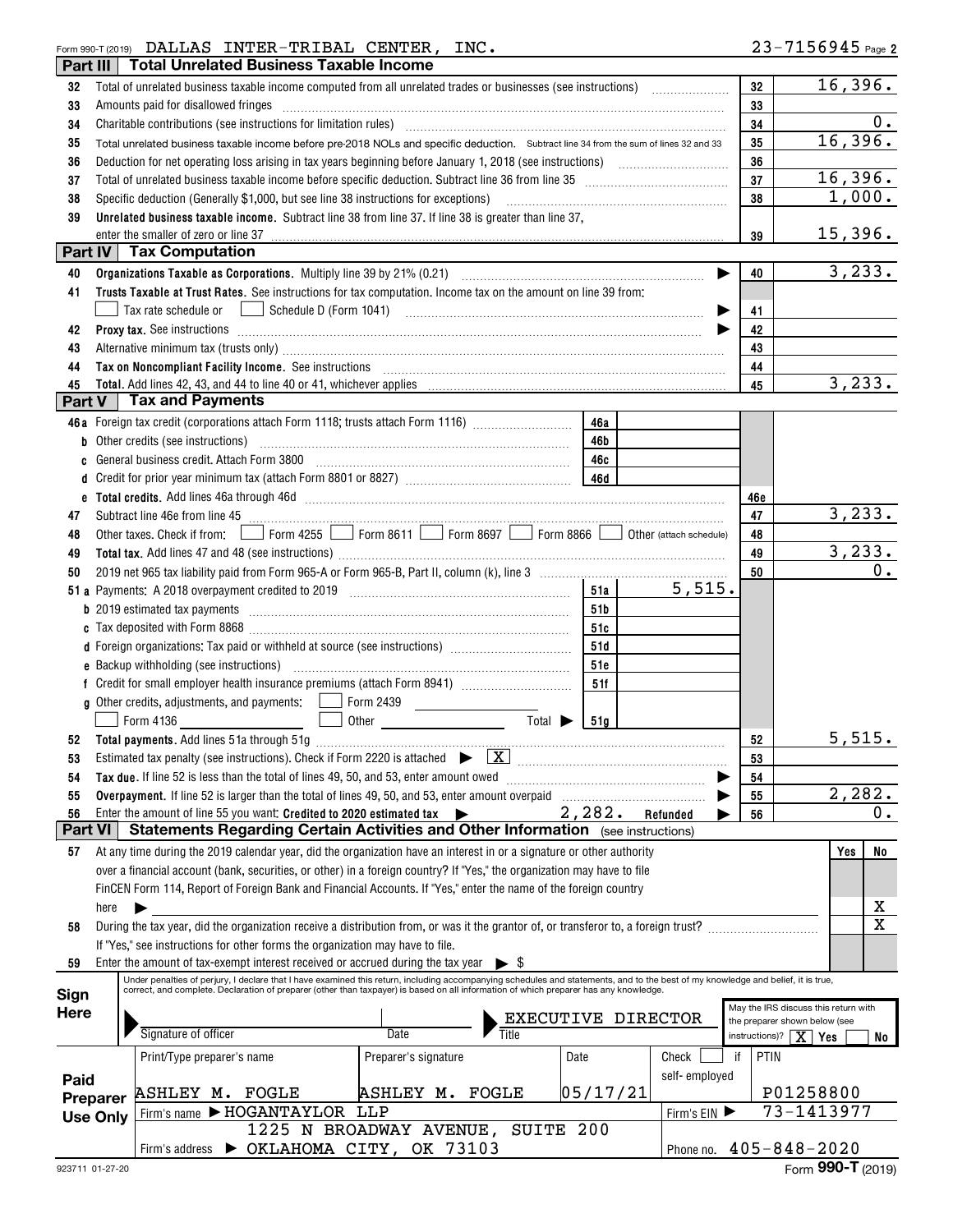## Form 990-T (2019) Page DALLAS INTER-TRIBAL CENTER, INC.

| Part III    |                 | <b>Total Unrelated Business Taxable Income</b>                                                                                                                                                                                                                      |                                   |                             |            |                       |            |                                                                          |                         |
|-------------|-----------------|---------------------------------------------------------------------------------------------------------------------------------------------------------------------------------------------------------------------------------------------------------------------|-----------------------------------|-----------------------------|------------|-----------------------|------------|--------------------------------------------------------------------------|-------------------------|
| 32          |                 |                                                                                                                                                                                                                                                                     |                                   |                             |            |                       | 32         |                                                                          | 16,396.                 |
| 33          |                 | Amounts paid for disallowed fringes                                                                                                                                                                                                                                 |                                   |                             |            |                       | 33         |                                                                          |                         |
| 34          |                 | Charitable contributions (see instructions for limitation rules) [11] manufacture in the contributions (see instructions for limitation rules) [11] manufacture in the contributions (see instructions for limitation rules) [                                      |                                   |                             |            |                       | 34         |                                                                          | $\overline{0}$ .        |
| 35          |                 | Total unrelated business taxable income before pre-2018 NOLs and specific deduction. Subtract line 34 from the sum of lines 32 and 33                                                                                                                               |                                   |                             |            |                       | 35         |                                                                          | 16,396.                 |
| 36          |                 |                                                                                                                                                                                                                                                                     |                                   |                             |            |                       | 36         |                                                                          |                         |
| 37          |                 |                                                                                                                                                                                                                                                                     |                                   |                             |            |                       | 37         |                                                                          | 16,396.                 |
| 38          |                 | Specific deduction (Generally \$1,000, but see line 38 instructions for exceptions)                                                                                                                                                                                 |                                   |                             |            |                       | 38         |                                                                          | 1,000.                  |
| 39          |                 | Unrelated business taxable income. Subtract line 38 from line 37. If line 38 is greater than line 37,                                                                                                                                                               |                                   |                             |            |                       |            |                                                                          |                         |
|             |                 | enter the smaller of zero or line 37<br>Part IV   Tax Computation                                                                                                                                                                                                   |                                   |                             |            |                       | 39         |                                                                          | 15,396.                 |
|             |                 |                                                                                                                                                                                                                                                                     |                                   |                             |            |                       |            |                                                                          | 3,233.                  |
| 40<br>41    |                 | Trusts Taxable at Trust Rates. See instructions for tax computation. Income tax on the amount on line 39 from:                                                                                                                                                      |                                   |                             |            | $\blacktriangleright$ | 40         |                                                                          |                         |
|             |                 | Tax rate schedule or <u>Improvedue</u> D (Form 1041) <b>Contained the Contract of Schedule D</b> (Form 1041)                                                                                                                                                        |                                   |                             |            | ▶                     | 41         |                                                                          |                         |
| 42          |                 |                                                                                                                                                                                                                                                                     |                                   |                             |            |                       | 42         |                                                                          |                         |
| 43          |                 | Alternative minimum tax (trusts only) manufactured and an according term of the state of the state of the state of the state of the state of the state of the state of the state of the state of the state of the state of the                                      |                                   |                             |            |                       | 43         |                                                                          |                         |
| 44          |                 | Tax on Noncompliant Facility Income. See instructions [11] All All All According Max on Noncompliant Facility Income. See instructions [11] All According Max on Noncompliant Facility Income.                                                                      |                                   |                             |            |                       | 44         |                                                                          |                         |
| 45          |                 | Total. Add lines 42, 43, and 44 to line 40 or 41, whichever applies                                                                                                                                                                                                 |                                   |                             |            |                       | 45         |                                                                          | 3,233.                  |
| Part V      |                 | Tax and Payments                                                                                                                                                                                                                                                    |                                   |                             |            |                       |            |                                                                          |                         |
|             |                 | 46a Foreign tax credit (corporations attach Form 1118; trusts attach Form 1116) [                                                                                                                                                                                   |                                   |                             | 46a        |                       |            |                                                                          |                         |
|             |                 | Other credits (see instructions)                                                                                                                                                                                                                                    |                                   |                             | 46b        |                       |            |                                                                          |                         |
|             |                 | General business credit. Attach Form 3800                                                                                                                                                                                                                           |                                   |                             | 46с        |                       |            |                                                                          |                         |
|             |                 |                                                                                                                                                                                                                                                                     |                                   |                             |            |                       |            |                                                                          |                         |
| е           |                 |                                                                                                                                                                                                                                                                     |                                   |                             |            |                       | 46e        |                                                                          |                         |
| 47          |                 | Subtract line 46e from line 45 <b>manual contract the 45</b> manual contract of the 46e from line 45                                                                                                                                                                |                                   |                             |            |                       | 47         |                                                                          | 3, 233.                 |
| 48          |                 | Other taxes. Check if from: Form 4255 Form 8611 Form 8697 Form 8866 Other (attach schedule)                                                                                                                                                                         |                                   |                             |            |                       | 48         |                                                                          |                         |
| 49          |                 |                                                                                                                                                                                                                                                                     |                                   |                             |            |                       | 49         |                                                                          | 3, 233.                 |
| 50          |                 |                                                                                                                                                                                                                                                                     |                                   |                             |            |                       | 50         |                                                                          | $0$ .                   |
|             |                 |                                                                                                                                                                                                                                                                     |                                   |                             | 51a        | 5,515.                |            |                                                                          |                         |
|             |                 |                                                                                                                                                                                                                                                                     |                                   |                             | 51b        |                       |            |                                                                          |                         |
|             |                 |                                                                                                                                                                                                                                                                     |                                   |                             | 51c        |                       |            |                                                                          |                         |
|             |                 | d Foreign organizations: Tax paid or withheld at source (see instructions) [                                                                                                                                                                                        |                                   |                             | 51d        |                       |            |                                                                          |                         |
|             |                 | e Backup withholding (see instructions)                                                                                                                                                                                                                             |                                   |                             | 51e<br>51f |                       |            |                                                                          |                         |
|             |                 | <b>g</b> Other credits, adjustments, and payments: Form 2439                                                                                                                                                                                                        |                                   |                             |            |                       |            |                                                                          |                         |
|             |                 | Form 4136                                                                                                                                                                                                                                                           | $\sim$ 100 $\mu$ m $^{-1}$        | Total $\blacktriangleright$ | 51a        |                       |            |                                                                          |                         |
|             |                 |                                                                                                                                                                                                                                                                     |                                   |                             |            |                       | 52         |                                                                          | 5,515.                  |
| 53          |                 | Estimated tax penalty (see instructions). Check if Form 2220 is attached $\blacktriangleright$ $\boxed{\mathbf{X}}$                                                                                                                                                 |                                   |                             |            |                       | 53         |                                                                          |                         |
| 54          |                 | Tax due. If line 52 is less than the total of lines 49, 50, and 53, enter amount owed                                                                                                                                                                               |                                   |                             |            |                       | 54         |                                                                          |                         |
| 55          |                 | Overpayment. If line 52 is larger than the total of lines 49, 50, and 53, enter amount overpaid                                                                                                                                                                     |                                   |                             |            |                       | 55         |                                                                          | 2,282.                  |
| 56          |                 | Enter the amount of line 55 you want: Credited to 2020 estimated tax $\blacktriangleright$                                                                                                                                                                          |                                   |                             | 2,282.     | Refunded              | 56         |                                                                          | 0.                      |
| Part VI     |                 | Statements Regarding Certain Activities and Other Information (see instructions)                                                                                                                                                                                    |                                   |                             |            |                       |            |                                                                          |                         |
| 57          |                 | At any time during the 2019 calendar year, did the organization have an interest in or a signature or other authority                                                                                                                                               |                                   |                             |            |                       |            | Yes                                                                      | No                      |
|             |                 | over a financial account (bank, securities, or other) in a foreign country? If "Yes," the organization may have to file                                                                                                                                             |                                   |                             |            |                       |            |                                                                          |                         |
|             |                 | FinCEN Form 114, Report of Foreign Bank and Financial Accounts. If "Yes," enter the name of the foreign country                                                                                                                                                     |                                   |                             |            |                       |            |                                                                          |                         |
|             | here            |                                                                                                                                                                                                                                                                     |                                   |                             |            |                       |            |                                                                          | x                       |
| 58          |                 | During the tax year, did the organization receive a distribution from, or was it the grantor of, or transferor to, a foreign trust?                                                                                                                                 |                                   |                             |            |                       |            |                                                                          | $\overline{\mathbf{x}}$ |
|             |                 | If "Yes," see instructions for other forms the organization may have to file.                                                                                                                                                                                       |                                   |                             |            |                       |            |                                                                          |                         |
| 59          |                 | Enter the amount of tax-exempt interest received or accrued during the tax year<br>Under penalties of perjury, I declare that I have examined this return, including accompanying schedules and statements, and to the best of my knowledge and belief, it is true, |                                   |                             |            |                       |            |                                                                          |                         |
| Sign        |                 | correct, and complete. Declaration of preparer (other than taxpayer) is based on all information of which preparer has any knowledge.                                                                                                                               |                                   |                             |            |                       |            |                                                                          |                         |
| <b>Here</b> |                 |                                                                                                                                                                                                                                                                     |                                   |                             |            | EXECUTIVE DIRECTOR    |            | May the IRS discuss this return with                                     |                         |
|             |                 | Signature of officer                                                                                                                                                                                                                                                | Date                              |                             |            |                       |            | the preparer shown below (see<br>instructions)? $\boxed{\mathbf{X}}$ Yes | No                      |
|             |                 | Print/Type preparer's name                                                                                                                                                                                                                                          | Preparer's signature              |                             | Date       | Check                 | PTIN<br>if |                                                                          |                         |
|             |                 |                                                                                                                                                                                                                                                                     |                                   |                             |            | self-employed         |            |                                                                          |                         |
| Paid        | Preparer        | ASHLEY M. FOGLE                                                                                                                                                                                                                                                     | ASHLEY M. FOGLE                   |                             | 05/17/21   |                       |            | P01258800                                                                |                         |
|             | <b>Use Only</b> | Firm's name FHOGANTAYLOR LLP                                                                                                                                                                                                                                        |                                   |                             |            | Firm's EIN            |            | 73-1413977                                                               |                         |
|             |                 |                                                                                                                                                                                                                                                                     | 1225 N BROADWAY AVENUE, SUITE 200 |                             |            |                       |            |                                                                          |                         |
|             |                 | Firm's address > OKLAHOMA CITY, OK 73103                                                                                                                                                                                                                            |                                   |                             |            |                       |            | Phone no. 405-848-2020                                                   |                         |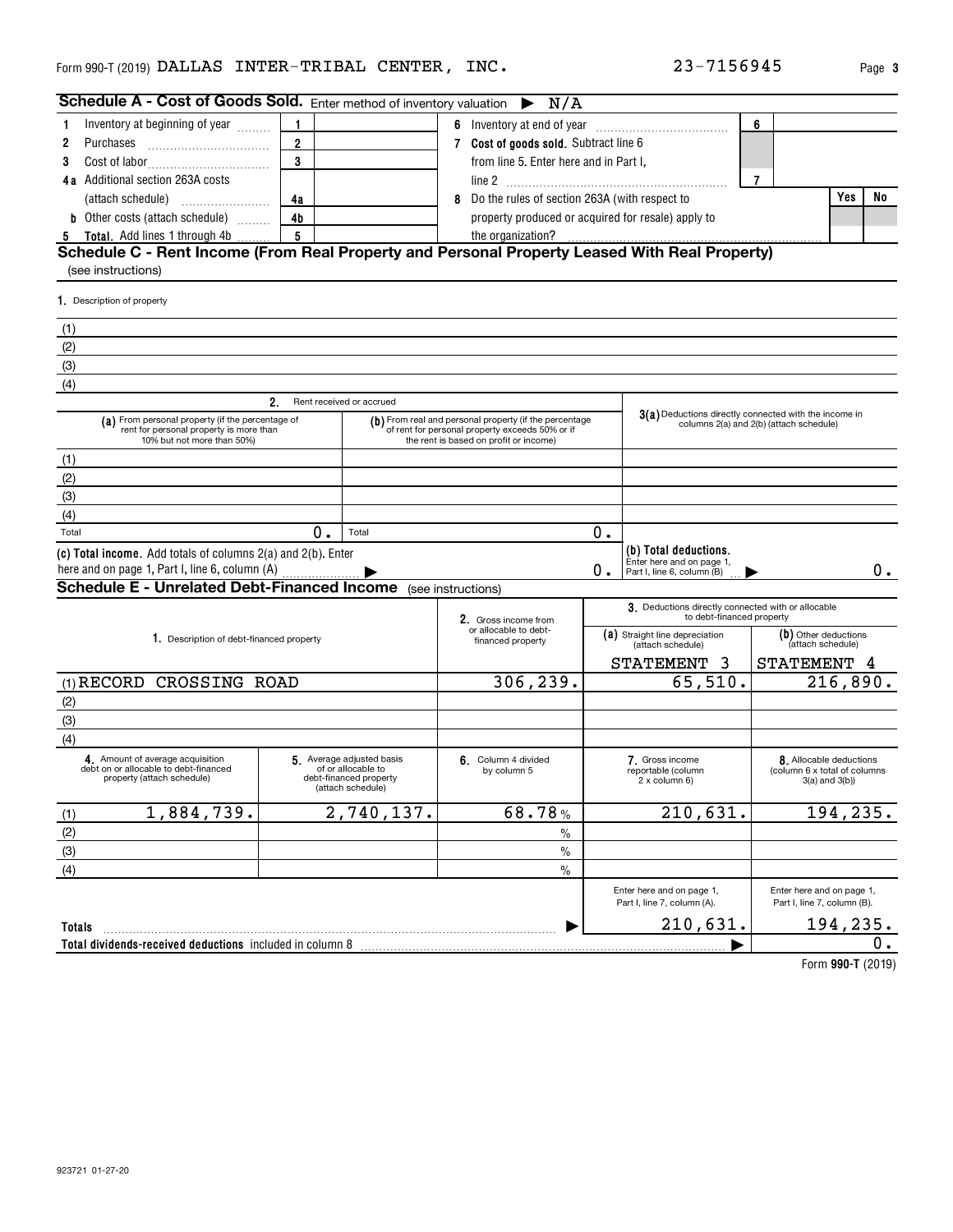| Schedule A - Cost of Goods Sold. Enter method of inventory valuation $\blacktriangleright$                                |                                                                                               |            |                                                                                                                                                     | N/A           |                                |                                                                                                  |                      |                                                                                |    |
|---------------------------------------------------------------------------------------------------------------------------|-----------------------------------------------------------------------------------------------|------------|-----------------------------------------------------------------------------------------------------------------------------------------------------|---------------|--------------------------------|--------------------------------------------------------------------------------------------------|----------------------|--------------------------------------------------------------------------------|----|
| Inventory at beginning of year                                                                                            | 1                                                                                             |            |                                                                                                                                                     |               |                                |                                                                                                  | 6                    |                                                                                |    |
| 2<br>Purchases                                                                                                            | $\overline{2}$                                                                                |            | 7 Cost of goods sold. Subtract line 6                                                                                                               |               |                                |                                                                                                  |                      |                                                                                |    |
| 3                                                                                                                         | 3                                                                                             |            | from line 5. Enter here and in Part I,                                                                                                              |               |                                |                                                                                                  |                      |                                                                                |    |
| <b>4a</b> Additional section 263A costs                                                                                   |                                                                                               |            |                                                                                                                                                     |               |                                |                                                                                                  | $\overline{7}$       |                                                                                |    |
| (attach schedule)                                                                                                         | 4a                                                                                            |            | 8 Do the rules of section 263A (with respect to                                                                                                     |               |                                |                                                                                                  |                      | Yes                                                                            | No |
| <b>b</b> Other costs (attach schedule)                                                                                    | 4 <sub>b</sub>                                                                                |            |                                                                                                                                                     |               |                                | property produced or acquired for resale) apply to                                               |                      |                                                                                |    |
| <b>Total.</b> Add lines 1 through 4b<br>5                                                                                 | 5                                                                                             |            | the organization?                                                                                                                                   |               |                                |                                                                                                  |                      |                                                                                |    |
| Schedule C - Rent Income (From Real Property and Personal Property Leased With Real Property)                             |                                                                                               |            |                                                                                                                                                     |               |                                |                                                                                                  |                      |                                                                                |    |
| (see instructions)                                                                                                        |                                                                                               |            |                                                                                                                                                     |               |                                |                                                                                                  |                      |                                                                                |    |
| 1. Description of property                                                                                                |                                                                                               |            |                                                                                                                                                     |               |                                |                                                                                                  |                      |                                                                                |    |
| (1)                                                                                                                       |                                                                                               |            |                                                                                                                                                     |               |                                |                                                                                                  |                      |                                                                                |    |
| (2)                                                                                                                       |                                                                                               |            |                                                                                                                                                     |               |                                |                                                                                                  |                      |                                                                                |    |
| (3)                                                                                                                       |                                                                                               |            |                                                                                                                                                     |               |                                |                                                                                                  |                      |                                                                                |    |
| (4)                                                                                                                       |                                                                                               |            |                                                                                                                                                     |               |                                |                                                                                                  |                      |                                                                                |    |
|                                                                                                                           | 2.<br>Rent received or accrued                                                                |            |                                                                                                                                                     |               |                                |                                                                                                  |                      |                                                                                |    |
| (a) From personal property (if the percentage of<br>rent for personal property is more than<br>10% but not more than 50%) |                                                                                               |            | (b) From real and personal property (if the percentage<br>of rent for personal property exceeds 50% or if<br>the rent is based on profit or income) |               |                                | 3(a) Deductions directly connected with the income in<br>columns 2(a) and 2(b) (attach schedule) |                      |                                                                                |    |
| (1)                                                                                                                       |                                                                                               |            |                                                                                                                                                     |               |                                |                                                                                                  |                      |                                                                                |    |
| (2)                                                                                                                       |                                                                                               |            |                                                                                                                                                     |               |                                |                                                                                                  |                      |                                                                                |    |
| (3)                                                                                                                       |                                                                                               |            |                                                                                                                                                     |               |                                |                                                                                                  |                      |                                                                                |    |
| (4)                                                                                                                       |                                                                                               |            |                                                                                                                                                     |               |                                |                                                                                                  |                      |                                                                                |    |
| Total                                                                                                                     | 0.<br>Total                                                                                   |            |                                                                                                                                                     |               | 0.                             |                                                                                                  |                      |                                                                                |    |
| (c) Total income. Add totals of columns 2(a) and 2(b). Enter                                                              |                                                                                               |            |                                                                                                                                                     |               | 0.                             | (b) Total deductions.<br>Enter here and on page 1,<br>Part I, line 6, column (B)                 |                      |                                                                                | 0. |
| <b>Schedule E - Unrelated Debt-Financed Income</b> (see instructions)                                                     |                                                                                               |            |                                                                                                                                                     |               |                                |                                                                                                  |                      |                                                                                |    |
|                                                                                                                           |                                                                                               |            | 2. Gross income from                                                                                                                                |               |                                | 3. Deductions directly connected with or allocable<br>to debt-financed property                  |                      |                                                                                |    |
| 1. Description of debt-financed property                                                                                  |                                                                                               |            | or allocable to debt-<br>financed property                                                                                                          |               | (a) Straight line depreciation |                                                                                                  | (b) Other deductions |                                                                                |    |
|                                                                                                                           |                                                                                               |            |                                                                                                                                                     |               |                                | (attach schedule)                                                                                |                      | (attach schedule)                                                              |    |
|                                                                                                                           |                                                                                               |            |                                                                                                                                                     |               |                                | STATEMENT 3                                                                                      | <b>STATEMENT</b>     |                                                                                |    |
| (1) RECORD CROSSING ROAD                                                                                                  |                                                                                               |            | 306,239.                                                                                                                                            |               |                                | 65,510.                                                                                          |                      | 216,890.                                                                       |    |
| (2)                                                                                                                       |                                                                                               |            |                                                                                                                                                     |               |                                |                                                                                                  |                      |                                                                                |    |
| (3)                                                                                                                       |                                                                                               |            |                                                                                                                                                     |               |                                |                                                                                                  |                      |                                                                                |    |
| (4)                                                                                                                       |                                                                                               |            |                                                                                                                                                     |               |                                |                                                                                                  |                      |                                                                                |    |
| 4 Amount of average acquisition<br>debt on or allocable to debt-financed<br>property (attach schedule)                    | 5 Average adjusted basis<br>of or allocable to<br>debt-financed property<br>(attach schedule) |            | 6. Column 4 divided<br>by column 5                                                                                                                  |               |                                | 7. Gross income<br>reportable (column<br>2 x column 6)                                           |                      | 8. Allocable deductions<br>(column 6 x total of columns<br>$3(a)$ and $3(b)$ ) |    |
| 1,884,739.<br>(1)                                                                                                         |                                                                                               | 2,740,137. | 68.78%                                                                                                                                              |               |                                | 210,631.                                                                                         |                      | 194, 235.                                                                      |    |
| (2)                                                                                                                       |                                                                                               |            |                                                                                                                                                     | $\%$          |                                |                                                                                                  |                      |                                                                                |    |
| (3)                                                                                                                       |                                                                                               |            |                                                                                                                                                     | $\frac{0}{0}$ |                                |                                                                                                  |                      |                                                                                |    |
| (4)                                                                                                                       |                                                                                               |            |                                                                                                                                                     | $\%$          |                                |                                                                                                  |                      |                                                                                |    |
|                                                                                                                           |                                                                                               |            |                                                                                                                                                     |               |                                | Enter here and on page 1,<br>Part I, line 7, column (A).                                         |                      | Enter here and on page 1,<br>Part I, line 7, column (B).                       |    |
| <b>Totals</b>                                                                                                             |                                                                                               |            |                                                                                                                                                     |               |                                | 210,631.                                                                                         |                      | 194, 235.                                                                      |    |
| Total dividends-received deductions included in column 8                                                                  |                                                                                               |            |                                                                                                                                                     |               |                                |                                                                                                  |                      |                                                                                | Ο. |

**990-T**  Form (2019)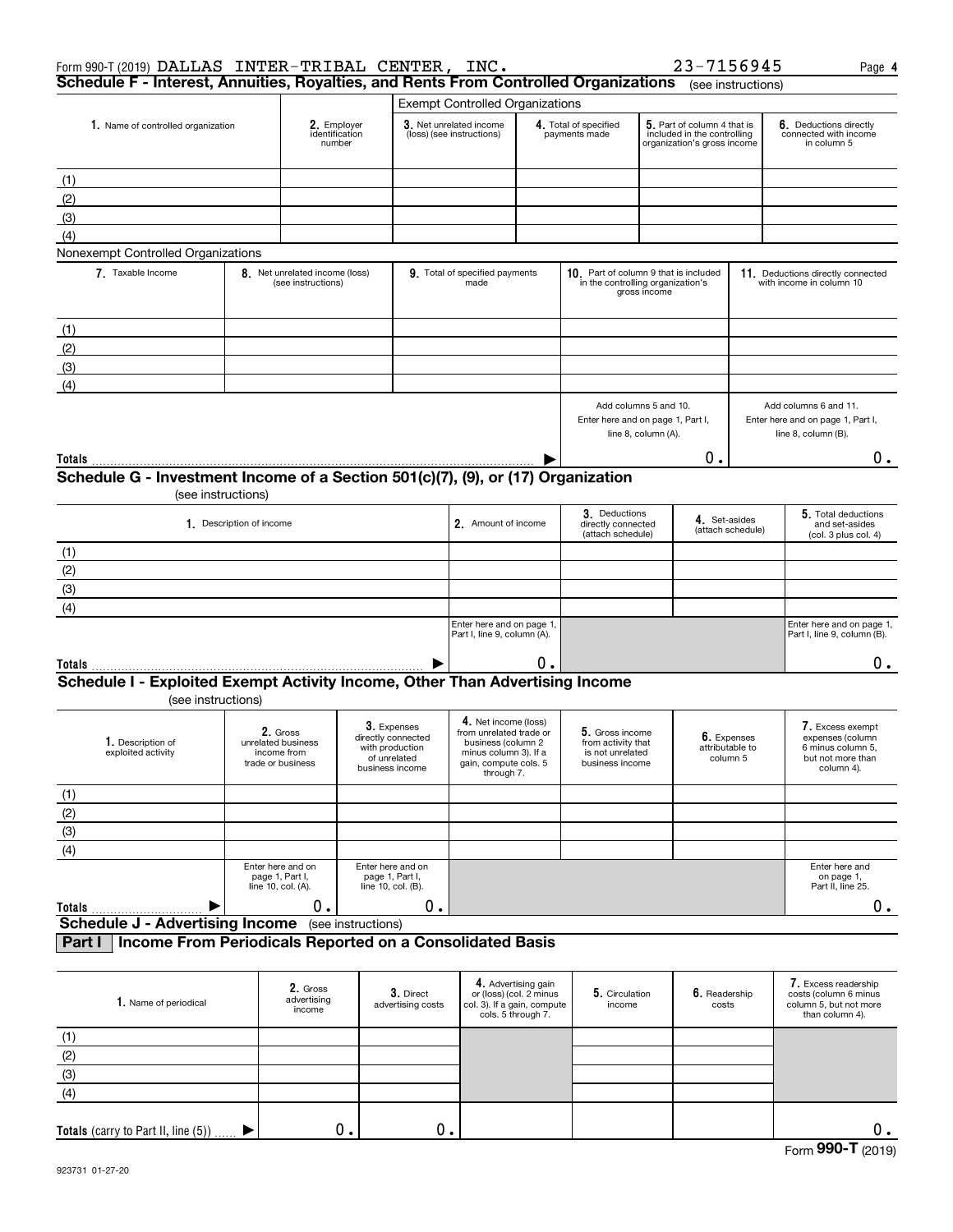| Form 990-T (2019) DALLAS INTER-TRIBAL CENTER, INC.                                                 |                                                      |                                                                    |                                                                          |                                        |                                                                                                                                       |                                                                                            |                                                                                                                                     |                     | 23-7156945                                 |                                                               | Page 4                                                                                       |
|----------------------------------------------------------------------------------------------------|------------------------------------------------------|--------------------------------------------------------------------|--------------------------------------------------------------------------|----------------------------------------|---------------------------------------------------------------------------------------------------------------------------------------|--------------------------------------------------------------------------------------------|-------------------------------------------------------------------------------------------------------------------------------------|---------------------|--------------------------------------------|---------------------------------------------------------------|----------------------------------------------------------------------------------------------|
| Schedule F - Interest, Annuities, Royalties, and Rents From Controlled Organizations               |                                                      |                                                                    |                                                                          |                                        |                                                                                                                                       |                                                                                            |                                                                                                                                     |                     |                                            | (see instructions)                                            |                                                                                              |
|                                                                                                    |                                                      |                                                                    |                                                                          |                                        | <b>Exempt Controlled Organizations</b>                                                                                                |                                                                                            |                                                                                                                                     |                     |                                            |                                                               |                                                                                              |
| 1. Name of controlled organization                                                                 |                                                      | 2. Employer<br>identification<br>number                            |                                                                          |                                        | 3. Net unrelated income<br>(loss) (see instructions)                                                                                  |                                                                                            | 5. Part of column 4 that is<br>4. Total of specified<br>included in the controlling<br>payments made<br>organization's gross income |                     |                                            |                                                               | 6. Deductions directly<br>connected with income<br>in column 5                               |
|                                                                                                    |                                                      |                                                                    |                                                                          |                                        |                                                                                                                                       |                                                                                            |                                                                                                                                     |                     |                                            |                                                               |                                                                                              |
| (1)                                                                                                |                                                      |                                                                    |                                                                          |                                        |                                                                                                                                       |                                                                                            |                                                                                                                                     |                     |                                            |                                                               |                                                                                              |
| (2)                                                                                                |                                                      |                                                                    |                                                                          |                                        |                                                                                                                                       |                                                                                            |                                                                                                                                     |                     |                                            |                                                               |                                                                                              |
| (3)                                                                                                |                                                      |                                                                    |                                                                          |                                        |                                                                                                                                       |                                                                                            |                                                                                                                                     |                     |                                            |                                                               |                                                                                              |
| (4)                                                                                                |                                                      |                                                                    |                                                                          |                                        |                                                                                                                                       |                                                                                            |                                                                                                                                     |                     |                                            |                                                               |                                                                                              |
| Nonexempt Controlled Organizations                                                                 |                                                      |                                                                    |                                                                          |                                        |                                                                                                                                       |                                                                                            |                                                                                                                                     |                     |                                            |                                                               |                                                                                              |
| 7 Taxable Income                                                                                   | 8. Net unrelated income (loss)<br>(see instructions) |                                                                    |                                                                          | 9. Total of specified payments<br>made |                                                                                                                                       | 10. Part of column 9 that is included<br>in the controlling organization's<br>gross income |                                                                                                                                     |                     |                                            | 11. Deductions directly connected<br>with income in column 10 |                                                                                              |
| (1)                                                                                                |                                                      |                                                                    |                                                                          |                                        |                                                                                                                                       |                                                                                            |                                                                                                                                     |                     |                                            |                                                               |                                                                                              |
| (2)                                                                                                |                                                      |                                                                    |                                                                          |                                        |                                                                                                                                       |                                                                                            |                                                                                                                                     |                     |                                            |                                                               |                                                                                              |
| (3)                                                                                                |                                                      |                                                                    |                                                                          |                                        |                                                                                                                                       |                                                                                            |                                                                                                                                     |                     |                                            |                                                               |                                                                                              |
| (4)                                                                                                |                                                      |                                                                    |                                                                          |                                        |                                                                                                                                       |                                                                                            |                                                                                                                                     |                     |                                            |                                                               |                                                                                              |
|                                                                                                    |                                                      |                                                                    |                                                                          |                                        |                                                                                                                                       |                                                                                            | Add columns 5 and 10.<br>Enter here and on page 1, Part I,                                                                          | line 8, column (A). |                                            |                                                               | Add columns 6 and 11.<br>Enter here and on page 1, Part I,<br>line 8, column (B).            |
| Totals                                                                                             |                                                      |                                                                    |                                                                          |                                        |                                                                                                                                       |                                                                                            |                                                                                                                                     |                     | О.                                         |                                                               | 0.                                                                                           |
| Schedule G - Investment Income of a Section 501(c)(7), (9), or (17) Organization                   |                                                      |                                                                    |                                                                          |                                        |                                                                                                                                       |                                                                                            |                                                                                                                                     |                     |                                            |                                                               |                                                                                              |
|                                                                                                    | (see instructions)                                   |                                                                    |                                                                          |                                        |                                                                                                                                       |                                                                                            |                                                                                                                                     |                     |                                            |                                                               |                                                                                              |
|                                                                                                    | 1. Description of income                             |                                                                    |                                                                          |                                        | 2. Amount of income                                                                                                                   |                                                                                            | 3. Deductions<br>directly connected<br>(attach schedule)                                                                            |                     | 4. Set-asides                              | (attach schedule)                                             | 5. Total deductions<br>and set-asides<br>(col. 3 plus col. 4)                                |
| (1)                                                                                                |                                                      |                                                                    |                                                                          |                                        |                                                                                                                                       |                                                                                            |                                                                                                                                     |                     |                                            |                                                               |                                                                                              |
| (2)                                                                                                |                                                      |                                                                    |                                                                          |                                        |                                                                                                                                       |                                                                                            |                                                                                                                                     |                     |                                            |                                                               |                                                                                              |
| (3)                                                                                                |                                                      |                                                                    |                                                                          |                                        |                                                                                                                                       |                                                                                            |                                                                                                                                     |                     |                                            |                                                               |                                                                                              |
| (4)                                                                                                |                                                      |                                                                    |                                                                          |                                        |                                                                                                                                       |                                                                                            |                                                                                                                                     |                     |                                            |                                                               |                                                                                              |
|                                                                                                    |                                                      |                                                                    |                                                                          |                                        | Enter here and on page 1,                                                                                                             |                                                                                            |                                                                                                                                     |                     |                                            |                                                               | Enter here and on page 1,                                                                    |
|                                                                                                    |                                                      |                                                                    |                                                                          |                                        | Part I, line 9, column (A).                                                                                                           |                                                                                            |                                                                                                                                     |                     |                                            |                                                               | Part I, line 9, column (B).                                                                  |
| Totals                                                                                             |                                                      |                                                                    |                                                                          |                                        |                                                                                                                                       | 0.                                                                                         |                                                                                                                                     |                     |                                            |                                                               | 0.                                                                                           |
| Schedule I - Exploited Exempt Activity Income, Other Than Advertising Income<br>(see instructions) |                                                      |                                                                    |                                                                          |                                        |                                                                                                                                       |                                                                                            |                                                                                                                                     |                     |                                            |                                                               |                                                                                              |
| 1. Description of<br>exploited activity                                                            |                                                      | 2. Gross<br>unrelated business<br>income from<br>trade or business | directly connected<br>with production<br>of unrelated<br>business income | 3. Expenses                            | 4. Net income (loss)<br>from unrelated trade or<br>business (column 2<br>minus column 3). If a<br>gain, compute cols, 5<br>through 7. |                                                                                            | 5. Gross income<br>from activity that<br>is not unrelated<br>business income                                                        |                     | 6. Expenses<br>attributable to<br>column 5 |                                                               | 7. Excess exempt<br>expenses (column<br>6 minus column 5,<br>but not more than<br>column 4). |
| (1)                                                                                                |                                                      |                                                                    |                                                                          |                                        |                                                                                                                                       |                                                                                            |                                                                                                                                     |                     |                                            |                                                               |                                                                                              |
| (2)                                                                                                |                                                      |                                                                    |                                                                          |                                        |                                                                                                                                       |                                                                                            |                                                                                                                                     |                     |                                            |                                                               |                                                                                              |
| (3)                                                                                                |                                                      |                                                                    |                                                                          |                                        |                                                                                                                                       |                                                                                            |                                                                                                                                     |                     |                                            |                                                               |                                                                                              |
| (4)                                                                                                |                                                      |                                                                    |                                                                          |                                        |                                                                                                                                       |                                                                                            |                                                                                                                                     |                     |                                            |                                                               |                                                                                              |
|                                                                                                    |                                                      | Enter here and on<br>page 1, Part I,<br>line 10, col. (A).         | Enter here and on<br>page 1, Part I,<br>line 10, col. (B).               |                                        |                                                                                                                                       |                                                                                            |                                                                                                                                     |                     |                                            |                                                               | Enter here and<br>on page 1,<br>Part II, line 25.                                            |
| Totals                                                                                             |                                                      | 0.                                                                 |                                                                          | 0.                                     |                                                                                                                                       |                                                                                            |                                                                                                                                     |                     |                                            |                                                               | $0$ .                                                                                        |
| <b>Schedule J - Advertising Income</b> (see instructions)                                          |                                                      |                                                                    |                                                                          |                                        |                                                                                                                                       |                                                                                            |                                                                                                                                     |                     |                                            |                                                               |                                                                                              |
| Income From Periodicals Reported on a Consolidated Basis<br>Part I                                 |                                                      |                                                                    |                                                                          |                                        |                                                                                                                                       |                                                                                            |                                                                                                                                     |                     |                                            |                                                               |                                                                                              |
|                                                                                                    |                                                      | 2. Gross                                                           |                                                                          | 3. Direct                              |                                                                                                                                       | 4. Advertising gain<br>or (loss) (col. 2 minus                                             | 5. Circulation                                                                                                                      |                     | 6. Readership                              |                                                               | 7. Excess readership<br>costs (column 6 minus                                                |
| 1. Name of periodical                                                                              |                                                      | advertising<br>income                                              |                                                                          | advertising costs                      | col. 3). If a gain, compute<br>$role 5$ through $7$                                                                                   |                                                                                            | income                                                                                                                              |                     | costs                                      |                                                               | column 5, but not more<br>than $\text{column } 4$                                            |

| 1. Name of periodical               | Z. Gross<br>advertising<br>income | 3. Direct<br>advertising costs | or (loss) (col. 2 minus<br>col. 3). If a gain, compute<br>cols. 5 through 7. | 5. Circulation<br>income | 6. Readership<br>costs | costs (column 6 minus<br>column 5, but not more<br>than column 4). |
|-------------------------------------|-----------------------------------|--------------------------------|------------------------------------------------------------------------------|--------------------------|------------------------|--------------------------------------------------------------------|
| (1)                                 |                                   |                                |                                                                              |                          |                        |                                                                    |
| (2)                                 |                                   |                                |                                                                              |                          |                        |                                                                    |
| (3)                                 |                                   |                                |                                                                              |                          |                        |                                                                    |
| (4)                                 |                                   |                                |                                                                              |                          |                        |                                                                    |
| Totals (carry to Part II, line (5)) | 0.                                | Ο.                             |                                                                              |                          |                        |                                                                    |
|                                     |                                   |                                |                                                                              |                          |                        | $\sim$ $\sim$ $\sim$                                               |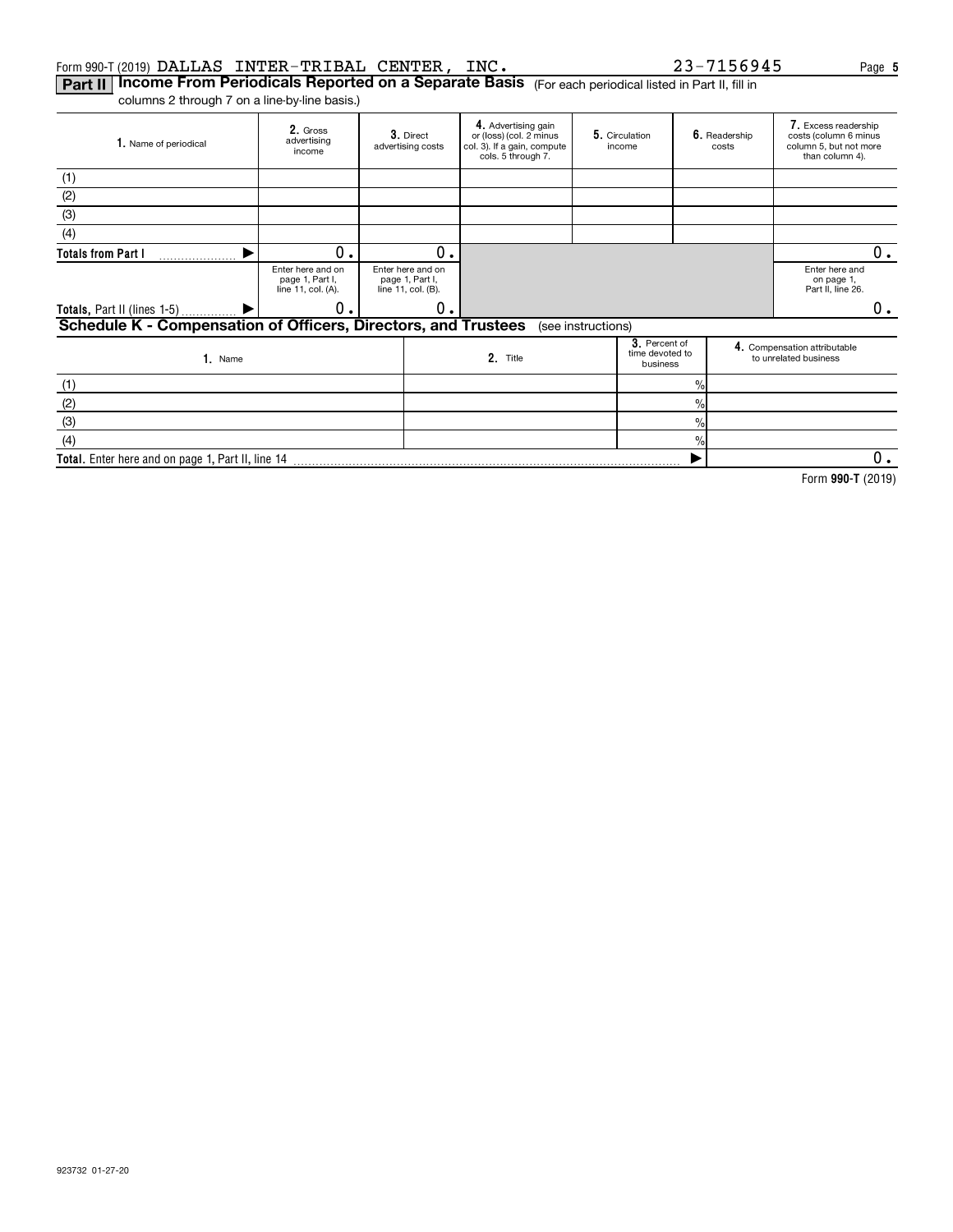#### Form 990-T (2019)  $\verb|DALLAS INTER-TRIBAL CENTER , INC .   23-7156945$  Page

 $\overline{\blacktriangleright}$ 

**Part II | Income From Periodicals Reported on a Separate Basis** (For each periodical listed in Part II, fill in columns 2 through 7 on a line-by-line basis.)

| 1. Name of periodical                                          | 2. Gross<br>advertising<br>income                          | 3. Direct<br>advertising costs                             | 4. Advertising gain<br>or (loss) (col. 2 minus<br>col. 3). If a gain, compute<br>cols. 5 through 7. | 5. Circulation<br>6. Readership<br>income<br>costs |                                              |                |  | 7. Excess readership<br>costs (column 6 minus<br>column 5, but not more<br>than column 4). |
|----------------------------------------------------------------|------------------------------------------------------------|------------------------------------------------------------|-----------------------------------------------------------------------------------------------------|----------------------------------------------------|----------------------------------------------|----------------|--|--------------------------------------------------------------------------------------------|
| (1)                                                            |                                                            |                                                            |                                                                                                     |                                                    |                                              |                |  |                                                                                            |
| (2)                                                            |                                                            |                                                            |                                                                                                     |                                                    |                                              |                |  |                                                                                            |
| (3)                                                            |                                                            |                                                            |                                                                                                     |                                                    |                                              |                |  |                                                                                            |
| (4)                                                            |                                                            |                                                            |                                                                                                     |                                                    |                                              |                |  |                                                                                            |
| <b>Totals from Part I</b>                                      | О.                                                         | 0.                                                         |                                                                                                     |                                                    |                                              |                |  | 0.                                                                                         |
|                                                                | Enter here and on<br>page 1, Part I,<br>line 11, col. (A). | Enter here and on<br>page 1, Part I,<br>line 11, col. (B). |                                                                                                     |                                                    |                                              |                |  | Enter here and<br>on page 1.<br>Part II, line 26.                                          |
| Totals, Part II (lines 1-5)                                    | 0.                                                         | О.                                                         |                                                                                                     | о.                                                 |                                              |                |  |                                                                                            |
| Schedule K - Compensation of Officers, Directors, and Trustees |                                                            |                                                            |                                                                                                     | (see instructions)                                 |                                              |                |  |                                                                                            |
| $1.$ Name                                                      |                                                            |                                                            | 2. Title                                                                                            |                                                    | 3. Percent of<br>time devoted to<br>business |                |  | 4. Compensation attributable<br>to unrelated business                                      |
| (1)                                                            |                                                            |                                                            |                                                                                                     |                                                    |                                              | $\frac{9}{10}$ |  |                                                                                            |
| (2)                                                            |                                                            |                                                            |                                                                                                     |                                                    |                                              | $\frac{0}{0}$  |  |                                                                                            |
| (3)                                                            |                                                            |                                                            |                                                                                                     |                                                    |                                              | $\frac{9}{6}$  |  |                                                                                            |
| (4)                                                            |                                                            |                                                            |                                                                                                     |                                                    |                                              | %              |  |                                                                                            |

**Total.**  Enter here and on page 1, Part II, line 14

**990-T**  Form (2019)

 $\overline{0}$ .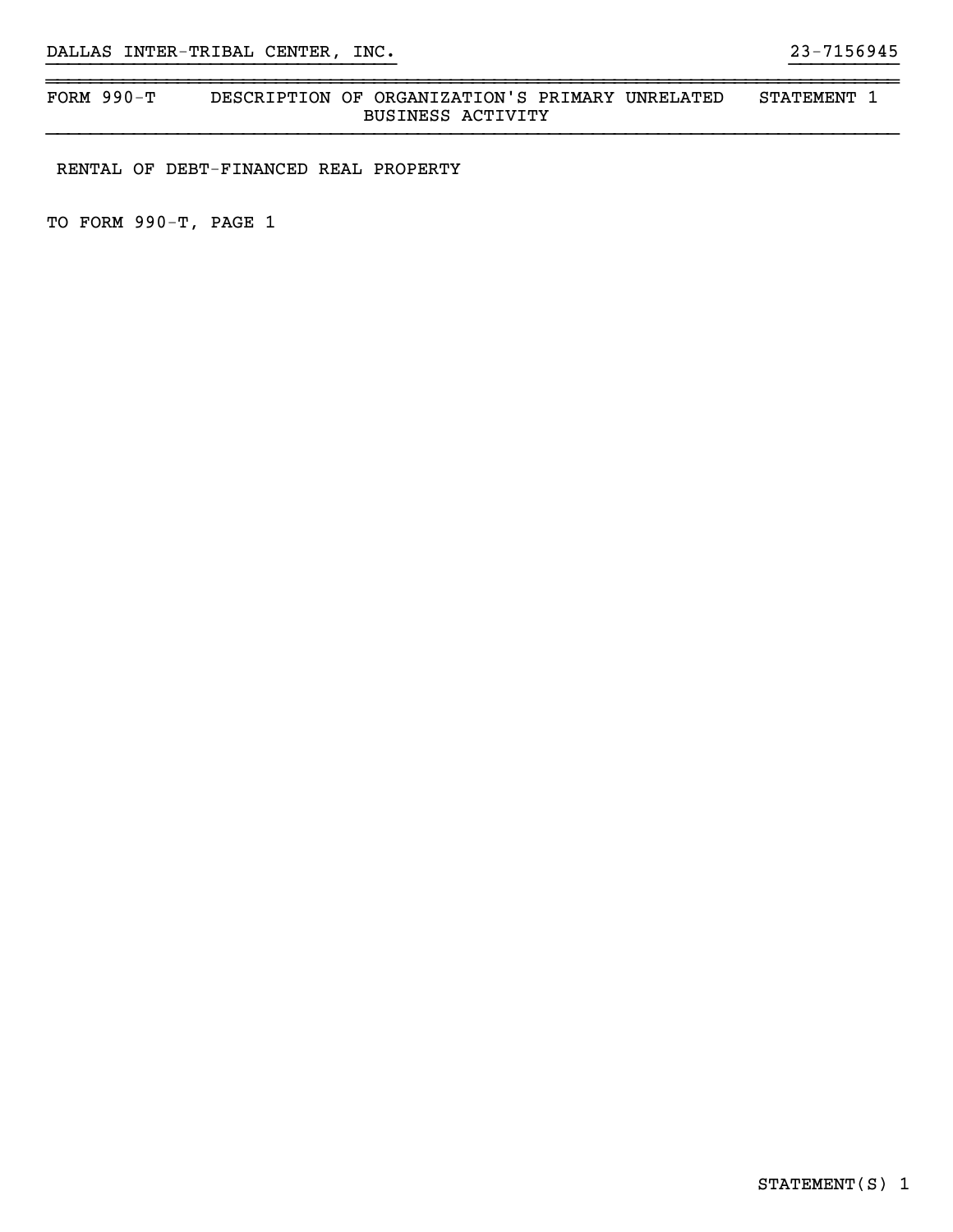#### ~~~~~~~~~~~~~~~~~~~~~~~~~~~~~~~~~~~~~~~~~~~~~~~~~~~~~~~~~~~~~~~~~~~~~~~~~~~~~~FORM 990-T DESCRIPTION OF ORGANIZATION'S PRIMARY UNRELATED STATEMENT 1 BUSINESS ACTIVITY

}}}}}}}}}}}}}}}}}}}}}}}}}}}}}}}} }}}}}}}}}}

RENTAL OF DEBT-FINANCED REAL PROPERTY

TO FORM 990-T, PAGE 1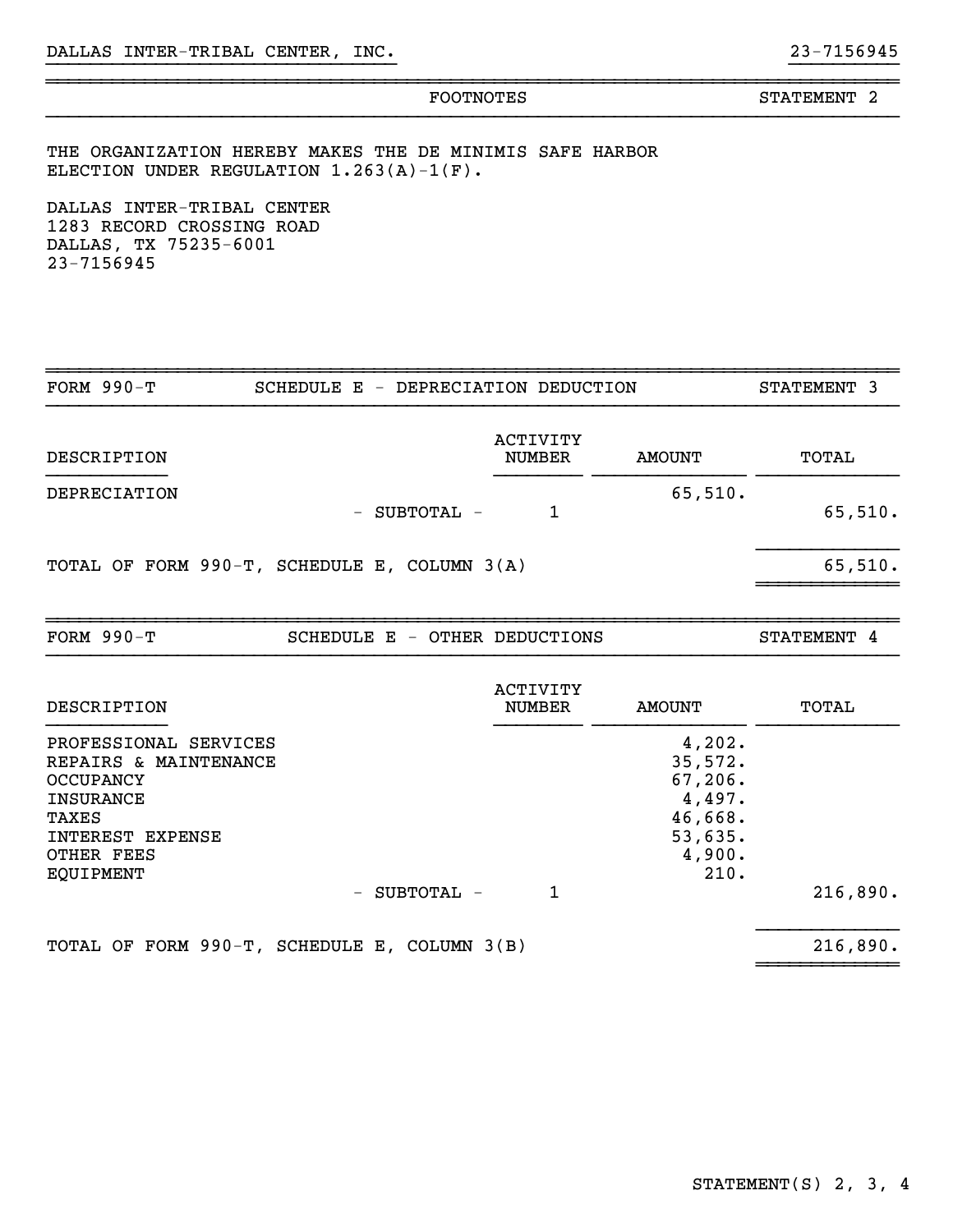~~~~~~~~~~~~~~~~~~~~~~~~~~~~~~~~~~~~~~~~~~~~~~~~~~~~~~~~~~~~~~~~~~~~~~~~~~~~~~

}}}}}}}}}}}}}}}}}}}}}}}}}}}}}}}} }}}}}}}}}}

THE ORGANIZATION HEREBY MAKES THE DE MINIMIS SAFE HARBOR ELECTION UNDER REGULATION  $1.263(A)-1(F)$ .

DALLAS INTER-TRIBAL CENTER 1283 RECORD CROSSING ROAD DALLAS, TX 75235-6001 23-7156945

| <b>FORM 990-T</b>                                                                                                                                                          | SCHEDULE E - DEPRECIATION DEDUCTION |                                  |                                                                                 | STATEMENT 3 |
|----------------------------------------------------------------------------------------------------------------------------------------------------------------------------|-------------------------------------|----------------------------------|---------------------------------------------------------------------------------|-------------|
| DESCRIPTION                                                                                                                                                                |                                     | <b>ACTIVITY</b><br><b>NUMBER</b> | <b>AMOUNT</b>                                                                   | TOTAL       |
| DEPRECIATION                                                                                                                                                               | - SUBTOTAL -                        | $\mathbf{1}$                     | 65,510.                                                                         | 65,510.     |
| TOTAL OF FORM 990-T, SCHEDULE E, COLUMN 3(A)                                                                                                                               |                                     |                                  |                                                                                 | 65,510.     |
| <b>FORM 990-T</b>                                                                                                                                                          | SCHEDULE E - OTHER DEDUCTIONS       |                                  |                                                                                 | STATEMENT 4 |
| DESCRIPTION                                                                                                                                                                |                                     | <b>ACTIVITY</b><br><b>NUMBER</b> | <b>AMOUNT</b>                                                                   | TOTAL       |
| PROFESSIONAL SERVICES<br>REPAIRS & MAINTENANCE<br><b>OCCUPANCY</b><br><b>INSURANCE</b><br>TAXES<br>INTEREST EXPENSE<br>OTHER FEES<br><b>EQUIPMENT</b><br>$\qquad \qquad -$ | SUBTOTAL -                          | 1                                | 4,202.<br>35,572.<br>67, 206.<br>4,497.<br>46,668.<br>53,635.<br>4,900.<br>210. | 216,890.    |
| TOTAL OF FORM 990-T, SCHEDULE E, COLUMN 3(B)                                                                                                                               |                                     |                                  |                                                                                 | 216,890.    |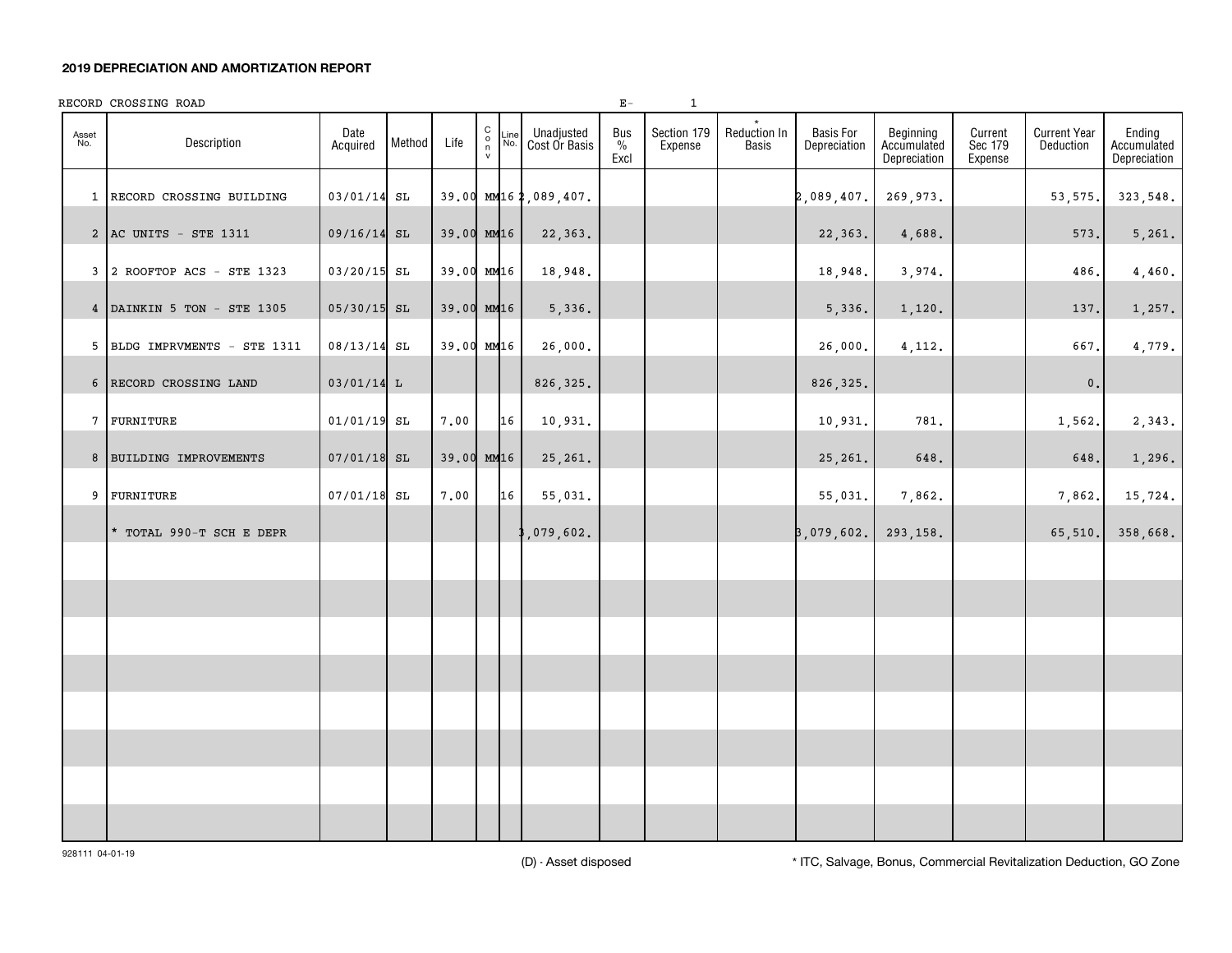#### **2019 DEPRECIATION AND AMORTIZATION REPORT**

|              | RECORD CROSSING ROAD         |                  |        |            |                                                        |             |                             | $E -$               | 1                      |                              |                                  |                                          |                               |                                         |                                       |
|--------------|------------------------------|------------------|--------|------------|--------------------------------------------------------|-------------|-----------------------------|---------------------|------------------------|------------------------------|----------------------------------|------------------------------------------|-------------------------------|-----------------------------------------|---------------------------------------|
| Asset<br>No. | Description                  | Date<br>Acquired | Method | Life       | $\begin{smallmatrix}&&&\&\&0\\0&\&\&\end{smallmatrix}$ | Line<br>No. | Unadjusted<br>Cost Or Basis | Bus<br>$\%$<br>Excl | Section 179<br>Expense | Reduction In<br><b>Basis</b> | <b>Basis For</b><br>Depreciation | Beginning<br>Accumulated<br>Depreciation | Current<br>Sec 179<br>Expense | <b>Current Year</b><br><b>Deduction</b> | Ending<br>Accumulated<br>Depreciation |
|              | 1 RECORD CROSSING BUILDING   | $03/01/14$ SL    |        |            |                                                        |             | 39.00 MM162,089,407.        |                     |                        |                              | 2,089,407.                       | 269,973.                                 |                               | 53, 575.                                | 323,548.                              |
|              | 2 AC UNITS - STE 1311        | $09/16/14$ SL    |        | 39.00 MM16 |                                                        |             | 22,363.                     |                     |                        |                              | 22,363.                          | 4,688.                                   |                               | 573.                                    | 5,261.                                |
|              | 3 2 ROOFTOP ACS - STE 1323   | 03/20/15 SL      |        | 39.00 MM16 |                                                        |             | 18,948.                     |                     |                        |                              | 18,948.                          | 3,974.                                   |                               | 486.                                    | 4,460.                                |
|              | 4 DAINKIN 5 TON - STE 1305   | $05/30/15$ SL    |        | 39.00 MM16 |                                                        |             | 5,336.                      |                     |                        |                              | 5,336.                           | 1,120.                                   |                               | 137.                                    | 1,257.                                |
|              | 5 BLDG IMPRVMENTS - STE 1311 | $08/13/14$ SL    |        | 39.00 MM16 |                                                        |             | 26,000.                     |                     |                        |                              | 26,000.                          | 4,112.                                   |                               | 667.                                    | 4,779.                                |
|              | 6 RECORD CROSSING LAND       | $03/01/14$ L     |        |            |                                                        |             | 826, 325.                   |                     |                        |                              | 826, 325.                        |                                          |                               | $\mathfrak o$ .                         |                                       |
|              | 7 FURNITURE                  | $01/01/19$ SL    |        | 7.00       |                                                        | 16          | 10,931.                     |                     |                        |                              | 10,931.                          | 781.                                     |                               | 1,562.                                  | 2,343.                                |
|              | 8 BUILDING IMPROVEMENTS      | $07/01/18$ SL    |        | 39.00 MM16 |                                                        |             | 25,261.                     |                     |                        |                              | 25,261.                          | 648.                                     |                               | 648.                                    | 1,296.                                |
|              | 9 FURNITURE                  | $07/01/18$ SL    |        | 7.00       |                                                        | 16          | 55,031.                     |                     |                        |                              | 55,031.                          | 7,862.                                   |                               | 7,862.                                  | 15,724.                               |
|              | * TOTAL 990-T SCH E DEPR     |                  |        |            |                                                        |             | ,079,602.                   |                     |                        |                              | 3,079,602.                       | 293,158.                                 |                               | 65,510.                                 | 358,668.                              |
|              |                              |                  |        |            |                                                        |             |                             |                     |                        |                              |                                  |                                          |                               |                                         |                                       |
|              |                              |                  |        |            |                                                        |             |                             |                     |                        |                              |                                  |                                          |                               |                                         |                                       |
|              |                              |                  |        |            |                                                        |             |                             |                     |                        |                              |                                  |                                          |                               |                                         |                                       |
|              |                              |                  |        |            |                                                        |             |                             |                     |                        |                              |                                  |                                          |                               |                                         |                                       |
|              |                              |                  |        |            |                                                        |             |                             |                     |                        |                              |                                  |                                          |                               |                                         |                                       |
|              |                              |                  |        |            |                                                        |             |                             |                     |                        |                              |                                  |                                          |                               |                                         |                                       |
|              |                              |                  |        |            |                                                        |             |                             |                     |                        |                              |                                  |                                          |                               |                                         |                                       |
|              |                              |                  |        |            |                                                        |             |                             |                     |                        |                              |                                  |                                          |                               |                                         |                                       |

(D) - Asset disposed \* ITC, Salvage, Bonus, Commercial Revitalization Deduction, GO Zone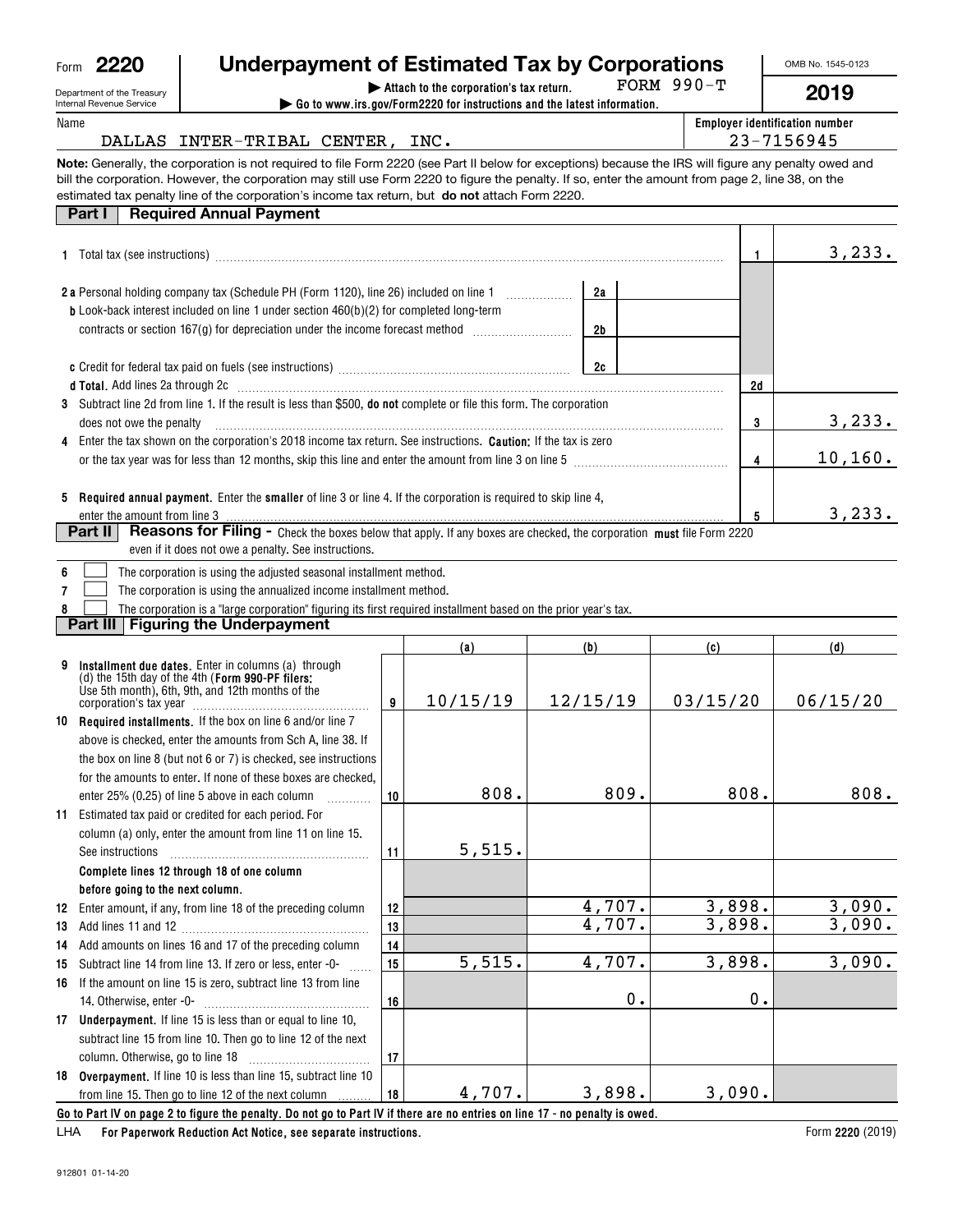| Form | m<br>u<br>Y<br>. .<br>u |
|------|-------------------------|
|      |                         |

# **| Attach to the corporation's tax return. Underpayment of Estimated Tax by Corporations**

FORM 990-T

OMB No. 1545-0123

**2019**

| Department of the Treasury |
|----------------------------|
| Internal Revenue Service   |

**8**

| Internal Revenue Service                     |                                                                                                                                                                                                                                                                                                                                                                                                                 | $\triangleright$ Go to www.irs.gov/Form2220 for instructions and the latest information. |                                                         |
|----------------------------------------------|-----------------------------------------------------------------------------------------------------------------------------------------------------------------------------------------------------------------------------------------------------------------------------------------------------------------------------------------------------------------------------------------------------------------|------------------------------------------------------------------------------------------|---------------------------------------------------------|
| Name                                         | DALLAS INTER-TRIBAL CENTER, INC.                                                                                                                                                                                                                                                                                                                                                                                |                                                                                          | <b>Employer identification number</b><br>$23 - 7156945$ |
|                                              | Note: Generally, the corporation is not required to file Form 2220 (see Part II below for exceptions) because the IRS will figure any penalty owed and<br>bill the corporation. However, the corporation may still use Form 2220 to figure the penalty. If so, enter the amount from page 2, line 38, on the<br>estimated tax penalty line of the corporation's income tax return, but do not attach Form 2220. |                                                                                          |                                                         |
| Part I                                       | <b>Required Annual Payment</b>                                                                                                                                                                                                                                                                                                                                                                                  |                                                                                          |                                                         |
| <b>A</b> Tatality <i>lease and a company</i> |                                                                                                                                                                                                                                                                                                                                                                                                                 |                                                                                          | ່າາ                                                     |

| 1 Total tax (see instructions)                                                                                                                                                                                                                                                      |          | 3, 233.  |  |  |
|-------------------------------------------------------------------------------------------------------------------------------------------------------------------------------------------------------------------------------------------------------------------------------------|----------|----------|--|--|
| <b>2a</b> Personal holding company tax (Schedule PH (Form 1120), line 26) included on line 1<br><b>b</b> Look-back interest included on line 1 under section $460(b)(2)$ for completed long-term<br>contracts or section $167(q)$ for depreciation under the income forecast method | 2a<br>2b |          |  |  |
|                                                                                                                                                                                                                                                                                     | 2d       |          |  |  |
| 3 Subtract line 2d from line 1. If the result is less than \$500, do not complete or file this form. The corporation<br>does not owe the penalty                                                                                                                                    | 3        | 3, 233.  |  |  |
| 4 Enter the tax shown on the corporation's 2018 income tax return. See instructions. <b>Caution:</b> If the tax is zero<br>or the tax year was for less than 12 months, skip this line and enter the amount from line 3 on line 5                                                   |          | 10, 160. |  |  |
| 5 Required annual payment. Enter the smaller of line 3 or line 4. If the corporation is required to skip line 4,<br>enter the amount from line 3<br>Part II                                                                                                                         | 5        | 3,233.   |  |  |
| Reasons for Filing - Check the boxes below that apply. If any boxes are checked, the corporation must file Form 2220                                                                                                                                                                |          |          |  |  |

|  |  |  |  | even if it does not owe a penalty. See instructions. |
|--|--|--|--|------------------------------------------------------|
|--|--|--|--|------------------------------------------------------|

|  |  | 6 <b>b</b> The corporation is using the adjusted seasonal installment method. |
|--|--|-------------------------------------------------------------------------------|
|--|--|-------------------------------------------------------------------------------|

**7**The corporation is using the annualized income installment method.  $\mathcal{L}^{\text{max}}$ 

The corporation is a "large corporation" figuring its first required installment based on the prior year's tax.  $\mathcal{L}^{\text{max}}$ 

**Part III Figuring the Underpayment**

|    |                                                                                                                                                                |    | (a)      | (b)      | (c)      | (d)      |  |
|----|----------------------------------------------------------------------------------------------------------------------------------------------------------------|----|----------|----------|----------|----------|--|
|    | Installment due dates. Enter in columns (a) through<br>(d) the 15th day of the 4th (Form $990$ -PF filers:<br>Use 5th month), 6th, 9th, and 12th months of the | 9  | 10/15/19 | 12/15/19 | 03/15/20 | 06/15/20 |  |
|    | 10 Required installments. If the box on line 6 and/or line 7                                                                                                   |    |          |          |          |          |  |
|    | above is checked, enter the amounts from Sch A, line 38. If                                                                                                    |    |          |          |          |          |  |
|    | the box on line 8 (but not 6 or 7) is checked, see instructions                                                                                                |    |          |          |          |          |  |
|    | for the amounts to enter. If none of these boxes are checked.                                                                                                  |    |          |          |          |          |  |
|    | enter 25% (0.25) of line 5 above in each column                                                                                                                | 10 | 808.     | 809.     | 808.     | 808.     |  |
| 11 | Estimated tax paid or credited for each period. For                                                                                                            |    |          |          |          |          |  |
|    | column (a) only, enter the amount from line 11 on line 15.                                                                                                     |    |          |          |          |          |  |
|    | See instructions                                                                                                                                               | 11 | 5,515.   |          |          |          |  |
|    | Complete lines 12 through 18 of one column                                                                                                                     |    |          |          |          |          |  |
|    | before going to the next column.                                                                                                                               |    |          |          |          |          |  |
| 12 | Enter amount, if any, from line 18 of the preceding column                                                                                                     | 12 |          | 4,707.   | 3,898.   | 3,090.   |  |
| 13 |                                                                                                                                                                | 13 |          | 4,707.   | 3,898.   | 3,090.   |  |
| 14 | Add amounts on lines 16 and 17 of the preceding column                                                                                                         | 14 |          |          |          |          |  |
| 15 | Subtract line 14 from line 13. If zero or less, enter -0-                                                                                                      | 15 | 5,515.   | 4,707.   | 3,898.   | 3,090.   |  |
| 16 | If the amount on line 15 is zero, subtract line 13 from line                                                                                                   |    |          |          |          |          |  |
|    | 14. Otherwise, enter -0-                                                                                                                                       | 16 |          | 0.       | 0.       |          |  |
| 17 | Underpayment. If line 15 is less than or equal to line 10,                                                                                                     |    |          |          |          |          |  |
|    | subtract line 15 from line 10. Then go to line 12 of the next                                                                                                  |    |          |          |          |          |  |
|    |                                                                                                                                                                | 17 |          |          |          |          |  |
|    | 18 Overpayment. If line 10 is less than line 15, subtract line 10                                                                                              |    |          |          |          |          |  |
|    | from line 15. Then go to line 12 of the next column                                                                                                            | 18 | 4,707.   | 3,898.   | 3,090.   |          |  |
|    | Go to Part IV on page 2 to figure the penalty. Do not go to Part IV if there are no entries on line 17 - no penalty is owed.                                   |    |          |          |          |          |  |

**For Paperwork Reduction Act Notice, see separate instructions.** LHA